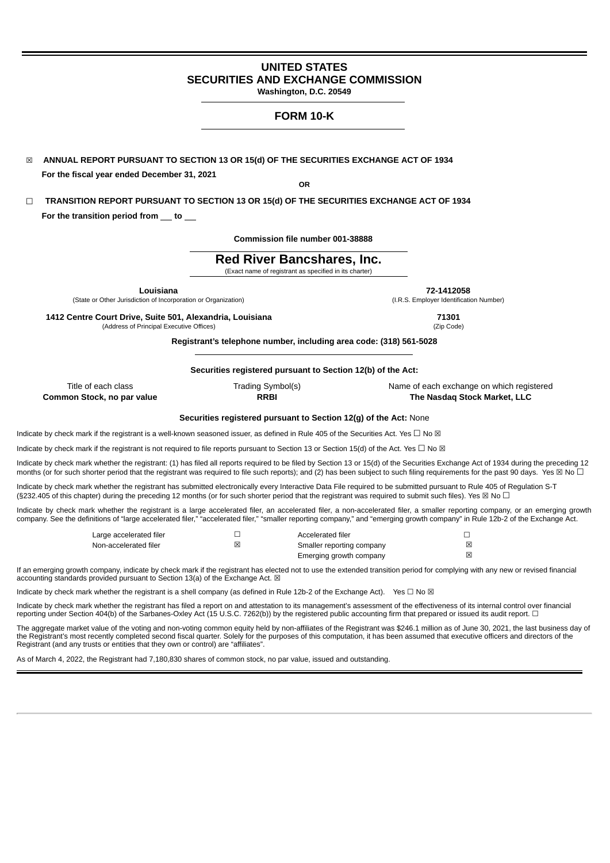# **UNITED STATES SECURITIES AND EXCHANGE COMMISSION**

**Washington, D.C. 20549**

# **FORM 10-K**

☒ **ANNUAL REPORT PURSUANT TO SECTION 13 OR 15(d) OF THE SECURITIES EXCHANGE ACT OF 1934 For the fiscal year ended December 31, 2021 OR**

☐ **TRANSITION REPORT PURSUANT TO SECTION 13 OR 15(d) OF THE SECURITIES EXCHANGE ACT OF 1934** For the transition period from \_\_ to \_\_

**Commission file number 001-38888**

|                                                                                                                                                        | COMMISSION THE HUMBER OUT 30000                                                             |                                           |
|--------------------------------------------------------------------------------------------------------------------------------------------------------|---------------------------------------------------------------------------------------------|-------------------------------------------|
|                                                                                                                                                        | <b>Red River Bancshares, Inc.</b><br>(Exact name of registrant as specified in its charter) |                                           |
| Louisiana                                                                                                                                              |                                                                                             | 72-1412058                                |
| (State or Other Jurisdiction of Incorporation or Organization)                                                                                         |                                                                                             | (I.R.S. Employer Identification Number)   |
| 1412 Centre Court Drive, Suite 501, Alexandria, Louisiana                                                                                              |                                                                                             | 71301                                     |
| (Address of Principal Executive Offices)                                                                                                               |                                                                                             | (Zip Code)                                |
|                                                                                                                                                        | Securities registered pursuant to Section 12(b) of the Act:                                 |                                           |
| Title of each class                                                                                                                                    | Trading Symbol(s)                                                                           | Name of each exchange on which registered |
| Common Stock, no par value                                                                                                                             | <b>RRBI</b>                                                                                 | The Nasdag Stock Market, LLC              |
|                                                                                                                                                        | Securities registered pursuant to Section 12(g) of the Act: None                            |                                           |
| Indicate by check mark if the registrant is a well-known seasoned issuer, as defined in Rule 405 of the Securities Act. Yes $\Box$ No $\boxtimes$      |                                                                                             |                                           |
| Indicate by check mark if the registrant is not required to file reports pursuant to Section 13 or Section 15(d) of the Act. Yes $\Box$ No $\boxtimes$ |                                                                                             |                                           |

Indicate by check mark whether the registrant: (1) has filed all reports required to be filed by Section 13 or 15(d) of the Securities Exchange Act of 1934 during the preceding 12 months (or for such shorter period that the registrant was required to file such reports); and (2) has been subject to such filing requirements for the past 90 days. Yes  $\boxtimes$  No  $\Box$ 

Indicate by check mark whether the registrant has submitted electronically every Interactive Data File required to be submitted pursuant to Rule 405 of Regulation S-T (§232.405 of this chapter) during the preceding 12 months (or for such shorter period that the registrant was required to submit such files). Yes  $\boxtimes$  No  $\Box$ 

Indicate by check mark whether the registrant is a large accelerated filer, an accelerated filer, a non-accelerated filer, a smaller reporting company, or an emerging growth company. See the definitions of "large accelerated filer," "accelerated filer," "smaller reporting company," and "emerging growth company" in Rule 12b-2 of the Exchange Act.

| Large accelerated filer |   | Accelerated filer         |   |
|-------------------------|---|---------------------------|---|
| Non-accelerated filer   | ⊠ | Smaller reporting company | × |
|                         |   | Emerging growth company   | × |

If an emerging growth company, indicate by check mark if the registrant has elected not to use the extended transition period for complying with any new or revised financial  $\alpha$  accounting standards provided pursuant to Section 13(a) of the Exchange Act.  $\boxtimes$ 

Indicate by check mark whether the registrant is a shell company (as defined in Rule 12b-2 of the Exchange Act). Yes  $\Box$  No  $\boxtimes$ 

Indicate by check mark whether the registrant has filed a report on and attestation to its management's assessment of the effectiveness of its internal control over financial reporting under Section 404(b) of the Sarbanes-Oxley Act (15 U.S.C. 7262(b)) by the registered public accounting firm that prepared or issued its audit report. □

The aggregate market value of the voting and non-voting common equity held by non-affiliates of the Registrant was \$246.1 million as of June 30, 2021, the last business day of the Registrant's most recently completed second fiscal quarter. Solely for the purposes of this computation, it has been assumed that executive officers and directors of the Registrant (and any trusts or entities that they own or control) are "affiliates".

As of March 4, 2022, the Registrant had 7,180,830 shares of common stock, no par value, issued and outstanding.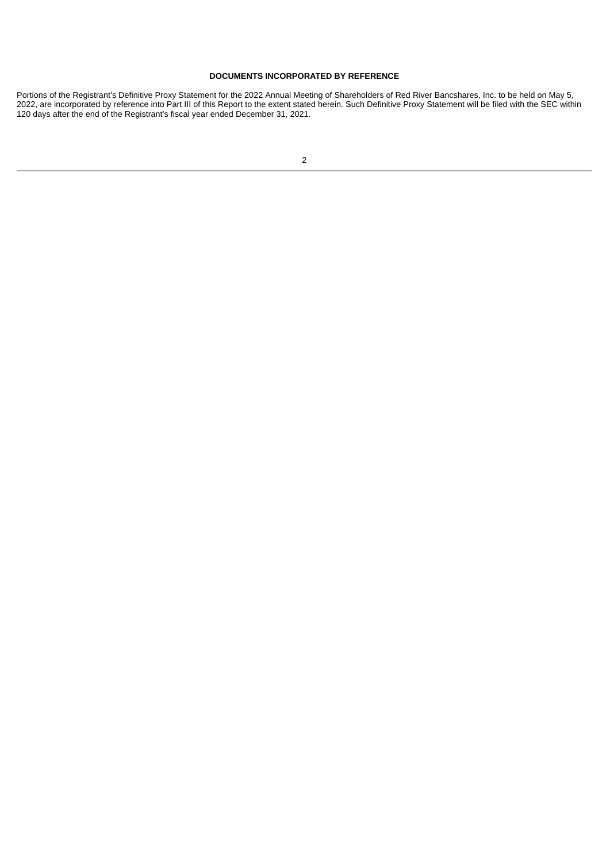# **DOCUMENTS INCORPORATED BY REFERENCE**

<span id="page-1-0"></span>Portions of the Registrant's Definitive Proxy Statement for the 2022 Annual Meeting of Shareholders of Red River Bancshares, Inc. to be held on May 5, 2022, are incorporated by reference into Part III of this Report to the extent stated herein. Such Definitive Proxy Statement will be filed with the SEC within 120 days after the end of the Registrant's fiscal year ended December 31, 2021.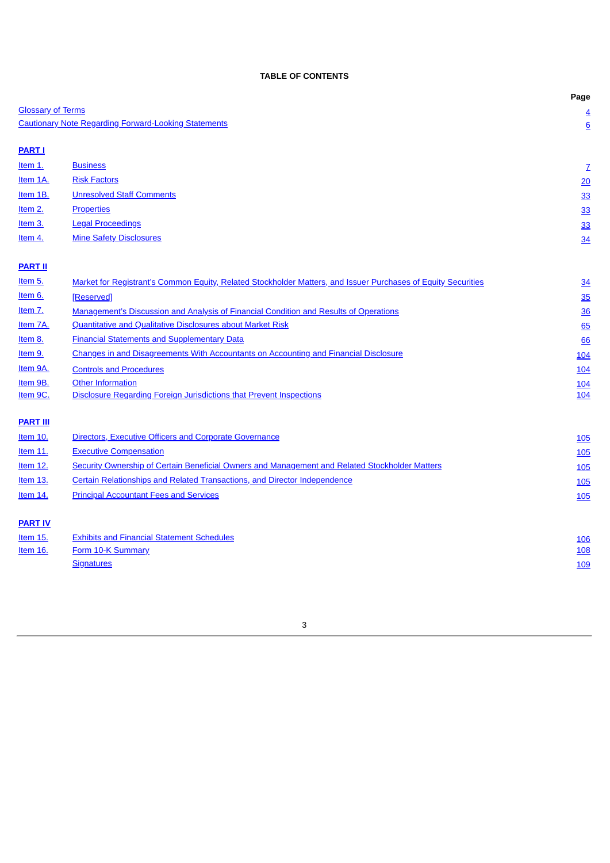# **TABLE OF CONTENTS**

<span id="page-2-0"></span>

|                          |                                                                                                               | Page           |
|--------------------------|---------------------------------------------------------------------------------------------------------------|----------------|
| <b>Glossary of Terms</b> |                                                                                                               |                |
|                          | <b>Cautionary Note Regarding Forward-Looking Statements</b>                                                   | 6              |
|                          |                                                                                                               |                |
| <b>PART I</b>            |                                                                                                               |                |
| Item 1.                  | <b>Business</b>                                                                                               | $\mathbf{Z}$   |
| Item 1A.                 | <b>Risk Factors</b>                                                                                           | 20             |
| Item 1B.                 | <b>Unresolved Staff Comments</b>                                                                              | 33             |
| Item 2.                  | <b>Properties</b>                                                                                             | 33             |
| Item 3.                  | <b>Legal Proceedings</b>                                                                                      | 33             |
| Item 4.                  | <b>Mine Safety Disclosures</b>                                                                                | $\frac{34}{5}$ |
| <b>PART II</b>           |                                                                                                               |                |
| Item 5.                  | Market for Registrant's Common Equity, Related Stockholder Matters, and Issuer Purchases of Equity Securities | 34             |
| Item 6.                  | [Reserved]                                                                                                    | 35             |
| <u>Item 7.</u>           | Management's Discussion and Analysis of Financial Condition and Results of Operations                         | 36             |
| Item 7A.                 | Quantitative and Qualitative Disclosures about Market Risk                                                    | 65             |
| Item 8.                  | <b>Financial Statements and Supplementary Data</b>                                                            | 66             |
| Item 9.                  | Changes in and Disagreements With Accountants on Accounting and Financial Disclosure                          | 104            |
| Item 9A.                 | <b>Controls and Procedures</b>                                                                                | 104            |
| Item 9B.                 | <b>Other Information</b>                                                                                      | 104            |
| Item 9C.                 | Disclosure Regarding Foreign Jurisdictions that Prevent Inspections                                           | 104            |
| <b>PART III</b>          |                                                                                                               |                |
| Item 10.                 | Directors, Executive Officers and Corporate Governance                                                        | 105            |
| Item 11.                 | <b>Executive Compensation</b>                                                                                 | 105            |
| <u>Item 12.</u>          | Security Ownership of Certain Beneficial Owners and Management and Related Stockholder Matters                | <b>105</b>     |
| <u>Item 13.</u>          | Certain Relationships and Related Transactions, and Director Independence                                     | <b>105</b>     |
| Item $14$ .              | <b>Principal Accountant Fees and Services</b>                                                                 | 105            |
| <b>PART IV</b>           |                                                                                                               |                |
| Item 15.                 | <b>Exhibits and Financial Statement Schedules</b>                                                             | 106            |
| Item 16.                 | Form 10-K Summary                                                                                             | 108            |
|                          | <b>Signatures</b>                                                                                             | 109            |
|                          |                                                                                                               |                |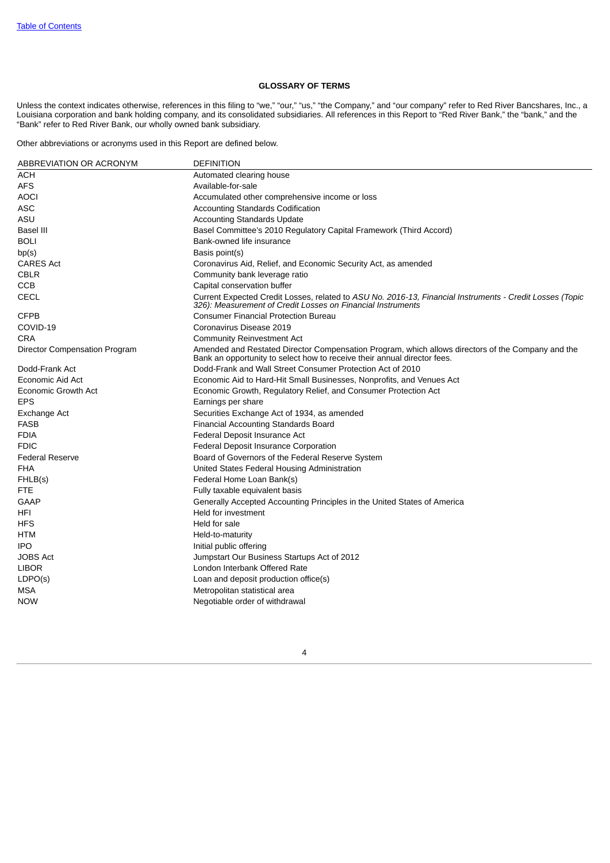# **GLOSSARY OF TERMS**

Unless the context indicates otherwise, references in this filing to "we," "our," "us," "the Company," and "our company" refer to Red River Bancshares, Inc., a Louisiana corporation and bank holding company, and its consolidated subsidiaries. All references in this Report to "Red River Bank," the "bank," and the "Bank" refer to Red River Bank, our wholly owned bank subsidiary.

Other abbreviations or acronyms used in this Report are defined below.

| ABBREVIATION OR ACRONYM       | <b>DEFINITION</b>                                                                                                                                                             |
|-------------------------------|-------------------------------------------------------------------------------------------------------------------------------------------------------------------------------|
| ACH                           | Automated clearing house                                                                                                                                                      |
| AFS                           | Available-for-sale                                                                                                                                                            |
| AOCI                          | Accumulated other comprehensive income or loss                                                                                                                                |
| ASC                           | <b>Accounting Standards Codification</b>                                                                                                                                      |
| ASU                           | <b>Accounting Standards Update</b>                                                                                                                                            |
| Basel III                     | Basel Committee's 2010 Regulatory Capital Framework (Third Accord)                                                                                                            |
| BOLI                          | Bank-owned life insurance                                                                                                                                                     |
| bp(s)                         | Basis point(s)                                                                                                                                                                |
| <b>CARES Act</b>              | Coronavirus Aid, Relief, and Economic Security Act, as amended                                                                                                                |
| CBLR                          | Community bank leverage ratio                                                                                                                                                 |
| ССВ                           | Capital conservation buffer                                                                                                                                                   |
| CECL                          | Current Expected Credit Losses, related to ASU No. 2016-13, Financial Instruments - Credit Losses (Topic<br>326): Measurement of Credit Losses on Financial Instruments       |
| CFPB                          | <b>Consumer Financial Protection Bureau</b>                                                                                                                                   |
| COVID-19                      | Coronavirus Disease 2019                                                                                                                                                      |
| CRA                           | <b>Community Reinvestment Act</b>                                                                                                                                             |
| Director Compensation Program | Amended and Restated Director Compensation Program, which allows directors of the Company and the<br>Bank an opportunity to select how to receive their annual director fees. |
| Dodd-Frank Act                | Dodd-Frank and Wall Street Consumer Protection Act of 2010                                                                                                                    |
| Economic Aid Act              | Economic Aid to Hard-Hit Small Businesses, Nonprofits, and Venues Act                                                                                                         |
| Economic Growth Act           | Economic Growth, Regulatory Relief, and Consumer Protection Act                                                                                                               |
| EPS                           | Earnings per share                                                                                                                                                            |
| Exchange Act                  | Securities Exchange Act of 1934, as amended                                                                                                                                   |
| FASB                          | Financial Accounting Standards Board                                                                                                                                          |
| FDIA                          | Federal Deposit Insurance Act                                                                                                                                                 |
| FDIC                          | Federal Deposit Insurance Corporation                                                                                                                                         |
| Federal Reserve               | Board of Governors of the Federal Reserve System                                                                                                                              |
| FHA                           | United States Federal Housing Administration                                                                                                                                  |
| FHLB(s)                       | Federal Home Loan Bank(s)                                                                                                                                                     |
| FTE                           | Fully taxable equivalent basis                                                                                                                                                |
| GAAP                          | Generally Accepted Accounting Principles in the United States of America                                                                                                      |
| HFI                           | Held for investment                                                                                                                                                           |
| HFS                           | Held for sale                                                                                                                                                                 |
| HTM                           | Held-to-maturity                                                                                                                                                              |
| IPO                           | Initial public offering                                                                                                                                                       |
| JOBS Act                      | Jumpstart Our Business Startups Act of 2012                                                                                                                                   |
| LIBOR                         | London Interbank Offered Rate                                                                                                                                                 |
| LDPO(s)                       | Loan and deposit production office(s)                                                                                                                                         |
| MSA                           | Metropolitan statistical area                                                                                                                                                 |
| NOW                           | Negotiable order of withdrawal                                                                                                                                                |
|                               |                                                                                                                                                                               |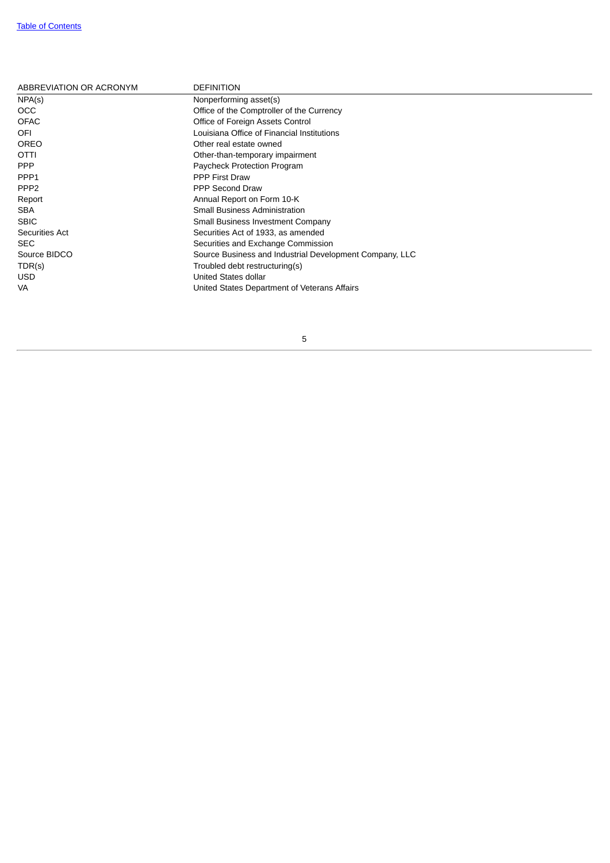<span id="page-4-0"></span>

| ABBREVIATION OR ACRONYM | <b>DEFINITION</b>                                       |
|-------------------------|---------------------------------------------------------|
| NPA(s)                  | Nonperforming asset(s)                                  |
| <b>OCC</b>              | Office of the Comptroller of the Currency               |
| <b>OFAC</b>             | Office of Foreign Assets Control                        |
| <b>OFI</b>              | Louisiana Office of Financial Institutions              |
| <b>OREO</b>             | Other real estate owned                                 |
| OTTI                    | Other-than-temporary impairment                         |
| <b>PPP</b>              | <b>Paycheck Protection Program</b>                      |
| PPP <sub>1</sub>        | <b>PPP First Draw</b>                                   |
| PPP <sub>2</sub>        | <b>PPP Second Draw</b>                                  |
| Report                  | Annual Report on Form 10-K                              |
| <b>SBA</b>              | <b>Small Business Administration</b>                    |
| <b>SBIC</b>             | <b>Small Business Investment Company</b>                |
| Securities Act          | Securities Act of 1933, as amended                      |
| <b>SEC</b>              | Securities and Exchange Commission                      |
| Source BIDCO            | Source Business and Industrial Development Company, LLC |
| TDR(s)                  | Troubled debt restructuring(s)                          |
| <b>USD</b>              | United States dollar                                    |
| VA                      | United States Department of Veterans Affairs            |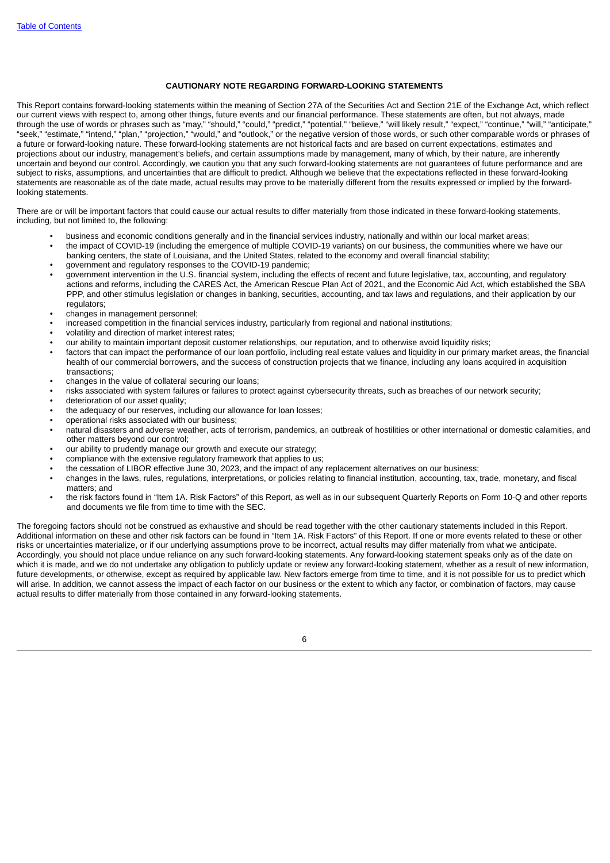# **CAUTIONARY NOTE REGARDING FORWARD-LOOKING STATEMENTS**

This Report contains forward-looking statements within the meaning of Section 27A of the Securities Act and Section 21E of the Exchange Act, which reflect our current views with respect to, among other things, future events and our financial performance. These statements are often, but not always, made through the use of words or phrases such as "may," "should," "could," "predict," "potential," "believe," "will likely result," "expect," "continue," "will," "anticipate," "seek," "estimate," "intend," "plan," "projection," "would," and "outlook," or the negative version of those words, or such other comparable words or phrases of a future or forward-looking nature. These forward-looking statements are not historical facts and are based on current expectations, estimates and projections about our industry, management's beliefs, and certain assumptions made by management, many of which, by their nature, are inherently uncertain and beyond our control. Accordingly, we caution you that any such forward-looking statements are not guarantees of future performance and are subject to risks, assumptions, and uncertainties that are difficult to predict. Although we believe that the expectations reflected in these forward-looking statements are reasonable as of the date made, actual results may prove to be materially different from the results expressed or implied by the forwardlooking statements.

There are or will be important factors that could cause our actual results to differ materially from those indicated in these forward-looking statements, including, but not limited to, the following:

- business and economic conditions generally and in the financial services industry, nationally and within our local market areas;
- the impact of COVID-19 (including the emergence of multiple COVID-19 variants) on our business, the communities where we have our banking centers, the state of Louisiana, and the United States, related to the economy and overall financial stability;
- government and regulatory responses to the COVID-19 pandemic;
- government intervention in the U.S. financial system, including the effects of recent and future legislative, tax, accounting, and regulatory actions and reforms, including the CARES Act, the American Rescue Plan Act of 2021, and the Economic Aid Act, which established the SBA PPP, and other stimulus legislation or changes in banking, securities, accounting, and tax laws and regulations, and their application by our regulators:
- changes in management personnel;
- increased competition in the financial services industry, particularly from regional and national institutions;
- volatility and direction of market interest rates;
- our ability to maintain important deposit customer relationships, our reputation, and to otherwise avoid liquidity risks;
- factors that can impact the performance of our loan portfolio, including real estate values and liquidity in our primary market areas, the financial health of our commercial borrowers, and the success of construction projects that we finance, including any loans acquired in acquisition transactions;
- changes in the value of collateral securing our loans;
- risks associated with system failures or failures to protect against cybersecurity threats, such as breaches of our network security;
- deterioration of our asset quality;
- the adequacy of our reserves, including our allowance for loan losses;
- operational risks associated with our business;
- natural disasters and adverse weather, acts of terrorism, pandemics, an outbreak of hostilities or other international or domestic calamities, and other matters beyond our control;
- our ability to prudently manage our growth and execute our strategy:
- compliance with the extensive regulatory framework that applies to us;
- the cessation of LIBOR effective June 30, 2023, and the impact of any replacement alternatives on our business;
- changes in the laws, rules, regulations, interpretations, or policies relating to financial institution, accounting, tax, trade, monetary, and fiscal matters; and
- the risk factors found in "Item 1A. Risk Factors" of this Report, as well as in our subsequent Quarterly Reports on Form 10-Q and other reports and documents we file from time to time with the SEC.

<span id="page-5-0"></span>The foregoing factors should not be construed as exhaustive and should be read together with the other cautionary statements included in this Report. Additional information on these and other risk factors can be found in "Item 1A. Risk Factors" of this Report. If one or more events related to these or other risks or uncertainties materialize, or if our underlying assumptions prove to be incorrect, actual results may differ materially from what we anticipate. Accordingly, you should not place undue reliance on any such forward-looking statements. Any forward-looking statement speaks only as of the date on which it is made, and we do not undertake any obligation to publicly update or review any forward-looking statement, whether as a result of new information, future developments, or otherwise, except as required by applicable law. New factors emerge from time to time, and it is not possible for us to predict which will arise. In addition, we cannot assess the impact of each factor on our business or the extent to which any factor, or combination of factors, may cause actual results to differ materially from those contained in any forward-looking statements.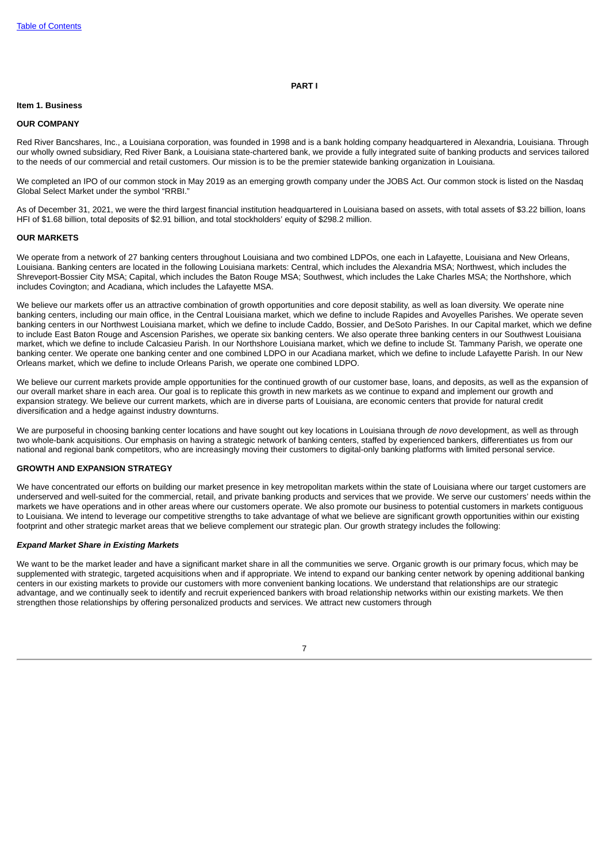### **PART I**

### <span id="page-6-0"></span>**Item 1. Business**

# **OUR COMPANY**

Red River Bancshares, Inc., a Louisiana corporation, was founded in 1998 and is a bank holding company headquartered in Alexandria, Louisiana. Through our wholly owned subsidiary, Red River Bank, a Louisiana state-chartered bank, we provide a fully integrated suite of banking products and services tailored to the needs of our commercial and retail customers. Our mission is to be the premier statewide banking organization in Louisiana.

We completed an IPO of our common stock in May 2019 as an emerging growth company under the JOBS Act. Our common stock is listed on the Nasdag Global Select Market under the symbol "RRBI."

As of December 31, 2021, we were the third largest financial institution headquartered in Louisiana based on assets, with total assets of \$3.22 billion, loans HFI of \$1.68 billion, total deposits of \$2.91 billion, and total stockholders' equity of \$298.2 million.

### **OUR MARKETS**

We operate from a network of 27 banking centers throughout Louisiana and two combined LDPOs, one each in Lafayette, Louisiana and New Orleans, Louisiana. Banking centers are located in the following Louisiana markets: Central, which includes the Alexandria MSA; Northwest, which includes the Shreveport-Bossier City MSA; Capital, which includes the Baton Rouge MSA; Southwest, which includes the Lake Charles MSA; the Northshore, which includes Covington; and Acadiana, which includes the Lafayette MSA.

We believe our markets offer us an attractive combination of growth opportunities and core deposit stability, as well as loan diversity. We operate nine banking centers, including our main office, in the Central Louisiana market, which we define to include Rapides and Avoyelles Parishes. We operate seven banking centers in our Northwest Louisiana market, which we define to include Caddo, Bossier, and DeSoto Parishes. In our Capital market, which we define to include East Baton Rouge and Ascension Parishes, we operate six banking centers. We also operate three banking centers in our Southwest Louisiana market, which we define to include Calcasieu Parish. In our Northshore Louisiana market, which we define to include St. Tammany Parish, we operate one banking center. We operate one banking center and one combined LDPO in our Acadiana market, which we define to include Lafayette Parish. In our New Orleans market, which we define to include Orleans Parish, we operate one combined LDPO.

We believe our current markets provide ample opportunities for the continued growth of our customer base, loans, and deposits, as well as the expansion of our overall market share in each area. Our goal is to replicate this growth in new markets as we continue to expand and implement our growth and expansion strategy. We believe our current markets, which are in diverse parts of Louisiana, are economic centers that provide for natural credit diversification and a hedge against industry downturns.

We are purposeful in choosing banking center locations and have sought out key locations in Louisiana through *de novo* development, as well as through two whole-bank acquisitions. Our emphasis on having a strategic network of banking centers, staffed by experienced bankers, differentiates us from our national and regional bank competitors, who are increasingly moving their customers to digital-only banking platforms with limited personal service.

### **GROWTH AND EXPANSION STRATEGY**

We have concentrated our efforts on building our market presence in key metropolitan markets within the state of Louisiana where our target customers are underserved and well-suited for the commercial, retail, and private banking products and services that we provide. We serve our customers' needs within the markets we have operations and in other areas where our customers operate. We also promote our business to potential customers in markets contiguous to Louisiana. We intend to leverage our competitive strengths to take advantage of what we believe are significant growth opportunities within our existing footprint and other strategic market areas that we believe complement our strategic plan. Our growth strategy includes the following:

# *Expand Market Share in Existing Markets*

We want to be the market leader and have a significant market share in all the communities we serve. Organic growth is our primary focus, which may be supplemented with strategic, targeted acquisitions when and if appropriate. We intend to expand our banking center network by opening additional banking centers in our existing markets to provide our customers with more convenient banking locations. We understand that relationships are our strategic advantage, and we continually seek to identify and recruit experienced bankers with broad relationship networks within our existing markets. We then strengthen those relationships by offering personalized products and services. We attract new customers through

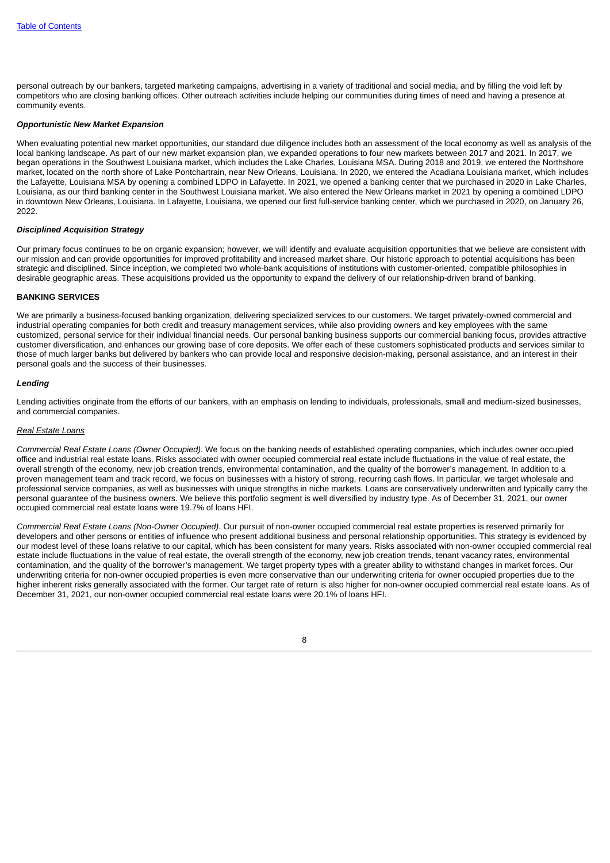personal outreach by our bankers, targeted marketing campaigns, advertising in a variety of traditional and social media, and by filling the void left by competitors who are closing banking offices. Other outreach activities include helping our communities during times of need and having a presence at community events.

#### *Opportunistic New Market Expansion*

When evaluating potential new market opportunities, our standard due diligence includes both an assessment of the local economy as well as analysis of the local banking landscape. As part of our new market expansion plan, we expanded operations to four new markets between 2017 and 2021. In 2017, we began operations in the Southwest Louisiana market, which includes the Lake Charles, Louisiana MSA. During 2018 and 2019, we entered the Northshore market, located on the north shore of Lake Pontchartrain, near New Orleans, Louisiana. In 2020, we entered the Acadiana Louisiana market, which includes the Lafayette, Louisiana MSA by opening a combined LDPO in Lafayette. In 2021, we opened a banking center that we purchased in 2020 in Lake Charles, Louisiana, as our third banking center in the Southwest Louisiana market. We also entered the New Orleans market in 2021 by opening a combined LDPO in downtown New Orleans, Louisiana. In Lafayette, Louisiana, we opened our first full-service banking center, which we purchased in 2020, on January 26, 2022.

# *Disciplined Acquisition Strategy*

Our primary focus continues to be on organic expansion; however, we will identify and evaluate acquisition opportunities that we believe are consistent with our mission and can provide opportunities for improved profitability and increased market share. Our historic approach to potential acquisitions has been strategic and disciplined. Since inception, we completed two whole-bank acquisitions of institutions with customer-oriented, compatible philosophies in desirable geographic areas. These acquisitions provided us the opportunity to expand the delivery of our relationship-driven brand of banking.

## **BANKING SERVICES**

We are primarily a business-focused banking organization, delivering specialized services to our customers. We target privately-owned commercial and industrial operating companies for both credit and treasury management services, while also providing owners and key employees with the same customized, personal service for their individual financial needs. Our personal banking business supports our commercial banking focus, provides attractive customer diversification, and enhances our growing base of core deposits. We offer each of these customers sophisticated products and services similar to those of much larger banks but delivered by bankers who can provide local and responsive decision-making, personal assistance, and an interest in their personal goals and the success of their businesses.

#### *Lending*

Lending activities originate from the efforts of our bankers, with an emphasis on lending to individuals, professionals, small and medium-sized businesses, and commercial companies.

### *Real Estate Loans*

*Commercial Real Estate Loans (Owner Occupied)*. We focus on the banking needs of established operating companies, which includes owner occupied office and industrial real estate loans. Risks associated with owner occupied commercial real estate include fluctuations in the value of real estate, the overall strength of the economy, new job creation trends, environmental contamination, and the quality of the borrower's management. In addition to a proven management team and track record, we focus on businesses with a history of strong, recurring cash flows. In particular, we target wholesale and professional service companies, as well as businesses with unique strengths in niche markets. Loans are conservatively underwritten and typically carry the personal guarantee of the business owners. We believe this portfolio segment is well diversified by industry type. As of December 31, 2021, our owner occupied commercial real estate loans were 19.7% of loans HFI.

*Commercial Real Estate Loans (Non-Owner Occupied)*. Our pursuit of non-owner occupied commercial real estate properties is reserved primarily for developers and other persons or entities of influence who present additional business and personal relationship opportunities. This strategy is evidenced by our modest level of these loans relative to our capital, which has been consistent for many years. Risks associated with non-owner occupied commercial real estate include fluctuations in the value of real estate, the overall strength of the economy, new job creation trends, tenant vacancy rates, environmental contamination, and the quality of the borrower's management. We target property types with a greater ability to withstand changes in market forces. Our underwriting criteria for non-owner occupied properties is even more conservative than our underwriting criteria for owner occupied properties due to the higher inherent risks generally associated with the former. Our target rate of return is also higher for non-owner occupied commercial real estate loans. As of December 31, 2021, our non-owner occupied commercial real estate loans were 20.1% of loans HFI.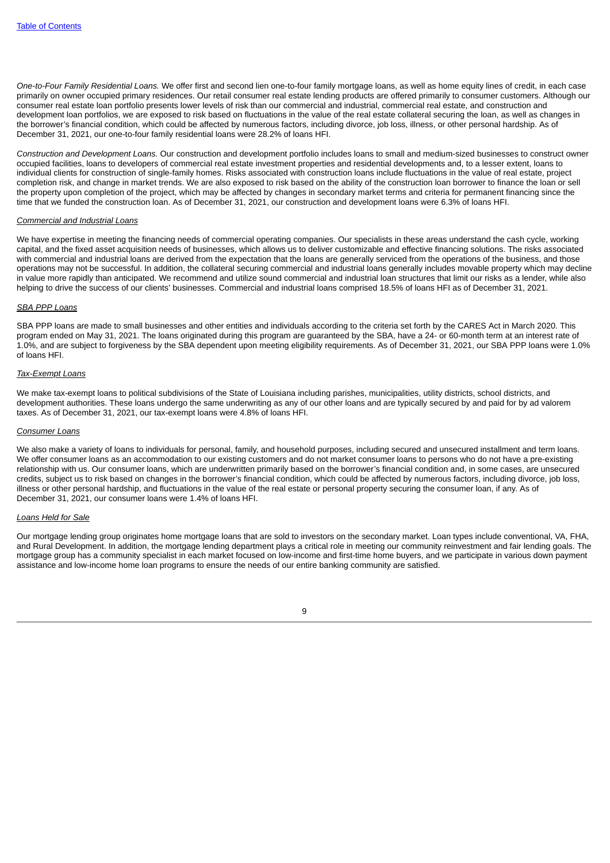*One-to-Four Family Residential Loans.* We offer first and second lien one-to-four family mortgage loans, as well as home equity lines of credit, in each case primarily on owner occupied primary residences. Our retail consumer real estate lending products are offered primarily to consumer customers. Although our consumer real estate loan portfolio presents lower levels of risk than our commercial and industrial, commercial real estate, and construction and development loan portfolios, we are exposed to risk based on fluctuations in the value of the real estate collateral securing the loan, as well as changes in the borrower's financial condition, which could be affected by numerous factors, including divorce, job loss, illness, or other personal hardship. As of December 31, 2021, our one-to-four family residential loans were 28.2% of loans HFI.

*Construction and Development Loans.* Our construction and development portfolio includes loans to small and medium-sized businesses to construct owner occupied facilities, loans to developers of commercial real estate investment properties and residential developments and, to a lesser extent, loans to individual clients for construction of single-family homes. Risks associated with construction loans include fluctuations in the value of real estate, project completion risk, and change in market trends. We are also exposed to risk based on the ability of the construction loan borrower to finance the loan or sell the property upon completion of the project, which may be affected by changes in secondary market terms and criteria for permanent financing since the time that we funded the construction loan. As of December 31, 2021, our construction and development loans were 6.3% of loans HFI.

### *Commercial and Industrial Loans*

We have expertise in meeting the financing needs of commercial operating companies. Our specialists in these areas understand the cash cycle, working capital, and the fixed asset acquisition needs of businesses, which allows us to deliver customizable and effective financing solutions. The risks associated with commercial and industrial loans are derived from the expectation that the loans are generally serviced from the operations of the business, and those operations may not be successful. In addition, the collateral securing commercial and industrial loans generally includes movable property which may decline in value more rapidly than anticipated. We recommend and utilize sound commercial and industrial loan structures that limit our risks as a lender, while also helping to drive the success of our clients' businesses. Commercial and industrial loans comprised 18.5% of loans HFI as of December 31, 2021.

# *SBA PPP Loans*

SBA PPP loans are made to small businesses and other entities and individuals according to the criteria set forth by the CARES Act in March 2020. This program ended on May 31, 2021. The loans originated during this program are guaranteed by the SBA, have a 24- or 60-month term at an interest rate of 1.0%, and are subject to forgiveness by the SBA dependent upon meeting eligibility requirements. As of December 31, 2021, our SBA PPP loans were 1.0% of loans HFI.

### *Tax-Exempt Loans*

We make tax-exempt loans to political subdivisions of the State of Louisiana including parishes, municipalities, utility districts, school districts, and development authorities. These loans undergo the same underwriting as any of our other loans and are typically secured by and paid for by ad valorem taxes. As of December 31, 2021, our tax-exempt loans were 4.8% of loans HFI.

#### *Consumer Loans*

We also make a variety of loans to individuals for personal, family, and household purposes, including secured and unsecured installment and term loans. We offer consumer loans as an accommodation to our existing customers and do not market consumer loans to persons who do not have a pre-existing relationship with us. Our consumer loans, which are underwritten primarily based on the borrower's financial condition and, in some cases, are unsecured credits, subject us to risk based on changes in the borrower's financial condition, which could be affected by numerous factors, including divorce, job loss, illness or other personal hardship, and fluctuations in the value of the real estate or personal property securing the consumer loan, if any. As of December 31, 2021, our consumer loans were 1.4% of loans HFI.

### *Loans Held for Sale*

Our mortgage lending group originates home mortgage loans that are sold to investors on the secondary market. Loan types include conventional, VA, FHA, and Rural Development. In addition, the mortgage lending department plays a critical role in meeting our community reinvestment and fair lending goals. The mortgage group has a community specialist in each market focused on low-income and first-time home buyers, and we participate in various down payment assistance and low-income home loan programs to ensure the needs of our entire banking community are satisfied.

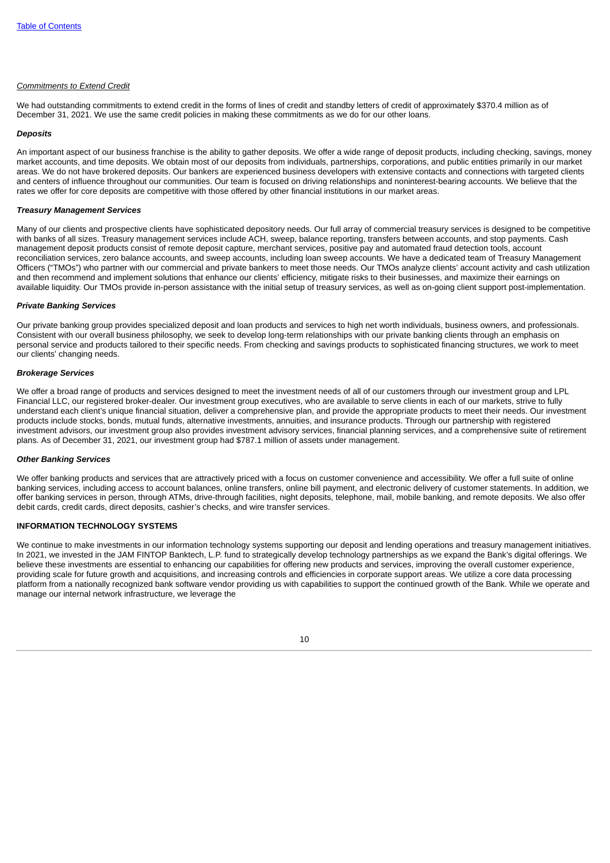### *Commitments to Extend Credit*

We had outstanding commitments to extend credit in the forms of lines of credit and standby letters of credit of approximately \$370.4 million as of December 31, 2021. We use the same credit policies in making these commitments as we do for our other loans.

#### *Deposits*

An important aspect of our business franchise is the ability to gather deposits. We offer a wide range of deposit products, including checking, savings, money market accounts, and time deposits. We obtain most of our deposits from individuals, partnerships, corporations, and public entities primarily in our market areas. We do not have brokered deposits. Our bankers are experienced business developers with extensive contacts and connections with targeted clients and centers of influence throughout our communities. Our team is focused on driving relationships and noninterest-bearing accounts. We believe that the rates we offer for core deposits are competitive with those offered by other financial institutions in our market areas.

# *Treasury Management Services*

Many of our clients and prospective clients have sophisticated depository needs. Our full array of commercial treasury services is designed to be competitive with banks of all sizes. Treasury management services include ACH, sweep, balance reporting, transfers between accounts, and stop payments. Cash management deposit products consist of remote deposit capture, merchant services, positive pay and automated fraud detection tools, account reconciliation services, zero balance accounts, and sweep accounts, including loan sweep accounts. We have a dedicated team of Treasury Management Officers ("TMOs") who partner with our commercial and private bankers to meet those needs. Our TMOs analyze clients' account activity and cash utilization and then recommend and implement solutions that enhance our clients' efficiency, mitigate risks to their businesses, and maximize their earnings on available liquidity. Our TMOs provide in-person assistance with the initial setup of treasury services, as well as on-going client support post-implementation.

#### *Private Banking Services*

Our private banking group provides specialized deposit and loan products and services to high net worth individuals, business owners, and professionals. Consistent with our overall business philosophy, we seek to develop long-term relationships with our private banking clients through an emphasis on personal service and products tailored to their specific needs. From checking and savings products to sophisticated financing structures, we work to meet our clients' changing needs.

#### *Brokerage Services*

We offer a broad range of products and services designed to meet the investment needs of all of our customers through our investment group and LPL Financial LLC, our registered broker-dealer. Our investment group executives, who are available to serve clients in each of our markets, strive to fully understand each client's unique financial situation, deliver a comprehensive plan, and provide the appropriate products to meet their needs. Our investment products include stocks, bonds, mutual funds, alternative investments, annuities, and insurance products. Through our partnership with registered investment advisors, our investment group also provides investment advisory services, financial planning services, and a comprehensive suite of retirement plans. As of December 31, 2021, our investment group had \$787.1 million of assets under management.

#### *Other Banking Services*

We offer banking products and services that are attractively priced with a focus on customer convenience and accessibility. We offer a full suite of online banking services, including access to account balances, online transfers, online bill payment, and electronic delivery of customer statements. In addition, we offer banking services in person, through ATMs, drive-through facilities, night deposits, telephone, mail, mobile banking, and remote deposits. We also offer debit cards, credit cards, direct deposits, cashier's checks, and wire transfer services.

### **INFORMATION TECHNOLOGY SYSTEMS**

We continue to make investments in our information technology systems supporting our deposit and lending operations and treasury management initiatives. In 2021, we invested in the JAM FINTOP Banktech, L.P. fund to strategically develop technology partnerships as we expand the Bank's digital offerings. We believe these investments are essential to enhancing our capabilities for offering new products and services, improving the overall customer experience, providing scale for future growth and acquisitions, and increasing controls and efficiencies in corporate support areas. We utilize a core data processing platform from a nationally recognized bank software vendor providing us with capabilities to support the continued growth of the Bank. While we operate and manage our internal network infrastructure, we leverage the

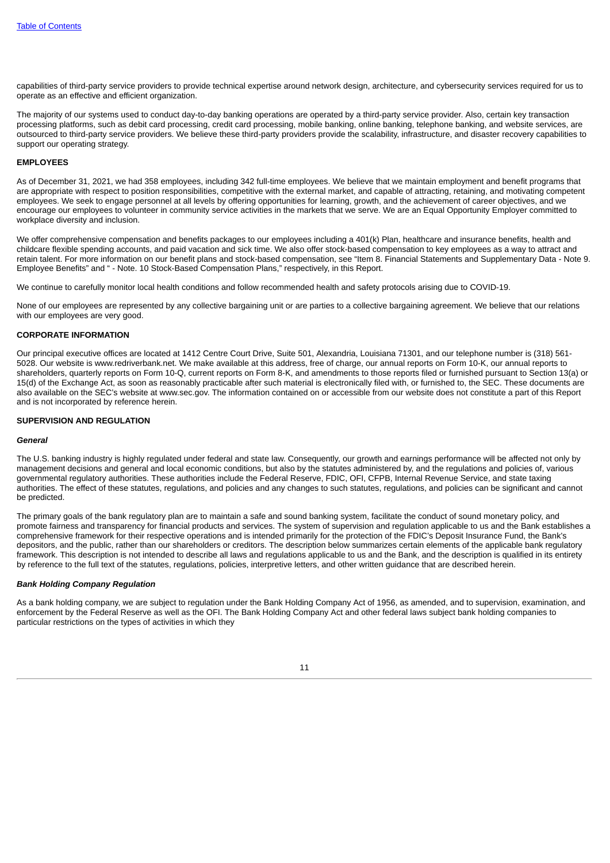capabilities of third-party service providers to provide technical expertise around network design, architecture, and cybersecurity services required for us to operate as an effective and efficient organization.

The majority of our systems used to conduct day-to-day banking operations are operated by a third-party service provider. Also, certain key transaction processing platforms, such as debit card processing, credit card processing, mobile banking, online banking, telephone banking, and website services, are outsourced to third-party service providers. We believe these third-party providers provide the scalability, infrastructure, and disaster recovery capabilities to support our operating strategy.

# **EMPLOYEES**

As of December 31, 2021, we had 358 employees, including 342 full-time employees. We believe that we maintain employment and benefit programs that are appropriate with respect to position responsibilities, competitive with the external market, and capable of attracting, retaining, and motivating competent employees. We seek to engage personnel at all levels by offering opportunities for learning, growth, and the achievement of career objectives, and we encourage our employees to volunteer in community service activities in the markets that we serve. We are an Equal Opportunity Employer committed to workplace diversity and inclusion.

We offer comprehensive compensation and benefits packages to our employees including a 401(k) Plan, healthcare and insurance benefits, health and childcare flexible spending accounts, and paid vacation and sick time. We also offer stock-based compensation to key employees as a way to attract and retain talent. For more information on our benefit plans and stock-based compensation, see "Item 8. Financial Statements and Supplementary Data - Note 9. Employee Benefits" and " - Note. 10 Stock-Based Compensation Plans," respectively, in this Report.

We continue to carefully monitor local health conditions and follow recommended health and safety protocols arising due to COVID-19.

None of our employees are represented by any collective bargaining unit or are parties to a collective bargaining agreement. We believe that our relations with our employees are very good.

# **CORPORATE INFORMATION**

Our principal executive offices are located at 1412 Centre Court Drive, Suite 501, Alexandria, Louisiana 71301, and our telephone number is (318) 561- 5028. Our website is www.redriverbank.net. We make available at this address, free of charge, our annual reports on Form 10-K, our annual reports to shareholders, quarterly reports on Form 10-Q, current reports on Form 8-K, and amendments to those reports filed or furnished pursuant to Section 13(a) or 15(d) of the Exchange Act, as soon as reasonably practicable after such material is electronically filed with, or furnished to, the SEC. These documents are also available on the SEC's website at www.sec.gov. The information contained on or accessible from our website does not constitute a part of this Report and is not incorporated by reference herein.

# **SUPERVISION AND REGULATION**

#### *General*

The U.S. banking industry is highly regulated under federal and state law. Consequently, our growth and earnings performance will be affected not only by management decisions and general and local economic conditions, but also by the statutes administered by, and the regulations and policies of, various governmental regulatory authorities. These authorities include the Federal Reserve, FDIC, OFI, CFPB, Internal Revenue Service, and state taxing authorities. The effect of these statutes, regulations, and policies and any changes to such statutes, regulations, and policies can be significant and cannot be predicted.

The primary goals of the bank regulatory plan are to maintain a safe and sound banking system, facilitate the conduct of sound monetary policy, and promote fairness and transparency for financial products and services. The system of supervision and regulation applicable to us and the Bank establishes a comprehensive framework for their respective operations and is intended primarily for the protection of the FDIC's Deposit Insurance Fund, the Bank's depositors, and the public, rather than our shareholders or creditors. The description below summarizes certain elements of the applicable bank regulatory framework. This description is not intended to describe all laws and regulations applicable to us and the Bank, and the description is qualified in its entirety by reference to the full text of the statutes, regulations, policies, interpretive letters, and other written guidance that are described herein.

### *Bank Holding Company Regulation*

As a bank holding company, we are subject to regulation under the Bank Holding Company Act of 1956, as amended, and to supervision, examination, and enforcement by the Federal Reserve as well as the OFI. The Bank Holding Company Act and other federal laws subject bank holding companies to particular restrictions on the types of activities in which they

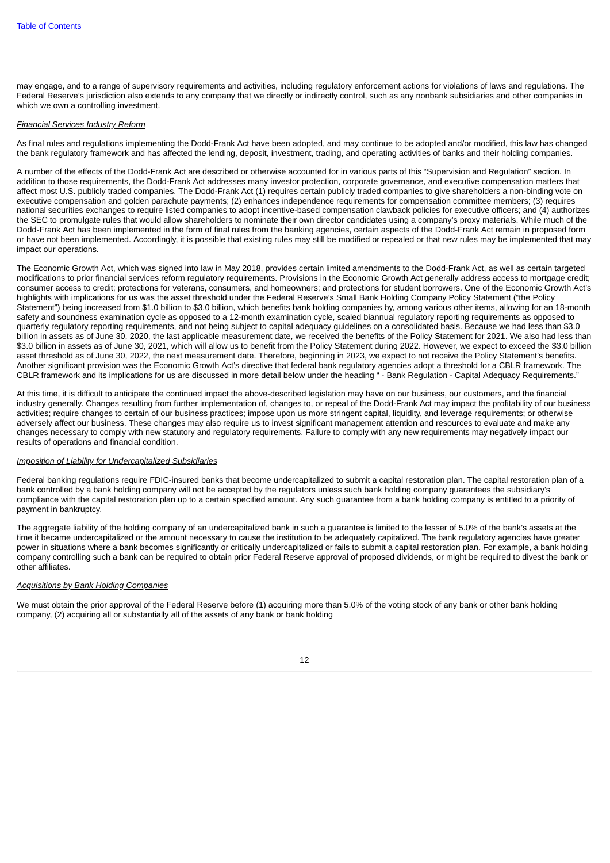may engage, and to a range of supervisory requirements and activities, including regulatory enforcement actions for violations of laws and regulations. The Federal Reserve's jurisdiction also extends to any company that we directly or indirectly control, such as any nonbank subsidiaries and other companies in which we own a controlling investment.

### *Financial Services Industry Reform*

As final rules and regulations implementing the Dodd-Frank Act have been adopted, and may continue to be adopted and/or modified, this law has changed the bank regulatory framework and has affected the lending, deposit, investment, trading, and operating activities of banks and their holding companies.

A number of the effects of the Dodd-Frank Act are described or otherwise accounted for in various parts of this "Supervision and Regulation" section. In addition to those requirements, the Dodd-Frank Act addresses many investor protection, corporate governance, and executive compensation matters that affect most U.S. publicly traded companies. The Dodd-Frank Act (1) requires certain publicly traded companies to give shareholders a non-binding vote on executive compensation and golden parachute payments; (2) enhances independence requirements for compensation committee members; (3) requires national securities exchanges to require listed companies to adopt incentive-based compensation clawback policies for executive officers; and (4) authorizes the SEC to promulgate rules that would allow shareholders to nominate their own director candidates using a company's proxy materials. While much of the Dodd-Frank Act has been implemented in the form of final rules from the banking agencies, certain aspects of the Dodd-Frank Act remain in proposed form or have not been implemented. Accordingly, it is possible that existing rules may still be modified or repealed or that new rules may be implemented that may impact our operations.

The Economic Growth Act, which was signed into law in May 2018, provides certain limited amendments to the Dodd-Frank Act, as well as certain targeted modifications to prior financial services reform regulatory requirements. Provisions in the Economic Growth Act generally address access to mortgage credit; consumer access to credit; protections for veterans, consumers, and homeowners; and protections for student borrowers. One of the Economic Growth Act's highlights with implications for us was the asset threshold under the Federal Reserve's Small Bank Holding Company Policy Statement ("the Policy Statement") being increased from \$1.0 billion to \$3.0 billion, which benefits bank holding companies by, among various other items, allowing for an 18-month safety and soundness examination cycle as opposed to a 12-month examination cycle, scaled biannual regulatory reporting requirements as opposed to quarterly regulatory reporting requirements, and not being subject to capital adequacy guidelines on a consolidated basis. Because we had less than \$3.0 billion in assets as of June 30, 2020, the last applicable measurement date, we received the benefits of the Policy Statement for 2021. We also had less than \$3.0 billion in assets as of June 30, 2021, which will allow us to benefit from the Policy Statement during 2022. However, we expect to exceed the \$3.0 billion asset threshold as of June 30, 2022, the next measurement date. Therefore, beginning in 2023, we expect to not receive the Policy Statement's benefits. Another significant provision was the Economic Growth Act's directive that federal bank regulatory agencies adopt a threshold for a CBLR framework. The CBLR framework and its implications for us are discussed in more detail below under the heading " - Bank Regulation - Capital Adequacy Requirements."

At this time, it is difficult to anticipate the continued impact the above-described legislation may have on our business, our customers, and the financial industry generally. Changes resulting from further implementation of, changes to, or repeal of the Dodd-Frank Act may impact the profitability of our business activities; require changes to certain of our business practices; impose upon us more stringent capital, liquidity, and leverage requirements; or otherwise adversely affect our business. These changes may also require us to invest significant management attention and resources to evaluate and make any changes necessary to comply with new statutory and regulatory requirements. Failure to comply with any new requirements may negatively impact our results of operations and financial condition.

### *Imposition of Liability for Undercapitalized Subsidiaries*

Federal banking regulations reguire FDIC-insured banks that become undercapitalized to submit a capital restoration plan. The capital restoration plan of a bank controlled by a bank holding company will not be accepted by the regulators unless such bank holding company guarantees the subsidiary's compliance with the capital restoration plan up to a certain specified amount. Any such guarantee from a bank holding company is entitled to a priority of payment in bankruptcy.

The aggregate liability of the holding company of an undercapitalized bank in such a guarantee is limited to the lesser of 5.0% of the bank's assets at the time it became undercapitalized or the amount necessary to cause the institution to be adequately capitalized. The bank regulatory agencies have greater power in situations where a bank becomes significantly or critically undercapitalized or fails to submit a capital restoration plan. For example, a bank holding company controlling such a bank can be required to obtain prior Federal Reserve approval of proposed dividends, or might be required to divest the bank or other affiliates.

#### *Acquisitions by Bank Holding Companies*

We must obtain the prior approval of the Federal Reserve before (1) acquiring more than 5.0% of the voting stock of any bank or other bank holding company, (2) acquiring all or substantially all of the assets of any bank or bank holding

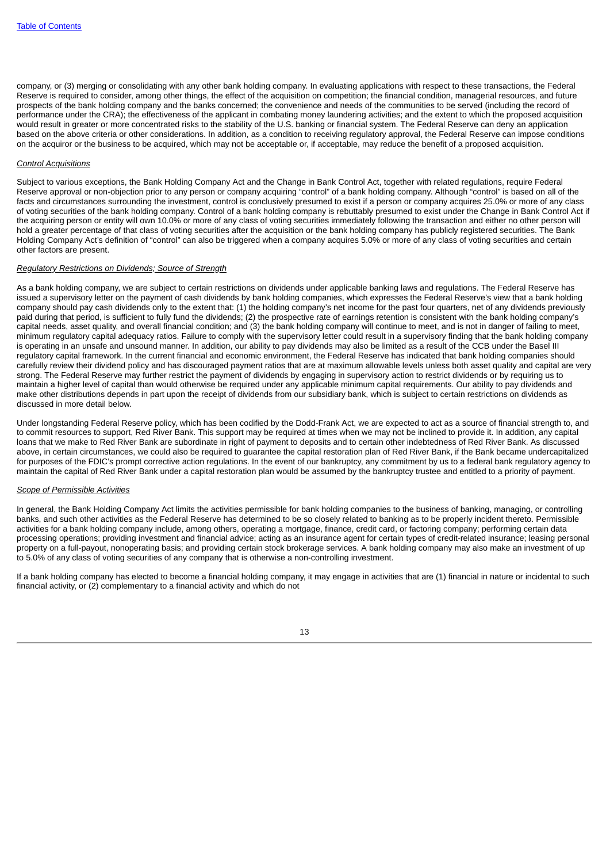company, or (3) merging or consolidating with any other bank holding company. In evaluating applications with respect to these transactions, the Federal Reserve is required to consider, among other things, the effect of the acquisition on competition; the financial condition, managerial resources, and future prospects of the bank holding company and the banks concerned; the convenience and needs of the communities to be served (including the record of performance under the CRA); the effectiveness of the applicant in combating money laundering activities; and the extent to which the proposed acquisition would result in greater or more concentrated risks to the stability of the U.S. banking or financial system. The Federal Reserve can deny an application based on the above criteria or other considerations. In addition, as a condition to receiving regulatory approval, the Federal Reserve can impose conditions on the acquiror or the business to be acquired, which may not be acceptable or, if acceptable, may reduce the benefit of a proposed acquisition.

### *Control Acquisitions*

Subject to various exceptions, the Bank Holding Company Act and the Change in Bank Control Act, together with related regulations, require Federal Reserve approval or non-objection prior to any person or company acquiring "control" of a bank holding company. Although "control" is based on all of the facts and circumstances surrounding the investment, control is conclusively presumed to exist if a person or company acquires 25.0% or more of any class of voting securities of the bank holding company. Control of a bank holding company is rebuttably presumed to exist under the Change in Bank Control Act if the acquiring person or entity will own 10.0% or more of any class of voting securities immediately following the transaction and either no other person will hold a greater percentage of that class of voting securities after the acquisition or the bank holding company has publicly registered securities. The Bank Holding Company Act's definition of "control" can also be triggered when a company acquires 5.0% or more of any class of voting securities and certain other factors are present.

### *Regulatory Restrictions on Dividends; Source of Strength*

As a bank holding company, we are subject to certain restrictions on dividends under applicable banking laws and regulations. The Federal Reserve has issued a supervisory letter on the payment of cash dividends by bank holding companies, which expresses the Federal Reserve's view that a bank holding company should pay cash dividends only to the extent that: (1) the holding company's net income for the past four quarters, net of any dividends previously paid during that period, is sufficient to fully fund the dividends; (2) the prospective rate of earnings retention is consistent with the bank holding company's capital needs, asset quality, and overall financial condition; and (3) the bank holding company will continue to meet, and is not in danger of failing to meet, minimum regulatory capital adequacy ratios. Failure to comply with the supervisory letter could result in a supervisory finding that the bank holding company is operating in an unsafe and unsound manner. In addition, our ability to pay dividends may also be limited as a result of the CCB under the Basel III regulatory capital framework. In the current financial and economic environment, the Federal Reserve has indicated that bank holding companies should carefully review their dividend policy and has discouraged payment ratios that are at maximum allowable levels unless both asset quality and capital are very strong. The Federal Reserve may further restrict the payment of dividends by engaging in supervisory action to restrict dividends or by requiring us to maintain a higher level of capital than would otherwise be required under any applicable minimum capital requirements. Our ability to pay dividends and make other distributions depends in part upon the receipt of dividends from our subsidiary bank, which is subject to certain restrictions on dividends as discussed in more detail below.

Under longstanding Federal Reserve policy, which has been codified by the Dodd-Frank Act, we are expected to act as a source of financial strength to, and to commit resources to support, Red River Bank. This support may be required at times when we may not be inclined to provide it. In addition, any capital loans that we make to Red River Bank are subordinate in right of payment to deposits and to certain other indebtedness of Red River Bank. As discussed above, in certain circumstances, we could also be required to guarantee the capital restoration plan of Red River Bank, if the Bank became undercapitalized for purposes of the FDIC's prompt corrective action regulations. In the event of our bankruptcy, any commitment by us to a federal bank regulatory agency to maintain the capital of Red River Bank under a capital restoration plan would be assumed by the bankruptcy trustee and entitled to a priority of payment.

# *Scope of Permissible Activities*

In general, the Bank Holding Company Act limits the activities permissible for bank holding companies to the business of banking, managing, or controlling banks, and such other activities as the Federal Reserve has determined to be so closely related to banking as to be properly incident thereto. Permissible activities for a bank holding company include, among others, operating a mortgage, finance, credit card, or factoring company; performing certain data processing operations; providing investment and financial advice; acting as an insurance agent for certain types of credit-related insurance; leasing personal property on a full-payout, nonoperating basis; and providing certain stock brokerage services. A bank holding company may also make an investment of up to 5.0% of any class of voting securities of any company that is otherwise a non-controlling investment.

If a bank holding company has elected to become a financial holding company, it may engage in activities that are (1) financial in nature or incidental to such financial activity, or (2) complementary to a financial activity and which do not

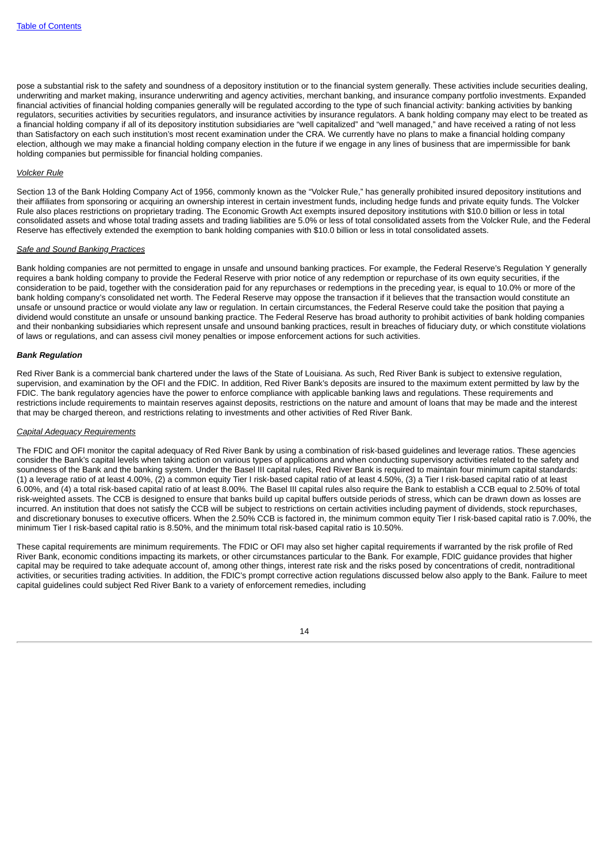pose a substantial risk to the safety and soundness of a depository institution or to the financial system generally. These activities include securities dealing, underwriting and market making, insurance underwriting and agency activities, merchant banking, and insurance company portfolio investments. Expanded financial activities of financial holding companies generally will be regulated according to the type of such financial activity: banking activities by banking regulators, securities activities by securities regulators, and insurance activities by insurance regulators. A bank holding company may elect to be treated as a financial holding company if all of its depository institution subsidiaries are "well capitalized" and "well managed," and have received a rating of not less than Satisfactory on each such institution's most recent examination under the CRA. We currently have no plans to make a financial holding company election, although we may make a financial holding company election in the future if we engage in any lines of business that are impermissible for bank holding companies but permissible for financial holding companies.

# *Volcker Rule*

Section 13 of the Bank Holding Company Act of 1956, commonly known as the "Volcker Rule," has generally prohibited insured depository institutions and their affiliates from sponsoring or acquiring an ownership interest in certain investment funds, including hedge funds and private equity funds. The Volcker Rule also places restrictions on proprietary trading. The Economic Growth Act exempts insured depository institutions with \$10.0 billion or less in total consolidated assets and whose total trading assets and trading liabilities are 5.0% or less of total consolidated assets from the Volcker Rule, and the Federal Reserve has effectively extended the exemption to bank holding companies with \$10.0 billion or less in total consolidated assets.

### *Safe and Sound Banking Practices*

Bank holding companies are not permitted to engage in unsafe and unsound banking practices. For example, the Federal Reserve's Regulation Y generally requires a bank holding company to provide the Federal Reserve with prior notice of any redemption or repurchase of its own equity securities, if the consideration to be paid, together with the consideration paid for any repurchases or redemptions in the preceding year, is equal to 10.0% or more of the bank holding company's consolidated net worth. The Federal Reserve may oppose the transaction if it believes that the transaction would constitute an unsafe or unsound practice or would violate any law or regulation. In certain circumstances, the Federal Reserve could take the position that paying a dividend would constitute an unsafe or unsound banking practice. The Federal Reserve has broad authority to prohibit activities of bank holding companies and their nonbanking subsidiaries which represent unsafe and unsound banking practices, result in breaches of fiduciary duty, or which constitute violations of laws or regulations, and can assess civil money penalties or impose enforcement actions for such activities.

#### *Bank Regulation*

Red River Bank is a commercial bank chartered under the laws of the State of Louisiana. As such, Red River Bank is subject to extensive regulation, supervision, and examination by the OFI and the FDIC. In addition, Red River Bank's deposits are insured to the maximum extent permitted by law by the FDIC. The bank regulatory agencies have the power to enforce compliance with applicable banking laws and regulations. These requirements and restrictions include requirements to maintain reserves against deposits, restrictions on the nature and amount of loans that may be made and the interest that may be charged thereon, and restrictions relating to investments and other activities of Red River Bank.

# *Capital Adequacy Requirements*

The FDIC and OFI monitor the capital adequacy of Red River Bank by using a combination of risk-based guidelines and leverage ratios. These agencies consider the Bank's capital levels when taking action on various types of applications and when conducting supervisory activities related to the safety and soundness of the Bank and the banking system. Under the Basel III capital rules, Red River Bank is required to maintain four minimum capital standards: (1) a leverage ratio of at least 4.00%, (2) a common equity Tier I risk-based capital ratio of at least 4.50%, (3) a Tier I risk-based capital ratio of at least 6.00%, and (4) a total risk-based capital ratio of at least 8.00%. The Basel III capital rules also require the Bank to establish a CCB equal to 2.50% of total risk-weighted assets. The CCB is designed to ensure that banks build up capital buffers outside periods of stress, which can be drawn down as losses are incurred. An institution that does not satisfy the CCB will be subject to restrictions on certain activities including payment of dividends, stock repurchases, and discretionary bonuses to executive officers. When the 2.50% CCB is factored in, the minimum common equity Tier I risk-based capital ratio is 7.00%, the minimum Tier I risk-based capital ratio is 8.50%, and the minimum total risk-based capital ratio is 10.50%.

These capital requirements are minimum requirements. The FDIC or OFI may also set higher capital requirements if warranted by the risk profile of Red River Bank, economic conditions impacting its markets, or other circumstances particular to the Bank. For example, FDIC guidance provides that higher capital may be required to take adequate account of, among other things, interest rate risk and the risks posed by concentrations of credit, nontraditional activities, or securities trading activities. In addition, the FDIC's prompt corrective action regulations discussed below also apply to the Bank. Failure to meet capital guidelines could subject Red River Bank to a variety of enforcement remedies, including

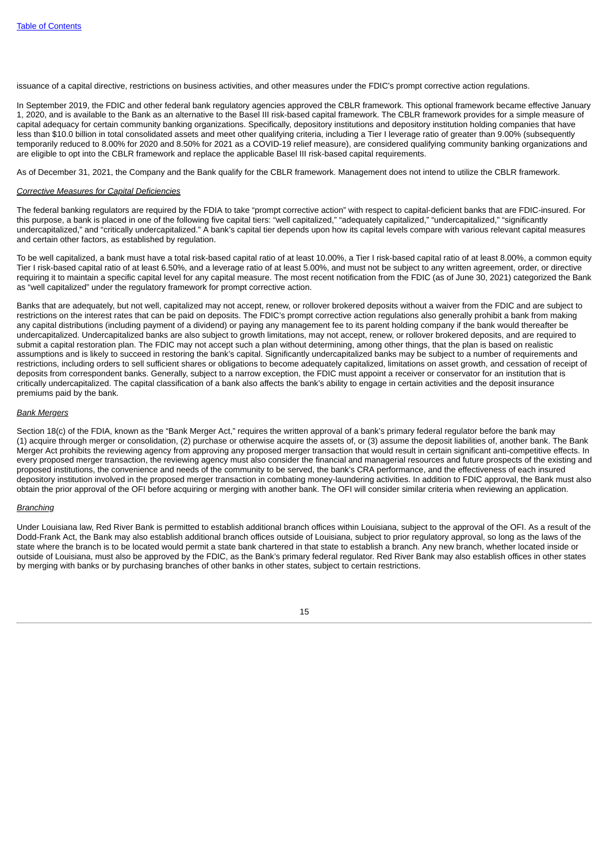issuance of a capital directive, restrictions on business activities, and other measures under the FDIC's prompt corrective action regulations.

In September 2019, the FDIC and other federal bank regulatory agencies approved the CBLR framework. This optional framework became effective January 1, 2020, and is available to the Bank as an alternative to the Basel III risk-based capital framework. The CBLR framework provides for a simple measure of capital adequacy for certain community banking organizations. Specifically, depository institutions and depository institution holding companies that have less than \$10.0 billion in total consolidated assets and meet other qualifying criteria, including a Tier I leverage ratio of greater than 9.00% (subsequently temporarily reduced to 8.00% for 2020 and 8.50% for 2021 as a COVID-19 relief measure), are considered qualifying community banking organizations and are eligible to opt into the CBLR framework and replace the applicable Basel III risk-based capital requirements.

As of December 31, 2021, the Company and the Bank qualify for the CBLR framework. Management does not intend to utilize the CBLR framework.

#### *Corrective Measures for Capital Deficiencies*

The federal banking regulators are required by the FDIA to take "prompt corrective action" with respect to capital-deficient banks that are FDIC-insured. For this purpose, a bank is placed in one of the following five capital tiers: "well capitalized," "adequately capitalized," "undercapitalized," "significantly undercapitalized," and "critically undercapitalized." A bank's capital tier depends upon how its capital levels compare with various relevant capital measures and certain other factors, as established by regulation.

To be well capitalized, a bank must have a total risk-based capital ratio of at least 10.00%, a Tier I risk-based capital ratio of at least 8.00%, a common equity Tier I risk-based capital ratio of at least 6.50%, and a leverage ratio of at least 5.00%, and must not be subject to any written agreement, order, or directive requiring it to maintain a specific capital level for any capital measure. The most recent notification from the FDIC (as of June 30, 2021) categorized the Bank as "well capitalized" under the regulatory framework for prompt corrective action.

Banks that are adequately, but not well, capitalized may not accept, renew, or rollover brokered deposits without a waiver from the FDIC and are subject to restrictions on the interest rates that can be paid on deposits. The FDIC's prompt corrective action regulations also generally prohibit a bank from making any capital distributions (including payment of a dividend) or paying any management fee to its parent holding company if the bank would thereafter be undercapitalized. Undercapitalized banks are also subject to growth limitations, may not accept, renew, or rollover brokered deposits, and are required to submit a capital restoration plan. The FDIC may not accept such a plan without determining, among other things, that the plan is based on realistic assumptions and is likely to succeed in restoring the bank's capital. Significantly undercapitalized banks may be subject to a number of requirements and restrictions, including orders to sell sufficient shares or obligations to become adequately capitalized, limitations on asset growth, and cessation of receipt of deposits from correspondent banks. Generally, subject to a narrow exception, the FDIC must appoint a receiver or conservator for an institution that is critically undercapitalized. The capital classification of a bank also affects the bank's ability to engage in certain activities and the deposit insurance premiums paid by the bank.

### *Bank Mergers*

Section 18(c) of the FDIA, known as the "Bank Merger Act," requires the written approval of a bank's primary federal regulator before the bank may (1) acquire through merger or consolidation, (2) purchase or otherwise acquire the assets of, or (3) assume the deposit liabilities of, another bank. The Bank Merger Act prohibits the reviewing agency from approving any proposed merger transaction that would result in certain significant anti-competitive effects. In every proposed merger transaction, the reviewing agency must also consider the financial and managerial resources and future prospects of the existing and proposed institutions, the convenience and needs of the community to be served, the bank's CRA performance, and the effectiveness of each insured depository institution involved in the proposed merger transaction in combating money-laundering activities. In addition to FDIC approval, the Bank must also obtain the prior approval of the OFI before acquiring or merging with another bank. The OFI will consider similar criteria when reviewing an application.

### *Branching*

Under Louisiana law, Red River Bank is permitted to establish additional branch offices within Louisiana, subject to the approval of the OFI. As a result of the Dodd-Frank Act, the Bank may also establish additional branch offices outside of Louisiana, subject to prior regulatory approval, so long as the laws of the state where the branch is to be located would permit a state bank chartered in that state to establish a branch. Any new branch, whether located inside or outside of Louisiana, must also be approved by the FDIC, as the Bank's primary federal regulator. Red River Bank may also establish offices in other states by merging with banks or by purchasing branches of other banks in other states, subject to certain restrictions.

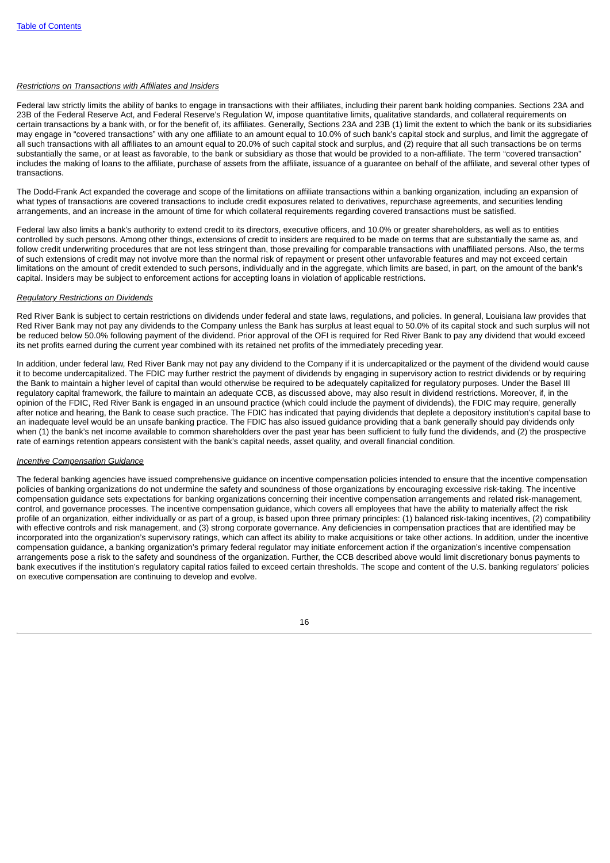### *Restrictions on Transactions with Affiliates and Insiders*

Federal law strictly limits the ability of banks to engage in transactions with their affiliates, including their parent bank holding companies. Sections 23A and 23B of the Federal Reserve Act, and Federal Reserve's Regulation W, impose quantitative limits, qualitative standards, and collateral requirements on certain transactions by a bank with, or for the benefit of, its affiliates. Generally, Sections 23A and 23B (1) limit the extent to which the bank or its subsidiaries may engage in "covered transactions" with any one affiliate to an amount equal to 10.0% of such bank's capital stock and surplus, and limit the aggregate of all such transactions with all affiliates to an amount equal to 20.0% of such capital stock and surplus, and (2) require that all such transactions be on terms substantially the same, or at least as favorable, to the bank or subsidiary as those that would be provided to a non-affiliate. The term "covered transaction" includes the making of loans to the affiliate, purchase of assets from the affiliate, issuance of a guarantee on behalf of the affiliate, and several other types of transactions.

The Dodd-Frank Act expanded the coverage and scope of the limitations on affiliate transactions within a banking organization, including an expansion of what types of transactions are covered transactions to include credit exposures related to derivatives, repurchase agreements, and securities lending arrangements, and an increase in the amount of time for which collateral requirements regarding covered transactions must be satisfied.

Federal law also limits a bank's authority to extend credit to its directors, executive officers, and 10.0% or greater shareholders, as well as to entities controlled by such persons. Among other things, extensions of credit to insiders are required to be made on terms that are substantially the same as, and follow credit underwriting procedures that are not less stringent than, those prevailing for comparable transactions with unaffiliated persons. Also, the terms of such extensions of credit may not involve more than the normal risk of repayment or present other unfavorable features and may not exceed certain limitations on the amount of credit extended to such persons, individually and in the aggregate, which limits are based, in part, on the amount of the bank's capital. Insiders may be subject to enforcement actions for accepting loans in violation of applicable restrictions.

# *Regulatory Restrictions on Dividends*

Red River Bank is subject to certain restrictions on dividends under federal and state laws, regulations, and policies. In general, Louisiana law provides that Red River Bank may not pay any dividends to the Company unless the Bank has surplus at least equal to 50.0% of its capital stock and such surplus will not be reduced below 50.0% following payment of the dividend. Prior approval of the OFI is required for Red River Bank to pay any dividend that would exceed its net profits earned during the current year combined with its retained net profits of the immediately preceding year.

In addition, under federal law, Red River Bank may not pay any dividend to the Company if it is undercapitalized or the payment of the dividend would cause it to become undercapitalized. The FDIC may further restrict the payment of dividends by engaging in supervisory action to restrict dividends or by requiring the Bank to maintain a higher level of capital than would otherwise be required to be adequately capitalized for regulatory purposes. Under the Basel III regulatory capital framework, the failure to maintain an adequate CCB, as discussed above, may also result in dividend restrictions. Moreover, if, in the opinion of the FDIC, Red River Bank is engaged in an unsound practice (which could include the payment of dividends), the FDIC may require, generally after notice and hearing, the Bank to cease such practice. The FDIC has indicated that paying dividends that deplete a depository institution's capital base to an inadequate level would be an unsafe banking practice. The FDIC has also issued guidance providing that a bank generally should pay dividends only when (1) the bank's net income available to common shareholders over the past year has been sufficient to fully fund the dividends, and (2) the prospective rate of earnings retention appears consistent with the bank's capital needs, asset quality, and overall financial condition.

#### *Incentive Compensation Guidance*

The federal banking agencies have issued comprehensive guidance on incentive compensation policies intended to ensure that the incentive compensation policies of banking organizations do not undermine the safety and soundness of those organizations by encouraging excessive risk-taking. The incentive compensation guidance sets expectations for banking organizations concerning their incentive compensation arrangements and related risk-management, control, and governance processes. The incentive compensation guidance, which covers all employees that have the ability to materially affect the risk profile of an organization, either individually or as part of a group, is based upon three primary principles: (1) balanced risk-taking incentives, (2) compatibility with effective controls and risk management, and (3) strong corporate governance. Any deficiencies in compensation practices that are identified may be incorporated into the organization's supervisory ratings, which can affect its ability to make acquisitions or take other actions. In addition, under the incentive compensation guidance, a banking organization's primary federal regulator may initiate enforcement action if the organization's incentive compensation arrangements pose a risk to the safety and soundness of the organization. Further, the CCB described above would limit discretionary bonus payments to bank executives if the institution's regulatory capital ratios failed to exceed certain thresholds. The scope and content of the U.S. banking regulators' policies on executive compensation are continuing to develop and evolve.

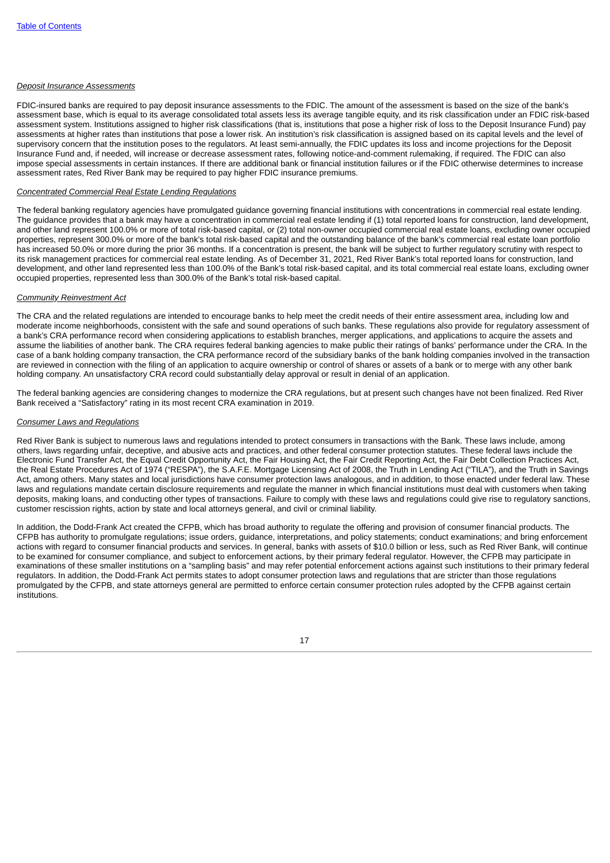# *Deposit Insurance Assessments*

FDIC-insured banks are required to pay deposit insurance assessments to the FDIC. The amount of the assessment is based on the size of the bank's assessment base, which is equal to its average consolidated total assets less its average tangible equity, and its risk classification under an FDIC risk-based assessment system. Institutions assigned to higher risk classifications (that is, institutions that pose a higher risk of loss to the Deposit Insurance Fund) pay assessments at higher rates than institutions that pose a lower risk. An institution's risk classification is assigned based on its capital levels and the level of supervisory concern that the institution poses to the regulators. At least semi-annually, the FDIC updates its loss and income projections for the Deposit Insurance Fund and, if needed, will increase or decrease assessment rates, following notice-and-comment rulemaking, if required. The FDIC can also impose special assessments in certain instances. If there are additional bank or financial institution failures or if the FDIC otherwise determines to increase assessment rates, Red River Bank may be required to pay higher FDIC insurance premiums.

# *Concentrated Commercial Real Estate Lending Regulations*

The federal banking regulatory agencies have promulgated guidance governing financial institutions with concentrations in commercial real estate lending. The guidance provides that a bank may have a concentration in commercial real estate lending if (1) total reported loans for construction, land development, and other land represent 100.0% or more of total risk-based capital, or (2) total non-owner occupied commercial real estate loans, excluding owner occupied properties, represent 300.0% or more of the bank's total risk-based capital and the outstanding balance of the bank's commercial real estate loan portfolio has increased 50.0% or more during the prior 36 months. If a concentration is present, the bank will be subject to further regulatory scrutiny with respect to its risk management practices for commercial real estate lending. As of December 31, 2021, Red River Bank's total reported loans for construction, land development, and other land represented less than 100.0% of the Bank's total risk-based capital, and its total commercial real estate loans, excluding owner occupied properties, represented less than 300.0% of the Bank's total risk-based capital.

### *Community Reinvestment Act*

The CRA and the related regulations are intended to encourage banks to help meet the credit needs of their entire assessment area, including low and moderate income neighborhoods, consistent with the safe and sound operations of such banks. These regulations also provide for regulatory assessment of a bank's CRA performance record when considering applications to establish branches, merger applications, and applications to acquire the assets and assume the liabilities of another bank. The CRA requires federal banking agencies to make public their ratings of banks' performance under the CRA. In the case of a bank holding company transaction, the CRA performance record of the subsidiary banks of the bank holding companies involved in the transaction are reviewed in connection with the filing of an application to acquire ownership or control of shares or assets of a bank or to merge with any other bank holding company. An unsatisfactory CRA record could substantially delay approval or result in denial of an application.

The federal banking agencies are considering changes to modernize the CRA regulations, but at present such changes have not been finalized. Red River Bank received a "Satisfactory" rating in its most recent CRA examination in 2019.

# *Consumer Laws and Regulations*

Red River Bank is subject to numerous laws and regulations intended to protect consumers in transactions with the Bank. These laws include, among others, laws regarding unfair, deceptive, and abusive acts and practices, and other federal consumer protection statutes. These federal laws include the Electronic Fund Transfer Act, the Equal Credit Opportunity Act, the Fair Housing Act, the Fair Credit Reporting Act, the Fair Debt Collection Practices Act, the Real Estate Procedures Act of 1974 ("RESPA"), the S.A.F.E. Mortgage Licensing Act of 2008, the Truth in Lending Act ("TILA"), and the Truth in Savings Act, among others. Many states and local jurisdictions have consumer protection laws analogous, and in addition, to those enacted under federal law. These laws and regulations mandate certain disclosure requirements and regulate the manner in which financial institutions must deal with customers when taking deposits, making loans, and conducting other types of transactions. Failure to comply with these laws and regulations could give rise to regulatory sanctions, customer rescission rights, action by state and local attorneys general, and civil or criminal liability.

In addition, the Dodd-Frank Act created the CFPB, which has broad authority to regulate the offering and provision of consumer financial products. The CFPB has authority to promulgate regulations; issue orders, guidance, interpretations, and policy statements; conduct examinations; and bring enforcement actions with regard to consumer financial products and services. In general, banks with assets of \$10.0 billion or less, such as Red River Bank, will continue to be examined for consumer compliance, and subject to enforcement actions, by their primary federal regulator. However, the CFPB may participate in examinations of these smaller institutions on a "sampling basis" and may refer potential enforcement actions against such institutions to their primary federal regulators. In addition, the Dodd-Frank Act permits states to adopt consumer protection laws and regulations that are stricter than those regulations promulgated by the CFPB, and state attorneys general are permitted to enforce certain consumer protection rules adopted by the CFPB against certain institutions.

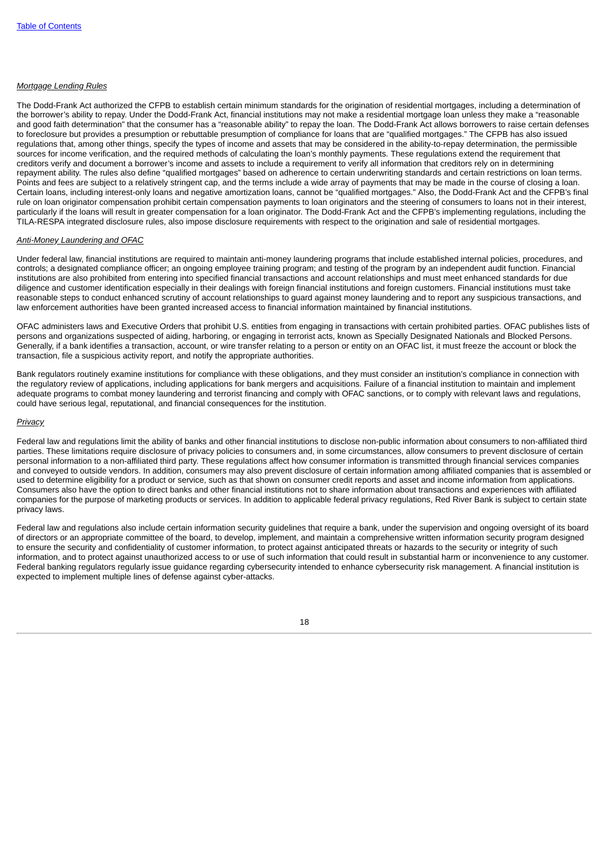# *Mortgage Lending Rules*

The Dodd-Frank Act authorized the CFPB to establish certain minimum standards for the origination of residential mortgages, including a determination of the borrower's ability to repay. Under the Dodd-Frank Act, financial institutions may not make a residential mortgage loan unless they make a "reasonable and good faith determination" that the consumer has a "reasonable ability" to repay the loan. The Dodd-Frank Act allows borrowers to raise certain defenses to foreclosure but provides a presumption or rebuttable presumption of compliance for loans that are "qualified mortgages." The CFPB has also issued regulations that, among other things, specify the types of income and assets that may be considered in the ability-to-repay determination, the permissible sources for income verification, and the required methods of calculating the loan's monthly payments. These regulations extend the requirement that creditors verify and document a borrower's income and assets to include a requirement to verify all information that creditors rely on in determining repayment ability. The rules also define "qualified mortgages" based on adherence to certain underwriting standards and certain restrictions on loan terms. Points and fees are subject to a relatively stringent cap, and the terms include a wide array of payments that may be made in the course of closing a loan. Certain loans, including interest-only loans and negative amortization loans, cannot be "qualified mortgages." Also, the Dodd-Frank Act and the CFPB's final rule on loan originator compensation prohibit certain compensation payments to loan originators and the steering of consumers to loans not in their interest, particularly if the loans will result in greater compensation for a loan originator. The Dodd-Frank Act and the CFPB's implementing regulations, including the TILA-RESPA integrated disclosure rules, also impose disclosure requirements with respect to the origination and sale of residential mortgages.

# *Anti-Money Laundering and OFAC*

Under federal law, financial institutions are required to maintain anti-money laundering programs that include established internal policies, procedures, and controls; a designated compliance officer; an ongoing employee training program; and testing of the program by an independent audit function. Financial institutions are also prohibited from entering into specified financial transactions and account relationships and must meet enhanced standards for due diligence and customer identification especially in their dealings with foreign financial institutions and foreign customers. Financial institutions must take reasonable steps to conduct enhanced scrutiny of account relationships to guard against money laundering and to report any suspicious transactions, and law enforcement authorities have been granted increased access to financial information maintained by financial institutions.

OFAC administers laws and Executive Orders that prohibit U.S. entities from engaging in transactions with certain prohibited parties. OFAC publishes lists of persons and organizations suspected of aiding, harboring, or engaging in terrorist acts, known as Specially Designated Nationals and Blocked Persons. Generally, if a bank identifies a transaction, account, or wire transfer relating to a person or entity on an OFAC list, it must freeze the account or block the transaction, file a suspicious activity report, and notify the appropriate authorities.

Bank regulators routinely examine institutions for compliance with these obligations, and they must consider an institution's compliance in connection with the regulatory review of applications, including applications for bank mergers and acquisitions. Failure of a financial institution to maintain and implement adequate programs to combat money laundering and terrorist financing and comply with OFAC sanctions, or to comply with relevant laws and regulations, could have serious legal, reputational, and financial consequences for the institution.

### *Privacy*

Federal law and regulations limit the ability of banks and other financial institutions to disclose non-public information about consumers to non-affiliated third parties. These limitations require disclosure of privacy policies to consumers and, in some circumstances, allow consumers to prevent disclosure of certain personal information to a non-affiliated third party. These regulations affect how consumer information is transmitted through financial services companies and conveyed to outside vendors. In addition, consumers may also prevent disclosure of certain information among affiliated companies that is assembled or used to determine eligibility for a product or service, such as that shown on consumer credit reports and asset and income information from applications. Consumers also have the option to direct banks and other financial institutions not to share information about transactions and experiences with affiliated companies for the purpose of marketing products or services. In addition to applicable federal privacy regulations, Red River Bank is subject to certain state privacy laws.

Federal law and regulations also include certain information security guidelines that require a bank, under the supervision and ongoing oversight of its board of directors or an appropriate committee of the board, to develop, implement, and maintain a comprehensive written information security program designed to ensure the security and confidentiality of customer information, to protect against anticipated threats or hazards to the security or integrity of such information, and to protect against unauthorized access to or use of such information that could result in substantial harm or inconvenience to any customer. Federal banking regulators regularly issue guidance regarding cybersecurity intended to enhance cybersecurity risk management. A financial institution is expected to implement multiple lines of defense against cyber-attacks.

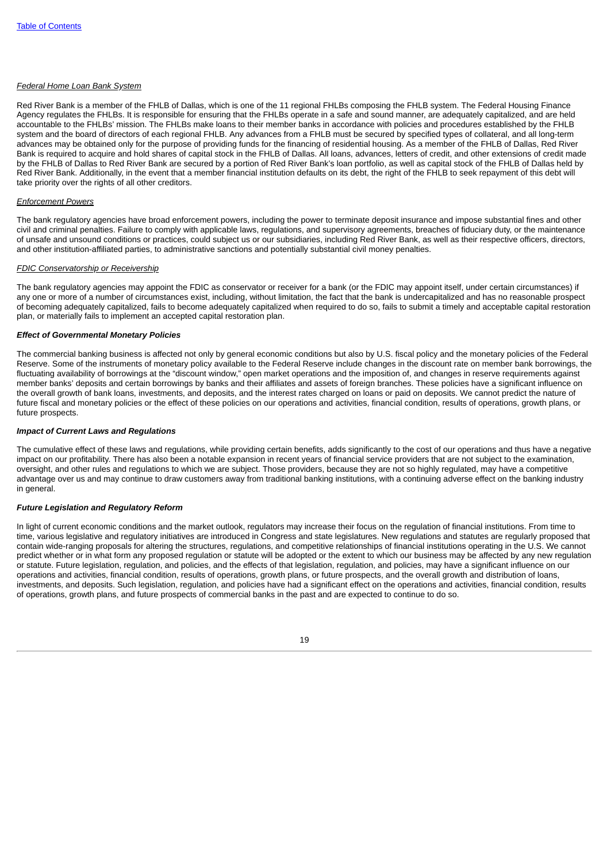# *Federal Home Loan Bank System*

Red River Bank is a member of the FHLB of Dallas, which is one of the 11 regional FHLBs composing the FHLB system. The Federal Housing Finance Agency regulates the FHLBs. It is responsible for ensuring that the FHLBs operate in a safe and sound manner, are adequately capitalized, and are held accountable to the FHLBs' mission. The FHLBs make loans to their member banks in accordance with policies and procedures established by the FHLB system and the board of directors of each regional FHLB. Any advances from a FHLB must be secured by specified types of collateral, and all long-term advances may be obtained only for the purpose of providing funds for the financing of residential housing. As a member of the FHLB of Dallas, Red River Bank is required to acquire and hold shares of capital stock in the FHLB of Dallas. All loans, advances, letters of credit, and other extensions of credit made by the FHLB of Dallas to Red River Bank are secured by a portion of Red River Bank's loan portfolio, as well as capital stock of the FHLB of Dallas held by Red River Bank. Additionally, in the event that a member financial institution defaults on its debt, the right of the FHLB to seek repayment of this debt will take priority over the rights of all other creditors.

### *Enforcement Powers*

The bank regulatory agencies have broad enforcement powers, including the power to terminate deposit insurance and impose substantial fines and other civil and criminal penalties. Failure to comply with applicable laws, regulations, and supervisory agreements, breaches of fiduciary duty, or the maintenance of unsafe and unsound conditions or practices, could subject us or our subsidiaries, including Red River Bank, as well as their respective officers, directors, and other institution-affiliated parties, to administrative sanctions and potentially substantial civil money penalties.

#### *FDIC Conservatorship or Receivership*

The bank regulatory agencies may appoint the FDIC as conservator or receiver for a bank (or the FDIC may appoint itself, under certain circumstances) if any one or more of a number of circumstances exist, including, without limitation, the fact that the bank is undercapitalized and has no reasonable prospect of becoming adequately capitalized, fails to become adequately capitalized when required to do so, fails to submit a timely and acceptable capital restoration plan, or materially fails to implement an accepted capital restoration plan.

#### *Effect of Governmental Monetary Policies*

The commercial banking business is affected not only by general economic conditions but also by U.S. fiscal policy and the monetary policies of the Federal Reserve. Some of the instruments of monetary policy available to the Federal Reserve include changes in the discount rate on member bank borrowings, the fluctuating availability of borrowings at the "discount window," open market operations and the imposition of, and changes in reserve requirements against member banks' deposits and certain borrowings by banks and their affiliates and assets of foreign branches. These policies have a significant influence on the overall growth of bank loans, investments, and deposits, and the interest rates charged on loans or paid on deposits. We cannot predict the nature of future fiscal and monetary policies or the effect of these policies on our operations and activities, financial condition, results of operations, growth plans, or future prospects.

### *Impact of Current Laws and Regulations*

The cumulative effect of these laws and regulations, while providing certain benefits, adds significantly to the cost of our operations and thus have a negative impact on our profitability. There has also been a notable expansion in recent years of financial service providers that are not subject to the examination, oversight, and other rules and regulations to which we are subject. Those providers, because they are not so highly regulated, may have a competitive advantage over us and may continue to draw customers away from traditional banking institutions, with a continuing adverse effect on the banking industry in general.

#### *Future Legislation and Regulatory Reform*

<span id="page-18-0"></span>In light of current economic conditions and the market outlook, regulators may increase their focus on the regulation of financial institutions. From time to time, various legislative and regulatory initiatives are introduced in Congress and state legislatures. New regulations and statutes are regularly proposed that contain wide-ranging proposals for altering the structures, regulations, and competitive relationships of financial institutions operating in the U.S. We cannot predict whether or in what form any proposed regulation or statute will be adopted or the extent to which our business may be affected by any new regulation or statute. Future legislation, regulation, and policies, and the effects of that legislation, regulation, and policies, may have a significant influence on our operations and activities, financial condition, results of operations, growth plans, or future prospects, and the overall growth and distribution of loans, investments, and deposits. Such legislation, regulation, and policies have had a significant effect on the operations and activities, financial condition, results of operations, growth plans, and future prospects of commercial banks in the past and are expected to continue to do so.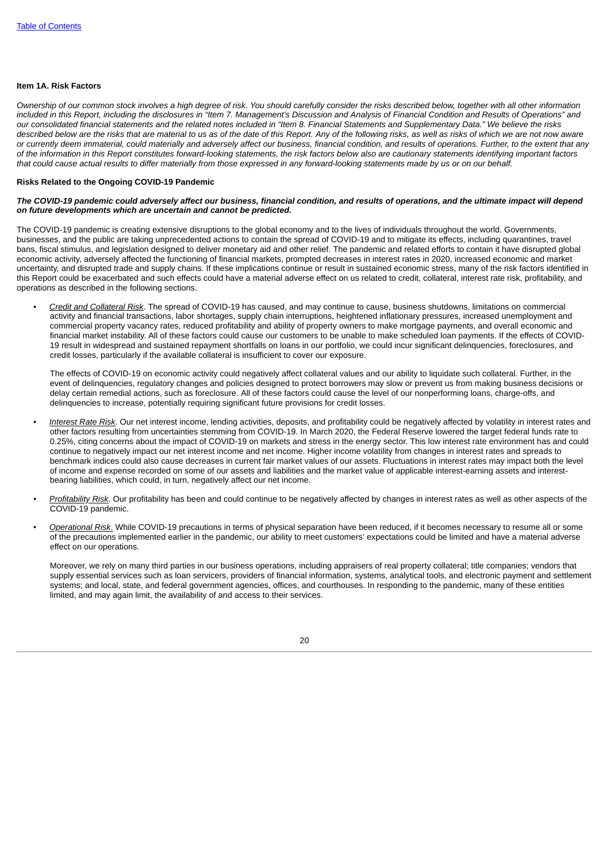### **Item 1A. Risk Factors**

*Ownership of our common stock involves a high degree of risk. You should carefully consider the risks described below, together with all other information included in this Report, including the disclosures in "Item 7. Management's Discussion and Analysis of Financial Condition and Results of Operations" and our consolidated financial statements and the related notes included in "Item 8. Financial Statements and Supplementary Data." We believe the risks described below are the risks that are material to us as of the date of this Report. Any of the following risks, as well as risks of which we are not now aware or currently deem immaterial, could materially and adversely affect our business, financial condition, and results of operations. Further, to the extent that any of the information in this Report constitutes forward-looking statements, the risk factors below also are cautionary statements identifying important factors that could cause actual results to differ materially from those expressed in any forward-looking statements made by us or on our behalf.*

# **Risks Related to the Ongoing COVID-19 Pandemic**

### *The COVID-19 pandemic could adversely affect our business, financial condition, and results of operations, and the ultimate impact will depend on future developments which are uncertain and cannot be predicted.*

The COVID-19 pandemic is creating extensive disruptions to the global economy and to the lives of individuals throughout the world. Governments, businesses, and the public are taking unprecedented actions to contain the spread of COVID-19 and to mitigate its effects, including quarantines, travel bans, fiscal stimulus, and legislation designed to deliver monetary aid and other relief. The pandemic and related efforts to contain it have disrupted global economic activity, adversely affected the functioning of financial markets, prompted decreases in interest rates in 2020, increased economic and market uncertainty, and disrupted trade and supply chains. If these implications continue or result in sustained economic stress, many of the risk factors identified in this Report could be exacerbated and such effects could have a material adverse effect on us related to credit, collateral, interest rate risk, profitability, and operations as described in the following sections.

• *Credit and Collateral Risk*. The spread of COVID-19 has caused, and may continue to cause, business shutdowns, limitations on commercial activity and financial transactions, labor shortages, supply chain interruptions, heightened inflationary pressures, increased unemployment and commercial property vacancy rates, reduced profitability and ability of property owners to make mortgage payments, and overall economic and financial market instability. All of these factors could cause our customers to be unable to make scheduled loan payments. If the effects of COVID-19 result in widespread and sustained repayment shortfalls on loans in our portfolio, we could incur significant delinquencies, foreclosures, and credit losses, particularly if the available collateral is insufficient to cover our exposure.

The effects of COVID-19 on economic activity could negatively affect collateral values and our ability to liquidate such collateral. Further, in the event of delinquencies, regulatory changes and policies designed to protect borrowers may slow or prevent us from making business decisions or delay certain remedial actions, such as foreclosure. All of these factors could cause the level of our nonperforming loans, charge-offs, and delinquencies to increase, potentially requiring significant future provisions for credit losses.

- *Interest Rate Risk*. Our net interest income, lending activities, deposits, and profitability could be negatively affected by volatility in interest rates and other factors resulting from uncertainties stemming from COVID-19. In March 2020, the Federal Reserve lowered the target federal funds rate to 0.25%, citing concerns about the impact of COVID-19 on markets and stress in the energy sector. This low interest rate environment has and could continue to negatively impact our net interest income and net income. Higher income volatility from changes in interest rates and spreads to benchmark indices could also cause decreases in current fair market values of our assets. Fluctuations in interest rates may impact both the level of income and expense recorded on some of our assets and liabilities and the market value of applicable interest-earning assets and interestbearing liabilities, which could, in turn, negatively affect our net income.
- *• Profitability Risk*. Our profitability has been and could continue to be negatively affected by changes in interest rates as well as other aspects of the COVID-19 pandemic.
- *Operational Risk*. While COVID-19 precautions in terms of physical separation have been reduced, if it becomes necessary to resume all or some of the precautions implemented earlier in the pandemic, our ability to meet customers' expectations could be limited and have a material adverse effect on our operations.

Moreover, we rely on many third parties in our business operations, including appraisers of real property collateral; title companies; vendors that supply essential services such as loan servicers, providers of financial information, systems, analytical tools, and electronic payment and settlement systems; and local, state, and federal government agencies, offices, and courthouses. In responding to the pandemic, many of these entities limited, and may again limit, the availability of and access to their services.

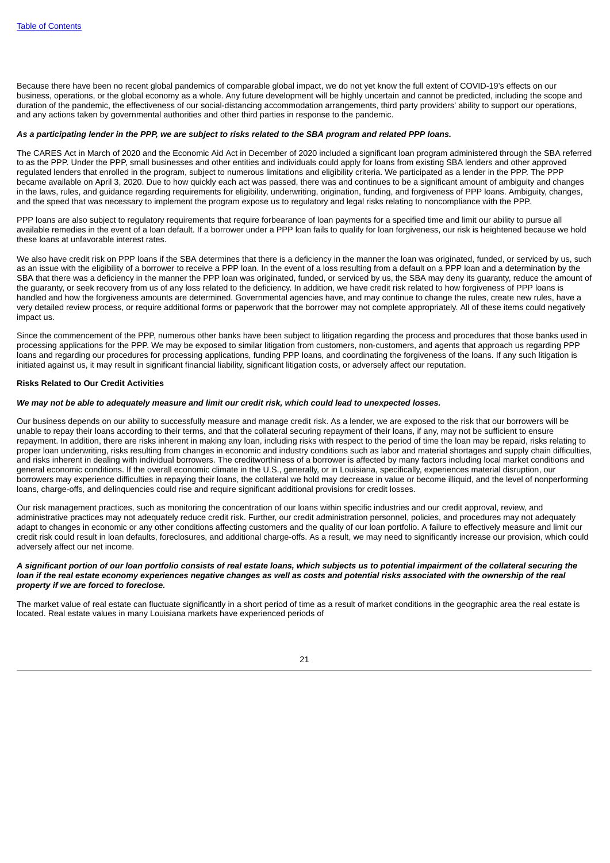Because there have been no recent global pandemics of comparable global impact, we do not yet know the full extent of COVID-19's effects on our business, operations, or the global economy as a whole. Any future development will be highly uncertain and cannot be predicted, including the scope and duration of the pandemic, the effectiveness of our social-distancing accommodation arrangements, third party providers' ability to support our operations, and any actions taken by governmental authorities and other third parties in response to the pandemic.

#### *As a participating lender in the PPP, we are subject to risks related to the SBA program and related PPP loans.*

The CARES Act in March of 2020 and the Economic Aid Act in December of 2020 included a significant loan program administered through the SBA referred to as the PPP. Under the PPP, small businesses and other entities and individuals could apply for loans from existing SBA lenders and other approved regulated lenders that enrolled in the program, subject to numerous limitations and eligibility criteria. We participated as a lender in the PPP. The PPP became available on April 3, 2020. Due to how quickly each act was passed, there was and continues to be a significant amount of ambiguity and changes in the laws, rules, and guidance regarding requirements for eligibility, underwriting, origination, funding, and forgiveness of PPP loans. Ambiguity, changes, and the speed that was necessary to implement the program expose us to regulatory and legal risks relating to noncompliance with the PPP.

PPP loans are also subject to regulatory requirements that require forbearance of loan payments for a specified time and limit our ability to pursue all available remedies in the event of a loan default. If a borrower under a PPP loan fails to qualify for loan forgiveness, our risk is heightened because we hold these loans at unfavorable interest rates.

We also have credit risk on PPP loans if the SBA determines that there is a deficiency in the manner the loan was originated, funded, or serviced by us, such as an issue with the eligibility of a borrower to receive a PPP loan. In the event of a loss resulting from a default on a PPP loan and a determination by the SBA that there was a deficiency in the manner the PPP loan was originated, funded, or serviced by us, the SBA may deny its guaranty, reduce the amount of the guaranty, or seek recovery from us of any loss related to the deficiency. In addition, we have credit risk related to how forgiveness of PPP loans is handled and how the forgiveness amounts are determined. Governmental agencies have, and may continue to change the rules, create new rules, have a very detailed review process, or require additional forms or paperwork that the borrower may not complete appropriately. All of these items could negatively impact us.

Since the commencement of the PPP, numerous other banks have been subject to litigation regarding the process and procedures that those banks used in processing applications for the PPP. We may be exposed to similar litigation from customers, non‑customers, and agents that approach us regarding PPP loans and regarding our procedures for processing applications, funding PPP loans, and coordinating the forgiveness of the loans. If any such litigation is initiated against us, it may result in significant financial liability, significant litigation costs, or adversely affect our reputation.

#### **Risks Related to Our Credit Activities**

### *We may not be able to adequately measure and limit our credit risk, which could lead to unexpected losses.*

Our business depends on our ability to successfully measure and manage credit risk. As a lender, we are exposed to the risk that our borrowers will be unable to repay their loans according to their terms, and that the collateral securing repayment of their loans, if any, may not be sufficient to ensure repayment. In addition, there are risks inherent in making any loan, including risks with respect to the period of time the loan may be repaid, risks relating to proper loan underwriting, risks resulting from changes in economic and industry conditions such as labor and material shortages and supply chain difficulties, and risks inherent in dealing with individual borrowers. The creditworthiness of a borrower is affected by many factors including local market conditions and general economic conditions. If the overall economic climate in the U.S., generally, or in Louisiana, specifically, experiences material disruption, our borrowers may experience difficulties in repaying their loans, the collateral we hold may decrease in value or become illiquid, and the level of nonperforming loans, charge-offs, and delinquencies could rise and require significant additional provisions for credit losses.

Our risk management practices, such as monitoring the concentration of our loans within specific industries and our credit approval, review, and administrative practices may not adequately reduce credit risk. Further, our credit administration personnel, policies, and procedures may not adequately adapt to changes in economic or any other conditions affecting customers and the quality of our loan portfolio. A failure to effectively measure and limit our credit risk could result in loan defaults, foreclosures, and additional charge-offs. As a result, we may need to significantly increase our provision, which could adversely affect our net income.

# *A significant portion of our loan portfolio consists of real estate loans, which subjects us to potential impairment of the collateral securing the loan if the real estate economy experiences negative changes as well as costs and potential risks associated with the ownership of the real property if we are forced to foreclose.*

The market value of real estate can fluctuate significantly in a short period of time as a result of market conditions in the geographic area the real estate is located. Real estate values in many Louisiana markets have experienced periods of

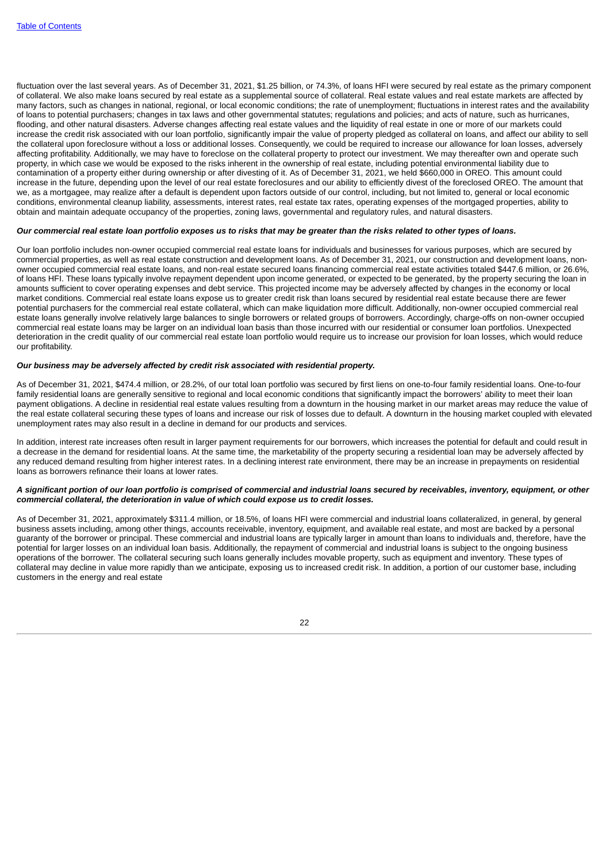fluctuation over the last several years. As of December 31, 2021, \$1.25 billion, or 74.3%, of loans HFI were secured by real estate as the primary component of collateral. We also make loans secured by real estate as a supplemental source of collateral. Real estate values and real estate markets are affected by many factors, such as changes in national, regional, or local economic conditions; the rate of unemployment; fluctuations in interest rates and the availability of loans to potential purchasers; changes in tax laws and other governmental statutes; regulations and policies; and acts of nature, such as hurricanes, flooding, and other natural disasters. Adverse changes affecting real estate values and the liquidity of real estate in one or more of our markets could increase the credit risk associated with our loan portfolio, significantly impair the value of property pledged as collateral on loans, and affect our ability to sell the collateral upon foreclosure without a loss or additional losses. Consequently, we could be required to increase our allowance for loan losses, adversely affecting profitability. Additionally, we may have to foreclose on the collateral property to protect our investment. We may thereafter own and operate such property, in which case we would be exposed to the risks inherent in the ownership of real estate, including potential environmental liability due to contamination of a property either during ownership or after divesting of it. As of December 31, 2021, we held \$660,000 in OREO. This amount could increase in the future, depending upon the level of our real estate foreclosures and our ability to efficiently divest of the foreclosed OREO. The amount that we, as a mortgagee, may realize after a default is dependent upon factors outside of our control, including, but not limited to, general or local economic conditions, environmental cleanup liability, assessments, interest rates, real estate tax rates, operating expenses of the mortgaged properties, ability to obtain and maintain adequate occupancy of the properties, zoning laws, governmental and regulatory rules, and natural disasters.

## *Our commercial real estate loan portfolio exposes us to risks that may be greater than the risks related to other types of loans.*

Our loan portfolio includes non-owner occupied commercial real estate loans for individuals and businesses for various purposes, which are secured by commercial properties, as well as real estate construction and development loans. As of December 31, 2021, our construction and development loans, nonowner occupied commercial real estate loans, and non-real estate secured loans financing commercial real estate activities totaled \$447.6 million, or 26.6%, of loans HFI. These loans typically involve repayment dependent upon income generated, or expected to be generated, by the property securing the loan in amounts sufficient to cover operating expenses and debt service. This projected income may be adversely affected by changes in the economy or local market conditions. Commercial real estate loans expose us to greater credit risk than loans secured by residential real estate because there are fewer potential purchasers for the commercial real estate collateral, which can make liquidation more difficult. Additionally, non-owner occupied commercial real estate loans generally involve relatively large balances to single borrowers or related groups of borrowers. Accordingly, charge-offs on non-owner occupied commercial real estate loans may be larger on an individual loan basis than those incurred with our residential or consumer loan portfolios. Unexpected deterioration in the credit quality of our commercial real estate loan portfolio would require us to increase our provision for loan losses, which would reduce our profitability.

# *Our business may be adversely affected by credit risk associated with residential property.*

As of December 31, 2021, \$474.4 million, or 28.2%, of our total loan portfolio was secured by first liens on one-to-four family residential loans. One-to-four family residential loans are generally sensitive to regional and local economic conditions that significantly impact the borrowers' ability to meet their loan payment obligations. A decline in residential real estate values resulting from a downturn in the housing market in our market areas may reduce the value of the real estate collateral securing these types of loans and increase our risk of losses due to default. A downturn in the housing market coupled with elevated unemployment rates may also result in a decline in demand for our products and services.

In addition, interest rate increases often result in larger payment requirements for our borrowers, which increases the potential for default and could result in a decrease in the demand for residential loans. At the same time, the marketability of the property securing a residential loan may be adversely affected by any reduced demand resulting from higher interest rates. In a declining interest rate environment, there may be an increase in prepayments on residential loans as borrowers refinance their loans at lower rates.

# *A significant portion of our loan portfolio is comprised of commercial and industrial loans secured by receivables, inventory, equipment, or other commercial collateral, the deterioration in value of which could expose us to credit losses.*

As of December 31, 2021, approximately \$311.4 million, or 18.5%, of loans HFI were commercial and industrial loans collateralized, in general, by general business assets including, among other things, accounts receivable, inventory, equipment, and available real estate, and most are backed by a personal guaranty of the borrower or principal. These commercial and industrial loans are typically larger in amount than loans to individuals and, therefore, have the potential for larger losses on an individual loan basis. Additionally, the repayment of commercial and industrial loans is subject to the ongoing business operations of the borrower. The collateral securing such loans generally includes movable property, such as equipment and inventory. These types of collateral may decline in value more rapidly than we anticipate, exposing us to increased credit risk. In addition, a portion of our customer base, including customers in the energy and real estate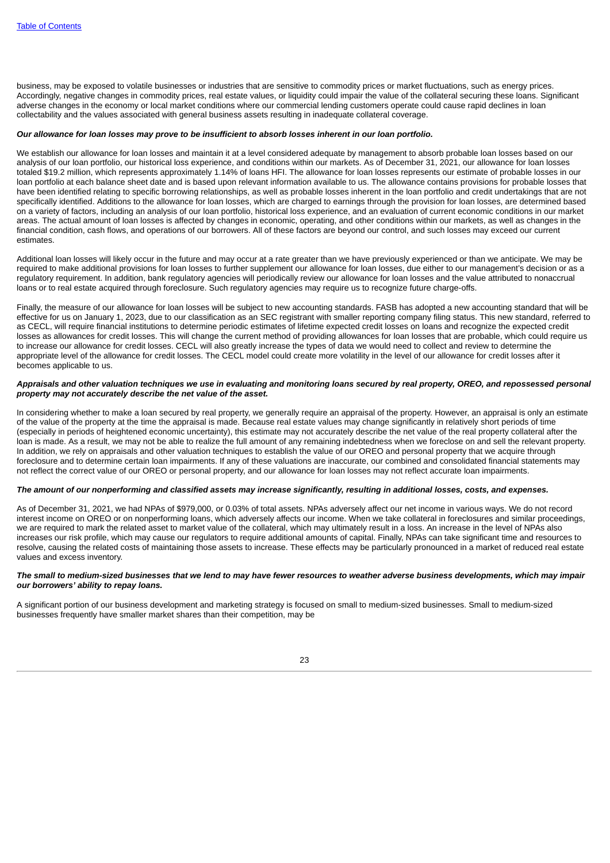business, may be exposed to volatile businesses or industries that are sensitive to commodity prices or market fluctuations, such as energy prices. Accordingly, negative changes in commodity prices, real estate values, or liquidity could impair the value of the collateral securing these loans. Significant adverse changes in the economy or local market conditions where our commercial lending customers operate could cause rapid declines in loan collectability and the values associated with general business assets resulting in inadequate collateral coverage.

### *Our allowance for loan losses may prove to be insufficient to absorb losses inherent in our loan portfolio.*

We establish our allowance for loan losses and maintain it at a level considered adequate by management to absorb probable loan losses based on our analysis of our loan portfolio, our historical loss experience, and conditions within our markets. As of December 31, 2021, our allowance for loan losses totaled \$19.2 million, which represents approximately 1.14% of loans HFI. The allowance for loan losses represents our estimate of probable losses in our loan portfolio at each balance sheet date and is based upon relevant information available to us. The allowance contains provisions for probable losses that have been identified relating to specific borrowing relationships, as well as probable losses inherent in the loan portfolio and credit undertakings that are not specifically identified. Additions to the allowance for loan losses, which are charged to earnings through the provision for loan losses, are determined based on a variety of factors, including an analysis of our loan portfolio, historical loss experience, and an evaluation of current economic conditions in our market areas. The actual amount of loan losses is affected by changes in economic, operating, and other conditions within our markets, as well as changes in the financial condition, cash flows, and operations of our borrowers. All of these factors are beyond our control, and such losses may exceed our current estimates.

Additional loan losses will likely occur in the future and may occur at a rate greater than we have previously experienced or than we anticipate. We may be required to make additional provisions for loan losses to further supplement our allowance for loan losses, due either to our management's decision or as a regulatory requirement. In addition, bank regulatory agencies will periodically review our allowance for loan losses and the value attributed to nonaccrual loans or to real estate acquired through foreclosure. Such regulatory agencies may require us to recognize future charge-offs.

Finally, the measure of our allowance for loan losses will be subject to new accounting standards. FASB has adopted a new accounting standard that will be effective for us on January 1, 2023, due to our classification as an SEC registrant with smaller reporting company filing status. This new standard, referred to as CECL, will require financial institutions to determine periodic estimates of lifetime expected credit losses on loans and recognize the expected credit losses as allowances for credit losses. This will change the current method of providing allowances for loan losses that are probable, which could require us to increase our allowance for credit losses. CECL will also greatly increase the types of data we would need to collect and review to determine the appropriate level of the allowance for credit losses. The CECL model could create more volatility in the level of our allowance for credit losses after it becomes applicable to us.

# *Appraisals and other valuation techniques we use in evaluating and monitoring loans secured by real property, OREO, and repossessed personal property may not accurately describe the net value of the asset.*

In considering whether to make a loan secured by real property, we generally require an appraisal of the property. However, an appraisal is only an estimate of the value of the property at the time the appraisal is made. Because real estate values may change significantly in relatively short periods of time (especially in periods of heightened economic uncertainty), this estimate may not accurately describe the net value of the real property collateral after the loan is made. As a result, we may not be able to realize the full amount of any remaining indebtedness when we foreclose on and sell the relevant property. In addition, we rely on appraisals and other valuation techniques to establish the value of our OREO and personal property that we acquire through foreclosure and to determine certain loan impairments. If any of these valuations are inaccurate, our combined and consolidated financial statements may not reflect the correct value of our OREO or personal property, and our allowance for loan losses may not reflect accurate loan impairments.

### *The amount of our nonperforming and classified assets may increase significantly, resulting in additional losses, costs, and expenses.*

As of December 31, 2021, we had NPAs of \$979,000, or 0.03% of total assets. NPAs adversely affect our net income in various ways. We do not record interest income on OREO or on nonperforming loans, which adversely affects our income. When we take collateral in foreclosures and similar proceedings, we are required to mark the related asset to market value of the collateral, which may ultimately result in a loss. An increase in the level of NPAs also increases our risk profile, which may cause our regulators to require additional amounts of capital. Finally, NPAs can take significant time and resources to resolve, causing the related costs of maintaining those assets to increase. These effects may be particularly pronounced in a market of reduced real estate values and excess inventory.

# *The small to medium-sized businesses that we lend to may have fewer resources to weather adverse business developments, which may impair our borrowers' ability to repay loans.*

A significant portion of our business development and marketing strategy is focused on small to medium-sized businesses. Small to medium-sized businesses frequently have smaller market shares than their competition, may be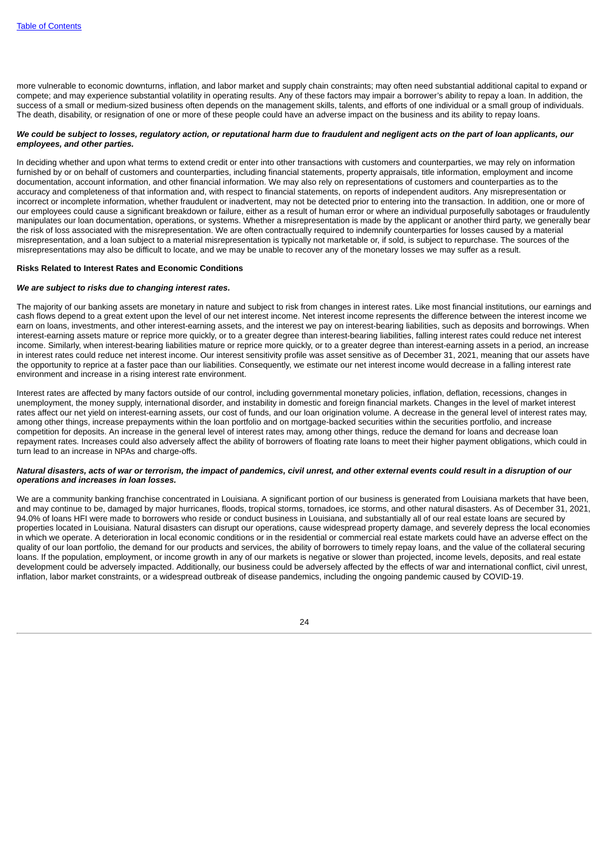more vulnerable to economic downturns, inflation, and labor market and supply chain constraints; may often need substantial additional capital to expand or compete; and may experience substantial volatility in operating results. Any of these factors may impair a borrower's ability to repay a loan. In addition, the success of a small or medium-sized business often depends on the management skills, talents, and efforts of one individual or a small group of individuals. The death, disability, or resignation of one or more of these people could have an adverse impact on the business and its ability to repay loans.

### *We could be subject to losses, regulatory action, or reputational harm due to fraudulent and negligent acts on the part of loan applicants, our employees, and other parties.*

In deciding whether and upon what terms to extend credit or enter into other transactions with customers and counterparties, we may rely on information furnished by or on behalf of customers and counterparties, including financial statements, property appraisals, title information, employment and income documentation, account information, and other financial information. We may also rely on representations of customers and counterparties as to the accuracy and completeness of that information and, with respect to financial statements, on reports of independent auditors. Any misrepresentation or incorrect or incomplete information, whether fraudulent or inadvertent, may not be detected prior to entering into the transaction. In addition, one or more of our employees could cause a significant breakdown or failure, either as a result of human error or where an individual purposefully sabotages or fraudulently manipulates our loan documentation, operations, or systems. Whether a misrepresentation is made by the applicant or another third party, we generally bear the risk of loss associated with the misrepresentation. We are often contractually required to indemnify counterparties for losses caused by a material misrepresentation, and a loan subject to a material misrepresentation is typically not marketable or, if sold, is subject to repurchase. The sources of the misrepresentations may also be difficult to locate, and we may be unable to recover any of the monetary losses we may suffer as a result.

# **Risks Related to Interest Rates and Economic Conditions**

# *We are subject to risks due to changing interest rates.*

The majority of our banking assets are monetary in nature and subject to risk from changes in interest rates. Like most financial institutions, our earnings and cash flows depend to a great extent upon the level of our net interest income. Net interest income represents the difference between the interest income we earn on loans, investments, and other interest-earning assets, and the interest we pay on interest-bearing liabilities, such as deposits and borrowings. When interest-earning assets mature or reprice more quickly, or to a greater degree than interest-bearing liabilities, falling interest rates could reduce net interest income. Similarly, when interest-bearing liabilities mature or reprice more quickly, or to a greater degree than interest-earning assets in a period, an increase in interest rates could reduce net interest income. Our interest sensitivity profile was asset sensitive as of December 31, 2021, meaning that our assets have the opportunity to reprice at a faster pace than our liabilities. Consequently, we estimate our net interest income would decrease in a falling interest rate environment and increase in a rising interest rate environment.

Interest rates are affected by many factors outside of our control, including governmental monetary policies, inflation, deflation, recessions, changes in unemployment, the money supply, international disorder, and instability in domestic and foreign financial markets. Changes in the level of market interest rates affect our net yield on interest-earning assets, our cost of funds, and our loan origination volume. A decrease in the general level of interest rates may, among other things, increase prepayments within the loan portfolio and on mortgage-backed securities within the securities portfolio, and increase competition for deposits. An increase in the general level of interest rates may, among other things, reduce the demand for loans and decrease loan repayment rates. Increases could also adversely affect the ability of borrowers of floating rate loans to meet their higher payment obligations, which could in turn lead to an increase in NPAs and charge-offs.

# *Natural disasters, acts of war or terrorism, the impact of pandemics, civil unrest, and other external events could result in a disruption of our operations and increases in loan losses.*

We are a community banking franchise concentrated in Louisiana. A significant portion of our business is generated from Louisiana markets that have been, and may continue to be, damaged by major hurricanes, floods, tropical storms, tornadoes, ice storms, and other natural disasters. As of December 31, 2021, 94.0% of loans HFI were made to borrowers who reside or conduct business in Louisiana, and substantially all of our real estate loans are secured by properties located in Louisiana. Natural disasters can disrupt our operations, cause widespread property damage, and severely depress the local economies in which we operate. A deterioration in local economic conditions or in the residential or commercial real estate markets could have an adverse effect on the quality of our loan portfolio, the demand for our products and services, the ability of borrowers to timely repay loans, and the value of the collateral securing loans. If the population, employment, or income growth in any of our markets is negative or slower than projected, income levels, deposits, and real estate development could be adversely impacted. Additionally, our business could be adversely affected by the effects of war and international conflict, civil unrest, inflation, labor market constraints, or a widespread outbreak of disease pandemics, including the ongoing pandemic caused by COVID-19.

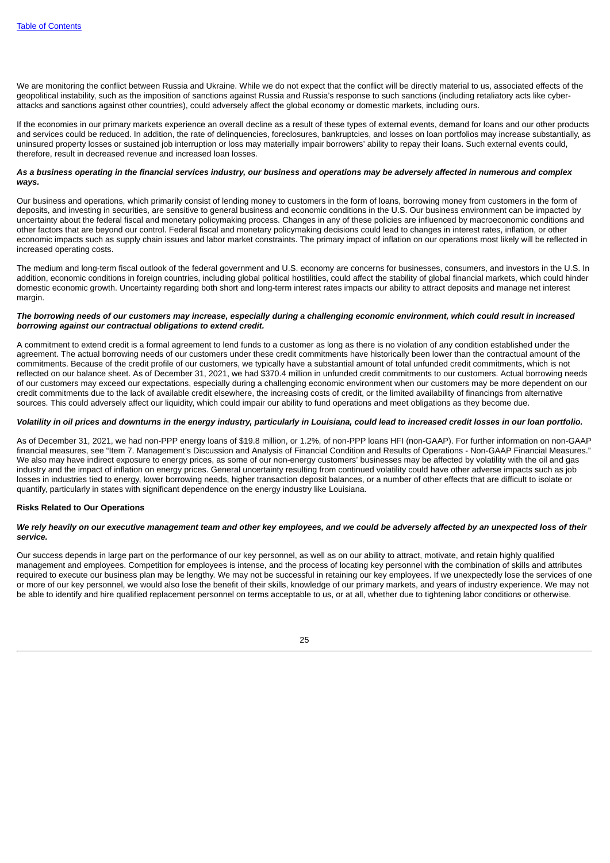We are monitoring the conflict between Russia and Ukraine. While we do not expect that the conflict will be directly material to us, associated effects of the geopolitical instability, such as the imposition of sanctions against Russia and Russia's response to such sanctions (including retaliatory acts like cyberattacks and sanctions against other countries), could adversely affect the global economy or domestic markets, including ours.

If the economies in our primary markets experience an overall decline as a result of these types of external events, demand for loans and our other products and services could be reduced. In addition, the rate of delinquencies, foreclosures, bankruptcies, and losses on loan portfolios may increase substantially, as uninsured property losses or sustained job interruption or loss may materially impair borrowers' ability to repay their loans. Such external events could, therefore, result in decreased revenue and increased loan losses.

## *As a business operating in the financial services industry, our business and operations may be adversely affected in numerous and complex ways.*

Our business and operations, which primarily consist of lending money to customers in the form of loans, borrowing money from customers in the form of deposits, and investing in securities, are sensitive to general business and economic conditions in the U.S. Our business environment can be impacted by uncertainty about the federal fiscal and monetary policymaking process. Changes in any of these policies are influenced by macroeconomic conditions and other factors that are beyond our control. Federal fiscal and monetary policymaking decisions could lead to changes in interest rates, inflation, or other economic impacts such as supply chain issues and labor market constraints. The primary impact of inflation on our operations most likely will be reflected in increased operating costs.

The medium and long-term fiscal outlook of the federal government and U.S. economy are concerns for businesses, consumers, and investors in the U.S. In addition, economic conditions in foreign countries, including global political hostilities, could affect the stability of global financial markets, which could hinder domestic economic growth. Uncertainty regarding both short and long-term interest rates impacts our ability to attract deposits and manage net interest margin.

### *The borrowing needs of our customers may increase, especially during a challenging economic environment, which could result in increased borrowing against our contractual obligations to extend credit.*

A commitment to extend credit is a formal agreement to lend funds to a customer as long as there is no violation of any condition established under the agreement. The actual borrowing needs of our customers under these credit commitments have historically been lower than the contractual amount of the commitments. Because of the credit profile of our customers, we typically have a substantial amount of total unfunded credit commitments, which is not reflected on our balance sheet. As of December 31, 2021, we had \$370.4 million in unfunded credit commitments to our customers. Actual borrowing needs of our customers may exceed our expectations, especially during a challenging economic environment when our customers may be more dependent on our credit commitments due to the lack of available credit elsewhere, the increasing costs of credit, or the limited availability of financings from alternative sources. This could adversely affect our liquidity, which could impair our ability to fund operations and meet obligations as they become due.

# *Volatility in oil prices and downturns in the energy industry, particularly in Louisiana, could lead to increased credit losses in our loan portfolio.*

As of December 31, 2021, we had non-PPP energy loans of \$19.8 million, or 1.2%, of non-PPP loans HFI (non-GAAP). For further information on non-GAAP financial measures, see "Item 7. Management's Discussion and Analysis of Financial Condition and Results of Operations - Non-GAAP Financial Measures." We also may have indirect exposure to energy prices, as some of our non-energy customers' businesses may be affected by volatility with the oil and gas industry and the impact of inflation on energy prices. General uncertainty resulting from continued volatility could have other adverse impacts such as job losses in industries tied to energy, lower borrowing needs, higher transaction deposit balances, or a number of other effects that are difficult to isolate or quantify, particularly in states with significant dependence on the energy industry like Louisiana.

# **Risks Related to Our Operations**

# *We rely heavily on our executive management team and other key employees, and we could be adversely affected by an unexpected loss of their service.*

Our success depends in large part on the performance of our key personnel, as well as on our ability to attract, motivate, and retain highly qualified management and employees. Competition for employees is intense, and the process of locating key personnel with the combination of skills and attributes required to execute our business plan may be lengthy. We may not be successful in retaining our key employees. If we unexpectedly lose the services of one or more of our key personnel, we would also lose the benefit of their skills, knowledge of our primary markets, and years of industry experience. We may not be able to identify and hire qualified replacement personnel on terms acceptable to us, or at all, whether due to tightening labor conditions or otherwise.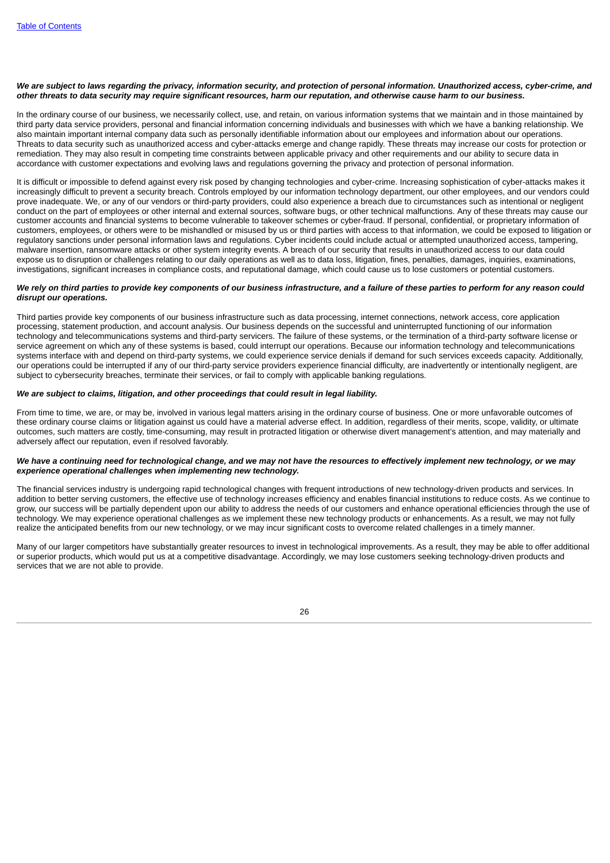### *We are subject to laws regarding the privacy, information security, and protection of personal information. Unauthorized access, cyber-crime, and other threats to data security may require significant resources, harm our reputation, and otherwise cause harm to our business.*

In the ordinary course of our business, we necessarily collect, use, and retain, on various information systems that we maintain and in those maintained by third party data service providers, personal and financial information concerning individuals and businesses with which we have a banking relationship. We also maintain important internal company data such as personally identifiable information about our employees and information about our operations. Threats to data security such as unauthorized access and cyber-attacks emerge and change rapidly. These threats may increase our costs for protection or remediation. They may also result in competing time constraints between applicable privacy and other requirements and our ability to secure data in accordance with customer expectations and evolving laws and regulations governing the privacy and protection of personal information.

It is difficult or impossible to defend against every risk posed by changing technologies and cyber-crime. Increasing sophistication of cyber-attacks makes it increasingly difficult to prevent a security breach. Controls employed by our information technology department, our other employees, and our vendors could prove inadequate. We, or any of our vendors or third-party providers, could also experience a breach due to circumstances such as intentional or negligent conduct on the part of employees or other internal and external sources, software bugs, or other technical malfunctions. Any of these threats may cause our customer accounts and financial systems to become vulnerable to takeover schemes or cyber-fraud. If personal, confidential, or proprietary information of customers, employees, or others were to be mishandled or misused by us or third parties with access to that information, we could be exposed to litigation or requilatory sanctions under personal information laws and requlations. Cyber incidents could include actual or attempted unauthorized access, tampering, malware insertion, ransomware attacks or other system integrity events. A breach of our security that results in unauthorized access to our data could expose us to disruption or challenges relating to our daily operations as well as to data loss, litigation, fines, penalties, damages, inquiries, examinations, investigations, significant increases in compliance costs, and reputational damage, which could cause us to lose customers or potential customers.

### *We rely on third parties to provide key components of our business infrastructure, and a failure of these parties to perform for any reason could disrupt our operations.*

Third parties provide key components of our business infrastructure such as data processing, internet connections, network access, core application processing, statement production, and account analysis. Our business depends on the successful and uninterrupted functioning of our information technology and telecommunications systems and third-party servicers. The failure of these systems, or the termination of a third-party software license or service agreement on which any of these systems is based, could interrupt our operations. Because our information technology and telecommunications systems interface with and depend on third-party systems, we could experience service denials if demand for such services exceeds capacity. Additionally, our operations could be interrupted if any of our third-party service providers experience financial difficulty, are inadvertently or intentionally negligent, are subject to cybersecurity breaches, terminate their services, or fail to comply with applicable banking regulations.

### *We are subject to claims, litigation, and other proceedings that could result in legal liability.*

From time to time, we are, or may be, involved in various legal matters arising in the ordinary course of business. One or more unfavorable outcomes of these ordinary course claims or litigation against us could have a material adverse effect. In addition, regardless of their merits, scope, validity, or ultimate outcomes, such matters are costly, time-consuming, may result in protracted litigation or otherwise divert management's attention, and may materially and adversely affect our reputation, even if resolved favorably.

### *We have a continuing need for technological change, and we may not have the resources to effectively implement new technology, or we may experience operational challenges when implementing new technology.*

The financial services industry is undergoing rapid technological changes with frequent introductions of new technology-driven products and services. In addition to better serving customers, the effective use of technology increases efficiency and enables financial institutions to reduce costs. As we continue to grow, our success will be partially dependent upon our ability to address the needs of our customers and enhance operational efficiencies through the use of technology. We may experience operational challenges as we implement these new technology products or enhancements. As a result, we may not fully realize the anticipated benefits from our new technology, or we may incur significant costs to overcome related challenges in a timely manner.

Many of our larger competitors have substantially greater resources to invest in technological improvements. As a result, they may be able to offer additional or superior products, which would put us at a competitive disadvantage. Accordingly, we may lose customers seeking technology-driven products and services that we are not able to provide.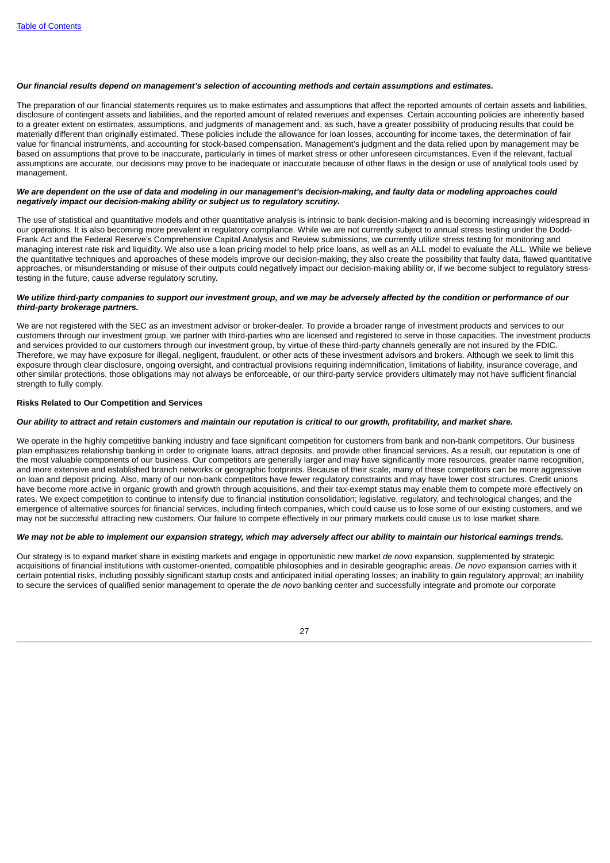### *Our financial results depend on management's selection of accounting methods and certain assumptions and estimates.*

The preparation of our financial statements requires us to make estimates and assumptions that affect the reported amounts of certain assets and liabilities, disclosure of contingent assets and liabilities, and the reported amount of related revenues and expenses. Certain accounting policies are inherently based to a greater extent on estimates, assumptions, and judgments of management and, as such, have a greater possibility of producing results that could be materially different than originally estimated. These policies include the allowance for loan losses, accounting for income taxes, the determination of fair value for financial instruments, and accounting for stock-based compensation. Management's judgment and the data relied upon by management may be based on assumptions that prove to be inaccurate, particularly in times of market stress or other unforeseen circumstances. Even if the relevant, factual assumptions are accurate, our decisions may prove to be inadequate or inaccurate because of other flaws in the design or use of analytical tools used by management.

### *We are dependent on the use of data and modeling in our management's decision-making, and faulty data or modeling approaches could negatively impact our decision-making ability or subject us to regulatory scrutiny.*

The use of statistical and quantitative models and other quantitative analysis is intrinsic to bank decision-making and is becoming increasingly widespread in our operations. It is also becoming more prevalent in regulatory compliance. While we are not currently subject to annual stress testing under the Dodd-Frank Act and the Federal Reserve's Comprehensive Capital Analysis and Review submissions, we currently utilize stress testing for monitoring and managing interest rate risk and liquidity. We also use a loan pricing model to help price loans, as well as an ALL model to evaluate the ALL. While we believe the quantitative techniques and approaches of these models improve our decision-making, they also create the possibility that faulty data, flawed quantitative approaches, or misunderstanding or misuse of their outputs could negatively impact our decision-making ability or, if we become subject to regulatory stresstesting in the future, cause adverse regulatory scrutiny.

### *We utilize third-party companies to support our investment group, and we may be adversely affected by the condition or performance of our third-party brokerage partners.*

We are not registered with the SEC as an investment advisor or broker-dealer. To provide a broader range of investment products and services to our customers through our investment group, we partner with third-parties who are licensed and registered to serve in those capacities. The investment products and services provided to our customers through our investment group, by virtue of these third-party channels generally are not insured by the FDIC. Therefore, we may have exposure for illegal, negligent, fraudulent, or other acts of these investment advisors and brokers. Although we seek to limit this exposure through clear disclosure, ongoing oversight, and contractual provisions requiring indemnification, limitations of liability, insurance coverage, and other similar protections, those obligations may not always be enforceable, or our third-party service providers ultimately may not have sufficient financial strength to fully comply.

# **Risks Related to Our Competition and Services**

### *Our ability to attract and retain customers and maintain our reputation is critical to our growth, profitability, and market share.*

We operate in the highly competitive banking industry and face significant competition for customers from bank and non-bank competitors. Our business plan emphasizes relationship banking in order to originate loans, attract deposits, and provide other financial services. As a result, our reputation is one of the most valuable components of our business. Our competitors are generally larger and may have significantly more resources, greater name recognition, and more extensive and established branch networks or geographic footprints. Because of their scale, many of these competitors can be more aggressive on loan and deposit pricing. Also, many of our non-bank competitors have fewer regulatory constraints and may have lower cost structures. Credit unions have become more active in organic growth and growth through acquisitions, and their tax-exempt status may enable them to compete more effectively on rates. We expect competition to continue to intensify due to financial institution consolidation; legislative, regulatory, and technological changes; and the emergence of alternative sources for financial services, including fintech companies, which could cause us to lose some of our existing customers, and we may not be successful attracting new customers. Our failure to compete effectively in our primary markets could cause us to lose market share.

### *We may not be able to implement our expansion strategy, which may adversely affect our ability to maintain our historical earnings trends.*

Our strategy is to expand market share in existing markets and engage in opportunistic new market *de novo* expansion, supplemented by strategic acquisitions of financial institutions with customer-oriented, compatible philosophies and in desirable geographic areas. *De novo* expansion carries with it certain potential risks, including possibly significant startup costs and anticipated initial operating losses; an inability to gain regulatory approval; an inability to secure the services of qualified senior management to operate the *de novo* banking center and successfully integrate and promote our corporate

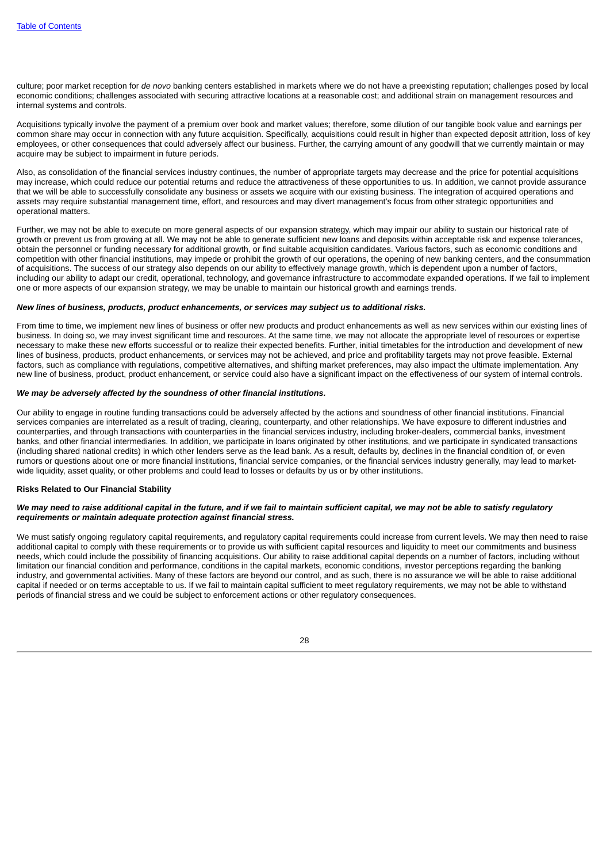culture; poor market reception for *de novo* banking centers established in markets where we do not have a preexisting reputation; challenges posed by local economic conditions; challenges associated with securing attractive locations at a reasonable cost; and additional strain on management resources and internal systems and controls.

Acquisitions typically involve the payment of a premium over book and market values; therefore, some dilution of our tangible book value and earnings per common share may occur in connection with any future acquisition. Specifically, acquisitions could result in higher than expected deposit attrition, loss of key employees, or other consequences that could adversely affect our business. Further, the carrying amount of any goodwill that we currently maintain or may acquire may be subject to impairment in future periods.

Also, as consolidation of the financial services industry continues, the number of appropriate targets may decrease and the price for potential acquisitions may increase, which could reduce our potential returns and reduce the attractiveness of these opportunities to us. In addition, we cannot provide assurance that we will be able to successfully consolidate any business or assets we acquire with our existing business. The integration of acquired operations and assets may require substantial management time, effort, and resources and may divert management's focus from other strategic opportunities and operational matters.

Further, we may not be able to execute on more general aspects of our expansion strategy, which may impair our ability to sustain our historical rate of growth or prevent us from growing at all. We may not be able to generate sufficient new loans and deposits within acceptable risk and expense tolerances, obtain the personnel or funding necessary for additional growth, or find suitable acquisition candidates. Various factors, such as economic conditions and competition with other financial institutions, may impede or prohibit the growth of our operations, the opening of new banking centers, and the consummation of acquisitions. The success of our strategy also depends on our ability to effectively manage growth, which is dependent upon a number of factors, including our ability to adapt our credit, operational, technology, and governance infrastructure to accommodate expanded operations. If we fail to implement one or more aspects of our expansion strategy, we may be unable to maintain our historical growth and earnings trends.

### *New lines of business, products, product enhancements, or services may subject us to additional risks.*

From time to time, we implement new lines of business or offer new products and product enhancements as well as new services within our existing lines of business. In doing so, we may invest significant time and resources. At the same time, we may not allocate the appropriate level of resources or expertise necessary to make these new efforts successful or to realize their expected benefits. Further, initial timetables for the introduction and development of new lines of business, products, product enhancements, or services may not be achieved, and price and profitability targets may not prove feasible. External factors, such as compliance with regulations, competitive alternatives, and shifting market preferences, may also impact the ultimate implementation. Any new line of business, product, product enhancement, or service could also have a significant impact on the effectiveness of our system of internal controls.

### *We may be adversely affected by the soundness of other financial institutions.*

Our ability to engage in routine funding transactions could be adversely affected by the actions and soundness of other financial institutions. Financial services companies are interrelated as a result of trading, clearing, counterparty, and other relationships. We have exposure to different industries and counterparties, and through transactions with counterparties in the financial services industry, including broker-dealers, commercial banks, investment banks, and other financial intermediaries. In addition, we participate in loans originated by other institutions, and we participate in syndicated transactions (including shared national credits) in which other lenders serve as the lead bank. As a result, defaults by, declines in the financial condition of, or even rumors or questions about one or more financial institutions, financial service companies, or the financial services industry generally, may lead to marketwide liquidity, asset quality, or other problems and could lead to losses or defaults by us or by other institutions.

# **Risks Related to Our Financial Stability**

### *We may need to raise additional capital in the future, and if we fail to maintain sufficient capital, we may not be able to satisfy regulatory requirements or maintain adequate protection against financial stress.*

We must satisfy ongoing regulatory capital requirements, and regulatory capital requirements could increase from current levels. We may then need to raise additional capital to comply with these requirements or to provide us with sufficient capital resources and liquidity to meet our commitments and business needs, which could include the possibility of financing acquisitions. Our ability to raise additional capital depends on a number of factors, including without limitation our financial condition and performance, conditions in the capital markets, economic conditions, investor perceptions regarding the banking industry, and governmental activities. Many of these factors are beyond our control, and as such, there is no assurance we will be able to raise additional capital if needed or on terms acceptable to us. If we fail to maintain capital sufficient to meet regulatory requirements, we may not be able to withstand periods of financial stress and we could be subject to enforcement actions or other regulatory consequences.

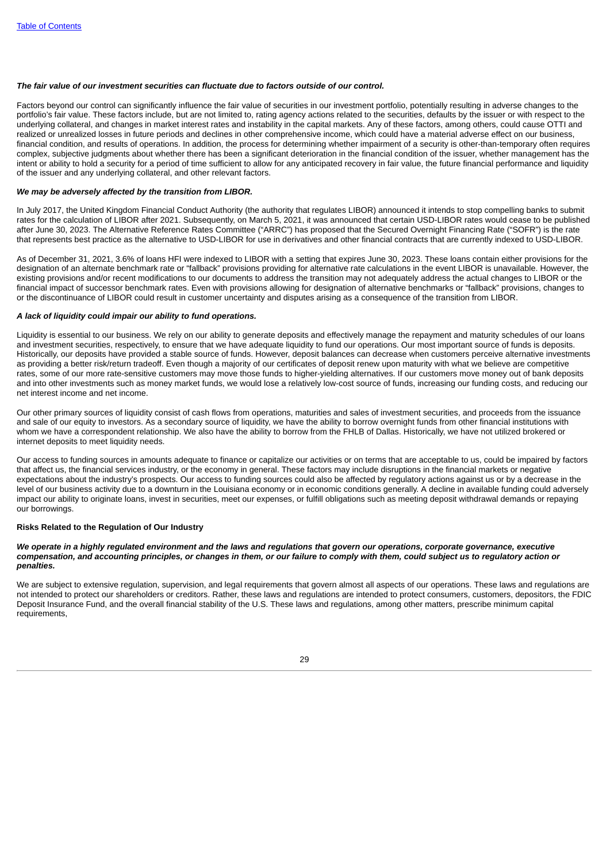### *The fair value of our investment securities can fluctuate due to factors outside of our control.*

Factors beyond our control can significantly influence the fair value of securities in our investment portfolio, potentially resulting in adverse changes to the portfolio's fair value. These factors include, but are not limited to, rating agency actions related to the securities, defaults by the issuer or with respect to the underlying collateral, and changes in market interest rates and instability in the capital markets. Any of these factors, among others, could cause OTTI and realized or unrealized losses in future periods and declines in other comprehensive income, which could have a material adverse effect on our business, financial condition, and results of operations. In addition, the process for determining whether impairment of a security is other-than-temporary often requires complex, subjective judgments about whether there has been a significant deterioration in the financial condition of the issuer, whether management has the intent or ability to hold a security for a period of time sufficient to allow for any anticipated recovery in fair value, the future financial performance and liquidity of the issuer and any underlying collateral, and other relevant factors.

#### *We may be adversely affected by the transition from LIBOR.*

In July 2017, the United Kingdom Financial Conduct Authority (the authority that regulates LIBOR) announced it intends to stop compelling banks to submit rates for the calculation of LIBOR after 2021. Subsequently, on March 5, 2021, it was announced that certain USD-LIBOR rates would cease to be published after June 30, 2023. The Alternative Reference Rates Committee ("ARRC") has proposed that the Secured Overnight Financing Rate ("SOFR") is the rate that represents best practice as the alternative to USD-LIBOR for use in derivatives and other financial contracts that are currently indexed to USD-LIBOR.

As of December 31, 2021, 3.6% of loans HFI were indexed to LIBOR with a setting that expires June 30, 2023. These loans contain either provisions for the designation of an alternate benchmark rate or "fallback" provisions providing for alternative rate calculations in the event LIBOR is unavailable. However, the existing provisions and/or recent modifications to our documents to address the transition may not adequately address the actual changes to LIBOR or the financial impact of successor benchmark rates. Even with provisions allowing for designation of alternative benchmarks or "fallback" provisions, changes to or the discontinuance of LIBOR could result in customer uncertainty and disputes arising as a consequence of the transition from LIBOR.

#### *A lack of liquidity could impair our ability to fund operations.*

Liquidity is essential to our business. We rely on our ability to generate deposits and effectively manage the repayment and maturity schedules of our loans and investment securities, respectively, to ensure that we have adequate liquidity to fund our operations. Our most important source of funds is deposits. Historically, our deposits have provided a stable source of funds. However, deposit balances can decrease when customers perceive alternative investments as providing a better risk/return tradeoff. Even though a majority of our certificates of deposit renew upon maturity with what we believe are competitive rates, some of our more rate-sensitive customers may move those funds to higher-yielding alternatives. If our customers move money out of bank deposits and into other investments such as money market funds, we would lose a relatively low-cost source of funds, increasing our funding costs, and reducing our net interest income and net income.

Our other primary sources of liquidity consist of cash flows from operations, maturities and sales of investment securities, and proceeds from the issuance and sale of our equity to investors. As a secondary source of liquidity, we have the ability to borrow overnight funds from other financial institutions with whom we have a correspondent relationship. We also have the ability to borrow from the FHLB of Dallas. Historically, we have not utilized brokered or internet deposits to meet liquidity needs.

Our access to funding sources in amounts adequate to finance or capitalize our activities or on terms that are acceptable to us, could be impaired by factors that affect us, the financial services industry, or the economy in general. These factors may include disruptions in the financial markets or negative expectations about the industry's prospects. Our access to funding sources could also be affected by regulatory actions against us or by a decrease in the level of our business activity due to a downturn in the Louisiana economy or in economic conditions generally. A decline in available funding could adversely impact our ability to originate loans, invest in securities, meet our expenses, or fulfill obligations such as meeting deposit withdrawal demands or repaying our borrowings.

# **Risks Related to the Regulation of Our Industry**

### *We operate in a highly regulated environment and the laws and regulations that govern our operations, corporate governance, executive compensation, and accounting principles, or changes in them, or our failure to comply with them, could subject us to regulatory action or penalties.*

We are subject to extensive regulation, supervision, and legal requirements that govern almost all aspects of our operations. These laws and regulations are not intended to protect our shareholders or creditors. Rather, these laws and regulations are intended to protect consumers, customers, depositors, the FDIC Deposit Insurance Fund, and the overall financial stability of the U.S. These laws and regulations, among other matters, prescribe minimum capital requirements,

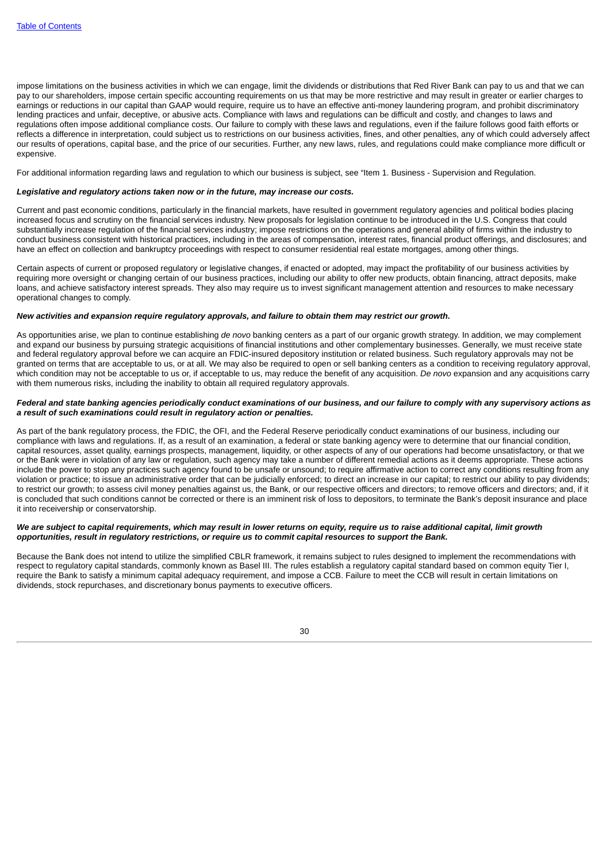impose limitations on the business activities in which we can engage, limit the dividends or distributions that Red River Bank can pay to us and that we can pay to our shareholders, impose certain specific accounting requirements on us that may be more restrictive and may result in greater or earlier charges to earnings or reductions in our capital than GAAP would require, require us to have an effective anti-money laundering program, and prohibit discriminatory lending practices and unfair, deceptive, or abusive acts. Compliance with laws and regulations can be difficult and costly, and changes to laws and regulations often impose additional compliance costs. Our failure to comply with these laws and regulations, even if the failure follows good faith efforts or reflects a difference in interpretation, could subject us to restrictions on our business activities, fines, and other penalties, any of which could adversely affect our results of operations, capital base, and the price of our securities. Further, any new laws, rules, and regulations could make compliance more difficult or expensive.

For additional information regarding laws and regulation to which our business is subject, see "Item 1. Business - Supervision and Regulation.

### *Legislative and regulatory actions taken now or in the future, may increase our costs.*

Current and past economic conditions, particularly in the financial markets, have resulted in government regulatory agencies and political bodies placing increased focus and scrutiny on the financial services industry. New proposals for legislation continue to be introduced in the U.S. Congress that could substantially increase regulation of the financial services industry; impose restrictions on the operations and general ability of firms within the industry to conduct business consistent with historical practices, including in the areas of compensation, interest rates, financial product offerings, and disclosures; and have an effect on collection and bankruptcy proceedings with respect to consumer residential real estate mortgages, among other things.

Certain aspects of current or proposed regulatory or legislative changes, if enacted or adopted, may impact the profitability of our business activities by requiring more oversight or changing certain of our business practices, including our ability to offer new products, obtain financing, attract deposits, make loans, and achieve satisfactory interest spreads. They also may require us to invest significant management attention and resources to make necessary operational changes to comply.

#### *New activities and expansion require regulatory approvals, and failure to obtain them may restrict our growth.*

As opportunities arise, we plan to continue establishing *de novo* banking centers as a part of our organic growth strategy. In addition, we may complement and expand our business by pursuing strategic acquisitions of financial institutions and other complementary businesses. Generally, we must receive state and federal regulatory approval before we can acquire an FDIC-insured depository institution or related business. Such regulatory approvals may not be granted on terms that are acceptable to us, or at all. We may also be required to open or sell banking centers as a condition to receiving regulatory approval, which condition may not be acceptable to us or, if acceptable to us, may reduce the benefit of any acquisition. *De novo* expansion and any acquisitions carry with them numerous risks, including the inability to obtain all required regulatory approvals.

# *Federal and state banking agencies periodically conduct examinations of our business, and our failure to comply with any supervisory actions as a result of such examinations could result in regulatory action or penalties.*

As part of the bank regulatory process, the FDIC, the OFI, and the Federal Reserve periodically conduct examinations of our business, including our compliance with laws and regulations. If, as a result of an examination, a federal or state banking agency were to determine that our financial condition, capital resources, asset quality, earnings prospects, management, liquidity, or other aspects of any of our operations had become unsatisfactory, or that we or the Bank were in violation of any law or regulation, such agency may take a number of different remedial actions as it deems appropriate. These actions include the power to stop any practices such agency found to be unsafe or unsound; to require affirmative action to correct any conditions resulting from any violation or practice; to issue an administrative order that can be judicially enforced; to direct an increase in our capital; to restrict our ability to pay dividends; to restrict our growth; to assess civil money penalties against us, the Bank, or our respective officers and directors; to remove officers and directors; and, if it is concluded that such conditions cannot be corrected or there is an imminent risk of loss to depositors, to terminate the Bank's deposit insurance and place it into receivership or conservatorship.

# *We are subject to capital requirements, which may result in lower returns on equity, require us to raise additional capital, limit growth opportunities, result in regulatory restrictions, or require us to commit capital resources to support the Bank.*

Because the Bank does not intend to utilize the simplified CBLR framework, it remains subject to rules designed to implement the recommendations with respect to regulatory capital standards, commonly known as Basel III. The rules establish a regulatory capital standard based on common equity Tier I, require the Bank to satisfy a minimum capital adequacy requirement, and impose a CCB. Failure to meet the CCB will result in certain limitations on dividends, stock repurchases, and discretionary bonus payments to executive officers.

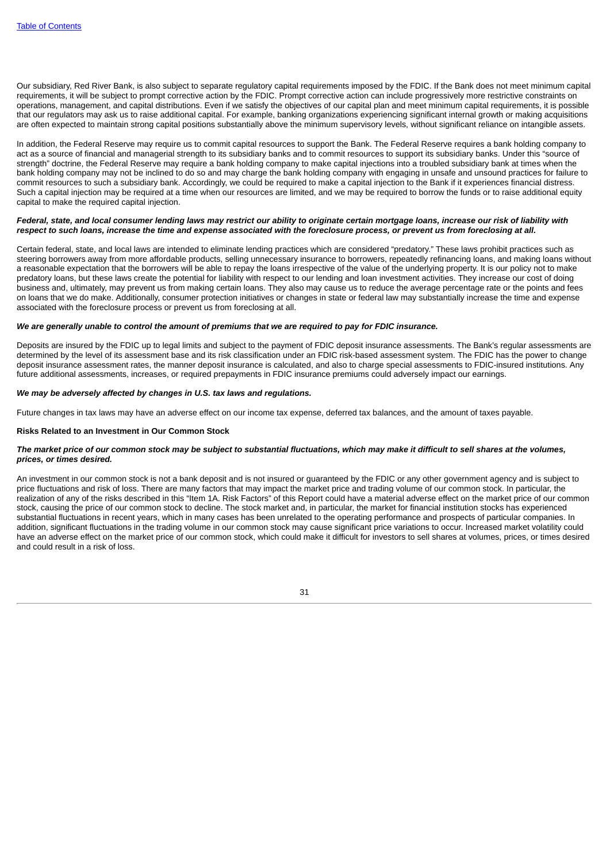Our subsidiary, Red River Bank, is also subject to separate regulatory capital requirements imposed by the FDIC. If the Bank does not meet minimum capital requirements, it will be subject to prompt corrective action by the FDIC. Prompt corrective action can include progressively more restrictive constraints on operations, management, and capital distributions. Even if we satisfy the objectives of our capital plan and meet minimum capital requirements, it is possible that our regulators may ask us to raise additional capital. For example, banking organizations experiencing significant internal growth or making acquisitions are often expected to maintain strong capital positions substantially above the minimum supervisory levels, without significant reliance on intangible assets.

In addition, the Federal Reserve may require us to commit capital resources to support the Bank. The Federal Reserve requires a bank holding company to act as a source of financial and managerial strength to its subsidiary banks and to commit resources to support its subsidiary banks. Under this "source of strength" doctrine, the Federal Reserve may require a bank holding company to make capital injections into a troubled subsidiary bank at times when the bank holding company may not be inclined to do so and may charge the bank holding company with engaging in unsafe and unsound practices for failure to commit resources to such a subsidiary bank. Accordingly, we could be required to make a capital injection to the Bank if it experiences financial distress. Such a capital injection may be required at a time when our resources are limited, and we may be required to borrow the funds or to raise additional equity capital to make the required capital injection.

# *Federal, state, and local consumer lending laws may restrict our ability to originate certain mortgage loans, increase our risk of liability with respect to such loans, increase the time and expense associated with the foreclosure process, or prevent us from foreclosing at all.*

Certain federal, state, and local laws are intended to eliminate lending practices which are considered "predatory." These laws prohibit practices such as steering borrowers away from more affordable products, selling unnecessary insurance to borrowers, repeatedly refinancing loans, and making loans without a reasonable expectation that the borrowers will be able to repay the loans irrespective of the value of the underlying property. It is our policy not to make predatory loans, but these laws create the potential for liability with respect to our lending and loan investment activities. They increase our cost of doing business and, ultimately, may prevent us from making certain loans. They also may cause us to reduce the average percentage rate or the points and fees on loans that we do make. Additionally, consumer protection initiatives or changes in state or federal law may substantially increase the time and expense associated with the foreclosure process or prevent us from foreclosing at all.

#### *We are generally unable to control the amount of premiums that we are required to pay for FDIC insurance.*

Deposits are insured by the FDIC up to legal limits and subject to the payment of FDIC deposit insurance assessments. The Bank's regular assessments are determined by the level of its assessment base and its risk classification under an FDIC risk-based assessment system. The FDIC has the power to change deposit insurance assessment rates, the manner deposit insurance is calculated, and also to charge special assessments to FDIC-insured institutions. Any future additional assessments, increases, or required prepayments in FDIC insurance premiums could adversely impact our earnings.

### *We may be adversely affected by changes in U.S. tax laws and regulations.*

Future changes in tax laws may have an adverse effect on our income tax expense, deferred tax balances, and the amount of taxes payable.

# **Risks Related to an Investment in Our Common Stock**

# *The market price of our common stock may be subject to substantial fluctuations, which may make it difficult to sell shares at the volumes, prices, or times desired.*

An investment in our common stock is not a bank deposit and is not insured or guaranteed by the FDIC or any other government agency and is subject to price fluctuations and risk of loss. There are many factors that may impact the market price and trading volume of our common stock. In particular, the realization of any of the risks described in this "Item 1A. Risk Factors" of this Report could have a material adverse effect on the market price of our common stock, causing the price of our common stock to decline. The stock market and, in particular, the market for financial institution stocks has experienced substantial fluctuations in recent years, which in many cases has been unrelated to the operating performance and prospects of particular companies. In addition, significant fluctuations in the trading volume in our common stock may cause significant price variations to occur. Increased market volatility could have an adverse effect on the market price of our common stock, which could make it difficult for investors to sell shares at volumes, prices, or times desired and could result in a risk of loss.

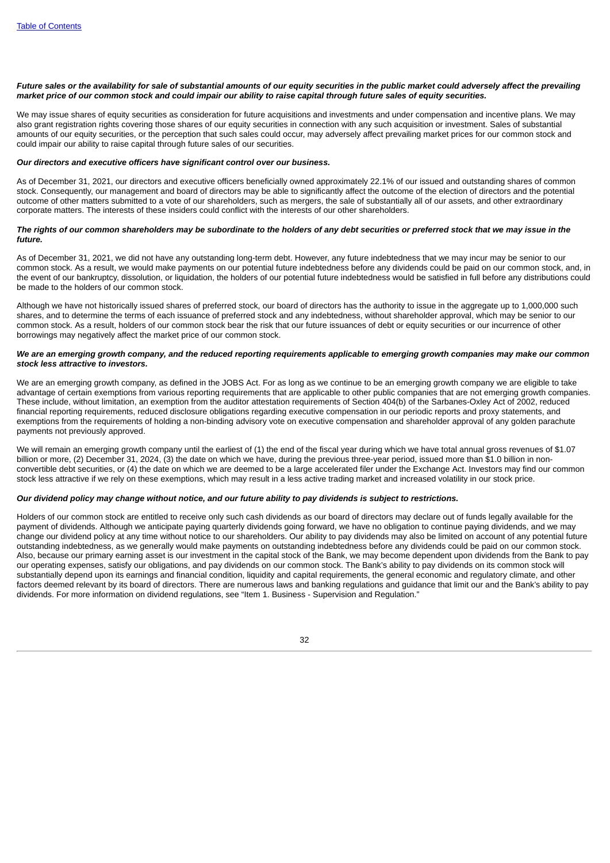### *Future sales or the availability for sale of substantial amounts of our equity securities in the public market could adversely affect the prevailing market price of our common stock and could impair our ability to raise capital through future sales of equity securities.*

We may issue shares of equity securities as consideration for future acquisitions and investments and under compensation and incentive plans. We may also grant registration rights covering those shares of our equity securities in connection with any such acquisition or investment. Sales of substantial amounts of our equity securities, or the perception that such sales could occur, may adversely affect prevailing market prices for our common stock and could impair our ability to raise capital through future sales of our securities.

# *Our directors and executive officers have significant control over our business.*

As of December 31, 2021, our directors and executive officers beneficially owned approximately 22.1% of our issued and outstanding shares of common stock. Consequently, our management and board of directors may be able to significantly affect the outcome of the election of directors and the potential outcome of other matters submitted to a vote of our shareholders, such as mergers, the sale of substantially all of our assets, and other extraordinary corporate matters. The interests of these insiders could conflict with the interests of our other shareholders.

#### *The rights of our common shareholders may be subordinate to the holders of any debt securities or preferred stock that we may issue in the future.*

As of December 31, 2021, we did not have any outstanding long-term debt. However, any future indebtedness that we may incur may be senior to our common stock. As a result, we would make payments on our potential future indebtedness before any dividends could be paid on our common stock, and, in the event of our bankruptcy, dissolution, or liquidation, the holders of our potential future indebtedness would be satisfied in full before any distributions could be made to the holders of our common stock.

Although we have not historically issued shares of preferred stock, our board of directors has the authority to issue in the aggregate up to 1,000,000 such shares, and to determine the terms of each issuance of preferred stock and any indebtedness, without shareholder approval, which may be senior to our common stock. As a result, holders of our common stock bear the risk that our future issuances of debt or equity securities or our incurrence of other borrowings may negatively affect the market price of our common stock.

### *We are an emerging growth company, and the reduced reporting requirements applicable to emerging growth companies may make our common stock less attractive to investors.*

We are an emerging growth company, as defined in the JOBS Act. For as long as we continue to be an emerging growth company we are eligible to take advantage of certain exemptions from various reporting requirements that are applicable to other public companies that are not emerging growth companies. These include, without limitation, an exemption from the auditor attestation requirements of Section 404(b) of the Sarbanes-Oxley Act of 2002, reduced financial reporting requirements, reduced disclosure obligations regarding executive compensation in our periodic reports and proxy statements, and exemptions from the requirements of holding a non-binding advisory vote on executive compensation and shareholder approval of any golden parachute payments not previously approved.

We will remain an emerging growth company until the earliest of (1) the end of the fiscal year during which we have total annual gross revenues of \$1.07 billion or more, (2) December 31, 2024, (3) the date on which we have, during the previous three-year period, issued more than \$1.0 billion in nonconvertible debt securities, or (4) the date on which we are deemed to be a large accelerated filer under the Exchange Act. Investors may find our common stock less attractive if we rely on these exemptions, which may result in a less active trading market and increased volatility in our stock price.

# *Our dividend policy may change without notice, and our future ability to pay dividends is subject to restrictions.*

Holders of our common stock are entitled to receive only such cash dividends as our board of directors may declare out of funds legally available for the payment of dividends. Although we anticipate paying quarterly dividends going forward, we have no obligation to continue paying dividends, and we may change our dividend policy at any time without notice to our shareholders. Our ability to pay dividends may also be limited on account of any potential future outstanding indebtedness, as we generally would make payments on outstanding indebtedness before any dividends could be paid on our common stock. Also, because our primary earning asset is our investment in the capital stock of the Bank, we may become dependent upon dividends from the Bank to pay our operating expenses, satisfy our obligations, and pay dividends on our common stock. The Bank's ability to pay dividends on its common stock will substantially depend upon its earnings and financial condition, liquidity and capital requirements, the general economic and regulatory climate, and other factors deemed relevant by its board of directors. There are numerous laws and banking regulations and guidance that limit our and the Bank's ability to pay dividends. For more information on dividend regulations, see "Item 1. Business - Supervision and Regulation."

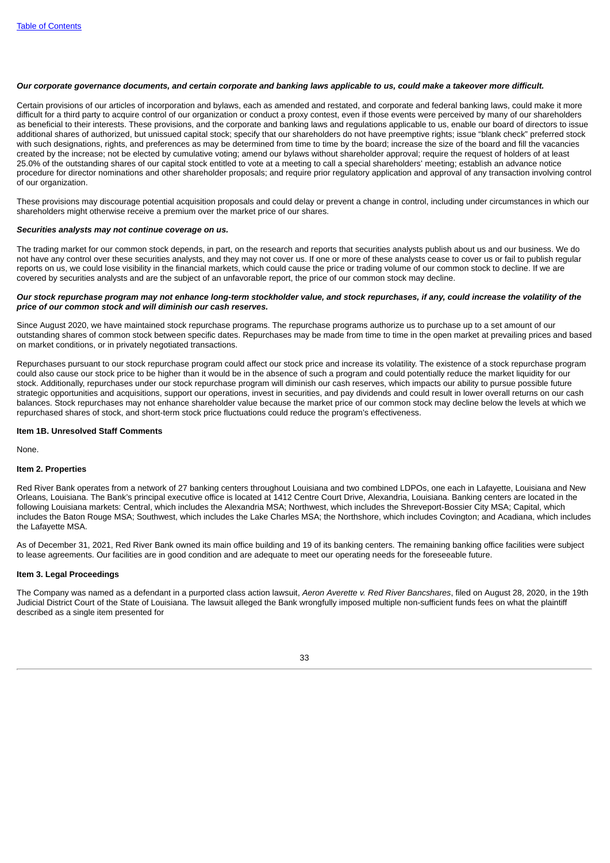### *Our corporate governance documents, and certain corporate and banking laws applicable to us, could make a takeover more difficult.*

Certain provisions of our articles of incorporation and bylaws, each as amended and restated, and corporate and federal banking laws, could make it more difficult for a third party to acquire control of our organization or conduct a proxy contest, even if those events were perceived by many of our shareholders as beneficial to their interests. These provisions, and the corporate and banking laws and regulations applicable to us, enable our board of directors to issue additional shares of authorized, but unissued capital stock; specify that our shareholders do not have preemptive rights; issue "blank check" preferred stock with such designations, rights, and preferences as may be determined from time to time by the board; increase the size of the board and fill the vacancies created by the increase; not be elected by cumulative voting; amend our bylaws without shareholder approval; require the request of holders of at least 25.0% of the outstanding shares of our capital stock entitled to vote at a meeting to call a special shareholders' meeting; establish an advance notice procedure for director nominations and other shareholder proposals; and require prior regulatory application and approval of any transaction involving control of our organization.

These provisions may discourage potential acquisition proposals and could delay or prevent a change in control, including under circumstances in which our shareholders might otherwise receive a premium over the market price of our shares.

### *Securities analysts may not continue coverage on us.*

The trading market for our common stock depends, in part, on the research and reports that securities analysts publish about us and our business. We do not have any control over these securities analysts, and they may not cover us. If one or more of these analysts cease to cover us or fail to publish regular reports on us, we could lose visibility in the financial markets, which could cause the price or trading volume of our common stock to decline. If we are covered by securities analysts and are the subject of an unfavorable report, the price of our common stock may decline.

### *Our stock repurchase program may not enhance long-term stockholder value, and stock repurchases, if any, could increase the volatility of the price of our common stock and will diminish our cash reserves.*

Since August 2020, we have maintained stock repurchase programs. The repurchase programs authorize us to purchase up to a set amount of our outstanding shares of common stock between specific dates. Repurchases may be made from time to time in the open market at prevailing prices and based on market conditions, or in privately negotiated transactions.

Repurchases pursuant to our stock repurchase program could affect our stock price and increase its volatility. The existence of a stock repurchase program could also cause our stock price to be higher than it would be in the absence of such a program and could potentially reduce the market liquidity for our stock. Additionally, repurchases under our stock repurchase program will diminish our cash reserves, which impacts our ability to pursue possible future strategic opportunities and acquisitions, support our operations, invest in securities, and pay dividends and could result in lower overall returns on our cash balances. Stock repurchases may not enhance shareholder value because the market price of our common stock may decline below the levels at which we repurchased shares of stock, and short-term stock price fluctuations could reduce the program's effectiveness.

# <span id="page-32-0"></span>**Item 1B. Unresolved Staff Comments**

<span id="page-32-1"></span>None.

# **Item 2. Properties**

Red River Bank operates from a network of 27 banking centers throughout Louisiana and two combined LDPOs, one each in Lafayette, Louisiana and New Orleans, Louisiana. The Bank's principal executive office is located at 1412 Centre Court Drive, Alexandria, Louisiana. Banking centers are located in the following Louisiana markets: Central, which includes the Alexandria MSA; Northwest, which includes the Shreveport-Bossier City MSA; Capital, which includes the Baton Rouge MSA; Southwest, which includes the Lake Charles MSA; the Northshore, which includes Covington; and Acadiana, which includes the Lafayette MSA.

As of December 31, 2021, Red River Bank owned its main office building and 19 of its banking centers. The remaining banking office facilities were subject to lease agreements. Our facilities are in good condition and are adequate to meet our operating needs for the foreseeable future.

### <span id="page-32-2"></span>**Item 3. Legal Proceedings**

The Company was named as a defendant in a purported class action lawsuit, *Aeron Averette v. Red River Bancshares*, filed on August 28, 2020, in the 19th Judicial District Court of the State of Louisiana. The lawsuit alleged the Bank wrongfully imposed multiple non-sufficient funds fees on what the plaintiff described as a single item presented for

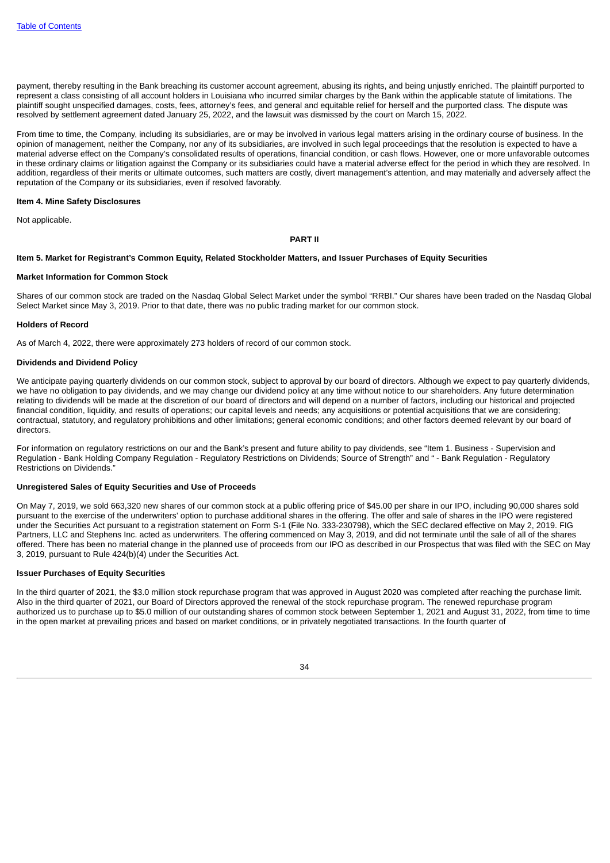payment, thereby resulting in the Bank breaching its customer account agreement, abusing its rights, and being unjustly enriched. The plaintiff purported to represent a class consisting of all account holders in Louisiana who incurred similar charges by the Bank within the applicable statute of limitations. The plaintiff sought unspecified damages, costs, fees, attorney's fees, and general and equitable relief for herself and the purported class. The dispute was resolved by settlement agreement dated January 25, 2022, and the lawsuit was dismissed by the court on March 15, 2022.

From time to time, the Company, including its subsidiaries, are or may be involved in various legal matters arising in the ordinary course of business. In the opinion of management, neither the Company, nor any of its subsidiaries, are involved in such legal proceedings that the resolution is expected to have a material adverse effect on the Company's consolidated results of operations, financial condition, or cash flows. However, one or more unfavorable outcomes in these ordinary claims or litigation against the Company or its subsidiaries could have a material adverse effect for the period in which they are resolved. In addition, regardless of their merits or ultimate outcomes, such matters are costly, divert management's attention, and may materially and adversely affect the reputation of the Company or its subsidiaries, even if resolved favorably.

### <span id="page-33-0"></span>**Item 4. Mine Safety Disclosures**

<span id="page-33-1"></span>Not applicable.

**PART II**

### <span id="page-33-2"></span>**Item 5. Market for Registrant's Common Equity, Related Stockholder Matters, and Issuer Purchases of Equity Securities**

# **Market Information for Common Stock**

Shares of our common stock are traded on the Nasdaq Global Select Market under the symbol "RRBI." Our shares have been traded on the Nasdaq Global Select Market since May 3, 2019. Prior to that date, there was no public trading market for our common stock.

#### **Holders of Record**

As of March 4, 2022, there were approximately 273 holders of record of our common stock.

# **Dividends and Dividend Policy**

We anticipate paying quarterly dividends on our common stock, subject to approval by our board of directors. Although we expect to pay quarterly dividends, we have no obligation to pay dividends, and we may change our dividend policy at any time without notice to our shareholders. Any future determination relating to dividends will be made at the discretion of our board of directors and will depend on a number of factors, including our historical and projected financial condition, liquidity, and results of operations; our capital levels and needs; any acquisitions or potential acquisitions that we are considering; contractual, statutory, and regulatory prohibitions and other limitations; general economic conditions; and other factors deemed relevant by our board of directors.

For information on regulatory restrictions on our and the Bank's present and future ability to pay dividends, see "Item 1. Business - Supervision and Regulation - Bank Holding Company Regulation - Regulatory Restrictions on Dividends; Source of Strength" and " - Bank Regulation - Regulatory Restrictions on Dividends."

# **Unregistered Sales of Equity Securities and Use of Proceeds**

On May 7, 2019, we sold 663,320 new shares of our common stock at a public offering price of \$45.00 per share in our IPO, including 90,000 shares sold pursuant to the exercise of the underwriters' option to purchase additional shares in the offering. The offer and sale of shares in the IPO were registered under the Securities Act pursuant to a registration statement on Form S-1 (File No. 333-230798), which the SEC declared effective on May 2, 2019. FIG Partners, LLC and Stephens Inc. acted as underwriters. The offering commenced on May 3, 2019, and did not terminate until the sale of all of the shares offered. There has been no material change in the planned use of proceeds from our IPO as described in our Prospectus that was filed with the SEC on May 3, 2019, pursuant to Rule 424(b)(4) under the Securities Act.

#### **Issuer Purchases of Equity Securities**

In the third quarter of 2021, the \$3.0 million stock repurchase program that was approved in August 2020 was completed after reaching the purchase limit. Also in the third quarter of 2021, our Board of Directors approved the renewal of the stock repurchase program. The renewed repurchase program authorized us to purchase up to \$5.0 million of our outstanding shares of common stock between September 1, 2021 and August 31, 2022, from time to time in the open market at prevailing prices and based on market conditions, or in privately negotiated transactions. In the fourth quarter of

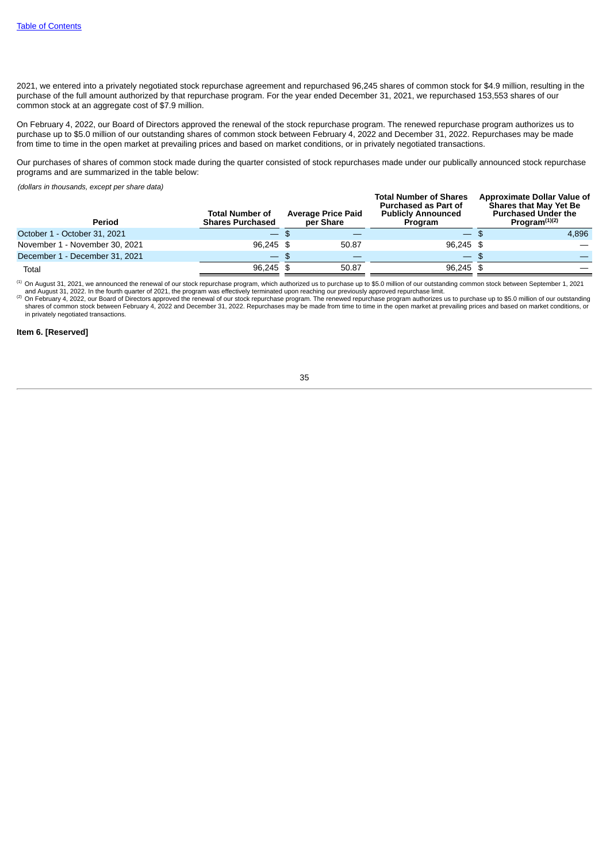2021, we entered into a privately negotiated stock repurchase agreement and repurchased 96,245 shares of common stock for \$4.9 million, resulting in the purchase of the full amount authorized by that repurchase program. For the year ended December 31, 2021, we repurchased 153,553 shares of our common stock at an aggregate cost of \$7.9 million.

On February 4, 2022, our Board of Directors approved the renewal of the stock repurchase program. The renewed repurchase program authorizes us to purchase up to \$5.0 million of our outstanding shares of common stock between February 4, 2022 and December 31, 2022. Repurchases may be made from time to time in the open market at prevailing prices and based on market conditions, or in privately negotiated transactions.

Our purchases of shares of common stock made during the quarter consisted of stock repurchases made under our publically announced stock repurchase programs and are summarized in the table below:

*(dollars in thousands, except per share data)*

| Period                         | <b>Total Number of</b><br><b>Shares Purchased</b> | <b>Average Price Paid</b><br>per Share | <b>Total Number of Shares</b><br><b>Purchased as Part of</b><br><b>Publicly Announced</b><br>Program | Approximate Dollar Value of<br><b>Shares that May Yet Be</b><br><b>Purchased Under the</b><br>Proaram <sup>(1)(2)</sup> |
|--------------------------------|---------------------------------------------------|----------------------------------------|------------------------------------------------------------------------------------------------------|-------------------------------------------------------------------------------------------------------------------------|
| October 1 - October 31, 2021   | $-$ \$                                            |                                        | $\hspace{0.1mm}-\hspace{0.1mm}$                                                                      | 4.896<br>- 35                                                                                                           |
| November 1 - November 30, 2021 | 96.245 \$                                         | 50.87                                  | 96,245 \$                                                                                            |                                                                                                                         |
| December 1 - December 31, 2021 | $-$ \$                                            |                                        | $-$ \$                                                                                               |                                                                                                                         |
| Total                          | 96.245 \$                                         | 50.87                                  | 96.245 \$                                                                                            |                                                                                                                         |
|                                |                                                   |                                        |                                                                                                      |                                                                                                                         |

On August 31, 2021, we announced the renewal of our stock repurchase program, which authorized us to purchase up to \$5.0 million of our outstanding common stock between September 1, 2021<br>and August 31, 2022. In the fourth (1)

shares of common stock between February 4, 2022 and December 31, 2022. Repurchases may be made from time to time in the open market at prevailing prices and based on market conditions, or<br>in privately negotiated transactio (2)

### <span id="page-34-1"></span><span id="page-34-0"></span>**Item 6. [Reserved]**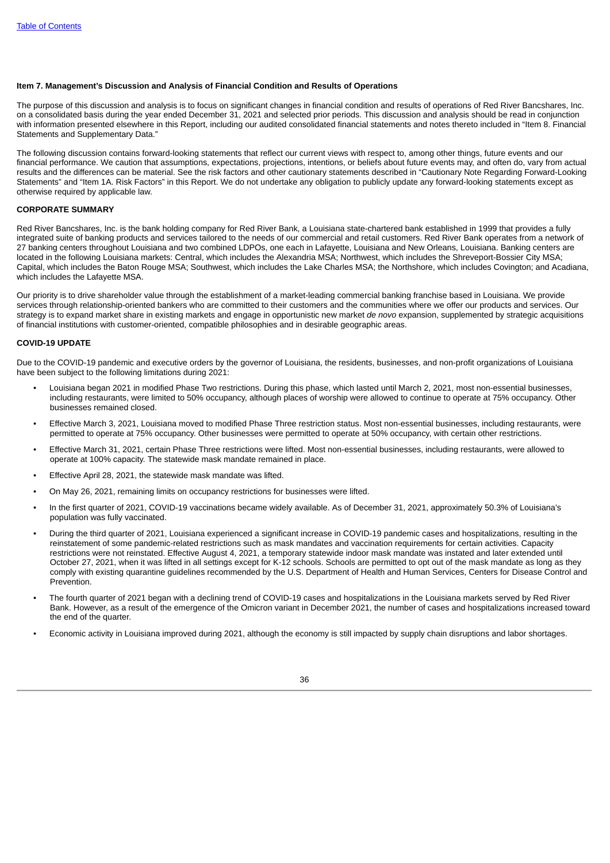### **Item 7. Management's Discussion and Analysis of Financial Condition and Results of Operations**

The purpose of this discussion and analysis is to focus on significant changes in financial condition and results of operations of Red River Bancshares, Inc. on a consolidated basis during the year ended December 31, 2021 and selected prior periods. This discussion and analysis should be read in conjunction with information presented elsewhere in this Report, including our audited consolidated financial statements and notes thereto included in "Item 8. Financial Statements and Supplementary Data."

The following discussion contains forward-looking statements that reflect our current views with respect to, among other things, future events and our financial performance. We caution that assumptions, expectations, projections, intentions, or beliefs about future events may, and often do, vary from actual results and the differences can be material. See the risk factors and other cautionary statements described in "Cautionary Note Regarding Forward-Looking Statements" and "Item 1A. Risk Factors" in this Report. We do not undertake any obligation to publicly update any forward-looking statements except as otherwise required by applicable law.

# **CORPORATE SUMMARY**

Red River Bancshares, Inc. is the bank holding company for Red River Bank, a Louisiana state-chartered bank established in 1999 that provides a fully integrated suite of banking products and services tailored to the needs of our commercial and retail customers. Red River Bank operates from a network of 27 banking centers throughout Louisiana and two combined LDPOs, one each in Lafayette, Louisiana and New Orleans, Louisiana, Banking centers are located in the following Louisiana markets: Central, which includes the Alexandria MSA; Northwest, which includes the Shreveport-Bossier City MSA; Capital, which includes the Baton Rouge MSA; Southwest, which includes the Lake Charles MSA; the Northshore, which includes Covington; and Acadiana, which includes the Lafayette MSA.

Our priority is to drive shareholder value through the establishment of a market-leading commercial banking franchise based in Louisiana. We provide services through relationship-oriented bankers who are committed to their customers and the communities where we offer our products and services. Our strategy is to expand market share in existing markets and engage in opportunistic new market *de novo* expansion, supplemented by strategic acquisitions of financial institutions with customer-oriented, compatible philosophies and in desirable geographic areas.

# **COVID-19 UPDATE**

Due to the COVID-19 pandemic and executive orders by the governor of Louisiana, the residents, businesses, and non-profit organizations of Louisiana have been subject to the following limitations during 2021:

- Louisiana began 2021 in modified Phase Two restrictions. During this phase, which lasted until March 2, 2021, most non-essential businesses, including restaurants, were limited to 50% occupancy, although places of worship were allowed to continue to operate at 75% occupancy. Other businesses remained closed.
- Effective March 3, 2021, Louisiana moved to modified Phase Three restriction status. Most non-essential businesses, including restaurants, were permitted to operate at 75% occupancy. Other businesses were permitted to operate at 50% occupancy, with certain other restrictions.
- Effective March 31, 2021, certain Phase Three restrictions were lifted. Most non-essential businesses, including restaurants, were allowed to operate at 100% capacity. The statewide mask mandate remained in place.
- Effective April 28, 2021, the statewide mask mandate was lifted.
- On May 26, 2021, remaining limits on occupancy restrictions for businesses were lifted.
- In the first quarter of 2021, COVID-19 vaccinations became widely available. As of December 31, 2021, approximately 50.3% of Louisiana's population was fully vaccinated.
- During the third quarter of 2021, Louisiana experienced a significant increase in COVID-19 pandemic cases and hospitalizations, resulting in the reinstatement of some pandemic-related restrictions such as mask mandates and vaccination requirements for certain activities. Capacity restrictions were not reinstated. Effective August 4, 2021, a temporary statewide indoor mask mandate was instated and later extended until October 27, 2021, when it was lifted in all settings except for K-12 schools. Schools are permitted to opt out of the mask mandate as long as they comply with existing quarantine guidelines recommended by the U.S. Department of Health and Human Services, Centers for Disease Control and Prevention.
- The fourth quarter of 2021 began with a declining trend of COVID-19 cases and hospitalizations in the Louisiana markets served by Red River Bank. However, as a result of the emergence of the Omicron variant in December 2021, the number of cases and hospitalizations increased toward the end of the quarter.
- Economic activity in Louisiana improved during 2021, although the economy is still impacted by supply chain disruptions and labor shortages.

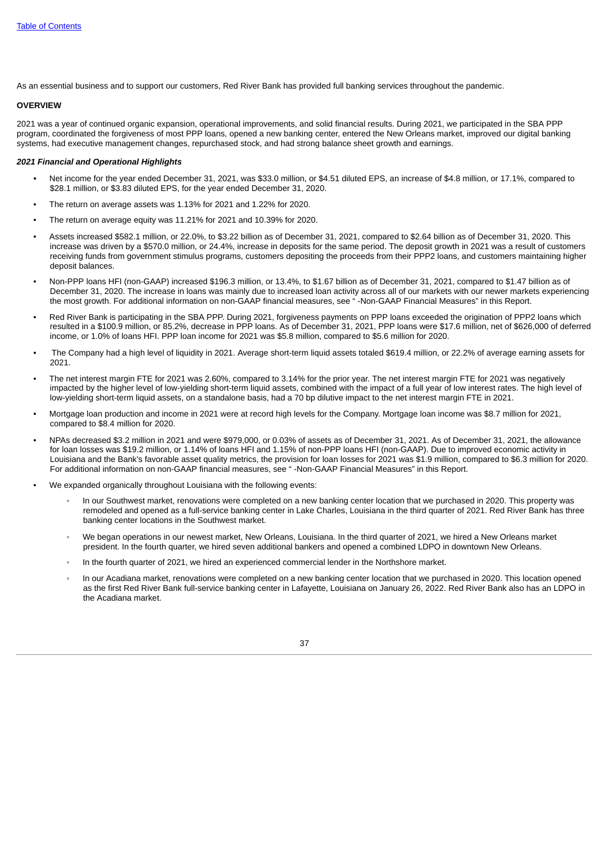As an essential business and to support our customers, Red River Bank has provided full banking services throughout the pandemic.

# **OVERVIEW**

2021 was a year of continued organic expansion, operational improvements, and solid financial results. During 2021, we participated in the SBA PPP program, coordinated the forgiveness of most PPP loans, opened a new banking center, entered the New Orleans market, improved our digital banking systems, had executive management changes, repurchased stock, and had strong balance sheet growth and earnings.

#### *2021 Financial and Operational Highlights*

- *•* Net income for the year ended December 31, 2021, was \$33.0 million, or \$4.51 diluted EPS, an increase of \$4.8 million, or 17.1%, compared to \$28.1 million, or \$3.83 diluted EPS, for the year ended December 31, 2020.
- The return on average assets was 1.13% for 2021 and 1.22% for 2020.
- The return on average equity was 11.21% for 2021 and 10.39% for 2020.
- Assets increased \$582.1 million, or 22.0%, to \$3.22 billion as of December 31, 2021, compared to \$2.64 billion as of December 31, 2020. This increase was driven by a \$570.0 million, or 24.4%, increase in deposits for the same period. The deposit growth in 2021 was a result of customers receiving funds from government stimulus programs, customers depositing the proceeds from their PPP2 loans, and customers maintaining higher deposit balances.
- Non-PPP loans HFI (non-GAAP) increased \$196.3 million, or 13.4%, to \$1.67 billion as of December 31, 2021, compared to \$1.47 billion as of December 31, 2020. The increase in loans was mainly due to increased loan activity across all of our markets with our newer markets experiencing the most growth. For additional information on non-GAAP financial measures, see " -Non-GAAP Financial Measures" in this Report.
- Red River Bank is participating in the SBA PPP. During 2021, forgiveness payments on PPP loans exceeded the origination of PPP2 loans which resulted in a \$100.9 million, or 85.2%, decrease in PPP loans. As of December 31, 2021, PPP loans were \$17.6 million, net of \$626,000 of deferred income, or 1.0% of loans HFI. PPP loan income for 2021 was \$5.8 million, compared to \$5.6 million for 2020.
- The Company had a high level of liquidity in 2021. Average short-term liquid assets totaled \$619.4 million, or 22.2% of average earning assets for 2021.
- The net interest margin FTE for 2021 was 2.60%, compared to 3.14% for the prior year. The net interest margin FTE for 2021 was negatively impacted by the higher level of low-yielding short-term liquid assets, combined with the impact of a full year of low interest rates. The high level of low-yielding short-term liquid assets, on a standalone basis, had a 70 bp dilutive impact to the net interest margin FTE in 2021.
- Mortgage loan production and income in 2021 were at record high levels for the Company. Mortgage loan income was \$8.7 million for 2021, compared to \$8.4 million for 2020.
- NPAs decreased \$3.2 million in 2021 and were \$979,000, or 0.03% of assets as of December 31, 2021. As of December 31, 2021, the allowance for loan losses was \$19.2 million, or 1.14% of loans HFI and 1.15% of non-PPP loans HFI (non-GAAP). Due to improved economic activity in Louisiana and the Bank's favorable asset quality metrics, the provision for loan losses for 2021 was \$1.9 million, compared to \$6.3 million for 2020. For additional information on non-GAAP financial measures, see " -Non-GAAP Financial Measures" in this Report.
- We expanded organically throughout Louisiana with the following events:
	- In our Southwest market, renovations were completed on a new banking center location that we purchased in 2020. This property was remodeled and opened as a full-service banking center in Lake Charles, Louisiana in the third quarter of 2021. Red River Bank has three banking center locations in the Southwest market.
	- We began operations in our newest market, New Orleans, Louisiana. In the third quarter of 2021, we hired a New Orleans market president. In the fourth quarter, we hired seven additional bankers and opened a combined LDPO in downtown New Orleans.
	- In the fourth quarter of 2021, we hired an experienced commercial lender in the Northshore market.
	- In our Acadiana market, renovations were completed on a new banking center location that we purchased in 2020. This location opened as the first Red River Bank full-service banking center in Lafayette, Louisiana on January 26, 2022. Red River Bank also has an LDPO in the Acadiana market.

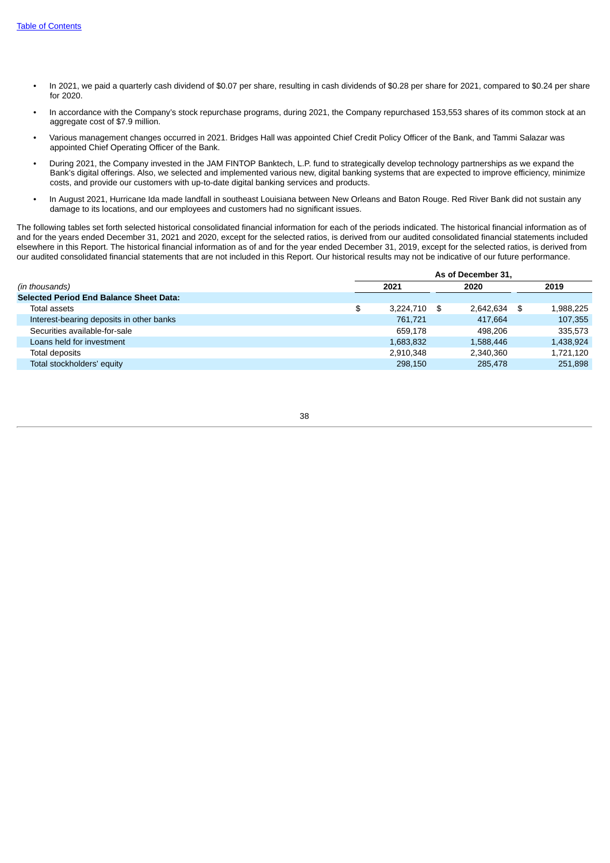- In 2021, we paid a quarterly cash dividend of \$0.07 per share, resulting in cash dividends of \$0.28 per share for 2021, compared to \$0.24 per share for 2020.
- In accordance with the Company's stock repurchase programs, during 2021, the Company repurchased 153,553 shares of its common stock at an aggregate cost of \$7.9 million.
- Various management changes occurred in 2021. Bridges Hall was appointed Chief Credit Policy Officer of the Bank, and Tammi Salazar was appointed Chief Operating Officer of the Bank.
- During 2021, the Company invested in the JAM FINTOP Banktech, L.P. fund to strategically develop technology partnerships as we expand the Bank's digital offerings. Also, we selected and implemented various new, digital banking systems that are expected to improve efficiency, minimize costs, and provide our customers with up-to-date digital banking services and products.
- In August 2021, Hurricane Ida made landfall in southeast Louisiana between New Orleans and Baton Rouge. Red River Bank did not sustain any damage to its locations, and our employees and customers had no significant issues.

The following tables set forth selected historical consolidated financial information for each of the periods indicated. The historical financial information as of and for the years ended December 31, 2021 and 2020, except for the selected ratios, is derived from our audited consolidated financial statements included elsewhere in this Report. The historical financial information as of and for the year ended December 31, 2019, except for the selected ratios, is derived from our audited consolidated financial statements that are not included in this Report. Our historical results may not be indicative of our future performance.

|    | 2021      | 2020           |                    | 2019      |
|----|-----------|----------------|--------------------|-----------|
|    |           |                |                    |           |
| \$ |           | 2.642.634      | \$                 | 1,988,225 |
|    | 761,721   | 417.664        |                    | 107,355   |
|    | 659.178   | 498.206        |                    | 335.573   |
|    | 1,683,832 | 1.588.446      |                    | 1,438,924 |
|    | 2,910,348 | 2.340.360      |                    | 1,721,120 |
|    | 298.150   | 285.478        |                    | 251,898   |
|    |           | $3.224.710$ \$ | As of December 31, |           |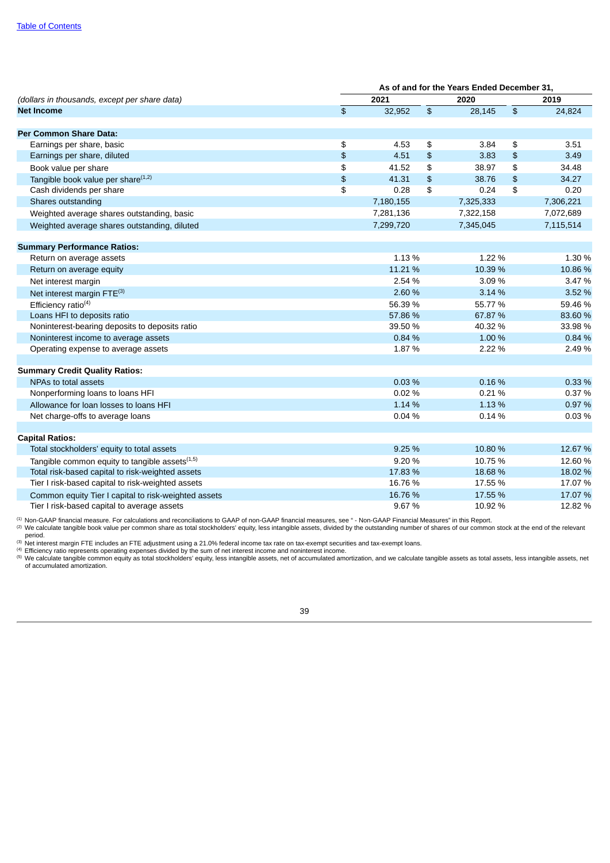|                                                            |                | As of and for the Years Ended December 31. |                |           |                |           |  |  |  |  |  |
|------------------------------------------------------------|----------------|--------------------------------------------|----------------|-----------|----------------|-----------|--|--|--|--|--|
| (dollars in thousands, except per share data)              |                | 2021                                       |                | 2020      |                | 2019      |  |  |  |  |  |
| <b>Net Income</b>                                          | $\mathfrak{S}$ | 32,952                                     | $\mathfrak{P}$ | 28,145    | $\mathfrak{P}$ | 24,824    |  |  |  |  |  |
| Per Common Share Data:                                     |                |                                            |                |           |                |           |  |  |  |  |  |
| Earnings per share, basic                                  | \$             | 4.53                                       | \$             | 3.84      | \$             | 3.51      |  |  |  |  |  |
| Earnings per share, diluted                                | $\spadesuit$   | 4.51                                       | \$             | 3.83      | \$             | 3.49      |  |  |  |  |  |
| Book value per share                                       | \$             | 41.52                                      | \$             | 38.97     | \$             | 34.48     |  |  |  |  |  |
| Tangible book value per share $(1,2)$                      | \$             | 41.31                                      | \$             | 38.76     | \$             | 34.27     |  |  |  |  |  |
| Cash dividends per share                                   | \$             | 0.28                                       | \$             | 0.24      | \$             | 0.20      |  |  |  |  |  |
| Shares outstanding                                         |                | 7,180,155                                  |                | 7,325,333 |                | 7,306,221 |  |  |  |  |  |
| Weighted average shares outstanding, basic                 |                | 7,281,136                                  |                | 7,322,158 |                | 7,072,689 |  |  |  |  |  |
| Weighted average shares outstanding, diluted               |                | 7,299,720                                  |                | 7,345,045 |                | 7,115,514 |  |  |  |  |  |
| <b>Summary Performance Ratios:</b>                         |                |                                            |                |           |                |           |  |  |  |  |  |
| Return on average assets                                   |                | 1.13 %                                     |                | 1.22 %    |                | 1.30 %    |  |  |  |  |  |
| Return on average equity                                   |                | 11.21 %                                    |                | 10.39 %   |                | 10.86 %   |  |  |  |  |  |
| Net interest margin                                        |                | 2.54 %                                     |                | 3.09 %    |                | 3.47 %    |  |  |  |  |  |
| Net interest margin $FTE^{(3)}$                            |                | 2.60 %                                     |                |           | 3.14 %         | 3.52 %    |  |  |  |  |  |
| Efficiency ratio $(4)$                                     |                | 56.39 %                                    |                | 55.77 %   |                | 59.46 %   |  |  |  |  |  |
| Loans HFI to deposits ratio                                |                | 57.86 %                                    |                | 67.87 %   |                | 83.60 %   |  |  |  |  |  |
| Noninterest-bearing deposits to deposits ratio             |                | 39.50 %                                    |                | 40.32 %   |                | 33.98 %   |  |  |  |  |  |
| Noninterest income to average assets                       |                | 0.84 %                                     |                | 1.00 %    |                | 0.84 %    |  |  |  |  |  |
| Operating expense to average assets                        |                | 1.87 %                                     |                | 2.22 %    |                | 2.49 %    |  |  |  |  |  |
|                                                            |                |                                            |                |           |                |           |  |  |  |  |  |
| <b>Summary Credit Quality Ratios:</b>                      |                |                                            |                |           |                |           |  |  |  |  |  |
| NPAs to total assets                                       |                | 0.03%                                      |                | 0.16%     |                | 0.33 %    |  |  |  |  |  |
| Nonperforming loans to loans HFI                           |                | 0.02%                                      |                | 0.21%     |                | 0.37 %    |  |  |  |  |  |
| Allowance for loan losses to loans HFI                     |                | 1.14 %                                     |                | 1.13%     |                | 0.97 %    |  |  |  |  |  |
| Net charge-offs to average loans                           |                | 0.04%                                      |                | 0.14%     |                | 0.03%     |  |  |  |  |  |
| <b>Capital Ratios:</b>                                     |                |                                            |                |           |                |           |  |  |  |  |  |
| Total stockholders' equity to total assets                 |                | 9.25 %                                     |                | 10.80 %   |                | 12.67 %   |  |  |  |  |  |
| Tangible common equity to tangible assets <sup>(1,5)</sup> |                | 9.20 %                                     |                | 10.75 %   |                | 12.60 %   |  |  |  |  |  |
| Total risk-based capital to risk-weighted assets           |                | 17.83 %                                    |                | 18.68 %   |                | 18.02 %   |  |  |  |  |  |
| Tier I risk-based capital to risk-weighted assets          |                | 16.76 %                                    |                | 17.55 %   |                | 17.07 %   |  |  |  |  |  |
| Common equity Tier I capital to risk-weighted assets       |                | 16.76 %                                    |                | 17.55 %   |                | 17.07 %   |  |  |  |  |  |
| Tier I risk-based capital to average assets                |                | 9.67%                                      |                | 10.92 %   |                | 12.82 %   |  |  |  |  |  |

(1) (2)

(3) (4) (5)

Non-GAAP financial measure. For calculations and reconciliations to GAAP of non-GAAP financial measures, see " - Non-GAAP Financial Measures" in this Report.<br>We calculate tangible book value per common share as total stock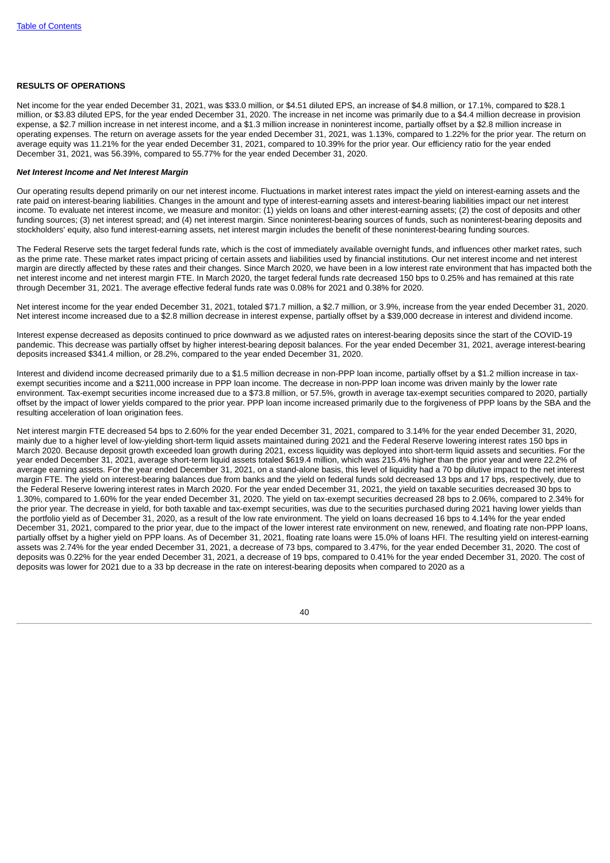### **RESULTS OF OPERATIONS**

Net income for the year ended December 31, 2021, was \$33.0 million, or \$4.51 diluted EPS, an increase of \$4.8 million, or 17.1%, compared to \$28.1 million, or \$3.83 diluted EPS, for the year ended December 31, 2020. The increase in net income was primarily due to a \$4.4 million decrease in provision expense, a \$2.7 million increase in net interest income, and a \$1.3 million increase in noninterest income, partially offset by a \$2.8 million increase in operating expenses. The return on average assets for the year ended December 31, 2021, was 1.13%, compared to 1.22% for the prior year. The return on average equity was 11.21% for the year ended December 31, 2021, compared to 10.39% for the prior year. Our efficiency ratio for the year ended December 31, 2021, was 56.39%, compared to 55.77% for the year ended December 31, 2020.

# *Net Interest Income and Net Interest Margin*

Our operating results depend primarily on our net interest income. Fluctuations in market interest rates impact the yield on interest-earning assets and the rate paid on interest-bearing liabilities. Changes in the amount and type of interest-earning assets and interest-bearing liabilities impact our net interest income. To evaluate net interest income, we measure and monitor: (1) yields on loans and other interest-earning assets; (2) the cost of deposits and other funding sources; (3) net interest spread; and (4) net interest margin. Since noninterest-bearing sources of funds, such as noninterest-bearing deposits and stockholders' equity, also fund interest-earning assets, net interest margin includes the benefit of these noninterest-bearing funding sources.

The Federal Reserve sets the target federal funds rate, which is the cost of immediately available overnight funds, and influences other market rates, such as the prime rate. These market rates impact pricing of certain assets and liabilities used by financial institutions. Our net interest income and net interest margin are directly affected by these rates and their changes. Since March 2020, we have been in a low interest rate environment that has impacted both the net interest income and net interest margin FTE. In March 2020, the target federal funds rate decreased 150 bps to 0.25% and has remained at this rate through December 31, 2021. The average effective federal funds rate was 0.08% for 2021 and 0.38% for 2020.

Net interest income for the year ended December 31, 2021, totaled \$71.7 million, a \$2.7 million, or 3.9%, increase from the year ended December 31, 2020. Net interest income increased due to a \$2.8 million decrease in interest expense, partially offset by a \$39,000 decrease in interest and dividend income.

Interest expense decreased as deposits continued to price downward as we adjusted rates on interest-bearing deposits since the start of the COVID-19 pandemic. This decrease was partially offset by higher interest-bearing deposit balances. For the year ended December 31, 2021, average interest-bearing deposits increased \$341.4 million, or 28.2%, compared to the year ended December 31, 2020.

Interest and dividend income decreased primarily due to a \$1.5 million decrease in non-PPP loan income, partially offset by a \$1.2 million increase in taxexempt securities income and a \$211,000 increase in PPP loan income. The decrease in non-PPP loan income was driven mainly by the lower rate environment. Tax-exempt securities income increased due to a \$73.8 million, or 57.5%, growth in average tax-exempt securities compared to 2020, partially offset by the impact of lower yields compared to the prior year. PPP loan income increased primarily due to the forgiveness of PPP loans by the SBA and the resulting acceleration of loan origination fees.

Net interest margin FTE decreased 54 bps to 2.60% for the year ended December 31, 2021, compared to 3.14% for the year ended December 31, 2020, mainly due to a higher level of low-yielding short-term liquid assets maintained during 2021 and the Federal Reserve lowering interest rates 150 bps in March 2020. Because deposit growth exceeded loan growth during 2021, excess liquidity was deployed into short-term liquid assets and securities. For the year ended December 31, 2021, average short-term liquid assets totaled \$619.4 million, which was 215.4% higher than the prior year and were 22.2% of average earning assets. For the year ended December 31, 2021, on a stand-alone basis, this level of liquidity had a 70 bp dilutive impact to the net interest margin FTE. The yield on interest-bearing balances due from banks and the yield on federal funds sold decreased 13 bps and 17 bps, respectively, due to the Federal Reserve lowering interest rates in March 2020. For the year ended December 31, 2021, the yield on taxable securities decreased 30 bps to 1.30%, compared to 1.60% for the year ended December 31, 2020. The yield on tax-exempt securities decreased 28 bps to 2.06%, compared to 2.34% for the prior year. The decrease in yield, for both taxable and tax-exempt securities, was due to the securities purchased during 2021 having lower yields than the portfolio yield as of December 31, 2020, as a result of the low rate environment. The yield on loans decreased 16 bps to 4.14% for the year ended December 31, 2021, compared to the prior year, due to the impact of the lower interest rate environment on new, renewed, and floating rate non-PPP loans, partially offset by a higher yield on PPP loans. As of December 31, 2021, floating rate loans were 15.0% of loans HFI. The resulting yield on interest-earning assets was 2.74% for the year ended December 31, 2021, a decrease of 73 bps, compared to 3.47%, for the year ended December 31, 2020. The cost of deposits was 0.22% for the year ended December 31, 2021, a decrease of 19 bps, compared to 0.41% for the year ended December 31, 2020. The cost of deposits was lower for 2021 due to a 33 bp decrease in the rate on interest-bearing deposits when compared to 2020 as a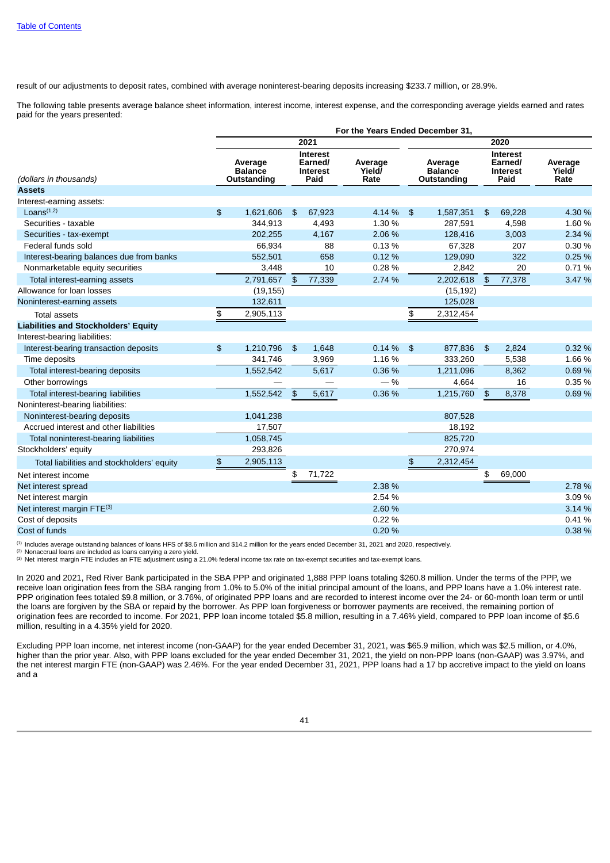result of our adjustments to deposit rates, combined with average noninterest-bearing deposits increasing \$233.7 million, or 28.9%.

The following table presents average balance sheet information, interest income, interest expense, and the corresponding average yields earned and rates paid for the years presented:

|                                             | For the Years Ended December 31, |                                          |               |                                                       |                           |                |                                          |               |                                                       |                           |  |
|---------------------------------------------|----------------------------------|------------------------------------------|---------------|-------------------------------------------------------|---------------------------|----------------|------------------------------------------|---------------|-------------------------------------------------------|---------------------------|--|
|                                             |                                  |                                          |               | 2021                                                  |                           |                |                                          |               | 2020                                                  |                           |  |
| (dollars in thousands)                      |                                  | Average<br><b>Balance</b><br>Outstanding |               | <b>Interest</b><br>Earned/<br><b>Interest</b><br>Paid | Average<br>Yieldl<br>Rate |                | Average<br><b>Balance</b><br>Outstanding |               | <b>Interest</b><br>Earned/<br><b>Interest</b><br>Paid | Average<br>Yield/<br>Rate |  |
| <b>Assets</b>                               |                                  |                                          |               |                                                       |                           |                |                                          |               |                                                       |                           |  |
| Interest-earning assets:                    |                                  |                                          |               |                                                       |                           |                |                                          |               |                                                       |                           |  |
| Loans <sup>(1,2)</sup>                      | \$                               | 1,621,606                                | $\frac{3}{2}$ | 67,923                                                | 4.14 %                    | \$             | 1,587,351                                | \$            | 69.228                                                | 4.30 %                    |  |
| Securities - taxable                        |                                  | 344,913                                  |               | 4,493                                                 | 1.30 %                    |                | 287,591                                  |               | 4,598                                                 | 1.60 %                    |  |
| Securities - tax-exempt                     |                                  | 202,255                                  |               | 4,167                                                 | 2.06 %                    |                | 128,416                                  |               | 3,003                                                 | 2.34 %                    |  |
| Federal funds sold                          |                                  | 66,934                                   |               | 88                                                    | 0.13%                     |                | 67,328                                   |               | 207                                                   | 0.30 %                    |  |
| Interest-bearing balances due from banks    |                                  | 552,501                                  |               | 658                                                   | 0.12%                     |                | 129,090                                  |               | 322                                                   | 0.25%                     |  |
| Nonmarketable equity securities             |                                  | 3,448                                    |               | 10                                                    | 0.28%                     |                | 2,842                                    |               | 20                                                    | 0.71%                     |  |
| Total interest-earning assets               |                                  | 2,791,657                                | \$            | 77,339                                                | 2.74 %                    |                | 2,202,618                                | $\frac{1}{2}$ | 77,378                                                | 3.47 %                    |  |
| Allowance for loan losses                   |                                  | (19, 155)                                |               |                                                       |                           |                | (15, 192)                                |               |                                                       |                           |  |
| Noninterest-earning assets                  |                                  | 132,611                                  |               |                                                       |                           |                | 125,028                                  |               |                                                       |                           |  |
| <b>Total assets</b>                         | \$                               | 2,905,113                                |               |                                                       |                           | \$             | 2,312,454                                |               |                                                       |                           |  |
| <b>Liabilities and Stockholders' Equity</b> |                                  |                                          |               |                                                       |                           |                |                                          |               |                                                       |                           |  |
| Interest-bearing liabilities:               |                                  |                                          |               |                                                       |                           |                |                                          |               |                                                       |                           |  |
| Interest-bearing transaction deposits       | $\frac{2}{3}$                    | 1,210,796                                | $\frac{3}{2}$ | 1,648                                                 | 0.14%                     | $\mathfrak{S}$ | 877,836                                  | $\frac{3}{2}$ | 2,824                                                 | 0.32 %                    |  |
| Time deposits                               |                                  | 341,746                                  |               | 3,969                                                 | 1.16%                     |                | 333,260                                  |               | 5,538                                                 | 1.66 %                    |  |
| Total interest-bearing deposits             |                                  | 1,552,542                                |               | 5,617                                                 | 0.36 %                    |                | 1,211,096                                |               | 8,362                                                 | 0.69%                     |  |
| Other borrowings                            |                                  |                                          |               |                                                       | $-$ %                     |                | 4,664                                    |               | 16                                                    | 0.35 %                    |  |
| Total interest-bearing liabilities          |                                  | 1,552,542                                | \$            | 5,617                                                 | 0.36 %                    |                | 1,215,760                                | \$            | 8,378                                                 | 0.69%                     |  |
| Noninterest-bearing liabilities:            |                                  |                                          |               |                                                       |                           |                |                                          |               |                                                       |                           |  |
| Noninterest-bearing deposits                |                                  | 1,041,238                                |               |                                                       |                           |                | 807,528                                  |               |                                                       |                           |  |
| Accrued interest and other liabilities      |                                  | 17,507                                   |               |                                                       |                           |                | 18,192                                   |               |                                                       |                           |  |
| Total noninterest-bearing liabilities       |                                  | 1,058,745                                |               |                                                       |                           |                | 825,720                                  |               |                                                       |                           |  |
| Stockholders' equity                        |                                  | 293,826                                  |               |                                                       |                           |                | 270,974                                  |               |                                                       |                           |  |
| Total liabilities and stockholders' equity  | \$                               | 2,905,113                                |               |                                                       |                           | \$             | 2,312,454                                |               |                                                       |                           |  |
| Net interest income                         |                                  |                                          | \$            | 71,722                                                |                           |                |                                          | \$            | 69,000                                                |                           |  |
| Net interest spread                         |                                  |                                          |               |                                                       | 2.38 %                    |                |                                          |               |                                                       | 2.78 %                    |  |
| Net interest margin                         |                                  |                                          |               |                                                       | 2.54 %                    |                |                                          |               |                                                       | 3.09 %                    |  |
| Net interest margin FTE(3)                  |                                  |                                          |               |                                                       | 2.60 %                    |                |                                          |               |                                                       | 3.14 %                    |  |
| Cost of deposits                            |                                  |                                          |               |                                                       | 0.22%                     |                |                                          |               |                                                       | 0.41%                     |  |
| Cost of funds                               |                                  |                                          |               |                                                       | 0.20%                     |                |                                          |               |                                                       | 0.38 %                    |  |

 $^{(1)}$  Includes average outstanding balances of loans HFS of \$8.6 million and \$14.2 million for the years ended December 31, 2021 and 2020, respectively.

<sup>(2)</sup> Nonaccrual loans are included as loans carrying a zero yield.<br><sup>(3)</sup> Net interest margin FTE includes an FTE adjustment using a 21.0% federal income tax rate on tax-exempt securities and tax-exempt loans.

In 2020 and 2021, Red River Bank participated in the SBA PPP and originated 1,888 PPP loans totaling \$260.8 million. Under the terms of the PPP, we receive loan origination fees from the SBA ranging from 1.0% to 5.0% of the initial principal amount of the loans, and PPP loans have a 1.0% interest rate. PPP origination fees totaled \$9.8 million, or 3.76%, of originated PPP loans and are recorded to interest income over the 24- or 60-month loan term or until the loans are forgiven by the SBA or repaid by the borrower. As PPP loan forgiveness or borrower payments are received, the remaining portion of origination fees are recorded to income. For 2021, PPP loan income totaled \$5.8 million, resulting in a 7.46% yield, compared to PPP loan income of \$5.6 million, resulting in a 4.35% yield for 2020.

Excluding PPP loan income, net interest income (non-GAAP) for the year ended December 31, 2021, was \$65.9 million, which was \$2.5 million, or 4.0%, higher than the prior year. Also, with PPP loans excluded for the year ended December 31, 2021, the yield on non-PPP loans (non-GAAP) was 3.97%, and the net interest margin FTE (non-GAAP) was 2.46%. For the year ended December 31, 2021, PPP loans had a 17 bp accretive impact to the yield on loans and a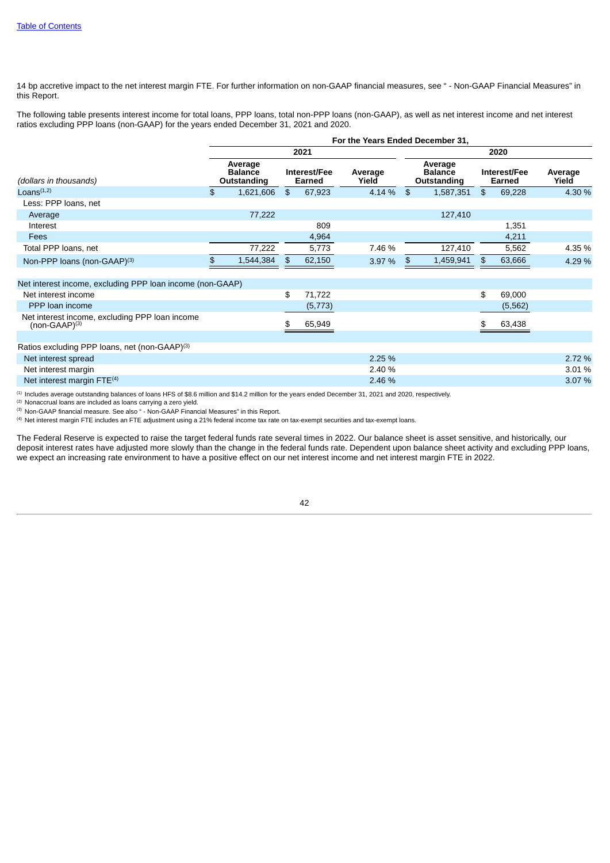14 bp accretive impact to the net interest margin FTE. For further information on non-GAAP financial measures, see " - Non-GAAP Financial Measures" in this Report.

The following table presents interest income for total loans, PPP loans, total non-PPP loans (non-GAAP), as well as net interest income and net interest ratios excluding PPP loans (non-GAAP) for the years ended December 31, 2021 and 2020.

|                                                                      | For the Years Ended December 31. |                                          |    |                               |                  |    |                                          |    |                               |                  |  |  |
|----------------------------------------------------------------------|----------------------------------|------------------------------------------|----|-------------------------------|------------------|----|------------------------------------------|----|-------------------------------|------------------|--|--|
|                                                                      |                                  |                                          |    | 2021                          |                  |    |                                          |    | 2020                          |                  |  |  |
| (dollars in thousands)                                               |                                  | Average<br><b>Balance</b><br>Outstanding |    | Interest/Fee<br><b>Earned</b> | Average<br>Yield |    | Average<br><b>Balance</b><br>Outstanding |    | Interest/Fee<br><b>Earned</b> | Average<br>Yield |  |  |
| Loans $(1,2)$                                                        | \$                               | 1,621,606                                | \$ | 67,923                        | 4.14 %           | \$ | 1,587,351                                | \$ | 69,228                        | 4.30 %           |  |  |
| Less: PPP loans, net                                                 |                                  |                                          |    |                               |                  |    |                                          |    |                               |                  |  |  |
| Average                                                              |                                  | 77,222                                   |    |                               |                  |    | 127,410                                  |    |                               |                  |  |  |
| Interest                                                             |                                  |                                          |    | 809                           |                  |    |                                          |    | 1,351                         |                  |  |  |
| Fees                                                                 |                                  |                                          |    | 4,964                         |                  |    |                                          |    | 4,211                         |                  |  |  |
| Total PPP loans, net                                                 |                                  | 77,222                                   |    | 5,773                         | 7.46 %           |    | 127,410                                  |    | 5,562                         | 4.35 %           |  |  |
| Non-PPP loans (non-GAAP) <sup>(3)</sup>                              |                                  | 1,544,384                                | \$ | 62,150                        | 3.97 %           | \$ | 1,459,941                                | \$ | 63,666                        | 4.29 %           |  |  |
| Net interest income, excluding PPP loan income (non-GAAP)            |                                  |                                          |    |                               |                  |    |                                          |    |                               |                  |  |  |
| Net interest income                                                  |                                  |                                          | \$ | 71,722                        |                  |    |                                          | \$ | 69,000                        |                  |  |  |
| PPP loan income                                                      |                                  |                                          |    | (5, 773)                      |                  |    |                                          |    | (5, 562)                      |                  |  |  |
| Net interest income, excluding PPP loan income<br>$(non-GAAP)^{(3)}$ |                                  |                                          | \$ | 65,949                        |                  |    |                                          | \$ | 63,438                        |                  |  |  |
| Ratios excluding PPP loans, net (non-GAAP) <sup>(3)</sup>            |                                  |                                          |    |                               |                  |    |                                          |    |                               |                  |  |  |
| Net interest spread                                                  |                                  |                                          |    |                               | 2.25 %           |    |                                          |    |                               | 2.72 %           |  |  |
| Net interest margin                                                  |                                  |                                          |    |                               | 2.40 %           |    |                                          |    |                               | 3.01 %           |  |  |
| Net interest margin $FTE(4)$                                         |                                  |                                          |    |                               | 2.46 %           |    |                                          |    |                               | 3.07 %           |  |  |
|                                                                      |                                  |                                          |    |                               |                  |    |                                          |    |                               |                  |  |  |

 $^{(1)}$  Includes average outstanding balances of loans HFS of \$8.6 million and \$14.2 million for the years ended December 31, 2021 and 2020, respectively.

<sup>(2)</sup> Nonaccrual loans are included as loans carrying a zero yield.

 $(3)$  Non-GAAP financial measure. See also  $4$  - Non-GAAP Financial Measures" in this Report.

 $^{(4)}$  Net interest margin FTE includes an FTE adjustment using a 21% federal income tax rate on tax-exempt securities and tax-exempt loans.

The Federal Reserve is expected to raise the target federal funds rate several times in 2022. Our balance sheet is asset sensitive, and historically, our deposit interest rates have adjusted more slowly than the change in the federal funds rate. Dependent upon balance sheet activity and excluding PPP loans, we expect an increasing rate environment to have a positive effect on our net interest income and net interest margin FTE in 2022.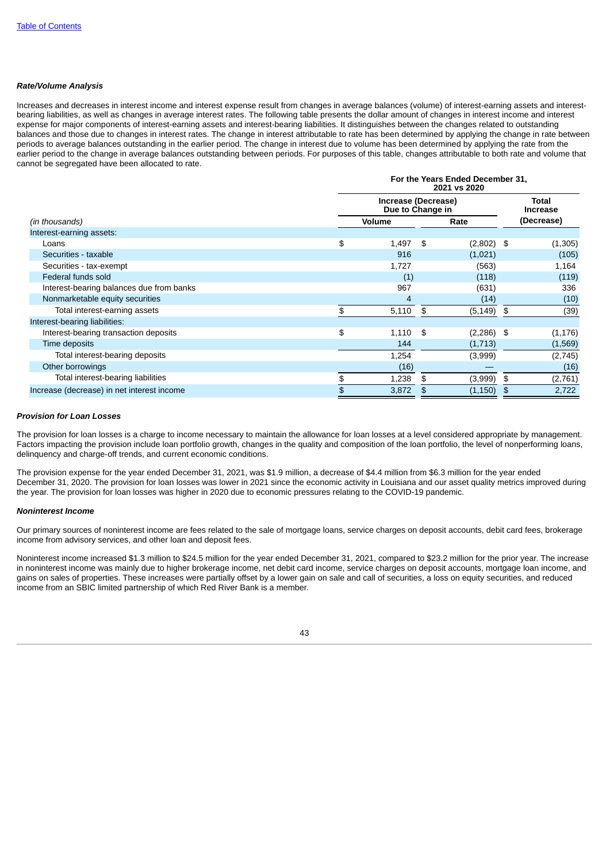# *Rate/Volume Analysis*

Increases and decreases in interest income and interest expense result from changes in average balances (volume) of interest-earning assets and interestbearing liabilities, as well as changes in average interest rates. The following table presents the dollar amount of changes in interest income and interest expense for major components of interest-earning assets and interest-bearing liabilities. It distinguishes between the changes related to outstanding balances and those due to changes in interest rates. The change in interest attributable to rate has been determined by applying the change in rate between periods to average balances outstanding in the earlier period. The change in interest due to volume has been determined by applying the rate from the earlier period to the change in average balances outstanding between periods. For purposes of this table, changes attributable to both rate and volume that cannot be segregated have been allocated to rate.

|                                            | For the Years Ended December 31,<br>2021 vs 2020 |               |                                 |              |    |            |  |  |  |  |
|--------------------------------------------|--------------------------------------------------|---------------|---------------------------------|--------------|----|------------|--|--|--|--|
|                                            |                                                  |               | <b>Total</b><br><b>Increase</b> |              |    |            |  |  |  |  |
| (in thousands)                             |                                                  | <b>Volume</b> |                                 | Rate         |    | (Decrease) |  |  |  |  |
| Interest-earning assets:                   |                                                  |               |                                 |              |    |            |  |  |  |  |
| Loans                                      | \$                                               | 1,497         | \$                              | $(2,802)$ \$ |    | (1,305)    |  |  |  |  |
| Securities - taxable                       |                                                  | 916           |                                 | (1,021)      |    | (105)      |  |  |  |  |
| Securities - tax-exempt                    |                                                  | 1,727         |                                 | (563)        |    | 1,164      |  |  |  |  |
| Federal funds sold                         |                                                  | (1)           |                                 | (118)        |    | (119)      |  |  |  |  |
| Interest-bearing balances due from banks   |                                                  | 967           |                                 | (631)        |    | 336        |  |  |  |  |
| Nonmarketable equity securities            |                                                  | 4             |                                 | (14)         |    | (10)       |  |  |  |  |
| Total interest-earning assets              | \$                                               | 5,110         | -\$                             | $(5,149)$ \$ |    | (39)       |  |  |  |  |
| Interest-bearing liabilities:              |                                                  |               |                                 |              |    |            |  |  |  |  |
| Interest-bearing transaction deposits      | \$                                               | 1,110         | - \$                            | $(2,286)$ \$ |    | (1, 176)   |  |  |  |  |
| Time deposits                              |                                                  | 144           |                                 | (1,713)      |    | (1, 569)   |  |  |  |  |
| Total interest-bearing deposits            |                                                  | 1,254         |                                 | (3,999)      |    | (2,745)    |  |  |  |  |
| Other borrowings                           |                                                  | (16)          |                                 |              |    | (16)       |  |  |  |  |
| Total interest-bearing liabilities         | \$                                               | 1,238         | \$                              | (3,999)      | \$ | (2,761)    |  |  |  |  |
| Increase (decrease) in net interest income | \$                                               | 3,872         | \$                              | (1, 150)     | \$ | 2,722      |  |  |  |  |
|                                            |                                                  |               |                                 |              |    |            |  |  |  |  |

### *Provision for Loan Losses*

The provision for loan losses is a charge to income necessary to maintain the allowance for loan losses at a level considered appropriate by management. Factors impacting the provision include loan portfolio growth, changes in the quality and composition of the loan portfolio, the level of nonperforming loans, delinquency and charge-off trends, and current economic conditions.

The provision expense for the year ended December 31, 2021, was \$1.9 million, a decrease of \$4.4 million from \$6.3 million for the year ended December 31, 2020. The provision for loan losses was lower in 2021 since the economic activity in Louisiana and our asset quality metrics improved during the year. The provision for loan losses was higher in 2020 due to economic pressures relating to the COVID-19 pandemic.

#### *Noninterest Income*

Our primary sources of noninterest income are fees related to the sale of mortgage loans, service charges on deposit accounts, debit card fees, brokerage income from advisory services, and other loan and deposit fees.

Noninterest income increased \$1.3 million to \$24.5 million for the year ended December 31, 2021, compared to \$23.2 million for the prior year. The increase in noninterest income was mainly due to higher brokerage income, net debit card income, service charges on deposit accounts, mortgage loan income, and gains on sales of properties. These increases were partially offset by a lower gain on sale and call of securities, a loss on equity securities, and reduced income from an SBIC limited partnership of which Red River Bank is a member.

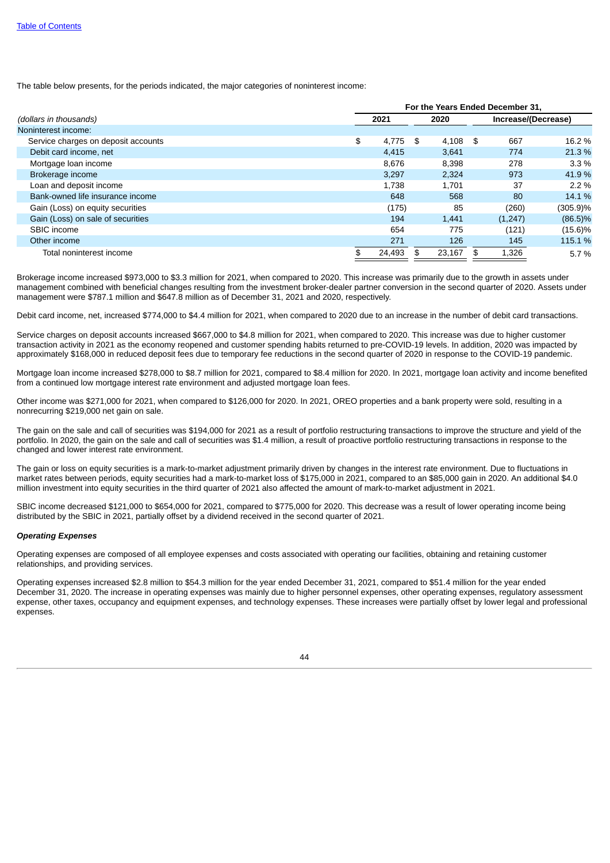The table below presents, for the periods indicated, the major categories of noninterest income:

|                                     | For the Years Ended December 31, |        |      |        |    |         |                     |  |
|-------------------------------------|----------------------------------|--------|------|--------|----|---------|---------------------|--|
| (dollars in thousands)              |                                  | 2021   |      | 2020   |    |         | Increase/(Decrease) |  |
| Noninterest income:                 |                                  |        |      |        |    |         |                     |  |
| Service charges on deposit accounts | \$                               | 4.775  | - \$ | 4.108  | \$ | 667     | 16.2 %              |  |
| Debit card income, net              |                                  | 4,415  |      | 3,641  |    | 774     | 21.3%               |  |
| Mortgage loan income                |                                  | 8.676  |      | 8.398  |    | 278     | 3.3%                |  |
| Brokerage income                    |                                  | 3.297  |      | 2.324  |    | 973     | 41.9%               |  |
| Loan and deposit income             |                                  | 1.738  |      | 1.701  |    | 37      | $2.2\%$             |  |
| Bank-owned life insurance income    |                                  | 648    |      | 568    |    | 80      | 14.1 %              |  |
| Gain (Loss) on equity securities    |                                  | (175)  |      | 85     |    | (260)   | $(305.9)\%$         |  |
| Gain (Loss) on sale of securities   |                                  | 194    |      | 1,441  |    | (1,247) | $(86.5)\%$          |  |
| <b>SBIC</b> income                  |                                  | 654    |      | 775    |    | (121)   | $(15.6)\%$          |  |
| Other income                        |                                  | 271    |      | 126    |    | 145     | 115.1 %             |  |
| Total noninterest income            |                                  | 24,493 | \$   | 23,167 | \$ | 1,326   | 5.7 %               |  |

Brokerage income increased \$973,000 to \$3.3 million for 2021, when compared to 2020. This increase was primarily due to the growth in assets under management combined with beneficial changes resulting from the investment broker-dealer partner conversion in the second quarter of 2020. Assets under management were \$787.1 million and \$647.8 million as of December 31, 2021 and 2020, respectively.

Debit card income, net, increased \$774,000 to \$4.4 million for 2021, when compared to 2020 due to an increase in the number of debit card transactions.

Service charges on deposit accounts increased \$667,000 to \$4.8 million for 2021, when compared to 2020. This increase was due to higher customer transaction activity in 2021 as the economy reopened and customer spending habits returned to pre-COVID-19 levels. In addition, 2020 was impacted by approximately \$168,000 in reduced deposit fees due to temporary fee reductions in the second quarter of 2020 in response to the COVID-19 pandemic.

Mortgage loan income increased \$278,000 to \$8.7 million for 2021, compared to \$8.4 million for 2020. In 2021, mortgage loan activity and income benefited from a continued low mortgage interest rate environment and adjusted mortgage loan fees.

Other income was \$271,000 for 2021, when compared to \$126,000 for 2020. In 2021, OREO properties and a bank property were sold, resulting in a nonrecurring \$219,000 net gain on sale.

The gain on the sale and call of securities was \$194,000 for 2021 as a result of portfolio restructuring transactions to improve the structure and yield of the portfolio. In 2020, the gain on the sale and call of securities was \$1.4 million, a result of proactive portfolio restructuring transactions in response to the changed and lower interest rate environment.

The gain or loss on equity securities is a mark-to-market adjustment primarily driven by changes in the interest rate environment. Due to fluctuations in market rates between periods, equity securities had a mark-to-market loss of \$175,000 in 2021, compared to an \$85,000 gain in 2020. An additional \$4.0 million investment into equity securities in the third quarter of 2021 also affected the amount of mark-to-market adjustment in 2021.

SBIC income decreased \$121,000 to \$654,000 for 2021, compared to \$775,000 for 2020. This decrease was a result of lower operating income being distributed by the SBIC in 2021, partially offset by a dividend received in the second quarter of 2021.

# *Operating Expenses*

Operating expenses are composed of all employee expenses and costs associated with operating our facilities, obtaining and retaining customer relationships, and providing services.

Operating expenses increased \$2.8 million to \$54.3 million for the year ended December 31, 2021, compared to \$51.4 million for the year ended December 31, 2020. The increase in operating expenses was mainly due to higher personnel expenses, other operating expenses, regulatory assessment expense, other taxes, occupancy and equipment expenses, and technology expenses. These increases were partially offset by lower legal and professional expenses.

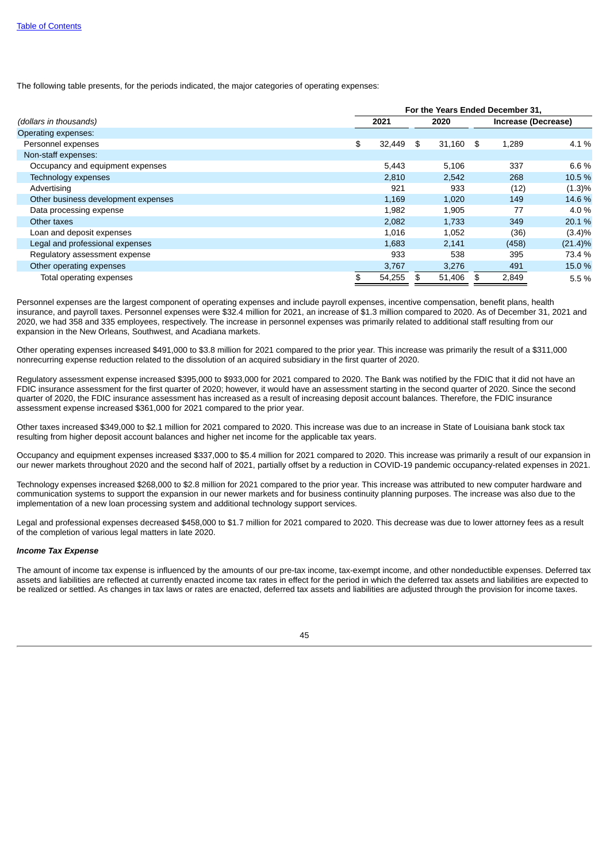The following table presents, for the periods indicated, the major categories of operating expenses:

|                                     | For the Years Ended December 31, |        |    |        |    |                     |            |  |
|-------------------------------------|----------------------------------|--------|----|--------|----|---------------------|------------|--|
| (dollars in thousands)              |                                  | 2021   |    | 2020   |    | Increase (Decrease) |            |  |
| Operating expenses:                 |                                  |        |    |        |    |                     |            |  |
| Personnel expenses                  | \$                               | 32,449 | \$ | 31,160 | \$ | 1,289               | 4.1 %      |  |
| Non-staff expenses:                 |                                  |        |    |        |    |                     |            |  |
| Occupancy and equipment expenses    |                                  | 5,443  |    | 5,106  |    | 337                 | $6.6\%$    |  |
| Technology expenses                 |                                  | 2,810  |    | 2,542  |    | 268                 | 10.5 %     |  |
| Advertising                         |                                  | 921    |    | 933    |    | (12)                | (1.3)%     |  |
| Other business development expenses |                                  | 1,169  |    | 1,020  |    | 149                 | 14.6 %     |  |
| Data processing expense             |                                  | 1,982  |    | 1,905  |    | 77                  | 4.0%       |  |
| Other taxes                         |                                  | 2,082  |    | 1,733  |    | 349                 | 20.1%      |  |
| Loan and deposit expenses           |                                  | 1,016  |    | 1,052  |    | (36)                | (3.4)%     |  |
| Legal and professional expenses     |                                  | 1,683  |    | 2,141  |    | (458)               | $(21.4)\%$ |  |
| Regulatory assessment expense       |                                  | 933    |    | 538    |    | 395                 | 73.4 %     |  |
| Other operating expenses            |                                  | 3,767  |    | 3,276  |    | 491                 | 15.0 %     |  |
| Total operating expenses            | \$                               | 54,255 |    | 51.406 | \$ | 2,849               | 5.5 %      |  |

Personnel expenses are the largest component of operating expenses and include payroll expenses, incentive compensation, benefit plans, health insurance, and payroll taxes. Personnel expenses were \$32.4 million for 2021, an increase of \$1.3 million compared to 2020. As of December 31, 2021 and 2020, we had 358 and 335 employees, respectively. The increase in personnel expenses was primarily related to additional staff resulting from our expansion in the New Orleans, Southwest, and Acadiana markets.

Other operating expenses increased \$491,000 to \$3.8 million for 2021 compared to the prior year. This increase was primarily the result of a \$311,000 nonrecurring expense reduction related to the dissolution of an acquired subsidiary in the first quarter of 2020.

Regulatory assessment expense increased \$395,000 to \$933,000 for 2021 compared to 2020. The Bank was notified by the FDIC that it did not have an FDIC insurance assessment for the first quarter of 2020; however, it would have an assessment starting in the second quarter of 2020. Since the second quarter of 2020, the FDIC insurance assessment has increased as a result of increasing deposit account balances. Therefore, the FDIC insurance assessment expense increased \$361,000 for 2021 compared to the prior year.

Other taxes increased \$349,000 to \$2.1 million for 2021 compared to 2020. This increase was due to an increase in State of Louisiana bank stock tax resulting from higher deposit account balances and higher net income for the applicable tax years.

Occupancy and equipment expenses increased \$337,000 to \$5.4 million for 2021 compared to 2020. This increase was primarily a result of our expansion in our newer markets throughout 2020 and the second half of 2021, partially offset by a reduction in COVID-19 pandemic occupancy-related expenses in 2021.

Technology expenses increased \$268,000 to \$2.8 million for 2021 compared to the prior year. This increase was attributed to new computer hardware and communication systems to support the expansion in our newer markets and for business continuity planning purposes. The increase was also due to the implementation of a new loan processing system and additional technology support services.

Legal and professional expenses decreased \$458,000 to \$1.7 million for 2021 compared to 2020. This decrease was due to lower attorney fees as a result of the completion of various legal matters in late 2020.

#### *Income Tax Expense*

The amount of income tax expense is influenced by the amounts of our pre-tax income, tax-exempt income, and other nondeductible expenses. Deferred tax assets and liabilities are reflected at currently enacted income tax rates in effect for the period in which the deferred tax assets and liabilities are expected to be realized or settled. As changes in tax laws or rates are enacted, deferred tax assets and liabilities are adjusted through the provision for income taxes.

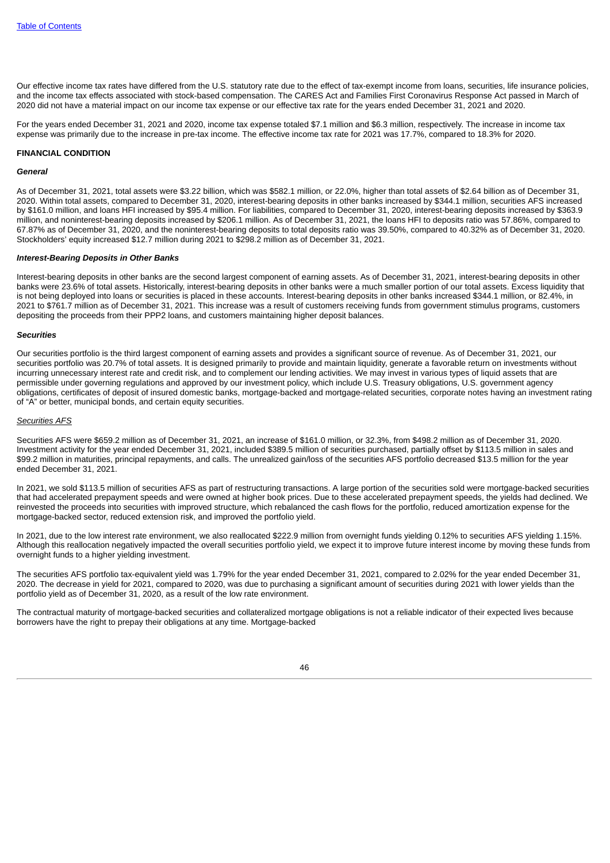Our effective income tax rates have differed from the U.S. statutory rate due to the effect of tax-exempt income from loans, securities, life insurance policies, and the income tax effects associated with stock-based compensation. The CARES Act and Families First Coronavirus Response Act passed in March of 2020 did not have a material impact on our income tax expense or our effective tax rate for the years ended December 31, 2021 and 2020.

For the years ended December 31, 2021 and 2020, income tax expense totaled \$7.1 million and \$6.3 million, respectively. The increase in income tax expense was primarily due to the increase in pre-tax income. The effective income tax rate for 2021 was 17.7%, compared to 18.3% for 2020.

### **FINANCIAL CONDITION**

#### *General*

As of December 31, 2021, total assets were \$3.22 billion, which was \$582.1 million, or 22.0%, higher than total assets of \$2.64 billion as of December 31, 2020. Within total assets, compared to December 31, 2020, interest-bearing deposits in other banks increased by \$344.1 million, securities AFS increased by \$161.0 million, and loans HFI increased by \$95.4 million. For liabilities, compared to December 31, 2020, interest-bearing deposits increased by \$363.9 million, and noninterest-bearing deposits increased by \$206.1 million. As of December 31, 2021, the loans HFI to deposits ratio was 57.86%, compared to 67.87% as of December 31, 2020, and the noninterest-bearing deposits to total deposits ratio was 39.50%, compared to 40.32% as of December 31, 2020. Stockholders' equity increased \$12.7 million during 2021 to \$298.2 million as of December 31, 2021.

#### *Interest-Bearing Deposits in Other Banks*

Interest-bearing deposits in other banks are the second largest component of earning assets. As of December 31, 2021, interest-bearing deposits in other banks were 23.6% of total assets. Historically, interest-bearing deposits in other banks were a much smaller portion of our total assets. Excess liquidity that is not being deployed into loans or securities is placed in these accounts. Interest-bearing deposits in other banks increased \$344.1 million, or 82.4%, in 2021 to \$761.7 million as of December 31, 2021. This increase was a result of customers receiving funds from government stimulus programs, customers depositing the proceeds from their PPP2 loans, and customers maintaining higher deposit balances.

#### *Securities*

Our securities portfolio is the third largest component of earning assets and provides a significant source of revenue. As of December 31, 2021, our securities portfolio was 20.7% of total assets. It is designed primarily to provide and maintain liquidity, generate a favorable return on investments without incurring unnecessary interest rate and credit risk, and to complement our lending activities. We may invest in various types of liquid assets that are permissible under governing regulations and approved by our investment policy, which include U.S. Treasury obligations, U.S. government agency obligations, certificates of deposit of insured domestic banks, mortgage-backed and mortgage-related securities, corporate notes having an investment rating of "A" or better, municipal bonds, and certain equity securities.

# *Securities AFS*

Securities AFS were \$659.2 million as of December 31, 2021, an increase of \$161.0 million, or 32.3%, from \$498.2 million as of December 31, 2020. Investment activity for the year ended December 31, 2021, included \$389.5 million of securities purchased, partially offset by \$113.5 million in sales and \$99.2 million in maturities, principal repayments, and calls. The unrealized gain/loss of the securities AFS portfolio decreased \$13.5 million for the year ended December 31, 2021.

In 2021, we sold \$113.5 million of securities AFS as part of restructuring transactions. A large portion of the securities sold were mortgage-backed securities that had accelerated prepayment speeds and were owned at higher book prices. Due to these accelerated prepayment speeds, the yields had declined. We reinvested the proceeds into securities with improved structure, which rebalanced the cash flows for the portfolio, reduced amortization expense for the mortgage-backed sector, reduced extension risk, and improved the portfolio yield.

In 2021, due to the low interest rate environment, we also reallocated \$222.9 million from overnight funds yielding 0.12% to securities AFS yielding 1.15%. Although this reallocation negatively impacted the overall securities portfolio yield, we expect it to improve future interest income by moving these funds from overnight funds to a higher yielding investment.

The securities AFS portfolio tax-equivalent yield was 1.79% for the year ended December 31, 2021, compared to 2.02% for the year ended December 31, 2020. The decrease in yield for 2021, compared to 2020, was due to purchasing a significant amount of securities during 2021 with lower yields than the portfolio yield as of December 31, 2020, as a result of the low rate environment.

The contractual maturity of mortgage-backed securities and collateralized mortgage obligations is not a reliable indicator of their expected lives because borrowers have the right to prepay their obligations at any time. Mortgage-backed

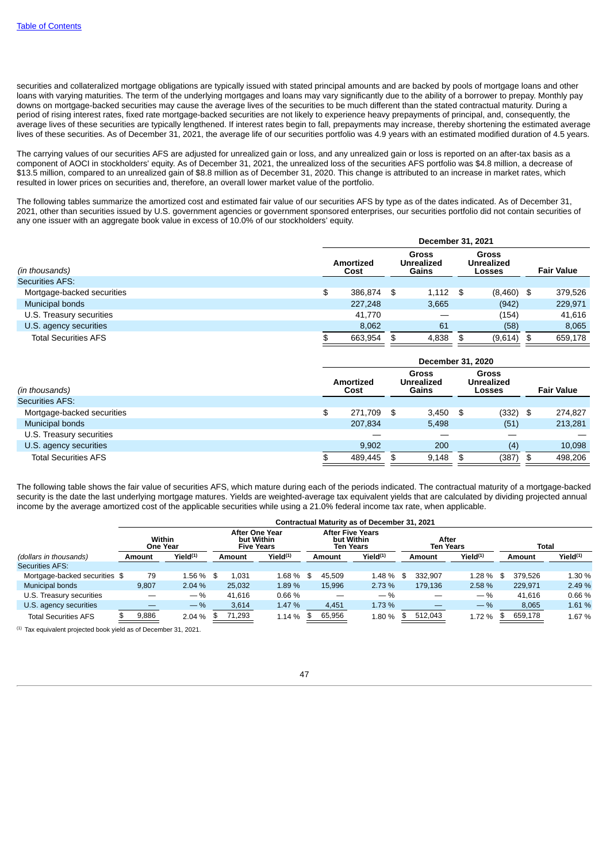securities and collateralized mortgage obligations are typically issued with stated principal amounts and are backed by pools of mortgage loans and other loans with varying maturities. The term of the underlying mortgages and loans may vary significantly due to the ability of a borrower to prepay. Monthly pay downs on mortgage-backed securities may cause the average lives of the securities to be much different than the stated contractual maturity. During a period of rising interest rates, fixed rate mortgage-backed securities are not likely to experience heavy prepayments of principal, and, consequently, the average lives of these securities are typically lengthened. If interest rates begin to fall, prepayments may increase, thereby shortening the estimated average lives of these securities. As of December 31, 2021, the average life of our securities portfolio was 4.9 years with an estimated modified duration of 4.5 years.

The carrying values of our securities AFS are adjusted for unrealized gain or loss, and any unrealized gain or loss is reported on an after-tax basis as a component of AOCI in stockholders' equity. As of December 31, 2021, the unrealized loss of the securities AFS portfolio was \$4.8 million, a decrease of \$13.5 million, compared to an unrealized gain of \$8.8 million as of December 31, 2020. This change is attributed to an increase in market rates, which resulted in lower prices on securities and, therefore, an overall lower market value of the portfolio.

The following tables summarize the amortized cost and estimated fair value of our securities AFS by type as of the dates indicated. As of December 31, 2021, other than securities issued by U.S. government agencies or government sponsored enterprises, our securities portfolio did not contain securities of any one issuer with an aggregate book value in excess of 10.0% of our stockholders' equity.

|                             |    | December 31, 2021 |                              |  |                                      |                   |
|-----------------------------|----|-------------------|------------------------------|--|--------------------------------------|-------------------|
| (in thousands)              |    | Amortized<br>Cost | Gross<br>Unrealized<br>Gains |  | <b>Gross</b><br>Unrealized<br>Losses | <b>Fair Value</b> |
| Securities AFS:             |    |                   |                              |  |                                      |                   |
| Mortgage-backed securities  | \$ | 386.874           | \$<br>$1.112$ \$             |  | $(8,460)$ \$                         | 379.526           |
| <b>Municipal bonds</b>      |    | 227,248           | 3,665                        |  | (942)                                | 229,971           |
| U.S. Treasury securities    |    | 41,770            |                              |  | (154)                                | 41,616            |
| U.S. agency securities      |    | 8.062             | 61                           |  | (58)                                 | 8,065             |
| <b>Total Securities AFS</b> |    | 663,954           | \$<br>4,838                  |  | $(9,614)$ \$                         | 659,178           |

|                             |                   |                              |                                             | December 31, 2020 |                   |  |  |  |  |  |  |  |  |  |  |  |
|-----------------------------|-------------------|------------------------------|---------------------------------------------|-------------------|-------------------|--|--|--|--|--|--|--|--|--|--|--|
| (in thousands)              | Amortized<br>Cost | Gross<br>Unrealized<br>Gains | <b>Gross</b><br><b>Unrealized</b><br>Losses |                   | <b>Fair Value</b> |  |  |  |  |  |  |  |  |  |  |  |
| Securities AFS:             |                   |                              |                                             |                   |                   |  |  |  |  |  |  |  |  |  |  |  |
| Mortgage-backed securities  | \$<br>271.709     | \$<br>$3,450$ \$             | $(332)$ \$                                  |                   | 274,827           |  |  |  |  |  |  |  |  |  |  |  |
| <b>Municipal bonds</b>      | 207,834           | 5.498                        | (51)                                        |                   | 213,281           |  |  |  |  |  |  |  |  |  |  |  |
| U.S. Treasury securities    |                   |                              |                                             |                   |                   |  |  |  |  |  |  |  |  |  |  |  |
| U.S. agency securities      | 9.902             | 200                          | (4)                                         |                   | 10,098            |  |  |  |  |  |  |  |  |  |  |  |
| <b>Total Securities AFS</b> | 489,445           | \$<br>9,148                  | (387)                                       |                   | 498.206           |  |  |  |  |  |  |  |  |  |  |  |

The following table shows the fair value of securities AFS, which mature during each of the periods indicated. The contractual maturity of a mortgage-backed security is the date the last underlying mortgage matures. Yields are weighted-average tax equivalent yields that are calculated by dividing projected annual income by the average amortized cost of the applicable securities while using a 21.0% federal income tax rate, when applicable.

|                               |        |                           |        |                                                          |        | Contractual Maturity as of December 31, 2021       |         |                           |   |              |               |
|-------------------------------|--------|---------------------------|--------|----------------------------------------------------------|--------|----------------------------------------------------|---------|---------------------------|---|--------------|---------------|
|                               |        | Within<br><b>One Year</b> |        | <b>After One Year</b><br>but Within<br><b>Five Years</b> |        | <b>After Five Years</b><br>but Within<br>Ten Years |         | After<br><b>Ten Years</b> |   | <b>Total</b> |               |
| (dollars in thousands)        | Amount | $Yield^{(1)}$             | Amount | $Yield^{(1)}$                                            | Amount | Yield <sup>(1)</sup>                               | Amount  | $Yield^{(1)}$             |   | Amount       | $Yield^{(1)}$ |
| Securities AFS:               |        |                           |        |                                                          |        |                                                    |         |                           |   |              |               |
| Mortgage-backed securities \$ | 79     | 1.56 % \$                 |        | 1.031<br>1.68%                                           | 45.509 | 1.48 %                                             | 332.907 | 1.28 %                    | S | 379.526      | 1.30 %        |
| Municipal bonds               | 9.807  | 2.04 %                    |        | 1.89 %<br>25.032                                         | 15.996 | 2.73 %                                             | 179.136 | 2.58 %                    |   | 229,971      | 2.49 %        |
| U.S. Treasury securities      |        | $-$ %                     |        | 0.66%<br>41.616                                          |        | $-$ %                                              |         | $-$ %                     |   | 41.616       | 0.66%         |
| U.S. agency securities        |        | $-$ %                     |        | 1.47 %<br>3,614                                          | 4,451  | 1.73 %                                             |         | $-$ %                     |   | 8,065        | 1.61%         |
| <b>Total Securities AFS</b>   | 9,886  | 2.04 %                    |        | 71,293<br>1.14 %                                         | 65,956 | 1.80 %                                             | 512,043 | 1.72 %                    | S | 659,178      | 1.67 %        |

 $(1)$  Tax equivalent projected book yield as of December 31, 2021.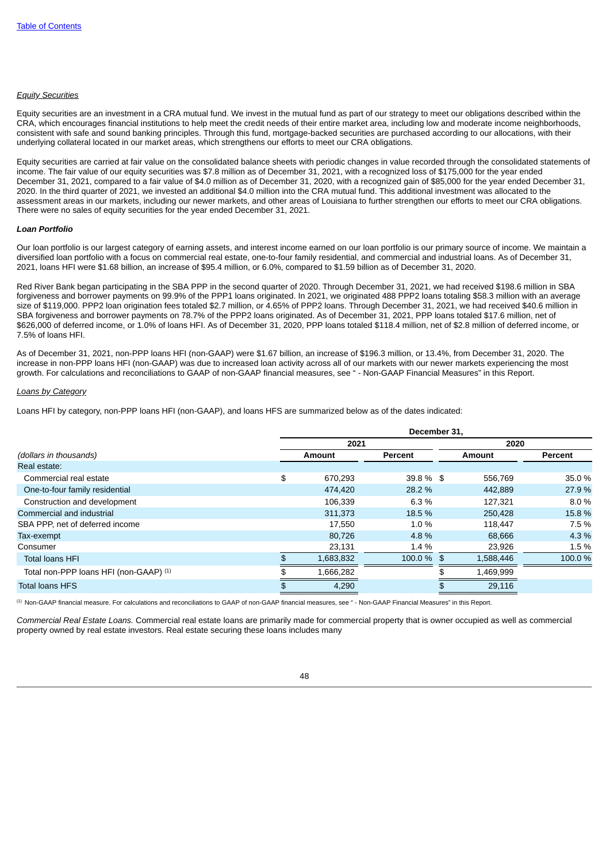# *Equity Securities*

Equity securities are an investment in a CRA mutual fund. We invest in the mutual fund as part of our strategy to meet our obligations described within the CRA, which encourages financial institutions to help meet the credit needs of their entire market area, including low and moderate income neighborhoods, consistent with safe and sound banking principles. Through this fund, mortgage-backed securities are purchased according to our allocations, with their underlying collateral located in our market areas, which strengthens our efforts to meet our CRA obligations.

Equity securities are carried at fair value on the consolidated balance sheets with periodic changes in value recorded through the consolidated statements of income. The fair value of our equity securities was \$7.8 million as of December 31, 2021, with a recognized loss of \$175,000 for the year ended December 31, 2021, compared to a fair value of \$4.0 million as of December 31, 2020, with a recognized gain of \$85,000 for the year ended December 31, 2020. In the third quarter of 2021, we invested an additional \$4.0 million into the CRA mutual fund. This additional investment was allocated to the assessment areas in our markets, including our newer markets, and other areas of Louisiana to further strengthen our efforts to meet our CRA obligations. There were no sales of equity securities for the year ended December 31, 2021.

#### *Loan Portfolio*

Our loan portfolio is our largest category of earning assets, and interest income earned on our loan portfolio is our primary source of income. We maintain a diversified loan portfolio with a focus on commercial real estate, one-to-four family residential, and commercial and industrial loans. As of December 31, 2021, loans HFI were \$1.68 billion, an increase of \$95.4 million, or 6.0%, compared to \$1.59 billion as of December 31, 2020.

Red River Bank began participating in the SBA PPP in the second quarter of 2020. Through December 31, 2021, we had received \$198.6 million in SBA forgiveness and borrower payments on 99.9% of the PPP1 loans originated. In 2021, we originated 488 PPP2 loans totaling \$58.3 million with an average size of \$119,000. PPP2 loan origination fees totaled \$2.7 million, or 4.65% of PPP2 loans. Through December 31, 2021, we had received \$40.6 million in SBA forgiveness and borrower payments on 78.7% of the PPP2 loans originated. As of December 31, 2021, PPP loans totaled \$17.6 million, net of \$626,000 of deferred income, or 1.0% of loans HFI. As of December 31, 2020, PPP loans totaled \$118.4 million, net of \$2.8 million of deferred income, or 7.5% of loans HFI.

As of December 31, 2021, non-PPP loans HFI (non-GAAP) were \$1.67 billion, an increase of \$196.3 million, or 13.4%, from December 31, 2020. The increase in non-PPP loans HFI (non-GAAP) was due to increased loan activity across all of our markets with our newer markets experiencing the most growth. For calculations and reconciliations to GAAP of non-GAAP financial measures, see " - Non-GAAP Financial Measures" in this Report.

#### *Loans by Category*

Loans HFI by category, non-PPP loans HFI (non-GAAP), and loans HFS are summarized below as of the dates indicated:

|                                        | December 31,  |            |  |           |         |  |  |  |  |  |  |  |
|----------------------------------------|---------------|------------|--|-----------|---------|--|--|--|--|--|--|--|
|                                        | 2021<br>2020  |            |  |           |         |  |  |  |  |  |  |  |
| (dollars in thousands)                 | Amount        | Percent    |  | Amount    | Percent |  |  |  |  |  |  |  |
| Real estate:                           |               |            |  |           |         |  |  |  |  |  |  |  |
| Commercial real estate                 | \$<br>670,293 | 39.8 % \$  |  | 556,769   | 35.0 %  |  |  |  |  |  |  |  |
| One-to-four family residential         | 474,420       | 28.2 %     |  | 442.889   | 27.9 %  |  |  |  |  |  |  |  |
| Construction and development           | 106,339       | 6.3%       |  | 127,321   | 8.0%    |  |  |  |  |  |  |  |
| Commercial and industrial              | 311,373       | 18.5 %     |  | 250,428   | 15.8 %  |  |  |  |  |  |  |  |
| SBA PPP, net of deferred income        | 17,550        | 1.0%       |  | 118,447   | 7.5 %   |  |  |  |  |  |  |  |
| Tax-exempt                             | 80.726        | 4.8%       |  | 68.666    | 4.3 %   |  |  |  |  |  |  |  |
| Consumer                               | 23,131        | 1.4 %      |  | 23,926    | 1.5 %   |  |  |  |  |  |  |  |
| <b>Total loans HFI</b>                 | 1,683,832     | 100.0 % \$ |  | 1,588,446 | 100.0%  |  |  |  |  |  |  |  |
| Total non-PPP loans HFI (non-GAAP) (1) | 1,666,282     |            |  | 1,469,999 |         |  |  |  |  |  |  |  |
| <b>Total loans HFS</b>                 | 4,290         |            |  | 29,116    |         |  |  |  |  |  |  |  |
|                                        |               |            |  |           |         |  |  |  |  |  |  |  |

 $^{\text{\tiny{(1)}}}$  Non-GAAP financial measure. For calculations and reconciliations to GAAP of non-GAAP financial measures, see " - Non-GAAP Financial Measures" in this Report.

*Commercial Real Estate Loans.* Commercial real estate loans are primarily made for commercial property that is owner occupied as well as commercial property owned by real estate investors. Real estate securing these loans includes many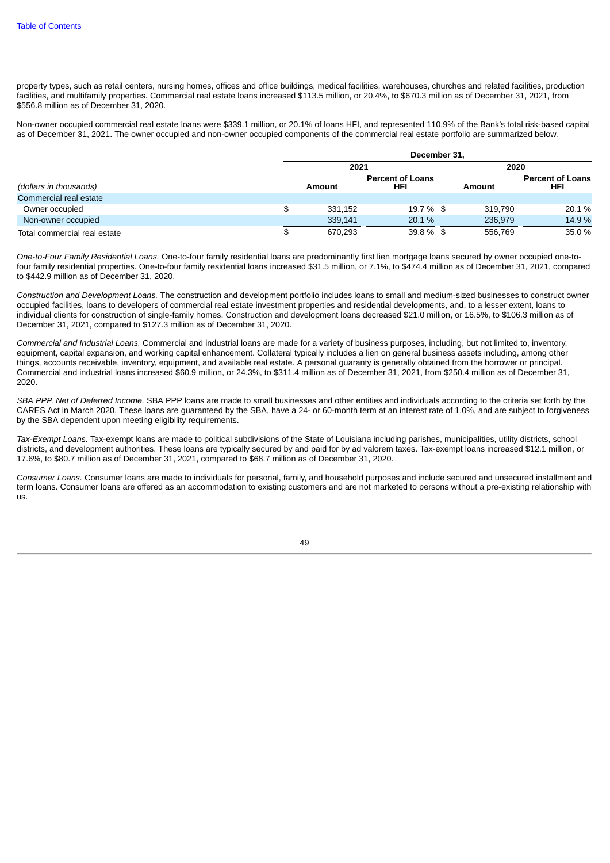property types, such as retail centers, nursing homes, offices and office buildings, medical facilities, warehouses, churches and related facilities, production facilities, and multifamily properties. Commercial real estate loans increased \$113.5 million, or 20.4%, to \$670.3 million as of December 31, 2021, from \$556.8 million as of December 31, 2020.

Non-owner occupied commercial real estate loans were \$339.1 million, or 20.1% of loans HFI, and represented 110.9% of the Bank's total risk-based capital as of December 31, 2021. The owner occupied and non-owner occupied components of the commercial real estate portfolio are summarized below.

|                              |    |         | December 31.                   |         |                                |  |  |
|------------------------------|----|---------|--------------------------------|---------|--------------------------------|--|--|
|                              |    | 2021    |                                | 2020    |                                |  |  |
| (dollars in thousands)       |    | Amount  | <b>Percent of Loans</b><br>HFI | Amount  | <b>Percent of Loans</b><br>HFI |  |  |
| Commercial real estate       |    |         |                                |         |                                |  |  |
| Owner occupied               | £. | 331.152 | 19.7 % \$                      | 319.790 | 20.1 %                         |  |  |
| Non-owner occupied           |    | 339.141 | 20.1 %                         | 236.979 | 14.9 %                         |  |  |
| Total commercial real estate |    | 670.293 | $39.8\%$ \$                    | 556.769 | 35.0 %                         |  |  |

*One-to-Four Family Residential Loans.* One-to-four family residential loans are predominantly first lien mortgage loans secured by owner occupied one-tofour family residential properties. One-to-four family residential loans increased \$31.5 million, or 7.1%, to \$474.4 million as of December 31, 2021, compared to \$442.9 million as of December 31, 2020.

*Construction and Development Loans.* The construction and development portfolio includes loans to small and medium-sized businesses to construct owner occupied facilities, loans to developers of commercial real estate investment properties and residential developments, and, to a lesser extent, loans to individual clients for construction of single-family homes. Construction and development loans decreased \$21.0 million, or 16.5%, to \$106.3 million as of December 31, 2021, compared to \$127.3 million as of December 31, 2020.

*Commercial and Industrial Loans.* Commercial and industrial loans are made for a variety of business purposes, including, but not limited to, inventory, equipment, capital expansion, and working capital enhancement. Collateral typically includes a lien on general business assets including, among other things, accounts receivable, inventory, equipment, and available real estate. A personal guaranty is generally obtained from the borrower or principal. Commercial and industrial loans increased \$60.9 million, or 24.3%, to \$311.4 million as of December 31, 2021, from \$250.4 million as of December 31, 2020.

*SBA PPP, Net of Deferred Income.* SBA PPP loans are made to small businesses and other entities and individuals according to the criteria set forth by the CARES Act in March 2020. These loans are guaranteed by the SBA, have a 24- or 60-month term at an interest rate of 1.0%, and are subject to forgiveness by the SBA dependent upon meeting eligibility requirements.

*Tax-Exempt Loans.* Tax-exempt loans are made to political subdivisions of the State of Louisiana including parishes, municipalities, utility districts, school districts, and development authorities. These loans are typically secured by and paid for by ad valorem taxes. Tax-exempt loans increased \$12.1 million, or 17.6%, to \$80.7 million as of December 31, 2021, compared to \$68.7 million as of December 31, 2020.

*Consumer Loans.* Consumer loans are made to individuals for personal, family, and household purposes and include secured and unsecured installment and term loans. Consumer loans are offered as an accommodation to existing customers and are not marketed to persons without a pre-existing relationship with us.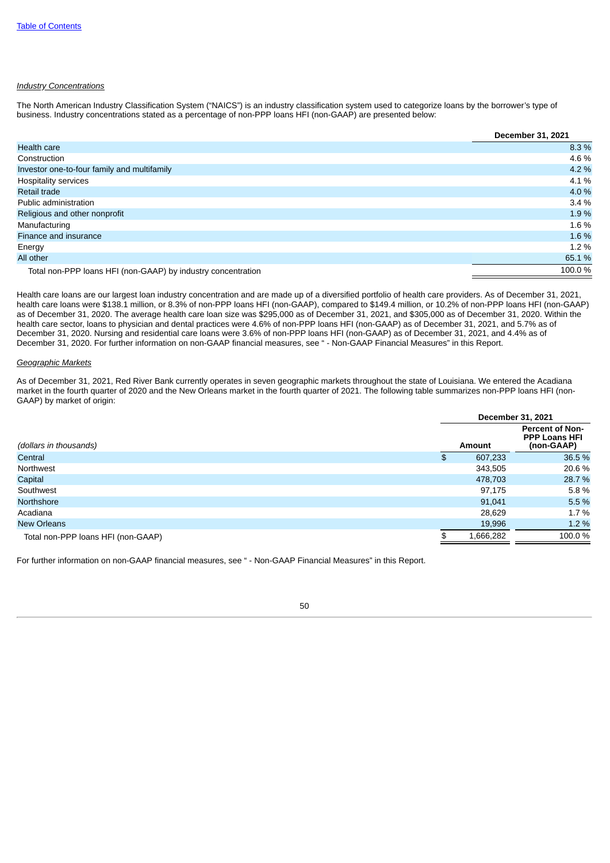# *Industry Concentrations*

The North American Industry Classification System ("NAICS") is an industry classification system used to categorize loans by the borrower's type of business. Industry concentrations stated as a percentage of non-PPP loans HFI (non-GAAP) are presented below:

|                                                              | December 31, 2021 |
|--------------------------------------------------------------|-------------------|
| <b>Health care</b>                                           | 8.3 %             |
| Construction                                                 | 4.6 %             |
| Investor one-to-four family and multifamily                  | 4.2 %             |
| <b>Hospitality services</b>                                  | 4.1%              |
| Retail trade                                                 | 4.0 %             |
| Public administration                                        | 3.4%              |
| Religious and other nonprofit                                | 1.9%              |
| Manufacturing                                                | 1.6 %             |
| Finance and insurance                                        | 1.6 %             |
| Energy                                                       | $1.2\%$           |
| All other                                                    | 65.1%             |
| Total non-PPP loans HFI (non-GAAP) by industry concentration | 100.0%            |

Health care loans are our largest loan industry concentration and are made up of a diversified portfolio of health care providers. As of December 31, 2021, health care loans were \$138.1 million, or 8.3% of non-PPP loans HFI (non-GAAP), compared to \$149.4 million, or 10.2% of non-PPP loans HFI (non-GAAP) as of December 31, 2020. The average health care loan size was \$295,000 as of December 31, 2021, and \$305,000 as of December 31, 2020. Within the health care sector, loans to physician and dental practices were 4.6% of non-PPP loans HFI (non-GAAP) as of December 31, 2021, and 5.7% as of December 31, 2020. Nursing and residential care loans were 3.6% of non-PPP loans HFI (non-GAAP) as of December 31, 2021, and 4.4% as of December 31, 2020. For further information on non-GAAP financial measures, see " - Non-GAAP Financial Measures" in this Report.

# *Geographic Markets*

As of December 31, 2021, Red River Bank currently operates in seven geographic markets throughout the state of Louisiana. We entered the Acadiana market in the fourth quarter of 2020 and the New Orleans market in the fourth quarter of 2021. The following table summarizes non-PPP loans HFI (non-GAAP) by market of origin:

|                                    | December 31, 2021 |                                                              |  |  |
|------------------------------------|-------------------|--------------------------------------------------------------|--|--|
| (dollars in thousands)             | Amount            | <b>Percent of Non-</b><br><b>PPP Loans HFI</b><br>(non-GAAP) |  |  |
| Central                            | \$<br>607,233     | 36.5 %                                                       |  |  |
| Northwest                          | 343,505           | 20.6 %                                                       |  |  |
| Capital                            | 478,703           | 28.7 %                                                       |  |  |
| Southwest                          | 97,175            | 5.8%                                                         |  |  |
| Northshore                         | 91,041            | 5.5 %                                                        |  |  |
| Acadiana                           | 28.629            | 1.7 %                                                        |  |  |
| <b>New Orleans</b>                 | 19,996            | 1.2%                                                         |  |  |
| Total non-PPP loans HFI (non-GAAP) | 1,666,282         | 100.0%                                                       |  |  |

For further information on non-GAAP financial measures, see " - Non-GAAP Financial Measures" in this Report.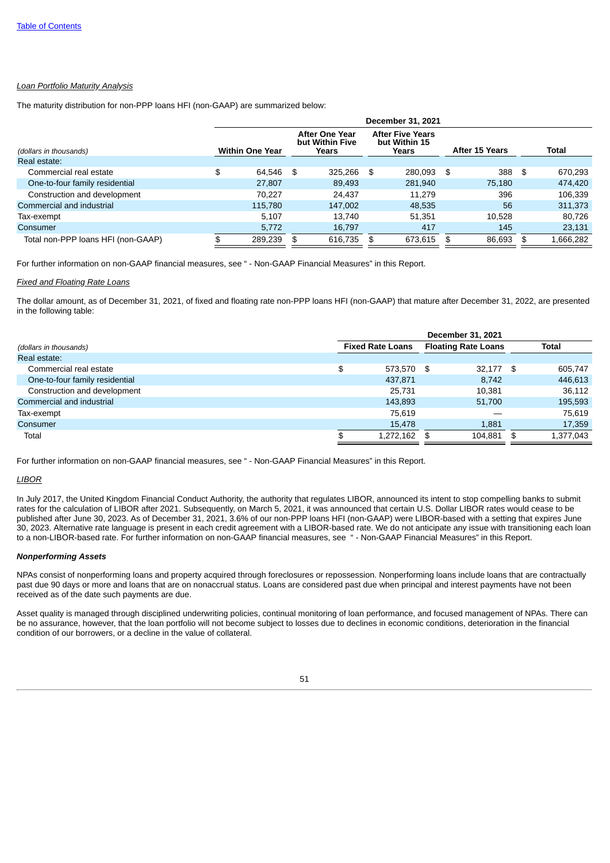# *Loan Portfolio Maturity Analysis*

The maturity distribution for non-PPP loans HFI (non-GAAP) are summarized below:

|                                    | December 31, 2021      |      |                                                   |     |                                                   |    |                |     |              |
|------------------------------------|------------------------|------|---------------------------------------------------|-----|---------------------------------------------------|----|----------------|-----|--------------|
| (dollars in thousands)             | <b>Within One Year</b> |      | <b>After One Year</b><br>but Within Five<br>Years |     | <b>After Five Years</b><br>but Within 15<br>Years |    | After 15 Years |     | <b>Total</b> |
| Real estate:                       |                        |      |                                                   |     |                                                   |    |                |     |              |
| Commercial real estate             | \$<br>64.546           | - \$ | 325.266                                           | \$  | 280.093                                           | \$ | 388 \$         |     | 670.293      |
| One-to-four family residential     | 27,807                 |      | 89.493                                            |     | 281.940                                           |    | 75.180         |     | 474.420      |
| Construction and development       | 70.227                 |      | 24.437                                            |     | 11.279                                            |    | 396            |     | 106,339      |
| Commercial and industrial          | 115.780                |      | 147.002                                           |     | 48.535                                            |    | 56             |     | 311,373      |
| Tax-exempt                         | 5.107                  |      | 13.740                                            |     | 51,351                                            |    | 10,528         |     | 80,726       |
| Consumer                           | 5,772                  |      | 16,797                                            |     | 417                                               |    | 145            |     | 23,131       |
| Total non-PPP loans HFI (non-GAAP) | \$<br>289.239          | \$   | 616.735                                           | -SS | 673.615                                           | \$ | 86.693         | \$. | 1,666,282    |

For further information on non-GAAP financial measures, see " - Non-GAAP Financial Measures" in this Report.

### *Fixed and Floating Rate Loans*

The dollar amount, as of December 31, 2021, of fixed and floating rate non-PPP loans HFI (non-GAAP) that mature after December 31, 2022, are presented in the following table:

| (dollars in thousands)         | <b>Fixed Rate Loans</b> | <b>Floating Rate Loans</b> | <b>Total</b> |  |
|--------------------------------|-------------------------|----------------------------|--------------|--|
| Real estate:                   |                         |                            |              |  |
| Commercial real estate         | \$<br>573.570           | 32.177 \$<br>- \$          | 605.747      |  |
| One-to-four family residential | 437,871                 | 8,742                      | 446,613      |  |
| Construction and development   | 25.731                  | 10.381                     | 36,112       |  |
| Commercial and industrial      | 143,893                 | 51,700                     | 195,593      |  |
| Tax-exempt                     | 75.619                  |                            | 75.619       |  |
| Consumer                       | 15,478                  | 1,881                      | 17,359       |  |
| Total                          | 1,272,162<br>\$         | 104,881 \$<br>\$           | 1,377,043    |  |

For further information on non-GAAP financial measures, see " - Non-GAAP Financial Measures" in this Report.

# *LIBOR*

In July 2017, the United Kingdom Financial Conduct Authority, the authority that regulates LIBOR, announced its intent to stop compelling banks to submit rates for the calculation of LIBOR after 2021. Subsequently, on March 5, 2021, it was announced that certain U.S. Dollar LIBOR rates would cease to be published after June 30, 2023. As of December 31, 2021, 3.6% of our non-PPP loans HFI (non-GAAP) were LIBOR-based with a setting that expires June 30, 2023. Alternative rate language is present in each credit agreement with a LIBOR-based rate. We do not anticipate any issue with transitioning each loan to a non-LIBOR-based rate. For further information on non-GAAP financial measures, see " - Non-GAAP Financial Measures" in this Report.

### *Nonperforming Assets*

NPAs consist of nonperforming loans and property acquired through foreclosures or repossession. Nonperforming loans include loans that are contractually past due 90 days or more and loans that are on nonaccrual status. Loans are considered past due when principal and interest payments have not been received as of the date such payments are due.

Asset quality is managed through disciplined underwriting policies, continual monitoring of loan performance, and focused management of NPAs. There can be no assurance, however, that the loan portfolio will not become subject to losses due to declines in economic conditions, deterioration in the financial condition of our borrowers, or a decline in the value of collateral.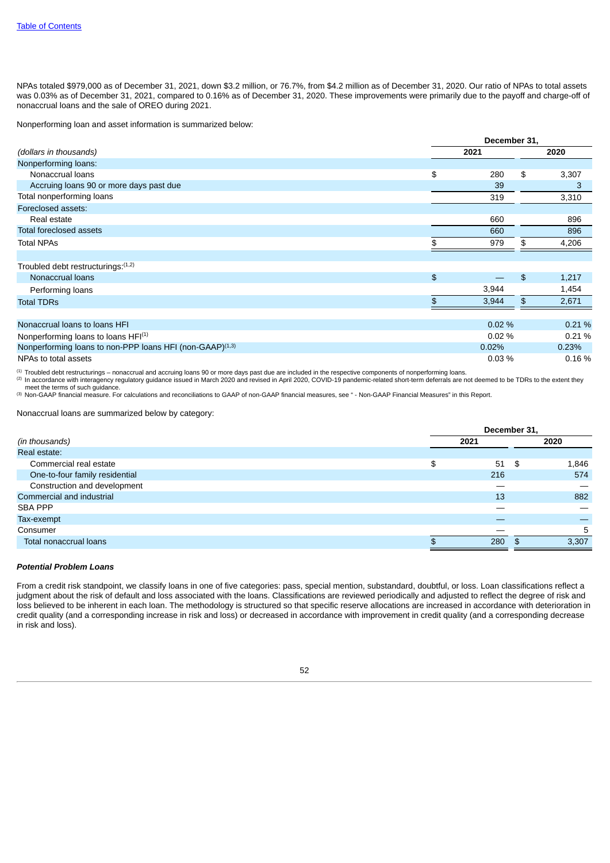NPAs totaled \$979,000 as of December 31, 2021, down \$3.2 million, or 76.7%, from \$4.2 million as of December 31, 2020. Our ratio of NPAs to total assets was 0.03% as of December 31, 2021, compared to 0.16% as of December 31, 2020. These improvements were primarily due to the payoff and charge-off of nonaccrual loans and the sale of OREO during 2021.

Nonperforming loan and asset information is summarized below:

|                                                                      | December 31,      |       |  |  |  |  |  |
|----------------------------------------------------------------------|-------------------|-------|--|--|--|--|--|
| (dollars in thousands)                                               | 2021              | 2020  |  |  |  |  |  |
| Nonperforming loans:                                                 |                   |       |  |  |  |  |  |
| Nonaccrual loans                                                     | \$<br>\$<br>280   | 3,307 |  |  |  |  |  |
| Accruing loans 90 or more days past due                              | 39                | 3     |  |  |  |  |  |
| Total nonperforming loans                                            | 319               | 3,310 |  |  |  |  |  |
| Foreclosed assets:                                                   |                   |       |  |  |  |  |  |
| Real estate                                                          | 660               | 896   |  |  |  |  |  |
| Total foreclosed assets                                              | 660               | 896   |  |  |  |  |  |
| <b>Total NPAs</b>                                                    | 979<br>\$         | 4,206 |  |  |  |  |  |
| Troubled debt restructurings:(1,2)                                   |                   |       |  |  |  |  |  |
| Nonaccrual loans                                                     | \$<br>\$          | 1,217 |  |  |  |  |  |
| Performing loans                                                     | 3,944             | 1,454 |  |  |  |  |  |
| <b>Total TDRs</b>                                                    | \$<br>3,944<br>\$ | 2,671 |  |  |  |  |  |
| Nonaccrual loans to loans HFI                                        | 0.02%             | 0.21% |  |  |  |  |  |
| Nonperforming loans to loans HFI <sup>(1)</sup>                      | 0.02%             | 0.21% |  |  |  |  |  |
| Nonperforming loans to non-PPP loans HFI (non-GAAP) <sup>(1,3)</sup> | 0.02%             | 0.23% |  |  |  |  |  |
| NPAs to total assets                                                 | 0.03%             | 0.16% |  |  |  |  |  |

 $^{(1)}$  Troubled debt restructurings – nonaccrual and accruing loans 90 or more days past due are included in the respective components of nonperforming loans.

 $^{(2)}$  In accordance with interagency regulatory guidance issued in March 2020 and revised in April 2020, COVID-19 pandemic-related short-term deferrals are not deemed to be TDRs to the extent they meet the terms of such guidance.<br>(3) Non-GAAP financial measure. For calculations and reconciliations to GAAP of non-GAAP financial measures, see " - Non-GAAP Financial Measures" in this Report.

#### Nonaccrual loans are summarized below by category:

|                                | December 31, |             |  |  |  |  |
|--------------------------------|--------------|-------------|--|--|--|--|
| (in thousands)                 | 2021         | 2020        |  |  |  |  |
| Real estate:                   |              |             |  |  |  |  |
| Commercial real estate         | \$<br>51     | 1,846<br>\$ |  |  |  |  |
| One-to-four family residential | 216          | 574         |  |  |  |  |
| Construction and development   |              | —           |  |  |  |  |
| Commercial and industrial      | 13           | 882         |  |  |  |  |
| <b>SBA PPP</b>                 |              |             |  |  |  |  |
| Tax-exempt                     |              |             |  |  |  |  |
| Consumer                       |              | 5           |  |  |  |  |
| Total nonaccrual loans         | 280          | 3,307<br>£. |  |  |  |  |

### *Potential Problem Loans*

From a credit risk standpoint, we classify loans in one of five categories: pass, special mention, substandard, doubtful, or loss. Loan classifications reflect a judgment about the risk of default and loss associated with the loans. Classifications are reviewed periodically and adjusted to reflect the degree of risk and loss believed to be inherent in each loan. The methodology is structured so that specific reserve allocations are increased in accordance with deterioration in credit quality (and a corresponding increase in risk and loss) or decreased in accordance with improvement in credit quality (and a corresponding decrease in risk and loss).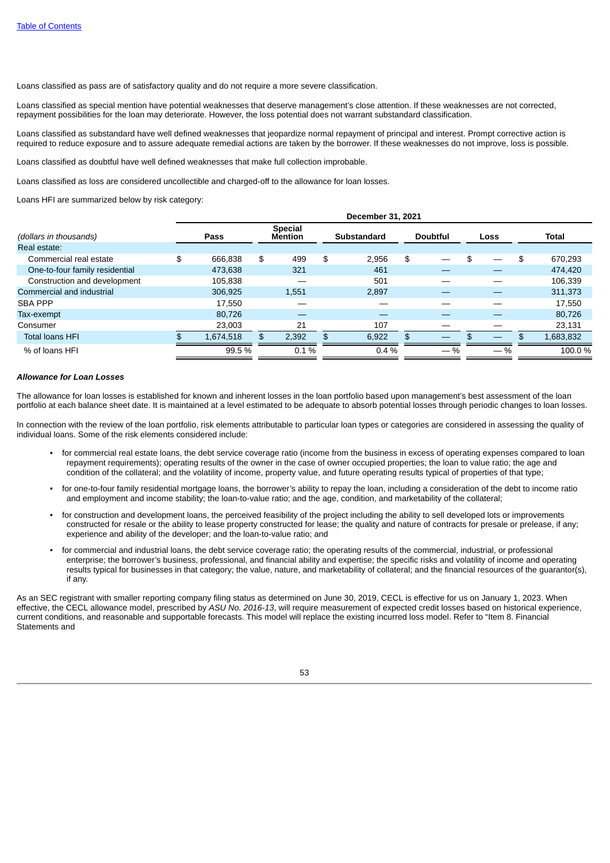Loans classified as pass are of satisfactory quality and do not require a more severe classification.

Loans classified as special mention have potential weaknesses that deserve management's close attention. If these weaknesses are not corrected, repayment possibilities for the loan may deteriorate. However, the loss potential does not warrant substandard classification.

Loans classified as substandard have well defined weaknesses that jeopardize normal repayment of principal and interest. Prompt corrective action is required to reduce exposure and to assure adequate remedial actions are taken by the borrower. If these weaknesses do not improve, loss is possible.

Loans classified as doubtful have well defined weaknesses that make full collection improbable.

Loans classified as loss are considered uncollectible and charged-off to the allowance for loan losses.

Loans HFI are summarized below by risk category:

|                                | December 31, 2021 |    |                                  |    |                    |    |                          |    |             |    |              |  |  |
|--------------------------------|-------------------|----|----------------------------------|----|--------------------|----|--------------------------|----|-------------|----|--------------|--|--|
| (dollars in thousands)         | Pass              |    | <b>Special</b><br><b>Mention</b> |    | <b>Substandard</b> |    | <b>Doubtful</b>          |    | <b>Loss</b> |    | <b>Total</b> |  |  |
| Real estate:                   |                   |    |                                  |    |                    |    |                          |    |             |    |              |  |  |
| Commercial real estate         | \$<br>666.838     | \$ | 499                              | \$ | 2.956              | \$ | $\overline{\phantom{0}}$ | \$ |             | \$ | 670.293      |  |  |
| One-to-four family residential | 473,638           |    | 321                              |    | 461                |    |                          |    |             |    | 474,420      |  |  |
| Construction and development   | 105,838           |    |                                  |    | 501                |    |                          |    |             |    | 106,339      |  |  |
| Commercial and industrial      | 306.925           |    | 1,551                            |    | 2,897              |    |                          |    |             |    | 311,373      |  |  |
| <b>SBA PPP</b>                 | 17.550            |    |                                  |    |                    |    |                          |    |             |    | 17.550       |  |  |
| Tax-exempt                     | 80.726            |    |                                  |    |                    |    |                          |    |             |    | 80.726       |  |  |
| Consumer                       | 23,003            |    | 21                               |    | 107                |    |                          |    |             |    | 23,131       |  |  |
| <b>Total loans HFI</b>         | 1.674.518         |    | 2,392                            | \$ | 6,922              | \$ |                          |    |             |    | 1,683,832    |  |  |
| % of loans HFI                 | 99.5 %            |    | 0.1%                             |    | 0.4%               |    | $-$ %                    |    | $-$ %       |    | 100.0%       |  |  |

### *Allowance for Loan Losses*

The allowance for loan losses is established for known and inherent losses in the loan portfolio based upon management's best assessment of the loan portfolio at each balance sheet date. It is maintained at a level estimated to be adequate to absorb potential losses through periodic changes to loan losses.

In connection with the review of the loan portfolio, risk elements attributable to particular loan types or categories are considered in assessing the quality of individual loans. Some of the risk elements considered include:

- for commercial real estate loans, the debt service coverage ratio (income from the business in excess of operating expenses compared to loan repayment requirements); operating results of the owner in the case of owner occupied properties; the loan to value ratio; the age and condition of the collateral; and the volatility of income, property value, and future operating results typical of properties of that type;
- for one-to-four family residential mortgage loans, the borrower's ability to repay the loan, including a consideration of the debt to income ratio and employment and income stability; the loan-to-value ratio; and the age, condition, and marketability of the collateral;
- for construction and development loans, the perceived feasibility of the project including the ability to sell developed lots or improvements constructed for resale or the ability to lease property constructed for lease; the quality and nature of contracts for presale or prelease, if any; experience and ability of the developer; and the loan-to-value ratio; and
- for commercial and industrial loans, the debt service coverage ratio; the operating results of the commercial, industrial, or professional enterprise; the borrower's business, professional, and financial ability and expertise; the specific risks and volatility of income and operating results typical for businesses in that category; the value, nature, and marketability of collateral; and the financial resources of the guarantor(s), if any.

As an SEC registrant with smaller reporting company filing status as determined on June 30, 2019, CECL is effective for us on January 1, 2023. When effective, the CECL allowance model, prescribed by *ASU No. 2016-13*, will require measurement of expected credit losses based on historical experience, current conditions, and reasonable and supportable forecasts. This model will replace the existing incurred loss model. Refer to "Item 8. Financial Statements and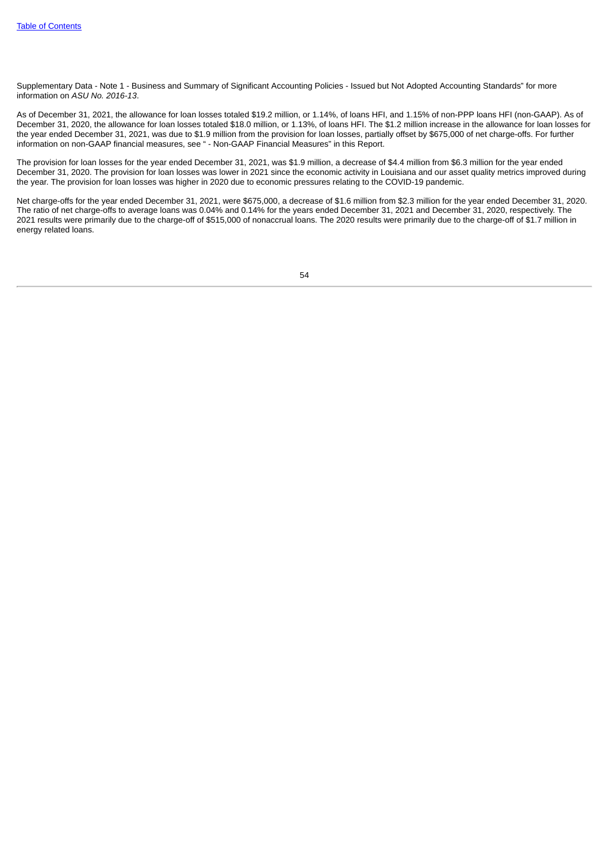Supplementary Data - Note 1 - Business and Summary of Significant Accounting Policies - Issued but Not Adopted Accounting Standards" for more information on *ASU No. 2016-13*.

As of December 31, 2021, the allowance for loan losses totaled \$19.2 million, or 1.14%, of loans HFI, and 1.15% of non-PPP loans HFI (non-GAAP). As of December 31, 2020, the allowance for loan losses totaled \$18.0 million, or 1.13%, of loans HFI. The \$1.2 million increase in the allowance for loan losses for the year ended December 31, 2021, was due to \$1.9 million from the provision for loan losses, partially offset by \$675,000 of net charge-offs. For further information on non-GAAP financial measures, see " - Non-GAAP Financial Measures" in this Report.

The provision for loan losses for the year ended December 31, 2021, was \$1.9 million, a decrease of \$4.4 million from \$6.3 million for the year ended December 31, 2020. The provision for loan losses was lower in 2021 since the economic activity in Louisiana and our asset quality metrics improved during the year. The provision for loan losses was higher in 2020 due to economic pressures relating to the COVID-19 pandemic.

Net charge-offs for the year ended December 31, 2021, were \$675,000, a decrease of \$1.6 million from \$2.3 million for the year ended December 31, 2020. The ratio of net charge-offs to average loans was 0.04% and 0.14% for the years ended December 31, 2021 and December 31, 2020, respectively. The 2021 results were primarily due to the charge-off of \$515,000 of nonaccrual loans. The 2020 results were primarily due to the charge-off of \$1.7 million in energy related loans.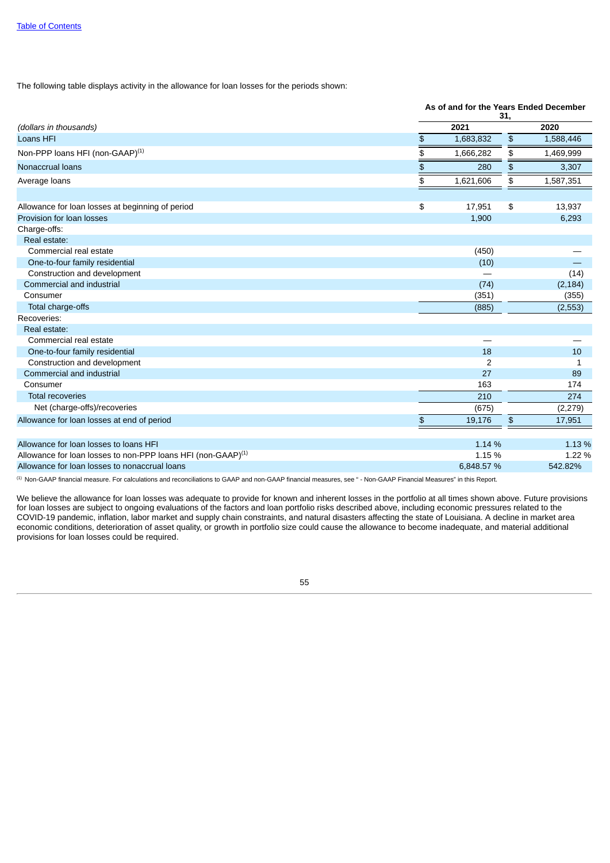The following table displays activity in the allowance for loan losses for the periods shown:

|                                                                    |    | As of and for the Years Ended December<br>31, |            |           |  |  |  |  |  |
|--------------------------------------------------------------------|----|-----------------------------------------------|------------|-----------|--|--|--|--|--|
| (dollars in thousands)                                             |    | 2021                                          |            | 2020      |  |  |  |  |  |
| Loans HFI                                                          | \$ | 1,683,832                                     | \$         | 1,588,446 |  |  |  |  |  |
| Non-PPP loans HFI (non-GAAP) <sup>(1)</sup>                        | \$ | 1,666,282                                     | \$         | 1,469,999 |  |  |  |  |  |
| Nonaccrual loans                                                   | \$ | 280                                           | \$         | 3,307     |  |  |  |  |  |
| Average loans                                                      | \$ | 1,621,606                                     | \$         | 1,587,351 |  |  |  |  |  |
| Allowance for loan losses at beginning of period                   | \$ | 17,951                                        | \$         | 13,937    |  |  |  |  |  |
| Provision for loan losses                                          |    | 1,900                                         |            | 6,293     |  |  |  |  |  |
| Charge-offs:                                                       |    |                                               |            |           |  |  |  |  |  |
| Real estate:                                                       |    |                                               |            |           |  |  |  |  |  |
| Commercial real estate                                             |    | (450)                                         |            |           |  |  |  |  |  |
| One-to-four family residential                                     |    | (10)                                          |            |           |  |  |  |  |  |
| Construction and development                                       |    |                                               |            | (14)      |  |  |  |  |  |
| Commercial and industrial                                          |    | (74)                                          |            | (2, 184)  |  |  |  |  |  |
| Consumer                                                           |    | (351)                                         |            | (355)     |  |  |  |  |  |
| Total charge-offs                                                  |    | (885)                                         |            | (2, 553)  |  |  |  |  |  |
| Recoveries:                                                        |    |                                               |            |           |  |  |  |  |  |
| Real estate:                                                       |    |                                               |            |           |  |  |  |  |  |
| Commercial real estate                                             |    |                                               |            |           |  |  |  |  |  |
| One-to-four family residential                                     |    | 18                                            |            | 10        |  |  |  |  |  |
| Construction and development                                       |    | $\overline{2}$                                |            | 1         |  |  |  |  |  |
| Commercial and industrial                                          |    | 27                                            |            | 89        |  |  |  |  |  |
| Consumer                                                           |    | 163                                           |            | 174       |  |  |  |  |  |
| <b>Total recoveries</b>                                            |    | 210                                           |            | 274       |  |  |  |  |  |
| Net (charge-offs)/recoveries                                       |    | (675)                                         |            | (2, 279)  |  |  |  |  |  |
| Allowance for loan losses at end of period                         | \$ | 19,176                                        | $\, \, \$$ | 17,951    |  |  |  |  |  |
| Allowance for loan losses to loans HFI                             |    | 1.14 %                                        |            | 1.13 %    |  |  |  |  |  |
| Allowance for loan losses to non-PPP loans HFI (non-GAAP) $^{(1)}$ |    | 1.15 %                                        |            | 1.22 %    |  |  |  |  |  |
| Allowance for loan losses to nonaccrual loans                      |    | 6.848.57 %                                    |            | 542.82%   |  |  |  |  |  |

 $^{(1)}$  Non-GAAP financial measure. For calculations and reconciliations to GAAP and non-GAAP financial measures, see " - Non-GAAP Financial Measures" in this Report.

We believe the allowance for loan losses was adequate to provide for known and inherent losses in the portfolio at all times shown above. Future provisions for loan losses are subject to ongoing evaluations of the factors and loan portfolio risks described above, including economic pressures related to the COVID-19 pandemic, inflation, labor market and supply chain constraints, and natural disasters affecting the state of Louisiana. A decline in market area economic conditions, deterioration of asset quality, or growth in portfolio size could cause the allowance to become inadequate, and material additional provisions for loan losses could be required.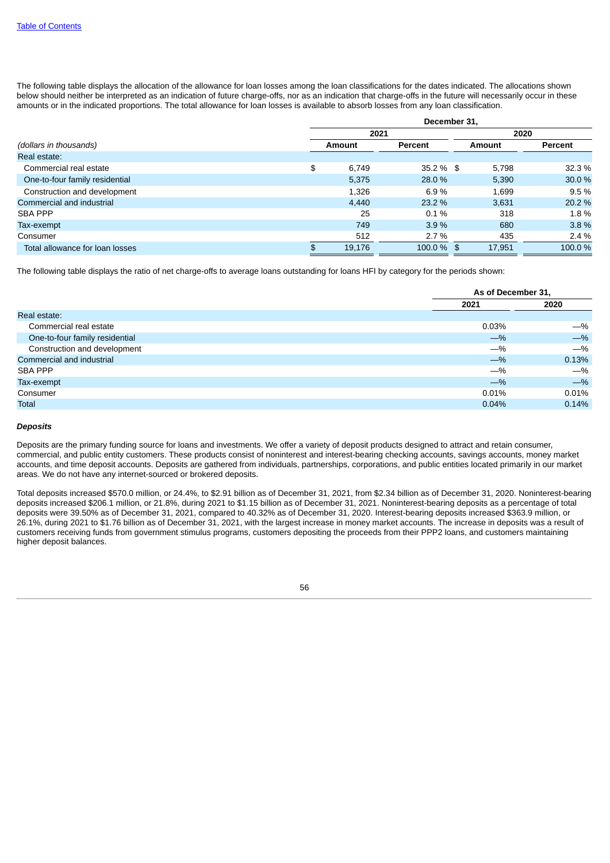The following table displays the allocation of the allowance for loan losses among the loan classifications for the dates indicated. The allocations shown below should neither be interpreted as an indication of future charge-offs, nor as an indication that charge-offs in the future will necessarily occur in these amounts or in the indicated proportions. The total allowance for loan losses is available to absorb losses from any loan classification.

|                                 | December 31, |        |              |        |        |         |  |
|---------------------------------|--------------|--------|--------------|--------|--------|---------|--|
|                                 | 2021         |        |              |        | 2020   |         |  |
| (dollars in thousands)          |              | Amount | Percent      | Amount |        | Percent |  |
| Real estate:                    |              |        |              |        |        |         |  |
| Commercial real estate          | \$           | 6.749  | $35.2 \%$ \$ |        | 5.798  | 32.3 %  |  |
| One-to-four family residential  |              | 5,375  | 28.0 %       |        | 5,390  | 30.0 %  |  |
| Construction and development    |              | 1,326  | 6.9%         |        | 1,699  | 9.5%    |  |
| Commercial and industrial       |              | 4,440  | 23.2 %       |        | 3,631  | 20.2 %  |  |
| <b>SBA PPP</b>                  |              | 25     | $0.1\%$      |        | 318    | 1.8%    |  |
| Tax-exempt                      |              | 749    | 3.9%         |        | 680    | 3.8%    |  |
| Consumer                        |              | 512    | 2.7%         |        | 435    | 2.4 %   |  |
| Total allowance for loan losses | \$           | 19,176 | $100.0\%$ \$ |        | 17,951 | 100.0%  |  |

The following table displays the ratio of net charge-offs to average loans outstanding for loans HFI by category for the periods shown:

|                                |          | As of December 31, |
|--------------------------------|----------|--------------------|
|                                | 2021     | 2020               |
| Real estate:                   |          |                    |
| Commercial real estate         | 0.03%    | $-$ %              |
| One-to-four family residential | $-\%$    | $-$ %              |
| Construction and development   | $-$ %    | $-$ %              |
| Commercial and industrial      | $-\%$    | 0.13%              |
| <b>SBA PPP</b>                 | $-$ %    | $-$ %              |
| Tax-exempt                     | $-\%$    | $-$ %              |
| Consumer                       | $0.01\%$ | $0.01\%$           |
| Total                          | 0.04%    | 0.14%              |
|                                |          |                    |

### *Deposits*

Deposits are the primary funding source for loans and investments. We offer a variety of deposit products designed to attract and retain consumer, commercial, and public entity customers. These products consist of noninterest and interest-bearing checking accounts, savings accounts, money market accounts, and time deposit accounts. Deposits are gathered from individuals, partnerships, corporations, and public entities located primarily in our market areas. We do not have any internet-sourced or brokered deposits.

Total deposits increased \$570.0 million, or 24.4%, to \$2.91 billion as of December 31, 2021, from \$2.34 billion as of December 31, 2020. Noninterest-bearing deposits increased \$206.1 million, or 21.8%, during 2021 to \$1.15 billion as of December 31, 2021. Noninterest-bearing deposits as a percentage of total deposits were 39.50% as of December 31, 2021, compared to 40.32% as of December 31, 2020. Interest-bearing deposits increased \$363.9 million, or 26.1%, during 2021 to \$1.76 billion as of December 31, 2021, with the largest increase in money market accounts. The increase in deposits was a result of customers receiving funds from government stimulus programs, customers depositing the proceeds from their PPP2 loans, and customers maintaining higher deposit balances.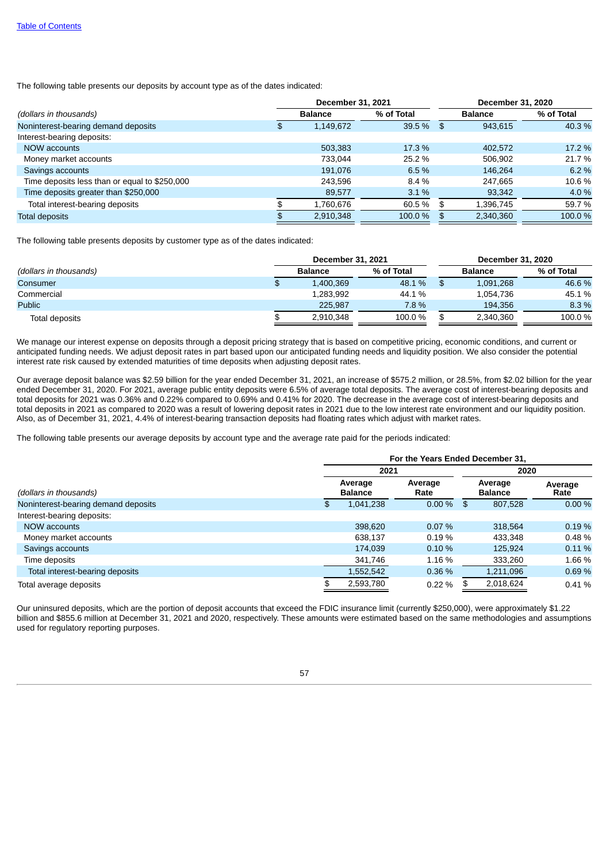The following table presents our deposits by account type as of the dates indicated:

|                                               |    | December 31, 2021 |             | December 31, 2020 |                |            |  |  |
|-----------------------------------------------|----|-------------------|-------------|-------------------|----------------|------------|--|--|
| (dollars in thousands)                        |    | <b>Balance</b>    | % of Total  |                   | <b>Balance</b> | % of Total |  |  |
| Noninterest-bearing demand deposits           | \$ | 1,149,672         | $39.5\%$ \$ |                   | 943,615        | 40.3%      |  |  |
| Interest-bearing deposits:                    |    |                   |             |                   |                |            |  |  |
| NOW accounts                                  |    | 503.383           | 17.3 %      |                   | 402.572        | 17.2 %     |  |  |
| Money market accounts                         |    | 733.044           | 25.2 %      |                   | 506.902        | 21.7%      |  |  |
| Savings accounts                              |    | 191.076           | 6.5%        |                   | 146.264        | 6.2%       |  |  |
| Time deposits less than or equal to \$250,000 |    | 243.596           | 8.4 %       |                   | 247.665        | 10.6 %     |  |  |
| Time deposits greater than \$250,000          |    | 89,577            | 3.1%        |                   | 93,342         | 4.0 %      |  |  |
| Total interest-bearing deposits               |    | 1,760,676         | 60.5 %      | \$                | 1,396,745      | 59.7 %     |  |  |
| Total deposits                                |    | 2,910,348         | 100.0%      | \$.               | 2,340,360      | 100.0%     |  |  |

The following table presents deposits by customer type as of the dates indicated:

| (dollars in thousands) |  | December 31, 2021 |            | December 31, 2020 |                |            |  |
|------------------------|--|-------------------|------------|-------------------|----------------|------------|--|
|                        |  | <b>Balance</b>    | % of Total |                   | <b>Balance</b> | % of Total |  |
| Consumer               |  | 1,400,369         | 48.1 %     |                   | 1,091,268      | 46.6%      |  |
| Commercial             |  | 1,283,992         | 44.1 %     |                   | 1,054,736      | 45.1 %     |  |
| Public                 |  | 225.987           | 7.8%       |                   | 194.356        | 8.3%       |  |
| Total deposits         |  | 2.910.348         | 100.0%     |                   | 2.340.360      | 100.0%     |  |

We manage our interest expense on deposits through a deposit pricing strategy that is based on competitive pricing, economic conditions, and current or anticipated funding needs. We adjust deposit rates in part based upon our anticipated funding needs and liquidity position. We also consider the potential interest rate risk caused by extended maturities of time deposits when adjusting deposit rates.

Our average deposit balance was \$2.59 billion for the year ended December 31, 2021, an increase of \$575.2 million, or 28.5%, from \$2.02 billion for the year ended December 31, 2020. For 2021, average public entity deposits were 6.5% of average total deposits. The average cost of interest-bearing deposits and total deposits for 2021 was 0.36% and 0.22% compared to 0.69% and 0.41% for 2020. The decrease in the average cost of interest-bearing deposits and total deposits in 2021 as compared to 2020 was a result of lowering deposit rates in 2021 due to the low interest rate environment and our liquidity position. Also, as of December 31, 2021, 4.4% of interest-bearing transaction deposits had floating rates which adjust with market rates.

The following table presents our average deposits by account type and the average rate paid for the periods indicated:

|                                     | For the Years Ended December 31. |                           |                 |     |                           |                 |  |  |  |
|-------------------------------------|----------------------------------|---------------------------|-----------------|-----|---------------------------|-----------------|--|--|--|
|                                     |                                  | 2021                      |                 |     | 2020                      |                 |  |  |  |
| (dollars in thousands)              |                                  | Average<br><b>Balance</b> | Average<br>Rate |     | Average<br><b>Balance</b> | Average<br>Rate |  |  |  |
| Noninterest-bearing demand deposits | \$                               | 1,041,238                 | $0.00\%$        | \$. | 807,528                   | 0.00%           |  |  |  |
| Interest-bearing deposits:          |                                  |                           |                 |     |                           |                 |  |  |  |
| NOW accounts                        |                                  | 398,620                   | $0.07\%$        |     | 318.564                   | 0.19%           |  |  |  |
| Money market accounts               |                                  | 638.137                   | 0.19%           |     | 433.348                   | 0.48%           |  |  |  |
| Savings accounts                    |                                  | 174.039                   | 0.10%           |     | 125.924                   | 0.11%           |  |  |  |
| Time deposits                       |                                  | 341.746                   | 1.16 %          |     | 333.260                   | 1.66 %          |  |  |  |
| Total interest-bearing deposits     |                                  | 1,552,542                 | 0.36%           |     | 1,211,096                 | 0.69%           |  |  |  |
| Total average deposits              | \$                               | 2,593,780                 | 0.22%           |     | 2,018,624                 | 0.41%           |  |  |  |

Our uninsured deposits, which are the portion of deposit accounts that exceed the FDIC insurance limit (currently \$250,000), were approximately \$1.22 billion and \$855.6 million at December 31, 2021 and 2020, respectively. These amounts were estimated based on the same methodologies and assumptions used for regulatory reporting purposes.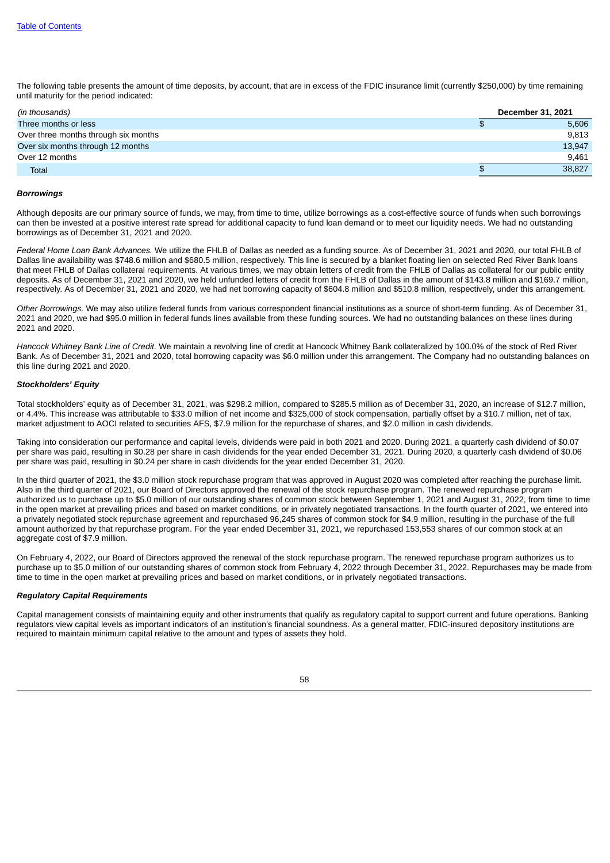The following table presents the amount of time deposits, by account, that are in excess of the FDIC insurance limit (currently \$250,000) by time remaining until maturity for the period indicated:

| (in thousands)                       |   | December 31, 2021 |
|--------------------------------------|---|-------------------|
| Three months or less                 | ъ | 5,606             |
| Over three months through six months |   | 9,813             |
| Over six months through 12 months    |   | 13,947            |
| Over 12 months                       |   | 9.461             |
| Total                                |   | 38,827            |

### *Borrowings*

Although deposits are our primary source of funds, we may, from time to time, utilize borrowings as a cost-effective source of funds when such borrowings can then be invested at a positive interest rate spread for additional capacity to fund loan demand or to meet our liquidity needs. We had no outstanding borrowings as of December 31, 2021 and 2020.

*Federal Home Loan Bank Advances.* We utilize the FHLB of Dallas as needed as a funding source. As of December 31, 2021 and 2020, our total FHLB of Dallas line availability was \$748.6 million and \$680.5 million, respectively. This line is secured by a blanket floating lien on selected Red River Bank loans that meet FHLB of Dallas collateral requirements. At various times, we may obtain letters of credit from the FHLB of Dallas as collateral for our public entity deposits. As of December 31, 2021 and 2020, we held unfunded letters of credit from the FHLB of Dallas in the amount of \$143.8 million and \$169.7 million, respectively. As of December 31, 2021 and 2020, we had net borrowing capacity of \$604.8 million and \$510.8 million, respectively, under this arrangement.

*Other Borrowings.* We may also utilize federal funds from various correspondent financial institutions as a source of short-term funding. As of December 31, 2021 and 2020, we had \$95.0 million in federal funds lines available from these funding sources. We had no outstanding balances on these lines during 2021 and 2020.

*Hancock Whitney Bank Line of Credit.* We maintain a revolving line of credit at Hancock Whitney Bank collateralized by 100.0% of the stock of Red River Bank. As of December 31, 2021 and 2020, total borrowing capacity was \$6.0 million under this arrangement. The Company had no outstanding balances on this line during 2021 and 2020.

# *Stockholders' Equity*

Total stockholders' equity as of December 31, 2021, was \$298.2 million, compared to \$285.5 million as of December 31, 2020, an increase of \$12.7 million, or 4.4%. This increase was attributable to \$33.0 million of net income and \$325,000 of stock compensation, partially offset by a \$10.7 million, net of tax, market adjustment to AOCI related to securities AFS, \$7.9 million for the repurchase of shares, and \$2.0 million in cash dividends.

Taking into consideration our performance and capital levels, dividends were paid in both 2021 and 2020. During 2021, a quarterly cash dividend of \$0.07 per share was paid, resulting in \$0.28 per share in cash dividends for the year ended December 31, 2021. During 2020, a quarterly cash dividend of \$0.06 per share was paid, resulting in \$0.24 per share in cash dividends for the year ended December 31, 2020.

In the third quarter of 2021, the \$3.0 million stock repurchase program that was approved in August 2020 was completed after reaching the purchase limit. Also in the third quarter of 2021, our Board of Directors approved the renewal of the stock repurchase program. The renewed repurchase program authorized us to purchase up to \$5.0 million of our outstanding shares of common stock between September 1, 2021 and August 31, 2022, from time to time in the open market at prevailing prices and based on market conditions, or in privately negotiated transactions. In the fourth quarter of 2021, we entered into a privately negotiated stock repurchase agreement and repurchased 96,245 shares of common stock for \$4.9 million, resulting in the purchase of the full amount authorized by that repurchase program. For the year ended December 31, 2021, we repurchased 153,553 shares of our common stock at an aggregate cost of \$7.9 million.

On February 4, 2022, our Board of Directors approved the renewal of the stock repurchase program. The renewed repurchase program authorizes us to purchase up to \$5.0 million of our outstanding shares of common stock from February 4, 2022 through December 31, 2022. Repurchases may be made from time to time in the open market at prevailing prices and based on market conditions, or in privately negotiated transactions.

### *Regulatory Capital Requirements*

Capital management consists of maintaining equity and other instruments that qualify as regulatory capital to support current and future operations. Banking regulators view capital levels as important indicators of an institution's financial soundness. As a general matter, FDIC-insured depository institutions are required to maintain minimum capital relative to the amount and types of assets they hold.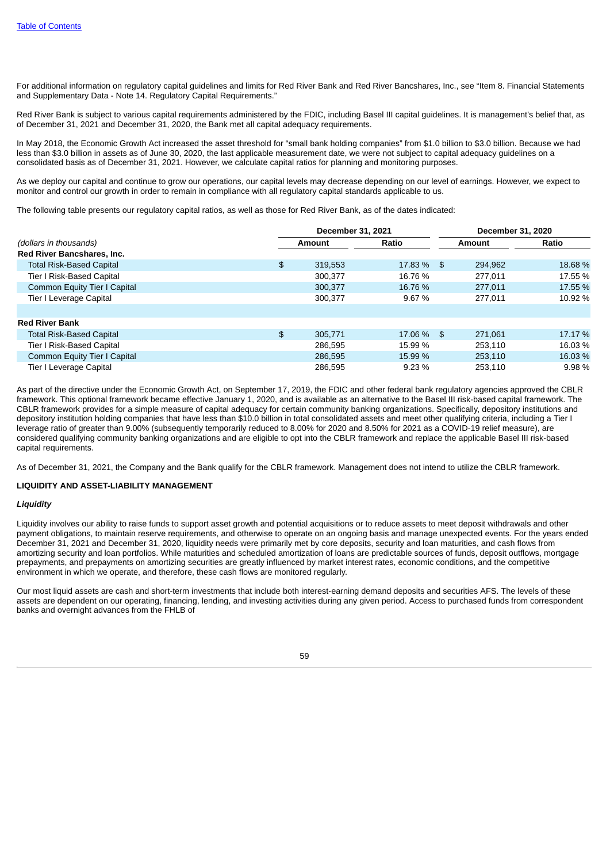For additional information on regulatory capital guidelines and limits for Red River Bank and Red River Bancshares, Inc., see "Item 8. Financial Statements and Supplementary Data - Note 14. Regulatory Capital Requirements."

Red River Bank is subject to various capital requirements administered by the FDIC, including Basel III capital quidelines. It is management's belief that, as of December 31, 2021 and December 31, 2020, the Bank met all capital adequacy requirements.

In May 2018, the Economic Growth Act increased the asset threshold for "small bank holding companies" from \$1.0 billion to \$3.0 billion. Because we had less than \$3.0 billion in assets as of June 30, 2020, the last applicable measurement date, we were not subject to capital adequacy guidelines on a consolidated basis as of December 31, 2021. However, we calculate capital ratios for planning and monitoring purposes.

As we deploy our capital and continue to grow our operations, our capital levels may decrease depending on our level of earnings. However, we expect to monitor and control our growth in order to remain in compliance with all regulatory capital standards applicable to us.

The following table presents our regulatory capital ratios, as well as those for Red River Bank, as of the dates indicated:

|                                   | December 31, 2021 |              | December 31, 2020 |         |  |
|-----------------------------------|-------------------|--------------|-------------------|---------|--|
| (dollars in thousands)            | Amount            | Ratio        | Amount            | Ratio   |  |
| <b>Red River Bancshares, Inc.</b> |                   |              |                   |         |  |
| <b>Total Risk-Based Capital</b>   | \$<br>319.553     | $17.83\%$ \$ | 294.962           | 18.68 % |  |
| Tier I Risk-Based Capital         | 300.377           | 16.76 %      | 277.011           | 17.55 % |  |
| Common Equity Tier I Capital      | 300,377           | 16.76 %      | 277,011           | 17.55 % |  |
| Tier I Leverage Capital           | 300,377           | 9.67 %       | 277.011           | 10.92 % |  |
|                                   |                   |              |                   |         |  |
| <b>Red River Bank</b>             |                   |              |                   |         |  |
| <b>Total Risk-Based Capital</b>   | \$<br>305.771     | 17.06 % \$   | 271.061           | 17.17 % |  |
| Tier I Risk-Based Capital         | 286.595           | 15.99 %      | 253.110           | 16.03 % |  |
| Common Equity Tier I Capital      | 286,595           | 15.99 %      | 253,110           | 16.03 % |  |
| Tier I Leverage Capital           | 286.595           | 9.23%        | 253.110           | 9.98%   |  |

As part of the directive under the Economic Growth Act, on September 17, 2019, the FDIC and other federal bank regulatory agencies approved the CBLR framework. This optional framework became effective January 1, 2020, and is available as an alternative to the Basel III risk-based capital framework. The CBLR framework provides for a simple measure of capital adequacy for certain community banking organizations. Specifically, depository institutions and depository institution holding companies that have less than \$10.0 billion in total consolidated assets and meet other qualifying criteria, including a Tier I leverage ratio of greater than 9.00% (subsequently temporarily reduced to 8.00% for 2020 and 8.50% for 2021 as a COVID-19 relief measure), are considered qualifying community banking organizations and are eligible to opt into the CBLR framework and replace the applicable Basel III risk-based capital requirements.

As of December 31, 2021, the Company and the Bank qualify for the CBLR framework. Management does not intend to utilize the CBLR framework.

### **LIQUIDITY AND ASSET-LIABILITY MANAGEMENT**

### *Liquidity*

Liquidity involves our ability to raise funds to support asset growth and potential acquisitions or to reduce assets to meet deposit withdrawals and other payment obligations, to maintain reserve requirements, and otherwise to operate on an ongoing basis and manage unexpected events. For the years ended December 31, 2021 and December 31, 2020, liquidity needs were primarily met by core deposits, security and loan maturities, and cash flows from amortizing security and loan portfolios. While maturities and scheduled amortization of loans are predictable sources of funds, deposit outflows, mortgage prepayments, and prepayments on amortizing securities are greatly influenced by market interest rates, economic conditions, and the competitive environment in which we operate, and therefore, these cash flows are monitored regularly.

Our most liquid assets are cash and short-term investments that include both interest-earning demand deposits and securities AFS. The levels of these assets are dependent on our operating, financing, lending, and investing activities during any given period. Access to purchased funds from correspondent banks and overnight advances from the FHLB of

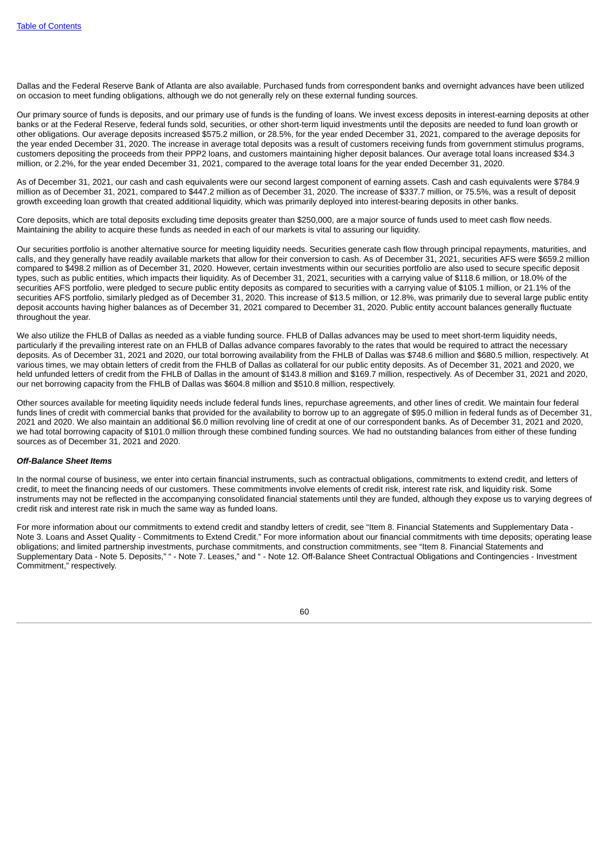Dallas and the Federal Reserve Bank of Atlanta are also available. Purchased funds from correspondent banks and overnight advances have been utilized on occasion to meet funding obligations, although we do not generally rely on these external funding sources.

Our primary source of funds is deposits, and our primary use of funds is the funding of loans. We invest excess deposits in interest-earning deposits at other banks or at the Federal Reserve, federal funds sold, securities, or other short-term liquid investments until the deposits are needed to fund loan growth or other obligations. Our average deposits increased \$575.2 million, or 28.5%, for the year ended December 31, 2021, compared to the average deposits for the year ended December 31, 2020. The increase in average total deposits was a result of customers receiving funds from government stimulus programs, customers depositing the proceeds from their PPP2 loans, and customers maintaining higher deposit balances. Our average total loans increased \$34.3 million, or 2.2%, for the year ended December 31, 2021, compared to the average total loans for the year ended December 31, 2020.

As of December 31, 2021, our cash and cash equivalents were our second largest component of earning assets. Cash and cash equivalents were \$784.9 million as of December 31, 2021, compared to \$447.2 million as of December 31, 2020. The increase of \$337.7 million, or 75.5%, was a result of deposit growth exceeding loan growth that created additional liquidity, which was primarily deployed into interest-bearing deposits in other banks.

Core deposits, which are total deposits excluding time deposits greater than \$250,000, are a major source of funds used to meet cash flow needs. Maintaining the ability to acquire these funds as needed in each of our markets is vital to assuring our liquidity.

Our securities portfolio is another alternative source for meeting liquidity needs. Securities generate cash flow through principal repayments, maturities, and calls, and they generally have readily available markets that allow for their conversion to cash. As of December 31, 2021, securities AFS were \$659.2 million compared to \$498.2 million as of December 31, 2020. However, certain investments within our securities portfolio are also used to secure specific deposit types, such as public entities, which impacts their liquidity. As of December 31, 2021, securities with a carrying value of \$118.6 million, or 18.0% of the securities AFS portfolio, were pledged to secure public entity deposits as compared to securities with a carrying value of \$105.1 million, or 21.1% of the securities AFS portfolio, similarly pledged as of December 31, 2020. This increase of \$13.5 million, or 12.8%, was primarily due to several large public entity deposit accounts having higher balances as of December 31, 2021 compared to December 31, 2020. Public entity account balances generally fluctuate throughout the year.

We also utilize the FHLB of Dallas as needed as a viable funding source. FHLB of Dallas advances may be used to meet short-term liquidity needs, particularly if the prevailing interest rate on an FHLB of Dallas advance compares favorably to the rates that would be required to attract the necessary deposits. As of December 31, 2021 and 2020, our total borrowing availability from the FHLB of Dallas was \$748.6 million and \$680.5 million, respectively. At various times, we may obtain letters of credit from the FHLB of Dallas as collateral for our public entity deposits. As of December 31, 2021 and 2020, we held unfunded letters of credit from the FHLB of Dallas in the amount of \$143.8 million and \$169.7 million, respectively. As of December 31, 2021 and 2020, our net borrowing capacity from the FHLB of Dallas was \$604.8 million and \$510.8 million, respectively.

Other sources available for meeting liquidity needs include federal funds lines, repurchase agreements, and other lines of credit. We maintain four federal funds lines of credit with commercial banks that provided for the availability to borrow up to an aggregate of \$95.0 million in federal funds as of December 31, 2021 and 2020. We also maintain an additional \$6.0 million revolving line of credit at one of our correspondent banks. As of December 31, 2021 and 2020, we had total borrowing capacity of \$101.0 million through these combined funding sources. We had no outstanding balances from either of these funding sources as of December 31, 2021 and 2020.

### *Off-Balance Sheet Items*

In the normal course of business, we enter into certain financial instruments, such as contractual obligations, commitments to extend credit, and letters of credit, to meet the financing needs of our customers. These commitments involve elements of credit risk, interest rate risk, and liquidity risk. Some instruments may not be reflected in the accompanying consolidated financial statements until they are funded, although they expose us to varying degrees of credit risk and interest rate risk in much the same way as funded loans.

For more information about our commitments to extend credit and standby letters of credit, see "Item 8. Financial Statements and Supplementary Data - Note 3. Loans and Asset Quality - Commitments to Extend Credit." For more information about our financial commitments with time deposits; operating lease obligations; and limited partnership investments, purchase commitments, and construction commitments, see "Item 8. Financial Statements and Supplementary Data - Note 5. Deposits," " - Note 7. Leases," and " - Note 12. Off-Balance Sheet Contractual Obligations and Contingencies - Investment Commitment," respectively.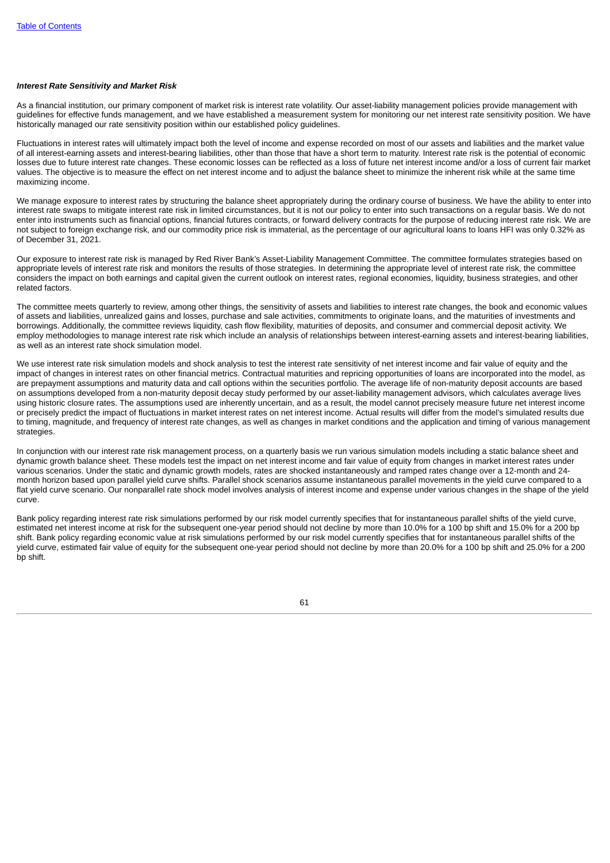### *Interest Rate Sensitivity and Market Risk*

As a financial institution, our primary component of market risk is interest rate volatility. Our asset-liability management policies provide management with guidelines for effective funds management, and we have established a measurement system for monitoring our net interest rate sensitivity position. We have historically managed our rate sensitivity position within our established policy guidelines.

Fluctuations in interest rates will ultimately impact both the level of income and expense recorded on most of our assets and liabilities and the market value of all interest-earning assets and interest-bearing liabilities, other than those that have a short term to maturity. Interest rate risk is the potential of economic losses due to future interest rate changes. These economic losses can be reflected as a loss of future net interest income and/or a loss of current fair market values. The objective is to measure the effect on net interest income and to adjust the balance sheet to minimize the inherent risk while at the same time maximizing income.

We manage exposure to interest rates by structuring the balance sheet appropriately during the ordinary course of business. We have the ability to enter into interest rate swaps to mitigate interest rate risk in limited circumstances, but it is not our policy to enter into such transactions on a regular basis. We do not enter into instruments such as financial options, financial futures contracts, or forward delivery contracts for the purpose of reducing interest rate risk. We are not subject to foreign exchange risk, and our commodity price risk is immaterial, as the percentage of our agricultural loans to loans HFI was only 0.32% as of December 31, 2021.

Our exposure to interest rate risk is managed by Red River Bank's Asset-Liability Management Committee. The committee formulates strategies based on appropriate levels of interest rate risk and monitors the results of those strategies. In determining the appropriate level of interest rate risk, the committee considers the impact on both earnings and capital given the current outlook on interest rates, regional economies, liquidity, business strategies, and other related factors.

The committee meets quarterly to review, among other things, the sensitivity of assets and liabilities to interest rate changes, the book and economic values of assets and liabilities, unrealized gains and losses, purchase and sale activities, commitments to originate loans, and the maturities of investments and borrowings. Additionally, the committee reviews liquidity, cash flow flexibility, maturities of deposits, and consumer and commercial deposit activity. We employ methodologies to manage interest rate risk which include an analysis of relationships between interest-earning assets and interest-bearing liabilities, as well as an interest rate shock simulation model.

We use interest rate risk simulation models and shock analysis to test the interest rate sensitivity of net interest income and fair value of equity and the impact of changes in interest rates on other financial metrics. Contractual maturities and repricing opportunities of loans are incorporated into the model, as are prepayment assumptions and maturity data and call options within the securities portfolio. The average life of non-maturity deposit accounts are based on assumptions developed from a non-maturity deposit decay study performed by our asset-liability management advisors, which calculates average lives using historic closure rates. The assumptions used are inherently uncertain, and as a result, the model cannot precisely measure future net interest income or precisely predict the impact of fluctuations in market interest rates on net interest income. Actual results will differ from the model's simulated results due to timing, magnitude, and frequency of interest rate changes, as well as changes in market conditions and the application and timing of various management strategies.

In conjunction with our interest rate risk management process, on a quarterly basis we run various simulation models including a static balance sheet and dynamic growth balance sheet. These models test the impact on net interest income and fair value of equity from changes in market interest rates under various scenarios. Under the static and dynamic growth models, rates are shocked instantaneously and ramped rates change over a 12-month and 24 month horizon based upon parallel yield curve shifts. Parallel shock scenarios assume instantaneous parallel movements in the yield curve compared to a flat yield curve scenario. Our nonparallel rate shock model involves analysis of interest income and expense under various changes in the shape of the yield curve.

Bank policy regarding interest rate risk simulations performed by our risk model currently specifies that for instantaneous parallel shifts of the yield curve. estimated net interest income at risk for the subsequent one-year period should not decline by more than 10.0% for a 100 bp shift and 15.0% for a 200 bp shift. Bank policy regarding economic value at risk simulations performed by our risk model currently specifies that for instantaneous parallel shifts of the yield curve, estimated fair value of equity for the subsequent one-year period should not decline by more than 20.0% for a 100 bp shift and 25.0% for a 200 bp shift.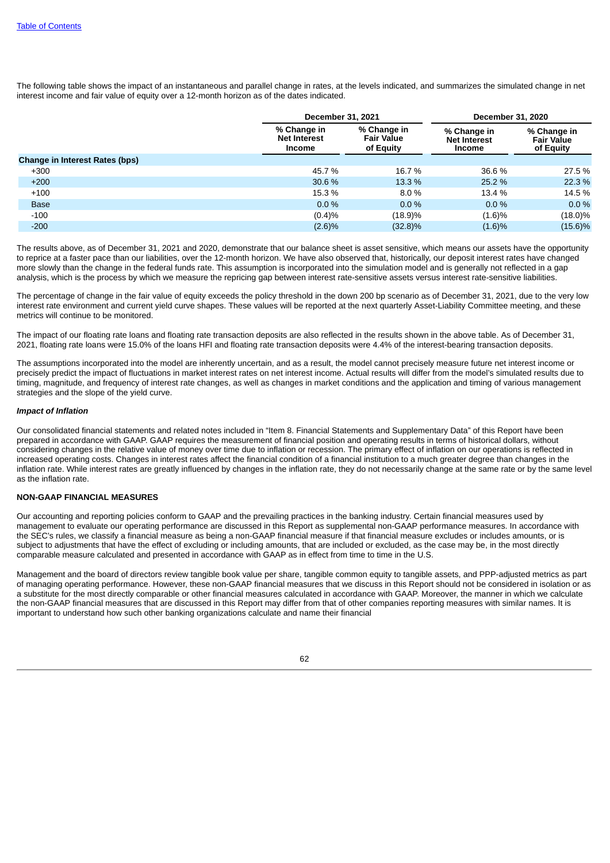The following table shows the impact of an instantaneous and parallel change in rates, at the levels indicated, and summarizes the simulated change in net interest income and fair value of equity over a 12-month horizon as of the dates indicated.

|                                       |                                              | December 31, 2021<br>December 31, 2020        |                                                     |                                               |  |
|---------------------------------------|----------------------------------------------|-----------------------------------------------|-----------------------------------------------------|-----------------------------------------------|--|
|                                       | % Change in<br><b>Net Interest</b><br>Income | % Change in<br><b>Fair Value</b><br>of Equity | % Change in<br><b>Net Interest</b><br><b>Income</b> | % Change in<br><b>Fair Value</b><br>of Equity |  |
| <b>Change in Interest Rates (bps)</b> |                                              |                                               |                                                     |                                               |  |
| $+300$                                | 45.7 %                                       | 16.7 %                                        | 36.6 %                                              | 27.5 %                                        |  |
| $+200$                                | 30.6 %                                       | 13.3 %                                        | 25.2 %                                              | 22.3 %                                        |  |
| $+100$                                | 15.3 %                                       | 8.0%                                          | 13.4 %                                              | 14.5 %                                        |  |
| <b>Base</b>                           | 0.0%                                         | 0.0%                                          | $0.0\%$                                             | $0.0\%$                                       |  |
| $-100$                                | (0.4)%                                       | $(18.9)\%$                                    | (1.6)%                                              | $(18.0)\%$                                    |  |
| $-200$                                | (2.6)%                                       | $(32.8)\%$                                    | (1.6)%                                              | $(15.6)\%$                                    |  |

The results above, as of December 31, 2021 and 2020, demonstrate that our balance sheet is asset sensitive, which means our assets have the opportunity to reprice at a faster pace than our liabilities, over the 12-month horizon. We have also observed that, historically, our deposit interest rates have changed more slowly than the change in the federal funds rate. This assumption is incorporated into the simulation model and is generally not reflected in a gap analysis, which is the process by which we measure the repricing gap between interest rate-sensitive assets versus interest rate-sensitive liabilities.

The percentage of change in the fair value of equity exceeds the policy threshold in the down 200 bp scenario as of December 31, 2021, due to the very low interest rate environment and current yield curve shapes. These values will be reported at the next quarterly Asset-Liability Committee meeting, and these metrics will continue to be monitored.

The impact of our floating rate loans and floating rate transaction deposits are also reflected in the results shown in the above table. As of December 31, 2021, floating rate loans were 15.0% of the loans HFI and floating rate transaction deposits were 4.4% of the interest-bearing transaction deposits.

The assumptions incorporated into the model are inherently uncertain, and as a result, the model cannot precisely measure future net interest income or precisely predict the impact of fluctuations in market interest rates on net interest income. Actual results will differ from the model's simulated results due to timing, magnitude, and frequency of interest rate changes, as well as changes in market conditions and the application and timing of various management strategies and the slope of the yield curve.

# *Impact of Inflation*

Our consolidated financial statements and related notes included in "Item 8. Financial Statements and Supplementary Data" of this Report have been prepared in accordance with GAAP. GAAP requires the measurement of financial position and operating results in terms of historical dollars, without considering changes in the relative value of money over time due to inflation or recession. The primary effect of inflation on our operations is reflected in increased operating costs. Changes in interest rates affect the financial condition of a financial institution to a much greater degree than changes in the inflation rate. While interest rates are greatly influenced by changes in the inflation rate, they do not necessarily change at the same rate or by the same level as the inflation rate.

## **NON-GAAP FINANCIAL MEASURES**

Our accounting and reporting policies conform to GAAP and the prevailing practices in the banking industry. Certain financial measures used by management to evaluate our operating performance are discussed in this Report as supplemental non-GAAP performance measures. In accordance with the SEC's rules, we classify a financial measure as being a non-GAAP financial measure if that financial measure excludes or includes amounts, or is subject to adjustments that have the effect of excluding or including amounts, that are included or excluded, as the case may be, in the most directly comparable measure calculated and presented in accordance with GAAP as in effect from time to time in the U.S.

Management and the board of directors review tangible book value per share, tangible common equity to tangible assets, and PPP-adjusted metrics as part of managing operating performance. However, these non-GAAP financial measures that we discuss in this Report should not be considered in isolation or as a substitute for the most directly comparable or other financial measures calculated in accordance with GAAP. Moreover, the manner in which we calculate the non-GAAP financial measures that are discussed in this Report may differ from that of other companies reporting measures with similar names. It is important to understand how such other banking organizations calculate and name their financial

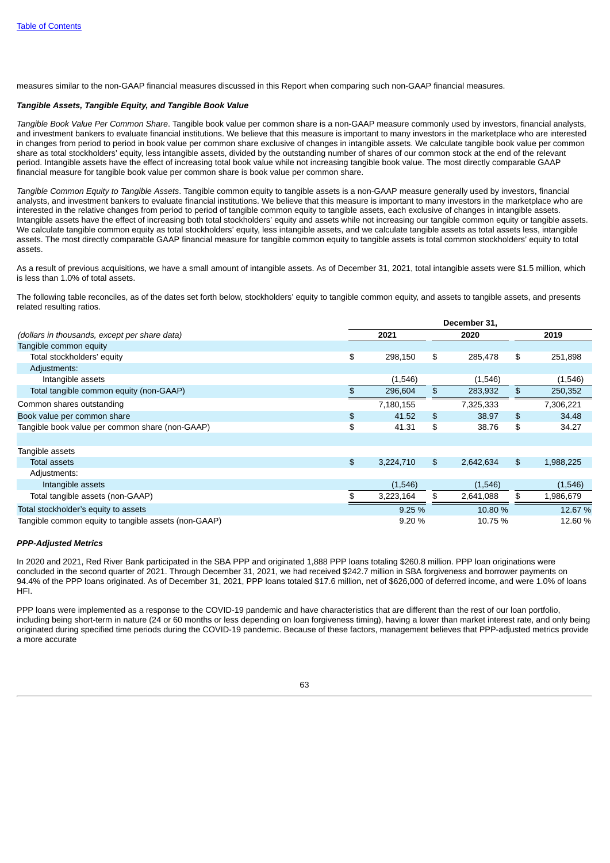measures similar to the non-GAAP financial measures discussed in this Report when comparing such non-GAAP financial measures.

## *Tangible Assets, Tangible Equity, and Tangible Book Value*

*Tangible Book Value Per Common Share*. Tangible book value per common share is a non-GAAP measure commonly used by investors, financial analysts, and investment bankers to evaluate financial institutions. We believe that this measure is important to many investors in the marketplace who are interested in changes from period to period in book value per common share exclusive of changes in intangible assets. We calculate tangible book value per common share as total stockholders' equity, less intangible assets, divided by the outstanding number of shares of our common stock at the end of the relevant period. Intangible assets have the effect of increasing total book value while not increasing tangible book value. The most directly comparable GAAP financial measure for tangible book value per common share is book value per common share.

*Tangible Common Equity to Tangible Assets*. Tangible common equity to tangible assets is a non-GAAP measure generally used by investors, financial analysts, and investment bankers to evaluate financial institutions. We believe that this measure is important to many investors in the marketplace who are interested in the relative changes from period to period of tangible common equity to tangible assets, each exclusive of changes in intangible assets. Intangible assets have the effect of increasing both total stockholders' equity and assets while not increasing our tangible common equity or tangible assets. We calculate tangible common equity as total stockholders' equity, less intangible assets, and we calculate tangible assets as total assets less, intangible assets. The most directly comparable GAAP financial measure for tangible common equity to tangible assets is total common stockholders' equity to total assets.

As a result of previous acquisitions, we have a small amount of intangible assets. As of December 31, 2021, total intangible assets were \$1.5 million, which is less than 1.0% of total assets.

The following table reconciles, as of the dates set forth below, stockholders' equity to tangible common equity, and assets to tangible assets, and presents related resulting ratios.

|                                                      | December 31,    |    |           |    |           |  |
|------------------------------------------------------|-----------------|----|-----------|----|-----------|--|
| (dollars in thousands, except per share data)        | 2021            |    | 2020      |    | 2019      |  |
| Tangible common equity                               |                 |    |           |    |           |  |
| Total stockholders' equity                           | \$<br>298,150   | \$ | 285,478   | \$ | 251,898   |  |
| Adjustments:                                         |                 |    |           |    |           |  |
| Intangible assets                                    | (1,546)         |    | (1,546)   |    | (1,546)   |  |
| Total tangible common equity (non-GAAP)              | \$<br>296,604   | \$ | 283,932   | \$ | 250,352   |  |
| Common shares outstanding                            | 7,180,155       |    | 7,325,333 |    | 7,306,221 |  |
| Book value per common share                          | \$<br>41.52     | \$ | 38.97     | \$ | 34.48     |  |
| Tangible book value per common share (non-GAAP)      | \$<br>41.31     | \$ | 38.76     | \$ | 34.27     |  |
|                                                      |                 |    |           |    |           |  |
| Tangible assets                                      |                 |    |           |    |           |  |
| <b>Total assets</b>                                  | \$<br>3,224,710 | \$ | 2,642,634 | \$ | 1,988,225 |  |
| Adjustments:                                         |                 |    |           |    |           |  |
| Intangible assets                                    | (1,546)         |    | (1,546)   |    | (1, 546)  |  |
| Total tangible assets (non-GAAP)                     | 3,223,164       | \$ | 2,641,088 | \$ | 1,986,679 |  |
| Total stockholder's equity to assets                 | 9.25 %          |    | 10.80 %   |    | 12.67 %   |  |
| Tangible common equity to tangible assets (non-GAAP) | 9.20 %          |    | 10.75 %   |    | 12.60 %   |  |

# *PPP-Adjusted Metrics*

In 2020 and 2021, Red River Bank participated in the SBA PPP and originated 1,888 PPP loans totaling \$260.8 million. PPP loan originations were concluded in the second quarter of 2021. Through December 31, 2021, we had received \$242.7 million in SBA forgiveness and borrower payments on 94.4% of the PPP loans originated. As of December 31, 2021, PPP loans totaled \$17.6 million, net of \$626,000 of deferred income, and were 1.0% of loans HFI.

PPP loans were implemented as a response to the COVID-19 pandemic and have characteristics that are different than the rest of our loan portfolio, including being short-term in nature (24 or 60 months or less depending on loan forgiveness timing), having a lower than market interest rate, and only being originated during specified time periods during the COVID-19 pandemic. Because of these factors, management believes that PPP-adjusted metrics provide a more accurate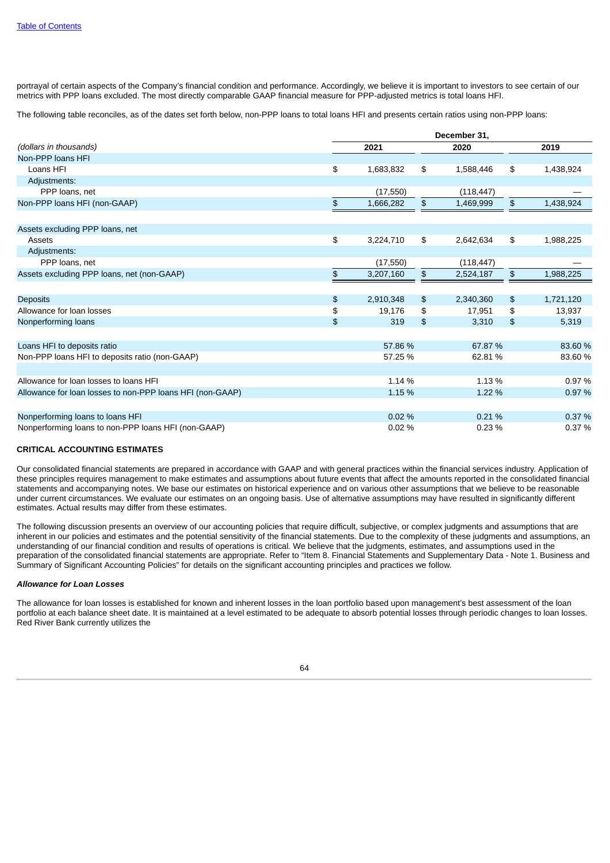portrayal of certain aspects of the Company's financial condition and performance. Accordingly, we believe it is important to investors to see certain of our metrics with PPP loans excluded. The most directly comparable GAAP financial measure for PPP-adjusted metrics is total loans HFI.

The following table reconciles, as of the dates set forth below, non-PPP loans to total loans HFI and presents certain ratios using non-PPP loans:

|                                                           | December 31, |           |    |            |    |           |  |
|-----------------------------------------------------------|--------------|-----------|----|------------|----|-----------|--|
| (dollars in thousands)                                    |              | 2021      |    | 2020       |    | 2019      |  |
| Non-PPP loans HFI                                         |              |           |    |            |    |           |  |
| Loans HFI                                                 | \$           | 1,683,832 | \$ | 1,588,446  | \$ | 1,438,924 |  |
| Adjustments:                                              |              |           |    |            |    |           |  |
| PPP loans, net                                            |              | (17, 550) |    | (118, 447) |    |           |  |
| Non-PPP loans HFI (non-GAAP)                              | \$           | 1,666,282 | \$ | 1,469,999  | \$ | 1,438,924 |  |
| Assets excluding PPP loans, net                           |              |           |    |            |    |           |  |
| Assets                                                    | \$           | 3,224,710 | \$ | 2,642,634  | \$ | 1,988,225 |  |
| Adjustments:                                              |              |           |    |            |    |           |  |
| PPP loans, net                                            |              | (17, 550) |    | (118, 447) |    |           |  |
| Assets excluding PPP loans, net (non-GAAP)                | \$           | 3,207,160 | \$ | 2,524,187  | \$ | 1,988,225 |  |
|                                                           |              |           |    |            |    |           |  |
| <b>Deposits</b>                                           | \$           | 2,910,348 | \$ | 2,340,360  | \$ | 1,721,120 |  |
| Allowance for loan losses                                 | \$           | 19,176    | \$ | 17,951     | \$ | 13,937    |  |
| Nonperforming loans                                       | \$           | 319       | \$ | 3,310      | \$ | 5,319     |  |
| Loans HFI to deposits ratio                               |              | 57.86 %   |    | 67.87 %    |    | 83.60 %   |  |
| Non-PPP loans HFI to deposits ratio (non-GAAP)            |              | 57.25 %   |    | 62.81 %    |    | 83.60 %   |  |
|                                                           |              |           |    |            |    |           |  |
| Allowance for loan losses to loans HFI                    |              | 1.14 %    |    | 1.13 %     |    | 0.97%     |  |
| Allowance for loan losses to non-PPP loans HFI (non-GAAP) |              | 1.15 %    |    | 1.22 %     |    | 0.97 %    |  |
| Nonperforming loans to loans HFI                          |              | 0.02%     |    | 0.21%      |    | 0.37%     |  |
| Nonperforming loans to non-PPP loans HFI (non-GAAP)       |              | 0.02%     |    | 0.23 %     |    | 0.37 %    |  |

# **CRITICAL ACCOUNTING ESTIMATES**

Our consolidated financial statements are prepared in accordance with GAAP and with general practices within the financial services industry. Application of these principles requires management to make estimates and assumptions about future events that affect the amounts reported in the consolidated financial statements and accompanying notes. We base our estimates on historical experience and on various other assumptions that we believe to be reasonable under current circumstances. We evaluate our estimates on an ongoing basis. Use of alternative assumptions may have resulted in significantly different estimates. Actual results may differ from these estimates.

The following discussion presents an overview of our accounting policies that require difficult, subjective, or complex judgments and assumptions that are inherent in our policies and estimates and the potential sensitivity of the financial statements. Due to the complexity of these judgments and assumptions, an understanding of our financial condition and results of operations is critical. We believe that the judgments, estimates, and assumptions used in the preparation of the consolidated financial statements are appropriate. Refer to "Item 8. Financial Statements and Supplementary Data - Note 1. Business and Summary of Significant Accounting Policies" for details on the significant accounting principles and practices we follow.

### *Allowance for Loan Losses*

The allowance for loan losses is established for known and inherent losses in the loan portfolio based upon management's best assessment of the loan portfolio at each balance sheet date. It is maintained at a level estimated to be adequate to absorb potential losses through periodic changes to loan losses. Red River Bank currently utilizes the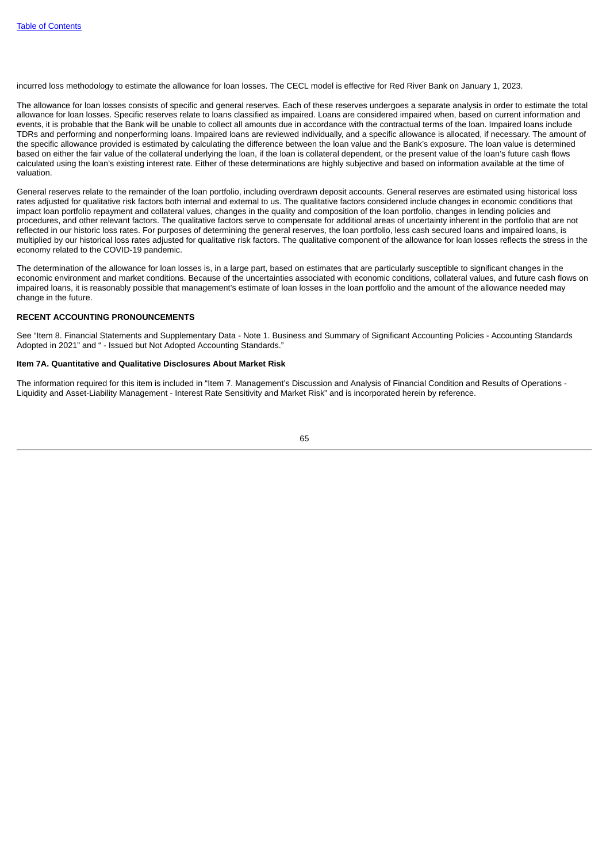incurred loss methodology to estimate the allowance for loan losses. The CECL model is effective for Red River Bank on January 1, 2023.

The allowance for loan losses consists of specific and general reserves. Each of these reserves undergoes a separate analysis in order to estimate the total allowance for loan losses. Specific reserves relate to loans classified as impaired. Loans are considered impaired when, based on current information and events, it is probable that the Bank will be unable to collect all amounts due in accordance with the contractual terms of the loan. Impaired loans include TDRs and performing and nonperforming loans. Impaired loans are reviewed individually, and a specific allowance is allocated, if necessary. The amount of the specific allowance provided is estimated by calculating the difference between the loan value and the Bank's exposure. The loan value is determined based on either the fair value of the collateral underlying the loan, if the loan is collateral dependent, or the present value of the loan's future cash flows calculated using the loan's existing interest rate. Either of these determinations are highly subjective and based on information available at the time of valuation.

General reserves relate to the remainder of the loan portfolio, including overdrawn deposit accounts. General reserves are estimated using historical loss rates adjusted for qualitative risk factors both internal and external to us. The qualitative factors considered include changes in economic conditions that impact loan portfolio repayment and collateral values, changes in the quality and composition of the loan portfolio, changes in lending policies and procedures, and other relevant factors. The qualitative factors serve to compensate for additional areas of uncertainty inherent in the portfolio that are not reflected in our historic loss rates. For purposes of determining the general reserves, the loan portfolio, less cash secured loans and impaired loans, is multiplied by our historical loss rates adjusted for qualitative risk factors. The qualitative component of the allowance for loan losses reflects the stress in the economy related to the COVID-19 pandemic.

The determination of the allowance for loan losses is, in a large part, based on estimates that are particularly susceptible to significant changes in the economic environment and market conditions. Because of the uncertainties associated with economic conditions, collateral values, and future cash flows on impaired loans, it is reasonably possible that management's estimate of loan losses in the loan portfolio and the amount of the allowance needed may change in the future.

# **RECENT ACCOUNTING PRONOUNCEMENTS**

See "Item 8. Financial Statements and Supplementary Data - Note 1. Business and Summary of Significant Accounting Policies - Accounting Standards Adopted in 2021" and " - Issued but Not Adopted Accounting Standards."

# **Item 7A. Quantitative and Qualitative Disclosures About Market Risk**

The information required for this item is included in "Item 7. Management's Discussion and Analysis of Financial Condition and Results of Operations - Liquidity and Asset-Liability Management - Interest Rate Sensitivity and Market Risk" and is incorporated herein by reference.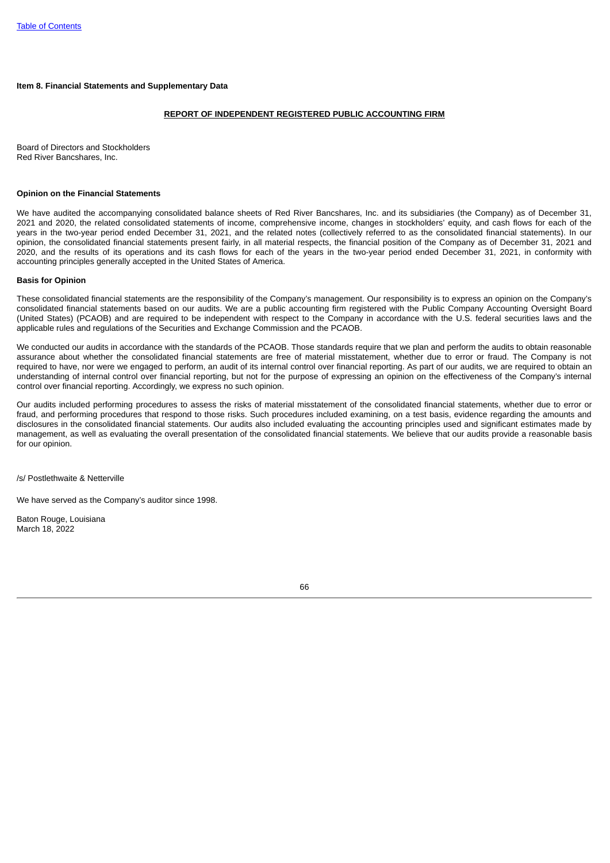### **Item 8. Financial Statements and Supplementary Data**

#### **REPORT OF INDEPENDENT REGISTERED PUBLIC ACCOUNTING FIRM**

Board of Directors and Stockholders Red River Bancshares, Inc.

#### **Opinion on the Financial Statements**

We have audited the accompanying consolidated balance sheets of Red River Bancshares, Inc. and its subsidiaries (the Company) as of December 31, 2021 and 2020, the related consolidated statements of income, comprehensive income, changes in stockholders' equity, and cash flows for each of the years in the two-year period ended December 31, 2021, and the related notes (collectively referred to as the consolidated financial statements). In our opinion, the consolidated financial statements present fairly, in all material respects, the financial position of the Company as of December 31, 2021 and 2020, and the results of its operations and its cash flows for each of the years in the two-year period ended December 31, 2021, in conformity with accounting principles generally accepted in the United States of America.

#### **Basis for Opinion**

These consolidated financial statements are the responsibility of the Company's management. Our responsibility is to express an opinion on the Company's consolidated financial statements based on our audits. We are a public accounting firm registered with the Public Company Accounting Oversight Board (United States) (PCAOB) and are required to be independent with respect to the Company in accordance with the U.S. federal securities laws and the applicable rules and regulations of the Securities and Exchange Commission and the PCAOB.

We conducted our audits in accordance with the standards of the PCAOB. Those standards require that we plan and perform the audits to obtain reasonable assurance about whether the consolidated financial statements are free of material misstatement, whether due to error or fraud. The Company is not required to have, nor were we engaged to perform, an audit of its internal control over financial reporting. As part of our audits, we are required to obtain an understanding of internal control over financial reporting, but not for the purpose of expressing an opinion on the effectiveness of the Company's internal control over financial reporting. Accordingly, we express no such opinion.

Our audits included performing procedures to assess the risks of material misstatement of the consolidated financial statements, whether due to error or fraud, and performing procedures that respond to those risks. Such procedures included examining, on a test basis, evidence regarding the amounts and disclosures in the consolidated financial statements. Our audits also included evaluating the accounting principles used and significant estimates made by management, as well as evaluating the overall presentation of the consolidated financial statements. We believe that our audits provide a reasonable basis for our opinion.

/s/ Postlethwaite & Netterville

We have served as the Company's auditor since 1998.

Baton Rouge, Louisiana March 18, 2022

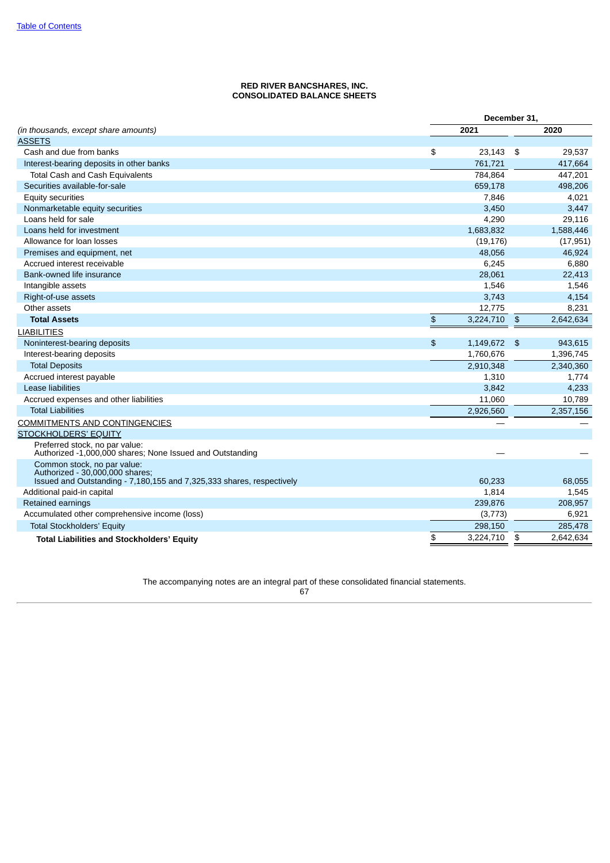### **RED RIVER BANCSHARES, INC. CONSOLIDATED BALANCE SHEETS**

|                                                                                                                                         | December 31,  |              |               |           |
|-----------------------------------------------------------------------------------------------------------------------------------------|---------------|--------------|---------------|-----------|
| (in thousands, except share amounts)                                                                                                    |               | 2021         |               | 2020      |
| <b>ASSETS</b>                                                                                                                           |               |              |               |           |
| Cash and due from banks                                                                                                                 | \$            | 23,143       | \$            | 29,537    |
| Interest-bearing deposits in other banks                                                                                                |               | 761,721      |               | 417,664   |
| <b>Total Cash and Cash Equivalents</b>                                                                                                  |               | 784.864      |               | 447,201   |
| Securities available-for-sale                                                                                                           |               | 659.178      |               | 498.206   |
| Equity securities                                                                                                                       |               | 7,846        |               | 4,021     |
| Nonmarketable equity securities                                                                                                         |               | 3,450        |               | 3,447     |
| Loans held for sale                                                                                                                     |               | 4,290        |               | 29,116    |
| Loans held for investment                                                                                                               |               | 1,683,832    |               | 1,588,446 |
| Allowance for loan losses                                                                                                               |               | (19, 176)    |               | (17, 951) |
| Premises and equipment, net                                                                                                             |               | 48,056       |               | 46,924    |
| Accrued interest receivable                                                                                                             |               | 6,245        |               | 6,880     |
| Bank-owned life insurance                                                                                                               |               | 28,061       |               | 22,413    |
| Intangible assets                                                                                                                       |               | 1,546        |               | 1,546     |
| Right-of-use assets                                                                                                                     |               | 3,743        |               | 4,154     |
| Other assets                                                                                                                            |               | 12,775       |               | 8,231     |
| <b>Total Assets</b>                                                                                                                     | $\, \, \$$    | 3,224,710    | $\frac{2}{3}$ | 2,642,634 |
| <b>LIABILITIES</b>                                                                                                                      |               |              |               |           |
| Noninterest-bearing deposits                                                                                                            | $\frac{2}{3}$ | 1,149,672 \$ |               | 943,615   |
| Interest-bearing deposits                                                                                                               |               | 1,760,676    |               | 1,396,745 |
| <b>Total Deposits</b>                                                                                                                   |               | 2,910,348    |               | 2,340,360 |
| Accrued interest payable                                                                                                                |               | 1,310        |               | 1,774     |
| Lease liabilities                                                                                                                       |               | 3,842        |               | 4,233     |
| Accrued expenses and other liabilities                                                                                                  |               | 11,060       |               | 10,789    |
| <b>Total Liabilities</b>                                                                                                                |               | 2,926,560    |               | 2,357,156 |
| <b>COMMITMENTS AND CONTINGENCIES</b>                                                                                                    |               |              |               |           |
| STOCKHOLDERS' EQUITY                                                                                                                    |               |              |               |           |
| Preferred stock, no par value:<br>Authorized -1,000,000 shares; None Issued and Outstanding                                             |               |              |               |           |
| Common stock, no par value:<br>Authorized - 30,000,000 shares:<br>Issued and Outstanding - 7,180,155 and 7,325,333 shares, respectively |               | 60,233       |               | 68,055    |
| Additional paid-in capital                                                                                                              |               | 1,814        |               | 1,545     |
| Retained earnings                                                                                                                       |               | 239,876      |               | 208,957   |
| Accumulated other comprehensive income (loss)                                                                                           |               | (3,773)      |               | 6,921     |
| <b>Total Stockholders' Equity</b>                                                                                                       |               | 298,150      |               | 285,478   |
|                                                                                                                                         |               |              |               |           |
| <b>Total Liabilities and Stockholders' Equity</b>                                                                                       | \$            | 3,224,710    | \$            | 2,642,634 |

The accompanying notes are an integral part of these consolidated financial statements.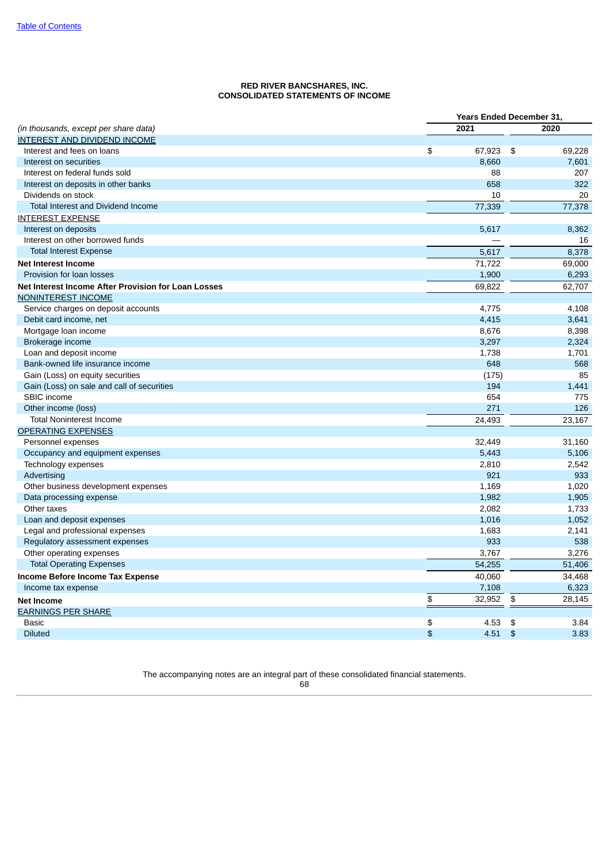### **RED RIVER BANCSHARES, INC. CONSOLIDATED STATEMENTS OF INCOME**

|                                                     | Years Ended December 31, |      |        |  |
|-----------------------------------------------------|--------------------------|------|--------|--|
| (in thousands, except per share data)               | 2021                     |      |        |  |
| <b>INTEREST AND DIVIDEND INCOME</b>                 |                          |      | 2020   |  |
| Interest and fees on loans                          | \$<br>67,923 \$          |      | 69.228 |  |
| Interest on securities                              | 8,660                    |      | 7,601  |  |
| Interest on federal funds sold                      | 88                       |      | 207    |  |
| Interest on deposits in other banks                 | 658                      |      | 322    |  |
| Dividends on stock                                  | 10                       |      | 20     |  |
| <b>Total Interest and Dividend Income</b>           | 77,339                   |      | 77,378 |  |
| <b>INTEREST EXPENSE</b>                             |                          |      |        |  |
| Interest on deposits                                | 5,617                    |      | 8,362  |  |
| Interest on other borrowed funds                    |                          |      | 16     |  |
| <b>Total Interest Expense</b>                       | 5,617                    |      | 8,378  |  |
| <b>Net Interest Income</b>                          | 71,722                   |      | 69,000 |  |
| Provision for loan losses                           | 1,900                    |      | 6,293  |  |
| Net Interest Income After Provision for Loan Losses | 69,822                   |      | 62,707 |  |
| NONINTEREST INCOME                                  |                          |      |        |  |
| Service charges on deposit accounts                 | 4,775                    |      | 4,108  |  |
| Debit card income, net                              | 4,415                    |      | 3,641  |  |
| Mortgage Ioan income                                | 8,676                    |      | 8,398  |  |
| Brokerage income                                    | 3,297                    |      | 2,324  |  |
| Loan and deposit income                             | 1,738                    |      | 1,701  |  |
| Bank-owned life insurance income                    | 648                      |      | 568    |  |
| Gain (Loss) on equity securities                    | (175)                    |      | 85     |  |
| Gain (Loss) on sale and call of securities          | 194                      |      | 1,441  |  |
| SBIC income                                         | 654                      |      | 775    |  |
| Other income (loss)                                 | 271                      |      | 126    |  |
| <b>Total Noninterest Income</b>                     | 24,493                   |      | 23,167 |  |
| <b>OPERATING EXPENSES</b>                           |                          |      |        |  |
| Personnel expenses                                  | 32,449                   |      | 31,160 |  |
| Occupancy and equipment expenses                    | 5,443                    |      | 5,106  |  |
| Technology expenses                                 | 2,810                    |      | 2,542  |  |
| Advertising                                         | 921                      |      | 933    |  |
| Other business development expenses                 | 1,169                    |      | 1,020  |  |
| Data processing expense                             | 1,982                    |      | 1,905  |  |
| Other taxes                                         | 2,082                    |      | 1,733  |  |
| Loan and deposit expenses                           | 1,016                    |      | 1,052  |  |
| Legal and professional expenses                     | 1,683                    |      | 2,141  |  |
| Regulatory assessment expenses                      | 933                      |      | 538    |  |
| Other operating expenses                            | 3,767                    |      | 3,276  |  |
| <b>Total Operating Expenses</b>                     | 54,255                   |      | 51,406 |  |
| Income Before Income Tax Expense                    | 40,060                   |      | 34,468 |  |
| Income tax expense                                  | 7,108                    |      | 6,323  |  |
| <b>Net Income</b>                                   | \$<br>32,952             | \$   | 28,145 |  |
| <b>EARNINGS PER SHARE</b>                           |                          |      |        |  |
| <b>Basic</b>                                        | \$<br>4.53               | \$   | 3.84   |  |
| <b>Diluted</b>                                      | \$<br>4.51               | - \$ | 3.83   |  |
|                                                     |                          |      |        |  |

The accompanying notes are an integral part of these consolidated financial statements.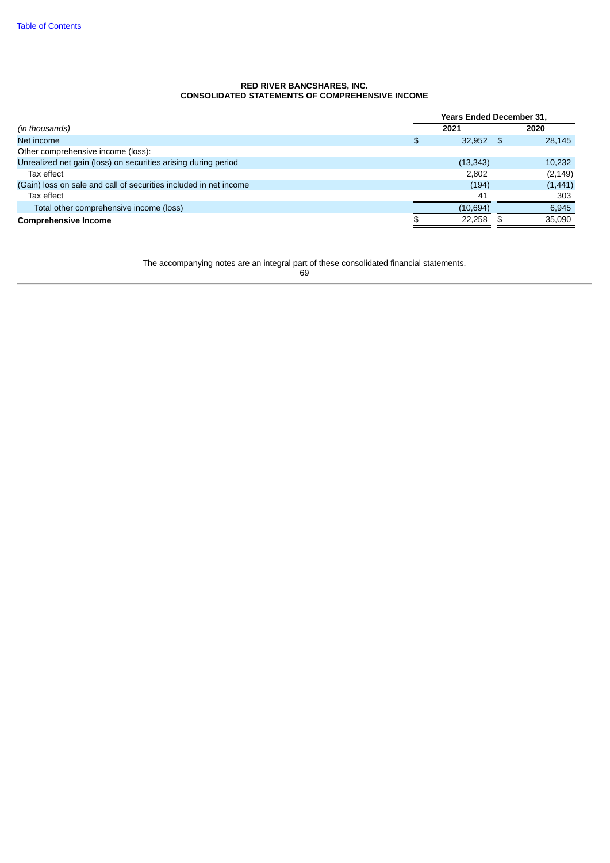### **RED RIVER BANCSHARES, INC. CONSOLIDATED STATEMENTS OF COMPREHENSIVE INCOME**

|                                                                   | <b>Years Ended December 31,</b> |           |     |          |
|-------------------------------------------------------------------|---------------------------------|-----------|-----|----------|
| (in thousands)                                                    |                                 | 2021      |     | 2020     |
| Net income                                                        |                                 | 32.952    | -SG | 28.145   |
| Other comprehensive income (loss):                                |                                 |           |     |          |
| Unrealized net gain (loss) on securities arising during period    |                                 | (13, 343) |     | 10,232   |
| Tax effect                                                        |                                 | 2.802     |     | (2, 149) |
| (Gain) loss on sale and call of securities included in net income |                                 | (194)     |     | (1, 441) |
| Tax effect                                                        |                                 | 41        |     | 303      |
| Total other comprehensive income (loss)                           |                                 | (10,694)  |     | 6,945    |
| <b>Comprehensive Income</b>                                       |                                 | 22.258    |     | 35,090   |

The accompanying notes are an integral part of these consolidated financial statements.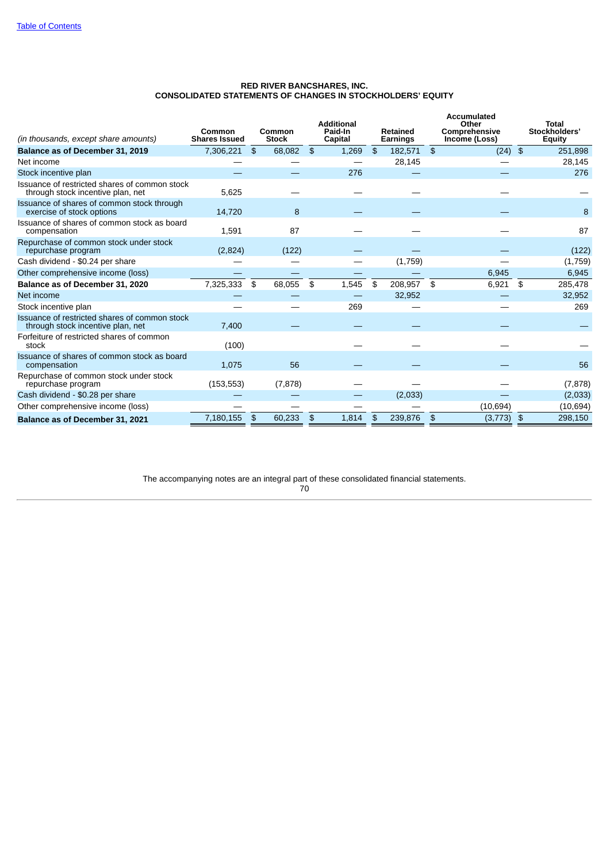### **RED RIVER BANCSHARES, INC. CONSOLIDATED STATEMENTS OF CHANGES IN STOCKHOLDERS' EQUITY**

| (in thousands, except share amounts)                                               | Common<br><b>Shares Issued</b> | Common<br><b>Stock</b> |          | Additional<br>Paid-In<br>Capital | <b>Retained</b><br><b>Earnings</b> |                | <b>Accumulated</b><br>Other<br><b>Comprehensive</b><br>Income (Loss) | <b>Total</b><br>Stockholders'<br><b>Equity</b> |
|------------------------------------------------------------------------------------|--------------------------------|------------------------|----------|----------------------------------|------------------------------------|----------------|----------------------------------------------------------------------|------------------------------------------------|
| Balance as of December 31, 2019                                                    | 7,306,221                      | \$                     | 68,082   | \$<br>1,269                      | \$<br>182,571                      | $\mathfrak{S}$ | $(24)$ \$                                                            | 251,898                                        |
| Net income                                                                         |                                |                        |          |                                  | 28,145                             |                |                                                                      | 28,145                                         |
| Stock incentive plan                                                               |                                |                        |          | 276                              |                                    |                |                                                                      | 276                                            |
| Issuance of restricted shares of common stock<br>through stock incentive plan, net | 5,625                          |                        |          |                                  |                                    |                |                                                                      |                                                |
| Issuance of shares of common stock through<br>exercise of stock options            | 14,720                         |                        | 8        |                                  |                                    |                |                                                                      | 8                                              |
| Issuance of shares of common stock as board<br>compensation                        | 1,591                          |                        | 87       |                                  |                                    |                |                                                                      | 87                                             |
| Repurchase of common stock under stock<br>repurchase program                       | (2,824)                        |                        | (122)    |                                  |                                    |                |                                                                      | (122)                                          |
| Cash dividend - \$0.24 per share                                                   |                                |                        |          |                                  | (1,759)                            |                |                                                                      | (1,759)                                        |
| Other comprehensive income (loss)                                                  |                                |                        |          |                                  |                                    |                | 6,945                                                                | 6,945                                          |
| Balance as of December 31, 2020                                                    | 7,325,333                      | \$                     | 68,055   | \$<br>1,545                      | \$<br>208,957                      | \$             | 6,921                                                                | \$<br>285,478                                  |
| Net income                                                                         |                                |                        |          |                                  | 32,952                             |                |                                                                      | 32,952                                         |
| Stock incentive plan                                                               |                                |                        |          | 269                              |                                    |                |                                                                      | 269                                            |
| Issuance of restricted shares of common stock<br>through stock incentive plan, net | 7,400                          |                        |          |                                  |                                    |                |                                                                      |                                                |
| Forfeiture of restricted shares of common<br>stock                                 | (100)                          |                        |          |                                  |                                    |                |                                                                      |                                                |
| Issuance of shares of common stock as board<br>compensation                        | 1,075                          |                        | 56       |                                  |                                    |                |                                                                      | 56                                             |
| Repurchase of common stock under stock<br>repurchase program                       | (153, 553)                     |                        | (7, 878) |                                  |                                    |                |                                                                      | (7, 878)                                       |
| Cash dividend - \$0.28 per share                                                   |                                |                        |          |                                  | (2,033)                            |                |                                                                      | (2,033)                                        |
| Other comprehensive income (loss)                                                  |                                |                        |          |                                  |                                    |                | (10, 694)                                                            | (10, 694)                                      |
| Balance as of December 31, 2021                                                    | 7,180,155                      | \$                     | 60,233   | \$<br>1,814                      | \$<br>239,876                      | \$             | $(3,773)$ \$                                                         | 298,150                                        |

The accompanying notes are an integral part of these consolidated financial statements.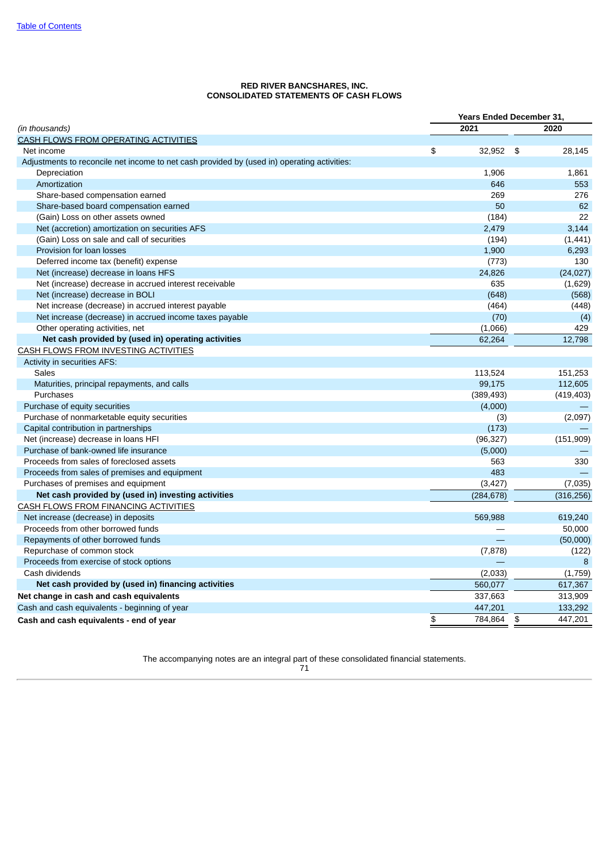#### **RED RIVER BANCSHARES, INC. CONSOLIDATED STATEMENTS OF CASH FLOWS**

| 2021<br>2020<br>(in thousands)<br><b>CASH FLOWS FROM OPERATING ACTIVITIES</b><br>\$<br>32,952<br>\$<br>28,145<br>Net income<br>Adjustments to reconcile net income to net cash provided by (used in) operating activities:<br>1,906<br>1,861<br>Depreciation<br>Amortization<br>646<br>553<br>Share-based compensation earned<br>269<br>276<br>Share-based board compensation earned<br>50<br>62<br>22<br>(184)<br>(Gain) Loss on other assets owned<br>2,479<br>3,144<br>Net (accretion) amortization on securities AFS<br>(194)<br>(1, 441)<br>(Gain) Loss on sale and call of securities<br>Provision for loan losses<br>1,900<br>6,293<br>Deferred income tax (benefit) expense<br>(773)<br>130<br>Net (increase) decrease in loans HFS<br>24,826<br>(24, 027)<br>635<br>(1,629)<br>Net (increase) decrease in accrued interest receivable<br>Net (increase) decrease in BOLI<br>(568)<br>(648)<br>Net increase (decrease) in accrued interest payable<br>(464)<br>(448)<br>Net increase (decrease) in accrued income taxes payable<br>(70)<br>(4)<br>(1,066)<br>429<br>Other operating activities, net<br>Net cash provided by (used in) operating activities<br>62,264<br>12.798<br>CASH FLOWS FROM INVESTING ACTIVITIES<br>Activity in securities AFS:<br>113,524<br><b>Sales</b><br>151,253<br>99,175<br>112,605<br>Maturities, principal repayments, and calls<br>Purchases<br>(389, 493)<br>(419, 403)<br>Purchase of equity securities<br>(4,000)<br>Purchase of nonmarketable equity securities<br>(3)<br>(2,097)<br>Capital contribution in partnerships<br>(173)<br>Net (increase) decrease in loans HFI<br>(96, 327)<br>(151,909)<br>Purchase of bank-owned life insurance<br>(5,000)<br>Proceeds from sales of foreclosed assets<br>563<br>330<br>483<br>Proceeds from sales of premises and equipment<br>Purchases of premises and equipment<br>(3, 427)<br>(7,035)<br>Net cash provided by (used in) investing activities<br>(284, 678)<br>(316, 256)<br><b>CASH FLOWS FROM FINANCING ACTIVITIES</b><br>Net increase (decrease) in deposits<br>569,988<br>619,240<br>50.000<br>Proceeds from other borrowed funds<br>Repayments of other borrowed funds<br>(50,000)<br>(7, 878)<br>(122)<br>Repurchase of common stock<br>Proceeds from exercise of stock options<br>8<br>Cash dividends<br>(2,033)<br>(1,759)<br>560,077<br>Net cash provided by (used in) financing activities<br>617,367<br>337,663<br>313,909<br>Net change in cash and cash equivalents<br>447,201<br>133,292<br>Cash and cash equivalents - beginning of year<br>\$<br>\$ |                                         | <b>Years Ended December 31,</b> |         |  |         |  |  |
|-------------------------------------------------------------------------------------------------------------------------------------------------------------------------------------------------------------------------------------------------------------------------------------------------------------------------------------------------------------------------------------------------------------------------------------------------------------------------------------------------------------------------------------------------------------------------------------------------------------------------------------------------------------------------------------------------------------------------------------------------------------------------------------------------------------------------------------------------------------------------------------------------------------------------------------------------------------------------------------------------------------------------------------------------------------------------------------------------------------------------------------------------------------------------------------------------------------------------------------------------------------------------------------------------------------------------------------------------------------------------------------------------------------------------------------------------------------------------------------------------------------------------------------------------------------------------------------------------------------------------------------------------------------------------------------------------------------------------------------------------------------------------------------------------------------------------------------------------------------------------------------------------------------------------------------------------------------------------------------------------------------------------------------------------------------------------------------------------------------------------------------------------------------------------------------------------------------------------------------------------------------------------------------------------------------------------------------------------------------------------------------------------------------------------------------------------------------------------------------------------------------------------------------------------------------------|-----------------------------------------|---------------------------------|---------|--|---------|--|--|
|                                                                                                                                                                                                                                                                                                                                                                                                                                                                                                                                                                                                                                                                                                                                                                                                                                                                                                                                                                                                                                                                                                                                                                                                                                                                                                                                                                                                                                                                                                                                                                                                                                                                                                                                                                                                                                                                                                                                                                                                                                                                                                                                                                                                                                                                                                                                                                                                                                                                                                                                                                   |                                         |                                 |         |  |         |  |  |
|                                                                                                                                                                                                                                                                                                                                                                                                                                                                                                                                                                                                                                                                                                                                                                                                                                                                                                                                                                                                                                                                                                                                                                                                                                                                                                                                                                                                                                                                                                                                                                                                                                                                                                                                                                                                                                                                                                                                                                                                                                                                                                                                                                                                                                                                                                                                                                                                                                                                                                                                                                   |                                         |                                 |         |  |         |  |  |
|                                                                                                                                                                                                                                                                                                                                                                                                                                                                                                                                                                                                                                                                                                                                                                                                                                                                                                                                                                                                                                                                                                                                                                                                                                                                                                                                                                                                                                                                                                                                                                                                                                                                                                                                                                                                                                                                                                                                                                                                                                                                                                                                                                                                                                                                                                                                                                                                                                                                                                                                                                   |                                         |                                 |         |  |         |  |  |
|                                                                                                                                                                                                                                                                                                                                                                                                                                                                                                                                                                                                                                                                                                                                                                                                                                                                                                                                                                                                                                                                                                                                                                                                                                                                                                                                                                                                                                                                                                                                                                                                                                                                                                                                                                                                                                                                                                                                                                                                                                                                                                                                                                                                                                                                                                                                                                                                                                                                                                                                                                   |                                         |                                 |         |  |         |  |  |
|                                                                                                                                                                                                                                                                                                                                                                                                                                                                                                                                                                                                                                                                                                                                                                                                                                                                                                                                                                                                                                                                                                                                                                                                                                                                                                                                                                                                                                                                                                                                                                                                                                                                                                                                                                                                                                                                                                                                                                                                                                                                                                                                                                                                                                                                                                                                                                                                                                                                                                                                                                   |                                         |                                 |         |  |         |  |  |
|                                                                                                                                                                                                                                                                                                                                                                                                                                                                                                                                                                                                                                                                                                                                                                                                                                                                                                                                                                                                                                                                                                                                                                                                                                                                                                                                                                                                                                                                                                                                                                                                                                                                                                                                                                                                                                                                                                                                                                                                                                                                                                                                                                                                                                                                                                                                                                                                                                                                                                                                                                   |                                         |                                 |         |  |         |  |  |
|                                                                                                                                                                                                                                                                                                                                                                                                                                                                                                                                                                                                                                                                                                                                                                                                                                                                                                                                                                                                                                                                                                                                                                                                                                                                                                                                                                                                                                                                                                                                                                                                                                                                                                                                                                                                                                                                                                                                                                                                                                                                                                                                                                                                                                                                                                                                                                                                                                                                                                                                                                   |                                         |                                 |         |  |         |  |  |
|                                                                                                                                                                                                                                                                                                                                                                                                                                                                                                                                                                                                                                                                                                                                                                                                                                                                                                                                                                                                                                                                                                                                                                                                                                                                                                                                                                                                                                                                                                                                                                                                                                                                                                                                                                                                                                                                                                                                                                                                                                                                                                                                                                                                                                                                                                                                                                                                                                                                                                                                                                   |                                         |                                 |         |  |         |  |  |
|                                                                                                                                                                                                                                                                                                                                                                                                                                                                                                                                                                                                                                                                                                                                                                                                                                                                                                                                                                                                                                                                                                                                                                                                                                                                                                                                                                                                                                                                                                                                                                                                                                                                                                                                                                                                                                                                                                                                                                                                                                                                                                                                                                                                                                                                                                                                                                                                                                                                                                                                                                   |                                         |                                 |         |  |         |  |  |
|                                                                                                                                                                                                                                                                                                                                                                                                                                                                                                                                                                                                                                                                                                                                                                                                                                                                                                                                                                                                                                                                                                                                                                                                                                                                                                                                                                                                                                                                                                                                                                                                                                                                                                                                                                                                                                                                                                                                                                                                                                                                                                                                                                                                                                                                                                                                                                                                                                                                                                                                                                   |                                         |                                 |         |  |         |  |  |
|                                                                                                                                                                                                                                                                                                                                                                                                                                                                                                                                                                                                                                                                                                                                                                                                                                                                                                                                                                                                                                                                                                                                                                                                                                                                                                                                                                                                                                                                                                                                                                                                                                                                                                                                                                                                                                                                                                                                                                                                                                                                                                                                                                                                                                                                                                                                                                                                                                                                                                                                                                   |                                         |                                 |         |  |         |  |  |
|                                                                                                                                                                                                                                                                                                                                                                                                                                                                                                                                                                                                                                                                                                                                                                                                                                                                                                                                                                                                                                                                                                                                                                                                                                                                                                                                                                                                                                                                                                                                                                                                                                                                                                                                                                                                                                                                                                                                                                                                                                                                                                                                                                                                                                                                                                                                                                                                                                                                                                                                                                   |                                         |                                 |         |  |         |  |  |
|                                                                                                                                                                                                                                                                                                                                                                                                                                                                                                                                                                                                                                                                                                                                                                                                                                                                                                                                                                                                                                                                                                                                                                                                                                                                                                                                                                                                                                                                                                                                                                                                                                                                                                                                                                                                                                                                                                                                                                                                                                                                                                                                                                                                                                                                                                                                                                                                                                                                                                                                                                   |                                         |                                 |         |  |         |  |  |
|                                                                                                                                                                                                                                                                                                                                                                                                                                                                                                                                                                                                                                                                                                                                                                                                                                                                                                                                                                                                                                                                                                                                                                                                                                                                                                                                                                                                                                                                                                                                                                                                                                                                                                                                                                                                                                                                                                                                                                                                                                                                                                                                                                                                                                                                                                                                                                                                                                                                                                                                                                   |                                         |                                 |         |  |         |  |  |
|                                                                                                                                                                                                                                                                                                                                                                                                                                                                                                                                                                                                                                                                                                                                                                                                                                                                                                                                                                                                                                                                                                                                                                                                                                                                                                                                                                                                                                                                                                                                                                                                                                                                                                                                                                                                                                                                                                                                                                                                                                                                                                                                                                                                                                                                                                                                                                                                                                                                                                                                                                   |                                         |                                 |         |  |         |  |  |
|                                                                                                                                                                                                                                                                                                                                                                                                                                                                                                                                                                                                                                                                                                                                                                                                                                                                                                                                                                                                                                                                                                                                                                                                                                                                                                                                                                                                                                                                                                                                                                                                                                                                                                                                                                                                                                                                                                                                                                                                                                                                                                                                                                                                                                                                                                                                                                                                                                                                                                                                                                   |                                         |                                 |         |  |         |  |  |
|                                                                                                                                                                                                                                                                                                                                                                                                                                                                                                                                                                                                                                                                                                                                                                                                                                                                                                                                                                                                                                                                                                                                                                                                                                                                                                                                                                                                                                                                                                                                                                                                                                                                                                                                                                                                                                                                                                                                                                                                                                                                                                                                                                                                                                                                                                                                                                                                                                                                                                                                                                   |                                         |                                 |         |  |         |  |  |
|                                                                                                                                                                                                                                                                                                                                                                                                                                                                                                                                                                                                                                                                                                                                                                                                                                                                                                                                                                                                                                                                                                                                                                                                                                                                                                                                                                                                                                                                                                                                                                                                                                                                                                                                                                                                                                                                                                                                                                                                                                                                                                                                                                                                                                                                                                                                                                                                                                                                                                                                                                   |                                         |                                 |         |  |         |  |  |
|                                                                                                                                                                                                                                                                                                                                                                                                                                                                                                                                                                                                                                                                                                                                                                                                                                                                                                                                                                                                                                                                                                                                                                                                                                                                                                                                                                                                                                                                                                                                                                                                                                                                                                                                                                                                                                                                                                                                                                                                                                                                                                                                                                                                                                                                                                                                                                                                                                                                                                                                                                   |                                         |                                 |         |  |         |  |  |
|                                                                                                                                                                                                                                                                                                                                                                                                                                                                                                                                                                                                                                                                                                                                                                                                                                                                                                                                                                                                                                                                                                                                                                                                                                                                                                                                                                                                                                                                                                                                                                                                                                                                                                                                                                                                                                                                                                                                                                                                                                                                                                                                                                                                                                                                                                                                                                                                                                                                                                                                                                   |                                         |                                 |         |  |         |  |  |
|                                                                                                                                                                                                                                                                                                                                                                                                                                                                                                                                                                                                                                                                                                                                                                                                                                                                                                                                                                                                                                                                                                                                                                                                                                                                                                                                                                                                                                                                                                                                                                                                                                                                                                                                                                                                                                                                                                                                                                                                                                                                                                                                                                                                                                                                                                                                                                                                                                                                                                                                                                   |                                         |                                 |         |  |         |  |  |
|                                                                                                                                                                                                                                                                                                                                                                                                                                                                                                                                                                                                                                                                                                                                                                                                                                                                                                                                                                                                                                                                                                                                                                                                                                                                                                                                                                                                                                                                                                                                                                                                                                                                                                                                                                                                                                                                                                                                                                                                                                                                                                                                                                                                                                                                                                                                                                                                                                                                                                                                                                   |                                         |                                 |         |  |         |  |  |
|                                                                                                                                                                                                                                                                                                                                                                                                                                                                                                                                                                                                                                                                                                                                                                                                                                                                                                                                                                                                                                                                                                                                                                                                                                                                                                                                                                                                                                                                                                                                                                                                                                                                                                                                                                                                                                                                                                                                                                                                                                                                                                                                                                                                                                                                                                                                                                                                                                                                                                                                                                   |                                         |                                 |         |  |         |  |  |
|                                                                                                                                                                                                                                                                                                                                                                                                                                                                                                                                                                                                                                                                                                                                                                                                                                                                                                                                                                                                                                                                                                                                                                                                                                                                                                                                                                                                                                                                                                                                                                                                                                                                                                                                                                                                                                                                                                                                                                                                                                                                                                                                                                                                                                                                                                                                                                                                                                                                                                                                                                   |                                         |                                 |         |  |         |  |  |
|                                                                                                                                                                                                                                                                                                                                                                                                                                                                                                                                                                                                                                                                                                                                                                                                                                                                                                                                                                                                                                                                                                                                                                                                                                                                                                                                                                                                                                                                                                                                                                                                                                                                                                                                                                                                                                                                                                                                                                                                                                                                                                                                                                                                                                                                                                                                                                                                                                                                                                                                                                   |                                         |                                 |         |  |         |  |  |
|                                                                                                                                                                                                                                                                                                                                                                                                                                                                                                                                                                                                                                                                                                                                                                                                                                                                                                                                                                                                                                                                                                                                                                                                                                                                                                                                                                                                                                                                                                                                                                                                                                                                                                                                                                                                                                                                                                                                                                                                                                                                                                                                                                                                                                                                                                                                                                                                                                                                                                                                                                   |                                         |                                 |         |  |         |  |  |
|                                                                                                                                                                                                                                                                                                                                                                                                                                                                                                                                                                                                                                                                                                                                                                                                                                                                                                                                                                                                                                                                                                                                                                                                                                                                                                                                                                                                                                                                                                                                                                                                                                                                                                                                                                                                                                                                                                                                                                                                                                                                                                                                                                                                                                                                                                                                                                                                                                                                                                                                                                   |                                         |                                 |         |  |         |  |  |
|                                                                                                                                                                                                                                                                                                                                                                                                                                                                                                                                                                                                                                                                                                                                                                                                                                                                                                                                                                                                                                                                                                                                                                                                                                                                                                                                                                                                                                                                                                                                                                                                                                                                                                                                                                                                                                                                                                                                                                                                                                                                                                                                                                                                                                                                                                                                                                                                                                                                                                                                                                   |                                         |                                 |         |  |         |  |  |
|                                                                                                                                                                                                                                                                                                                                                                                                                                                                                                                                                                                                                                                                                                                                                                                                                                                                                                                                                                                                                                                                                                                                                                                                                                                                                                                                                                                                                                                                                                                                                                                                                                                                                                                                                                                                                                                                                                                                                                                                                                                                                                                                                                                                                                                                                                                                                                                                                                                                                                                                                                   |                                         |                                 |         |  |         |  |  |
|                                                                                                                                                                                                                                                                                                                                                                                                                                                                                                                                                                                                                                                                                                                                                                                                                                                                                                                                                                                                                                                                                                                                                                                                                                                                                                                                                                                                                                                                                                                                                                                                                                                                                                                                                                                                                                                                                                                                                                                                                                                                                                                                                                                                                                                                                                                                                                                                                                                                                                                                                                   |                                         |                                 |         |  |         |  |  |
|                                                                                                                                                                                                                                                                                                                                                                                                                                                                                                                                                                                                                                                                                                                                                                                                                                                                                                                                                                                                                                                                                                                                                                                                                                                                                                                                                                                                                                                                                                                                                                                                                                                                                                                                                                                                                                                                                                                                                                                                                                                                                                                                                                                                                                                                                                                                                                                                                                                                                                                                                                   |                                         |                                 |         |  |         |  |  |
|                                                                                                                                                                                                                                                                                                                                                                                                                                                                                                                                                                                                                                                                                                                                                                                                                                                                                                                                                                                                                                                                                                                                                                                                                                                                                                                                                                                                                                                                                                                                                                                                                                                                                                                                                                                                                                                                                                                                                                                                                                                                                                                                                                                                                                                                                                                                                                                                                                                                                                                                                                   |                                         |                                 |         |  |         |  |  |
|                                                                                                                                                                                                                                                                                                                                                                                                                                                                                                                                                                                                                                                                                                                                                                                                                                                                                                                                                                                                                                                                                                                                                                                                                                                                                                                                                                                                                                                                                                                                                                                                                                                                                                                                                                                                                                                                                                                                                                                                                                                                                                                                                                                                                                                                                                                                                                                                                                                                                                                                                                   |                                         |                                 |         |  |         |  |  |
|                                                                                                                                                                                                                                                                                                                                                                                                                                                                                                                                                                                                                                                                                                                                                                                                                                                                                                                                                                                                                                                                                                                                                                                                                                                                                                                                                                                                                                                                                                                                                                                                                                                                                                                                                                                                                                                                                                                                                                                                                                                                                                                                                                                                                                                                                                                                                                                                                                                                                                                                                                   |                                         |                                 |         |  |         |  |  |
|                                                                                                                                                                                                                                                                                                                                                                                                                                                                                                                                                                                                                                                                                                                                                                                                                                                                                                                                                                                                                                                                                                                                                                                                                                                                                                                                                                                                                                                                                                                                                                                                                                                                                                                                                                                                                                                                                                                                                                                                                                                                                                                                                                                                                                                                                                                                                                                                                                                                                                                                                                   |                                         |                                 |         |  |         |  |  |
|                                                                                                                                                                                                                                                                                                                                                                                                                                                                                                                                                                                                                                                                                                                                                                                                                                                                                                                                                                                                                                                                                                                                                                                                                                                                                                                                                                                                                                                                                                                                                                                                                                                                                                                                                                                                                                                                                                                                                                                                                                                                                                                                                                                                                                                                                                                                                                                                                                                                                                                                                                   |                                         |                                 |         |  |         |  |  |
|                                                                                                                                                                                                                                                                                                                                                                                                                                                                                                                                                                                                                                                                                                                                                                                                                                                                                                                                                                                                                                                                                                                                                                                                                                                                                                                                                                                                                                                                                                                                                                                                                                                                                                                                                                                                                                                                                                                                                                                                                                                                                                                                                                                                                                                                                                                                                                                                                                                                                                                                                                   |                                         |                                 |         |  |         |  |  |
|                                                                                                                                                                                                                                                                                                                                                                                                                                                                                                                                                                                                                                                                                                                                                                                                                                                                                                                                                                                                                                                                                                                                                                                                                                                                                                                                                                                                                                                                                                                                                                                                                                                                                                                                                                                                                                                                                                                                                                                                                                                                                                                                                                                                                                                                                                                                                                                                                                                                                                                                                                   |                                         |                                 |         |  |         |  |  |
|                                                                                                                                                                                                                                                                                                                                                                                                                                                                                                                                                                                                                                                                                                                                                                                                                                                                                                                                                                                                                                                                                                                                                                                                                                                                                                                                                                                                                                                                                                                                                                                                                                                                                                                                                                                                                                                                                                                                                                                                                                                                                                                                                                                                                                                                                                                                                                                                                                                                                                                                                                   |                                         |                                 |         |  |         |  |  |
|                                                                                                                                                                                                                                                                                                                                                                                                                                                                                                                                                                                                                                                                                                                                                                                                                                                                                                                                                                                                                                                                                                                                                                                                                                                                                                                                                                                                                                                                                                                                                                                                                                                                                                                                                                                                                                                                                                                                                                                                                                                                                                                                                                                                                                                                                                                                                                                                                                                                                                                                                                   |                                         |                                 |         |  |         |  |  |
|                                                                                                                                                                                                                                                                                                                                                                                                                                                                                                                                                                                                                                                                                                                                                                                                                                                                                                                                                                                                                                                                                                                                                                                                                                                                                                                                                                                                                                                                                                                                                                                                                                                                                                                                                                                                                                                                                                                                                                                                                                                                                                                                                                                                                                                                                                                                                                                                                                                                                                                                                                   |                                         |                                 |         |  |         |  |  |
|                                                                                                                                                                                                                                                                                                                                                                                                                                                                                                                                                                                                                                                                                                                                                                                                                                                                                                                                                                                                                                                                                                                                                                                                                                                                                                                                                                                                                                                                                                                                                                                                                                                                                                                                                                                                                                                                                                                                                                                                                                                                                                                                                                                                                                                                                                                                                                                                                                                                                                                                                                   |                                         |                                 |         |  |         |  |  |
|                                                                                                                                                                                                                                                                                                                                                                                                                                                                                                                                                                                                                                                                                                                                                                                                                                                                                                                                                                                                                                                                                                                                                                                                                                                                                                                                                                                                                                                                                                                                                                                                                                                                                                                                                                                                                                                                                                                                                                                                                                                                                                                                                                                                                                                                                                                                                                                                                                                                                                                                                                   |                                         |                                 |         |  |         |  |  |
|                                                                                                                                                                                                                                                                                                                                                                                                                                                                                                                                                                                                                                                                                                                                                                                                                                                                                                                                                                                                                                                                                                                                                                                                                                                                                                                                                                                                                                                                                                                                                                                                                                                                                                                                                                                                                                                                                                                                                                                                                                                                                                                                                                                                                                                                                                                                                                                                                                                                                                                                                                   |                                         |                                 |         |  |         |  |  |
|                                                                                                                                                                                                                                                                                                                                                                                                                                                                                                                                                                                                                                                                                                                                                                                                                                                                                                                                                                                                                                                                                                                                                                                                                                                                                                                                                                                                                                                                                                                                                                                                                                                                                                                                                                                                                                                                                                                                                                                                                                                                                                                                                                                                                                                                                                                                                                                                                                                                                                                                                                   | Cash and cash equivalents - end of year |                                 | 784,864 |  | 447,201 |  |  |

The accompanying notes are an integral part of these consolidated financial statements.

 $\frac{1}{71}$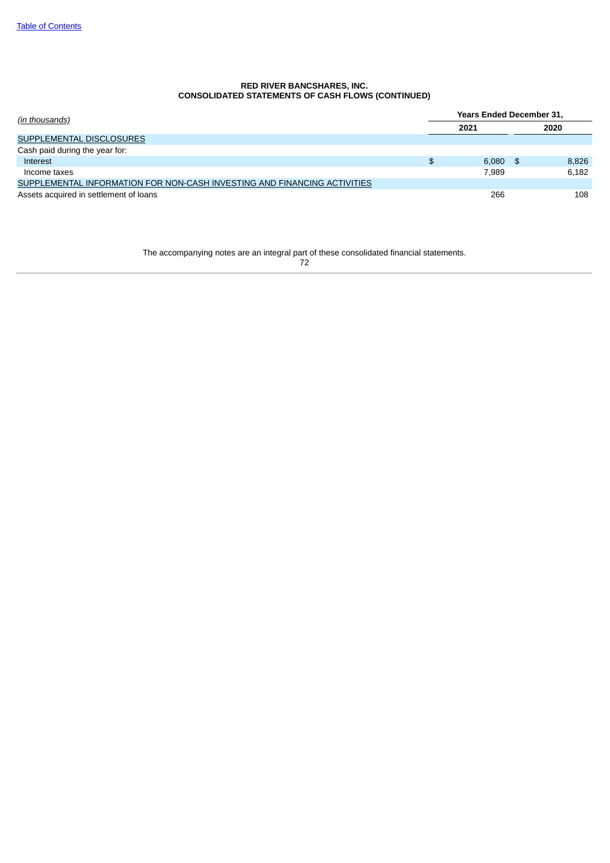### **RED RIVER BANCSHARES, INC. CONSOLIDATED STATEMENTS OF CASH FLOWS (CONTINUED)**

| (in thousands)<br>2021                                                   |    | <b>Years Ended December 31,</b> |      |       |  |  |  |
|--------------------------------------------------------------------------|----|---------------------------------|------|-------|--|--|--|
|                                                                          |    |                                 |      | 2020  |  |  |  |
| SUPPLEMENTAL DISCLOSURES                                                 |    |                                 |      |       |  |  |  |
| Cash paid during the year for:                                           |    |                                 |      |       |  |  |  |
| Interest                                                                 | \$ | 6.080                           | - 36 | 8,826 |  |  |  |
| Income taxes                                                             |    | 7.989                           |      | 6,182 |  |  |  |
| SUPPLEMENTAL INFORMATION FOR NON-CASH INVESTING AND FINANCING ACTIVITIES |    |                                 |      |       |  |  |  |
| Assets acquired in settlement of loans                                   |    | 266                             |      | 108   |  |  |  |

The accompanying notes are an integral part of these consolidated financial statements.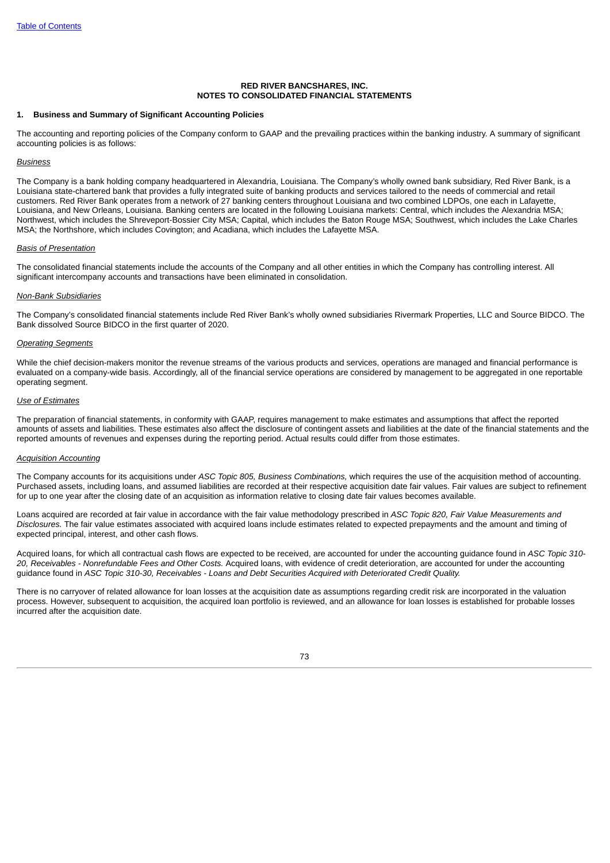## **RED RIVER BANCSHARES, INC. NOTES TO CONSOLIDATED FINANCIAL STATEMENTS**

#### **1. Business and Summary of Significant Accounting Policies**

The accounting and reporting policies of the Company conform to GAAP and the prevailing practices within the banking industry. A summary of significant accounting policies is as follows:

## *Business*

The Company is a bank holding company headquartered in Alexandria, Louisiana. The Company's wholly owned bank subsidiary, Red River Bank, is a Louisiana state-chartered bank that provides a fully integrated suite of banking products and services tailored to the needs of commercial and retail customers. Red River Bank operates from a network of 27 banking centers throughout Louisiana and two combined LDPOs, one each in Lafayette, Louisiana, and New Orleans, Louisiana. Banking centers are located in the following Louisiana markets: Central, which includes the Alexandria MSA; Northwest, which includes the Shreveport-Bossier City MSA; Capital, which includes the Baton Rouge MSA; Southwest, which includes the Lake Charles MSA; the Northshore, which includes Covington; and Acadiana, which includes the Lafayette MSA.

## *Basis of Presentation*

The consolidated financial statements include the accounts of the Company and all other entities in which the Company has controlling interest. All significant intercompany accounts and transactions have been eliminated in consolidation.

## *Non-Bank Subsidiaries*

The Company's consolidated financial statements include Red River Bank's wholly owned subsidiaries Rivermark Properties, LLC and Source BIDCO. The Bank dissolved Source BIDCO in the first quarter of 2020.

### *Operating Segments*

While the chief decision-makers monitor the revenue streams of the various products and services, operations are managed and financial performance is evaluated on a company-wide basis. Accordingly, all of the financial service operations are considered by management to be aggregated in one reportable operating segment.

## *Use of Estimates*

The preparation of financial statements, in conformity with GAAP, requires management to make estimates and assumptions that affect the reported amounts of assets and liabilities. These estimates also affect the disclosure of contingent assets and liabilities at the date of the financial statements and the reported amounts of revenues and expenses during the reporting period. Actual results could differ from those estimates.

### *Acquisition Accounting*

The Company accounts for its acquisitions under *ASC Topic 805, Business Combinations,* which requires the use of the acquisition method of accounting. Purchased assets, including loans, and assumed liabilities are recorded at their respective acquisition date fair values. Fair values are subject to refinement for up to one year after the closing date of an acquisition as information relative to closing date fair values becomes available.

Loans acquired are recorded at fair value in accordance with the fair value methodology prescribed in *ASC Topic 820, Fair Value Measurements and Disclosures.* The fair value estimates associated with acquired loans include estimates related to expected prepayments and the amount and timing of expected principal, interest, and other cash flows.

Acquired loans, for which all contractual cash flows are expected to be received, are accounted for under the accounting guidance found in *ASC Topic 310- 20, Receivables - Nonrefundable Fees and Other Costs.* Acquired loans, with evidence of credit deterioration, are accounted for under the accounting guidance found in *ASC Topic 310-30, Receivables - Loans and Debt Securities Acquired with Deteriorated Credit Quality.*

There is no carryover of related allowance for loan losses at the acquisition date as assumptions regarding credit risk are incorporated in the valuation process. However, subsequent to acquisition, the acquired loan portfolio is reviewed, and an allowance for loan losses is established for probable losses incurred after the acquisition date.

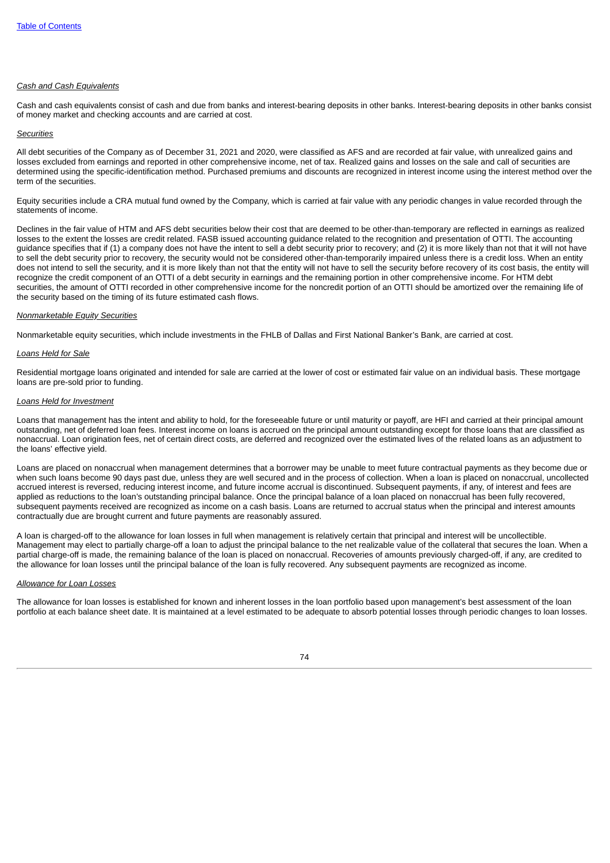## *Cash and Cash Equivalents*

Cash and cash equivalents consist of cash and due from banks and interest-bearing deposits in other banks. Interest-bearing deposits in other banks consist of money market and checking accounts and are carried at cost.

### *Securities*

All debt securities of the Company as of December 31, 2021 and 2020, were classified as AFS and are recorded at fair value, with unrealized gains and losses excluded from earnings and reported in other comprehensive income, net of tax. Realized gains and losses on the sale and call of securities are determined using the specific-identification method. Purchased premiums and discounts are recognized in interest income using the interest method over the term of the securities.

Equity securities include a CRA mutual fund owned by the Company, which is carried at fair value with any periodic changes in value recorded through the statements of income.

Declines in the fair value of HTM and AFS debt securities below their cost that are deemed to be other-than-temporary are reflected in earnings as realized losses to the extent the losses are credit related. FASB issued accounting guidance related to the recognition and presentation of OTTI. The accounting guidance specifies that if (1) a company does not have the intent to sell a debt security prior to recovery; and (2) it is more likely than not that it will not have to sell the debt security prior to recovery, the security would not be considered other-than-temporarily impaired unless there is a credit loss. When an entity does not intend to sell the security, and it is more likely than not that the entity will not have to sell the security before recovery of its cost basis, the entity will recognize the credit component of an OTTI of a debt security in earnings and the remaining portion in other comprehensive income. For HTM debt securities, the amount of OTTI recorded in other comprehensive income for the noncredit portion of an OTTI should be amortized over the remaining life of the security based on the timing of its future estimated cash flows.

#### *Nonmarketable Equity Securities*

Nonmarketable equity securities, which include investments in the FHLB of Dallas and First National Banker's Bank, are carried at cost.

#### *Loans Held for Sale*

Residential mortgage loans originated and intended for sale are carried at the lower of cost or estimated fair value on an individual basis. These mortgage loans are pre-sold prior to funding.

### *Loans Held for Investment*

Loans that management has the intent and ability to hold, for the foreseeable future or until maturity or payoff, are HFI and carried at their principal amount outstanding, net of deferred loan fees. Interest income on loans is accrued on the principal amount outstanding except for those loans that are classified as nonaccrual. Loan origination fees, net of certain direct costs, are deferred and recognized over the estimated lives of the related loans as an adjustment to the loans' effective yield.

Loans are placed on nonaccrual when management determines that a borrower may be unable to meet future contractual payments as they become due or when such loans become 90 days past due, unless they are well secured and in the process of collection. When a loan is placed on nonaccrual, uncollected accrued interest is reversed, reducing interest income, and future income accrual is discontinued. Subsequent payments, if any, of interest and fees are applied as reductions to the loan's outstanding principal balance. Once the principal balance of a loan placed on nonaccrual has been fully recovered, subsequent payments received are recognized as income on a cash basis. Loans are returned to accrual status when the principal and interest amounts contractually due are brought current and future payments are reasonably assured.

A loan is charged-off to the allowance for loan losses in full when management is relatively certain that principal and interest will be uncollectible. Management may elect to partially charge-off a loan to adjust the principal balance to the net realizable value of the collateral that secures the loan. When a partial charge-off is made, the remaining balance of the loan is placed on nonaccrual. Recoveries of amounts previously charged-off, if any, are credited to the allowance for loan losses until the principal balance of the loan is fully recovered. Any subsequent payments are recognized as income.

### *Allowance for Loan Losses*

The allowance for loan losses is established for known and inherent losses in the loan portfolio based upon management's best assessment of the loan portfolio at each balance sheet date. It is maintained at a level estimated to be adequate to absorb potential losses through periodic changes to loan losses.

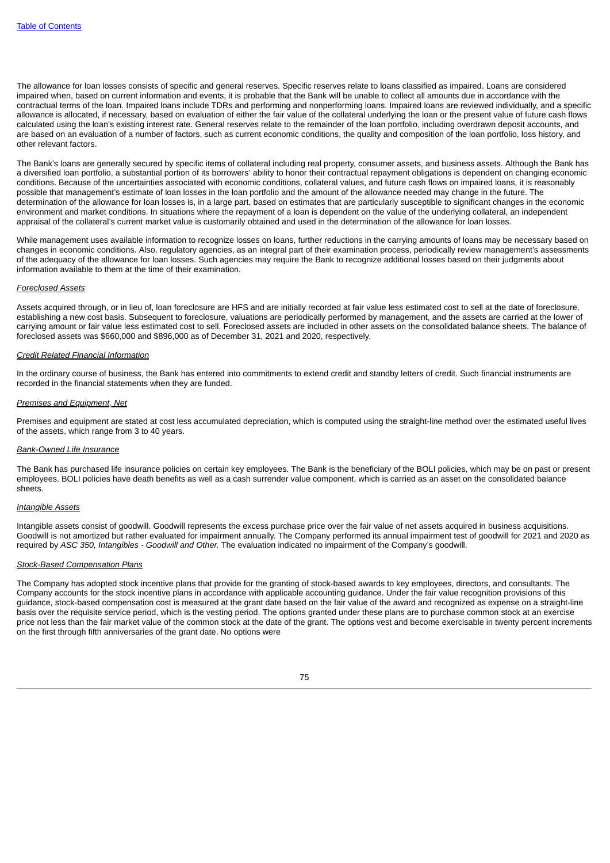The allowance for loan losses consists of specific and general reserves. Specific reserves relate to loans classified as impaired. Loans are considered impaired when, based on current information and events, it is probable that the Bank will be unable to collect all amounts due in accordance with the contractual terms of the loan. Impaired loans include TDRs and performing and nonperforming loans. Impaired loans are reviewed individually, and a specific allowance is allocated, if necessary, based on evaluation of either the fair value of the collateral underlying the loan or the present value of future cash flows calculated using the loan's existing interest rate. General reserves relate to the remainder of the loan portfolio, including overdrawn deposit accounts, and are based on an evaluation of a number of factors, such as current economic conditions, the quality and composition of the loan portfolio, loss history, and other relevant factors.

The Bank's loans are generally secured by specific items of collateral including real property, consumer assets, and business assets. Although the Bank has a diversified loan portfolio, a substantial portion of its borrowers' ability to honor their contractual repayment obligations is dependent on changing economic conditions. Because of the uncertainties associated with economic conditions, collateral values, and future cash flows on impaired loans, it is reasonably possible that management's estimate of loan losses in the loan portfolio and the amount of the allowance needed may change in the future. The determination of the allowance for loan losses is, in a large part, based on estimates that are particularly susceptible to significant changes in the economic environment and market conditions. In situations where the repayment of a loan is dependent on the value of the underlying collateral, an independent appraisal of the collateral's current market value is customarily obtained and used in the determination of the allowance for loan losses.

While management uses available information to recognize losses on loans, further reductions in the carrying amounts of loans may be necessary based on changes in economic conditions. Also, regulatory agencies, as an integral part of their examination process, periodically review management's assessments of the adequacy of the allowance for loan losses. Such agencies may require the Bank to recognize additional losses based on their judgments about information available to them at the time of their examination.

### *Foreclosed Assets*

Assets acquired through, or in lieu of, loan foreclosure are HFS and are initially recorded at fair value less estimated cost to sell at the date of foreclosure, establishing a new cost basis. Subsequent to foreclosure, valuations are periodically performed by management, and the assets are carried at the lower of carrying amount or fair value less estimated cost to sell. Foreclosed assets are included in other assets on the consolidated balance sheets. The balance of foreclosed assets was \$660,000 and \$896,000 as of December 31, 2021 and 2020, respectively.

## *Credit Related Financial Information*

In the ordinary course of business, the Bank has entered into commitments to extend credit and standby letters of credit. Such financial instruments are recorded in the financial statements when they are funded.

#### *Premises and Equipment, Net*

Premises and equipment are stated at cost less accumulated depreciation, which is computed using the straight-line method over the estimated useful lives of the assets, which range from 3 to 40 years.

## *Bank-Owned Life Insurance*

The Bank has purchased life insurance policies on certain key employees. The Bank is the beneficiary of the BOLI policies, which may be on past or present employees. BOLI policies have death benefits as well as a cash surrender value component, which is carried as an asset on the consolidated balance sheets.

#### *Intangible Assets*

Intangible assets consist of goodwill. Goodwill represents the excess purchase price over the fair value of net assets acquired in business acquisitions. Goodwill is not amortized but rather evaluated for impairment annually. The Company performed its annual impairment test of goodwill for 2021 and 2020 as required by *ASC 350, Intangibles - Goodwill and Other.* The evaluation indicated no impairment of the Company's goodwill.

## *Stock-Based Compensation Plans*

The Company has adopted stock incentive plans that provide for the granting of stock-based awards to key employees, directors, and consultants. The Company accounts for the stock incentive plans in accordance with applicable accounting guidance. Under the fair value recognition provisions of this guidance, stock-based compensation cost is measured at the grant date based on the fair value of the award and recognized as expense on a straight-line basis over the requisite service period, which is the vesting period. The options granted under these plans are to purchase common stock at an exercise price not less than the fair market value of the common stock at the date of the grant. The options vest and become exercisable in twenty percent increments on the first through fifth anniversaries of the grant date. No options were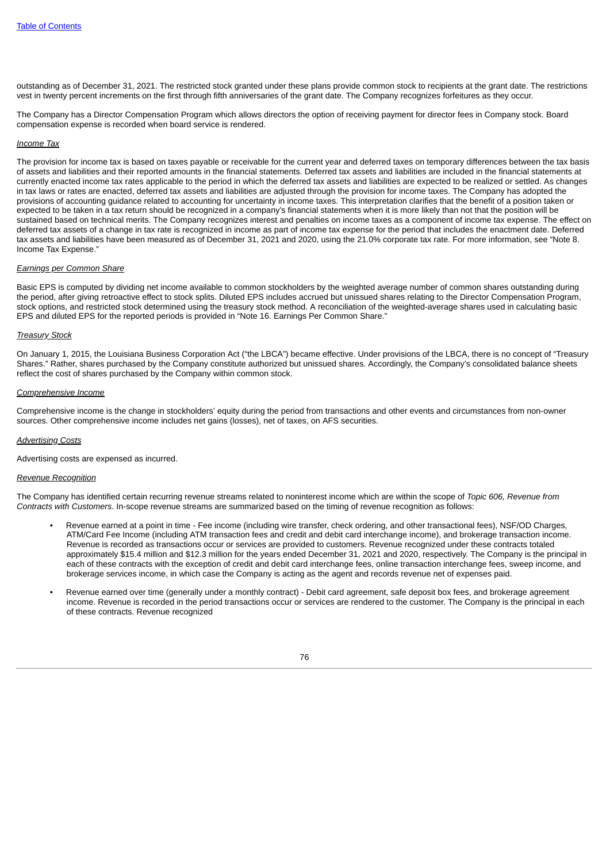outstanding as of December 31, 2021. The restricted stock granted under these plans provide common stock to recipients at the grant date. The restrictions vest in twenty percent increments on the first through fifth anniversaries of the grant date. The Company recognizes forfeitures as they occur.

The Company has a Director Compensation Program which allows directors the option of receiving payment for director fees in Company stock. Board compensation expense is recorded when board service is rendered.

## *Income Tax*

The provision for income tax is based on taxes payable or receivable for the current year and deferred taxes on temporary differences between the tax basis of assets and liabilities and their reported amounts in the financial statements. Deferred tax assets and liabilities are included in the financial statements at currently enacted income tax rates applicable to the period in which the deferred tax assets and liabilities are expected to be realized or settled. As changes in tax laws or rates are enacted, deferred tax assets and liabilities are adjusted through the provision for income taxes. The Company has adopted the provisions of accounting guidance related to accounting for uncertainty in income taxes. This interpretation clarifies that the benefit of a position taken or expected to be taken in a tax return should be recognized in a company's financial statements when it is more likely than not that the position will be sustained based on technical merits. The Company recognizes interest and penalties on income taxes as a component of income tax expense. The effect on deferred tax assets of a change in tax rate is recognized in income as part of income tax expense for the period that includes the enactment date. Deferred tax assets and liabilities have been measured as of December 31, 2021 and 2020, using the 21.0% corporate tax rate. For more information, see "Note 8. Income Tax Expense."

#### *Earnings per Common Share*

Basic EPS is computed by dividing net income available to common stockholders by the weighted average number of common shares outstanding during the period, after giving retroactive effect to stock splits. Diluted EPS includes accrued but unissued shares relating to the Director Compensation Program, stock options, and restricted stock determined using the treasury stock method. A reconciliation of the weighted-average shares used in calculating basic EPS and diluted EPS for the reported periods is provided in "Note 16. Earnings Per Common Share."

#### *Treasury Stock*

On January 1, 2015, the Louisiana Business Corporation Act ("the LBCA") became effective. Under provisions of the LBCA, there is no concept of "Treasury Shares." Rather, shares purchased by the Company constitute authorized but unissued shares. Accordingly, the Company's consolidated balance sheets reflect the cost of shares purchased by the Company within common stock.

#### *Comprehensive Income*

Comprehensive income is the change in stockholders' equity during the period from transactions and other events and circumstances from non-owner sources. Other comprehensive income includes net gains (losses), net of taxes, on AFS securities.

#### *Advertising Costs*

Advertising costs are expensed as incurred.

## *Revenue Recognition*

The Company has identified certain recurring revenue streams related to noninterest income which are within the scope of *Topic 606, Revenue from Contracts with Customers*. In-scope revenue streams are summarized based on the timing of revenue recognition as follows:

- Revenue earned at a point in time Fee income (including wire transfer, check ordering, and other transactional fees), NSF/OD Charges, ATM/Card Fee Income (including ATM transaction fees and credit and debit card interchange income), and brokerage transaction income. Revenue is recorded as transactions occur or services are provided to customers. Revenue recognized under these contracts totaled approximately \$15.4 million and \$12.3 million for the years ended December 31, 2021 and 2020, respectively. The Company is the principal in each of these contracts with the exception of credit and debit card interchange fees, online transaction interchange fees, sweep income, and brokerage services income, in which case the Company is acting as the agent and records revenue net of expenses paid.
- Revenue earned over time (generally under a monthly contract) Debit card agreement, safe deposit box fees, and brokerage agreement income. Revenue is recorded in the period transactions occur or services are rendered to the customer. The Company is the principal in each of these contracts. Revenue recognized

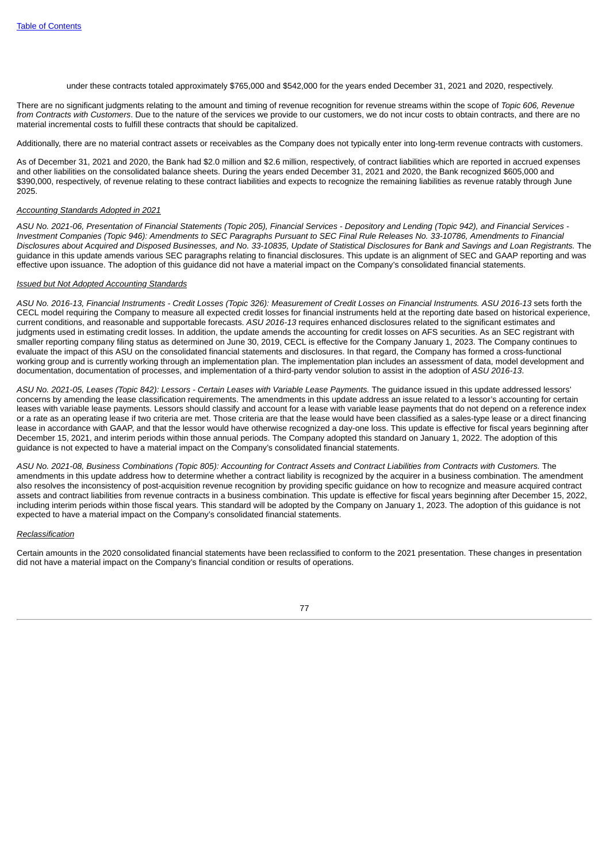under these contracts totaled approximately \$765,000 and \$542,000 for the years ended December 31, 2021 and 2020, respectively.

There are no significant judgments relating to the amount and timing of revenue recognition for revenue streams within the scope of *Topic 606, Revenue from Contracts with Customers*. Due to the nature of the services we provide to our customers, we do not incur costs to obtain contracts, and there are no material incremental costs to fulfill these contracts that should be capitalized.

Additionally, there are no material contract assets or receivables as the Company does not typically enter into long-term revenue contracts with customers.

As of December 31, 2021 and 2020, the Bank had \$2.0 million and \$2.6 million, respectively, of contract liabilities which are reported in accrued expenses and other liabilities on the consolidated balance sheets. During the years ended December 31, 2021 and 2020, the Bank recognized \$605,000 and \$390,000, respectively, of revenue relating to these contract liabilities and expects to recognize the remaining liabilities as revenue ratably through June 2025.

## *Accounting Standards Adopted in 2021*

*ASU No. 2021-06, Presentation of Financial Statements (Topic 205), Financial Services - Depository and Lending (Topic 942), and Financial Services - Investment Companies (Topic 946): Amendments to SEC Paragraphs Pursuant to SEC Final Rule Releases No. 33-10786, Amendments to Financial Disclosures about Acquired and Disposed Businesses, and No. 33-10835, Update of Statistical Disclosures for Bank and Savings and Loan Registrants.* The guidance in this update amends various SEC paragraphs relating to financial disclosures. This update is an alignment of SEC and GAAP reporting and was effective upon issuance. The adoption of this guidance did not have a material impact on the Company's consolidated financial statements.

## *Issued but Not Adopted Accounting Standards*

*ASU No. 2016-13, Financial Instruments - Credit Losses (Topic 326): Measurement of Credit Losses on Financial Instruments. ASU 2016-13* sets forth the CECL model requiring the Company to measure all expected credit losses for financial instruments held at the reporting date based on historical experience, current conditions, and reasonable and supportable forecasts. *ASU 2016-13* requires enhanced disclosures related to the significant estimates and judgments used in estimating credit losses. In addition, the update amends the accounting for credit losses on AFS securities. As an SEC registrant with smaller reporting company filing status as determined on June 30, 2019, CECL is effective for the Company January 1, 2023. The Company continues to evaluate the impact of this ASU on the consolidated financial statements and disclosures. In that regard, the Company has formed a cross-functional working group and is currently working through an implementation plan. The implementation plan includes an assessment of data, model development and documentation, documentation of processes, and implementation of a third-party vendor solution to assist in the adoption of *ASU 2016-13*.

ASU No. 2021-05, Leases (Topic 842): Lessors - Certain Leases with Variable Lease Payments. The guidance issued in this update addressed lessors' concerns by amending the lease classification requirements. The amendments in this update address an issue related to a lessor's accounting for certain leases with variable lease payments. Lessors should classify and account for a lease with variable lease payments that do not depend on a reference index or a rate as an operating lease if two criteria are met. Those criteria are that the lease would have been classified as a sales-type lease or a direct financing lease in accordance with GAAP, and that the lessor would have otherwise recognized a day-one loss. This update is effective for fiscal years beginning after December 15, 2021, and interim periods within those annual periods. The Company adopted this standard on January 1, 2022. The adoption of this guidance is not expected to have a material impact on the Company's consolidated financial statements.

*ASU No. 2021-08, Business Combinations (Topic 805): Accounting for Contract Assets and Contract Liabilities from Contracts with Customers.* The amendments in this update address how to determine whether a contract liability is recognized by the acquirer in a business combination. The amendment also resolves the inconsistency of post-acquisition revenue recognition by providing specific guidance on how to recognize and measure acquired contract assets and contract liabilities from revenue contracts in a business combination. This update is effective for fiscal years beginning after December 15, 2022, including interim periods within those fiscal years. This standard will be adopted by the Company on January 1, 2023. The adoption of this guidance is not expected to have a material impact on the Company's consolidated financial statements.

## *Reclassification*

Certain amounts in the 2020 consolidated financial statements have been reclassified to conform to the 2021 presentation. These changes in presentation did not have a material impact on the Company's financial condition or results of operations.

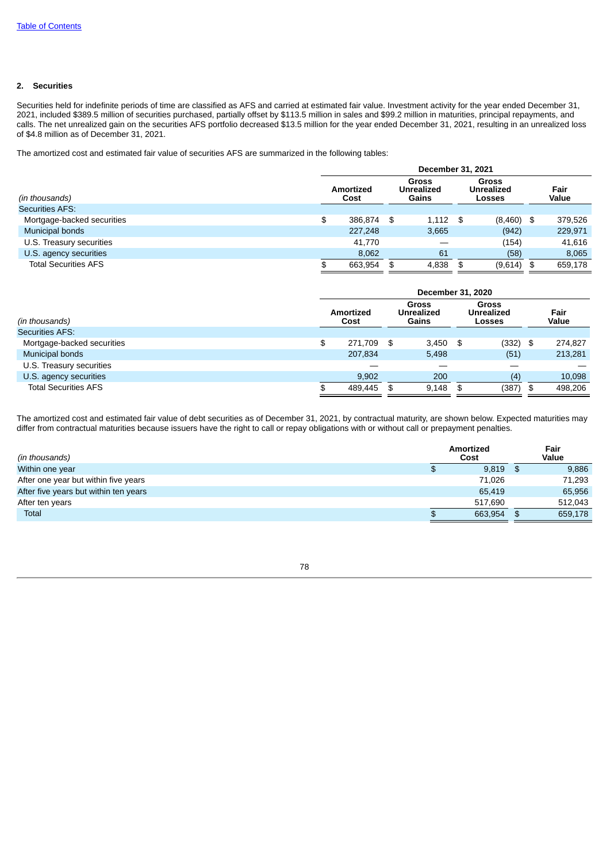## **2. Securities**

Securities held for indefinite periods of time are classified as AFS and carried at estimated fair value. Investment activity for the year ended December 31, 2021, included \$389.5 million of securities purchased, partially offset by \$113.5 million in sales and \$99.2 million in maturities, principal repayments, and calls. The net unrealized gain on the securities AFS portfolio decreased \$13.5 million for the year ended December 31, 2021, resulting in an unrealized loss of \$4.8 million as of December 31, 2021.

The amortized cost and estimated fair value of securities AFS are summarized in the following tables:

|                             | December 31, 2021 |                   |                                     |            |                                             |              |  |               |  |  |
|-----------------------------|-------------------|-------------------|-------------------------------------|------------|---------------------------------------------|--------------|--|---------------|--|--|
| (in thousands)              |                   | Amortized<br>Cost | Gross<br><b>Unrealized</b><br>Gains |            | <b>Gross</b><br>Unrealized<br><b>Losses</b> |              |  | Fair<br>Value |  |  |
| Securities AFS:             |                   |                   |                                     |            |                                             |              |  |               |  |  |
| Mortgage-backed securities  | \$                | 386.874 \$        |                                     | $1,112$ \$ |                                             | $(8,460)$ \$ |  | 379.526       |  |  |
| <b>Municipal bonds</b>      |                   | 227,248           |                                     | 3.665      |                                             | (942)        |  | 229.971       |  |  |
| U.S. Treasury securities    |                   | 41.770            |                                     |            |                                             | (154)        |  | 41.616        |  |  |
| U.S. agency securities      |                   | 8.062             |                                     | 61         |                                             | (58)         |  | 8,065         |  |  |
| <b>Total Securities AFS</b> | ъ                 | 663.954           |                                     | 4.838      | -\$                                         | (9,614)      |  | 659.178       |  |  |

|                             | December 31, 2020 |                   |  |                                            |      |                                             |    |               |  |  |  |  |  |  |
|-----------------------------|-------------------|-------------------|--|--------------------------------------------|------|---------------------------------------------|----|---------------|--|--|--|--|--|--|
| (in thousands)              |                   | Amortized<br>Cost |  | <b>Gross</b><br><b>Unrealized</b><br>Gains |      | <b>Gross</b><br><b>Unrealized</b><br>Losses |    | Fair<br>Value |  |  |  |  |  |  |
| Securities AFS:             |                   |                   |  |                                            |      |                                             |    |               |  |  |  |  |  |  |
| Mortgage-backed securities  | \$                | 271,709 \$        |  | $3,450$ \$                                 |      | (332)                                       | \$ | 274,827       |  |  |  |  |  |  |
| <b>Municipal bonds</b>      |                   | 207.834           |  | 5.498                                      |      | (51)                                        |    | 213,281       |  |  |  |  |  |  |
| U.S. Treasury securities    |                   |                   |  |                                            |      |                                             |    |               |  |  |  |  |  |  |
| U.S. agency securities      |                   | 9.902             |  | 200                                        |      | (4)                                         |    | 10,098        |  |  |  |  |  |  |
| <b>Total Securities AFS</b> |                   | 489.445           |  | 9.148                                      | - \$ | (387)                                       | £. | 498.206       |  |  |  |  |  |  |
|                             |                   |                   |  |                                            |      |                                             |    |               |  |  |  |  |  |  |

The amortized cost and estimated fair value of debt securities as of December 31, 2021, by contractual maturity, are shown below. Expected maturities may differ from contractual maturities because issuers have the right to call or repay obligations with or without call or prepayment penalties.

| (in thousands)                        | Amortized<br>Cost | Fair<br>Value |
|---------------------------------------|-------------------|---------------|
| Within one year                       | \$<br>9,819       | 9,886         |
| After one year but within five years  | 71,026            | 71,293        |
| After five years but within ten years | 65,419            | 65,956        |
| After ten years                       | 517.690           | 512.043       |
| <b>Total</b>                          | \$<br>663.954     | 659.178       |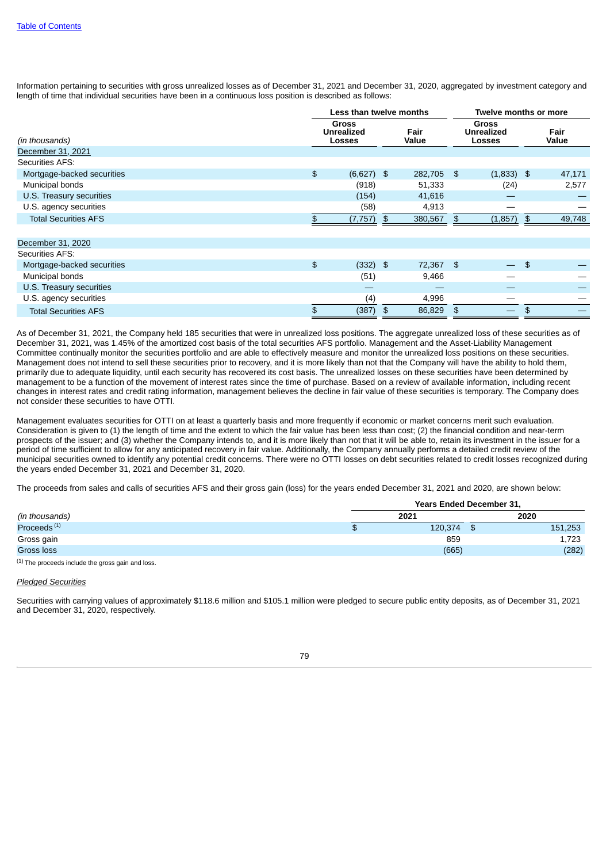Information pertaining to securities with gross unrealized losses as of December 31, 2021 and December 31, 2020, aggregated by investment category and length of time that individual securities have been in a continuous loss position is described as follows:

|                             |    | <b>Less than twelve months</b>       |               |         |                                      | Twelve months or more    |      |               |
|-----------------------------|----|--------------------------------------|---------------|---------|--------------------------------------|--------------------------|------|---------------|
| (in thousands)              |    | Gross<br><b>Unrealized</b><br>Losses | Fair<br>Value |         | Gross<br><b>Unrealized</b><br>Losses |                          |      | Fair<br>Value |
| December 31, 2021           |    |                                      |               |         |                                      |                          |      |               |
| Securities AFS:             |    |                                      |               |         |                                      |                          |      |               |
| Mortgage-backed securities  | \$ | $(6,627)$ \$                         |               | 282,705 | \$                                   | $(1,833)$ \$             |      | 47,171        |
| Municipal bonds             |    | (918)                                |               | 51,333  |                                      | (24)                     |      | 2,577         |
| U.S. Treasury securities    |    | (154)                                |               | 41,616  |                                      |                          |      |               |
| U.S. agency securities      |    | (58)                                 |               | 4,913   |                                      | –                        |      |               |
| <b>Total Securities AFS</b> |    | (7, 757)                             | \$            | 380,567 | \$                                   | (1,857)                  | - \$ | 49,748        |
|                             |    |                                      |               |         |                                      |                          |      |               |
| December 31, 2020           |    |                                      |               |         |                                      |                          |      |               |
| Securities AFS:             |    |                                      |               |         |                                      |                          |      |               |
| Mortgage-backed securities  | \$ | $(332)$ \$                           |               | 72,367  | \$                                   | ←                        | - \$ |               |
| Municipal bonds             |    | (51)                                 |               | 9,466   |                                      |                          |      |               |
| U.S. Treasury securities    |    |                                      |               |         |                                      |                          |      |               |
| U.S. agency securities      |    | (4)                                  |               | 4,996   |                                      |                          |      |               |
| <b>Total Securities AFS</b> | \$ | (387)                                | \$            | 86,829  | \$                                   | $\overline{\phantom{0}}$ | \$   |               |

As of December 31, 2021, the Company held 185 securities that were in unrealized loss positions. The aggregate unrealized loss of these securities as of December 31, 2021, was 1.45% of the amortized cost basis of the total securities AFS portfolio. Management and the Asset-Liability Management Committee continually monitor the securities portfolio and are able to effectively measure and monitor the unrealized loss positions on these securities. Management does not intend to sell these securities prior to recovery, and it is more likely than not that the Company will have the ability to hold them, primarily due to adequate liquidity, until each security has recovered its cost basis. The unrealized losses on these securities have been determined by management to be a function of the movement of interest rates since the time of purchase. Based on a review of available information, including recent changes in interest rates and credit rating information, management believes the decline in fair value of these securities is temporary. The Company does not consider these securities to have OTTI.

Management evaluates securities for OTTI on at least a quarterly basis and more frequently if economic or market concerns merit such evaluation. Consideration is given to (1) the length of time and the extent to which the fair value has been less than cost; (2) the financial condition and near-term prospects of the issuer; and (3) whether the Company intends to, and it is more likely than not that it will be able to, retain its investment in the issuer for a period of time sufficient to allow for any anticipated recovery in fair value. Additionally, the Company annually performs a detailed credit review of the municipal securities owned to identify any potential credit concerns. There were no OTTI losses on debt securities related to credit losses recognized during the years ended December 31, 2021 and December 31, 2020.

The proceeds from sales and calls of securities AFS and their gross gain (loss) for the years ended December 31, 2021 and 2020, are shown below:

|                         |      |         | Years Ended December 31, |         |
|-------------------------|------|---------|--------------------------|---------|
| (in thousands)          | 2021 |         | 2020                     |         |
| Proceeds <sup>(1)</sup> | £.   | 120.374 | \$.                      | 151,253 |
| Gross gain              |      | 859     |                          | 1,723   |
| Gross loss              |      | (665)   |                          | (282)   |

 $(1)$  The proceeds include the gross gain and loss.

## *Pledged Securities*

Securities with carrying values of approximately \$118.6 million and \$105.1 million were pledged to secure public entity deposits, as of December 31, 2021 and December 31, 2020, respectively.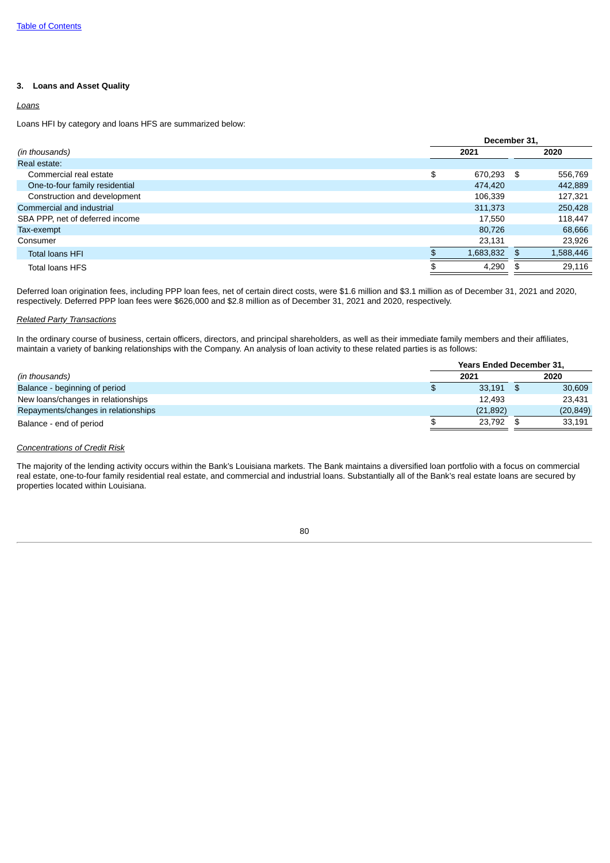## **3. Loans and Asset Quality**

## *Loans*

Loans HFI by category and loans HFS are summarized below:

|                                 |      | December 31, |    |           |  |
|---------------------------------|------|--------------|----|-----------|--|
| (in thousands)                  | 2021 |              |    | 2020      |  |
| Real estate:                    |      |              |    |           |  |
| Commercial real estate          | \$   | 670.293 \$   |    | 556,769   |  |
| One-to-four family residential  |      | 474,420      |    | 442,889   |  |
| Construction and development    |      | 106,339      |    | 127,321   |  |
| Commercial and industrial       |      | 311,373      |    | 250,428   |  |
| SBA PPP, net of deferred income |      | 17.550       |    | 118,447   |  |
| Tax-exempt                      |      | 80,726       |    | 68,666    |  |
| Consumer                        |      | 23,131       |    | 23,926    |  |
| <b>Total loans HFI</b>          |      | 1,683,832    | \$ | 1,588,446 |  |
| Total loans HFS                 |      | 4,290        | £. | 29,116    |  |
|                                 |      |              |    |           |  |

Deferred loan origination fees, including PPP loan fees, net of certain direct costs, were \$1.6 million and \$3.1 million as of December 31, 2021 and 2020, respectively. Deferred PPP loan fees were \$626,000 and \$2.8 million as of December 31, 2021 and 2020, respectively.

## *Related Party Transactions*

In the ordinary course of business, certain officers, directors, and principal shareholders, as well as their immediate family members and their affiliates, maintain a variety of banking relationships with the Company. An analysis of loan activity to these related parties is as follows:

|                                     | <b>Years Ended December 31.</b> |           |  |           |  |  |  |
|-------------------------------------|---------------------------------|-----------|--|-----------|--|--|--|
| (in thousands)                      |                                 | 2021      |  | 2020      |  |  |  |
| Balance - beginning of period       |                                 | 33.191    |  | 30,609    |  |  |  |
| New loans/changes in relationships  |                                 | 12.493    |  | 23.431    |  |  |  |
| Repayments/changes in relationships |                                 | (21, 892) |  | (20, 849) |  |  |  |
| Balance - end of period             |                                 | 23.792    |  | 33.191    |  |  |  |

# *Concentrations of Credit Risk*

The majority of the lending activity occurs within the Bank's Louisiana markets. The Bank maintains a diversified loan portfolio with a focus on commercial real estate, one-to-four family residential real estate, and commercial and industrial loans. Substantially all of the Bank's real estate loans are secured by real estate loans are secured by properties located within Louisiana.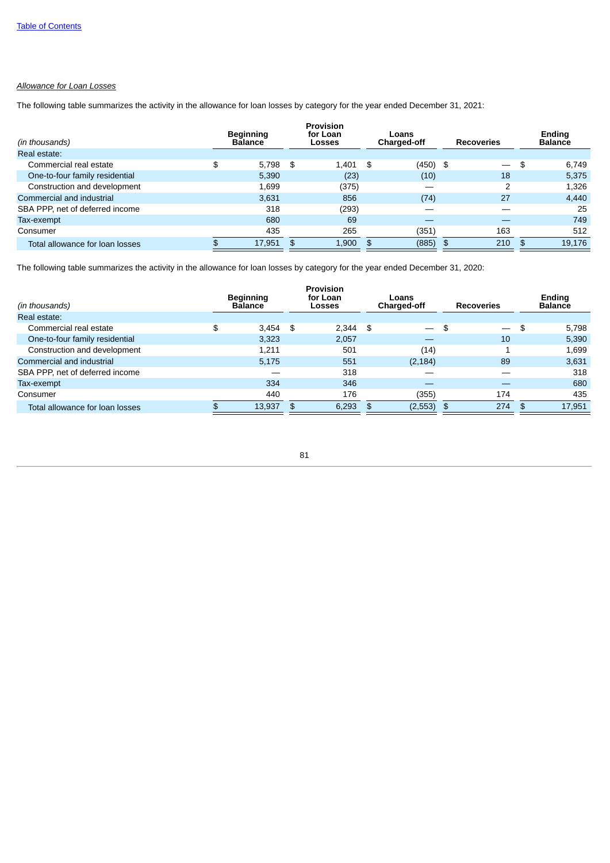# *Allowance for Loan Losses*

The following table summarizes the activity in the allowance for loan losses by category for the year ended December 31, 2021:

| (in thousands)                  | <b>Beginning</b><br><b>Balance</b> |      | <b>Provision</b><br>for Loan<br>Losses | Loans<br><b>Charged-off</b> | <b>Recoveries</b>        | Ending<br><b>Balance</b> |
|---------------------------------|------------------------------------|------|----------------------------------------|-----------------------------|--------------------------|--------------------------|
| Real estate:                    |                                    |      |                                        |                             |                          |                          |
| Commercial real estate          | \$<br>$5,798$ \$                   |      | $1,401$ \$                             | $(450)$ \$                  | $\overline{\phantom{0}}$ | \$<br>6.749              |
| One-to-four family residential  | 5.390                              |      | (23)                                   | (10)                        | 18                       | 5,375                    |
| Construction and development    | 1,699                              |      | (375)                                  |                             | 2                        | 1,326                    |
| Commercial and industrial       | 3,631                              |      | 856                                    | (74)                        | 27                       | 4,440                    |
| SBA PPP, net of deferred income | 318                                |      | (293)                                  |                             |                          | 25                       |
| Tax-exempt                      | 680                                |      | 69                                     |                             |                          | 749                      |
| Consumer                        | 435                                |      | 265                                    | (351)                       | 163                      | 512                      |
| Total allowance for loan losses | \$<br>17,951                       | - \$ | 1.900                                  | \$<br>(885)                 | \$<br>210                | \$<br>19,176             |

The following table summarizes the activity in the allowance for loan losses by category for the year ended December 31, 2020:

| (in thousands)                  | <b>Beginning</b><br><b>Balance</b> |     | Provision<br>for Loan<br>Losses |     | Loans<br><b>Charged-off</b> | <b>Recoveries</b> |     | Ending<br><b>Balance</b> |
|---------------------------------|------------------------------------|-----|---------------------------------|-----|-----------------------------|-------------------|-----|--------------------------|
| Real estate:                    |                                    |     |                                 |     |                             |                   |     |                          |
| Commercial real estate          | \$<br>$3,454$ \$                   |     | $2,344$ \$                      |     |                             | \$<br>$-$ \$      |     | 5,798                    |
| One-to-four family residential  | 3,323                              |     | 2,057                           |     |                             | 10                |     | 5,390                    |
| Construction and development    | 1,211                              |     | 501                             |     | (14)                        |                   |     | 1,699                    |
| Commercial and industrial       | 5,175                              |     | 551                             |     | (2, 184)                    | 89                |     | 3,631                    |
| SBA PPP, net of deferred income |                                    |     | 318                             |     |                             |                   |     | 318                      |
| Tax-exempt                      | 334                                |     | 346                             |     |                             |                   |     | 680                      |
| Consumer                        | 440                                |     | 176                             |     | (355)                       | 174               |     | 435                      |
| Total allowance for loan losses | 13,937                             | \$. | 6,293                           | \$. | (2, 553)                    | \$<br>274         | -S. | 17,951                   |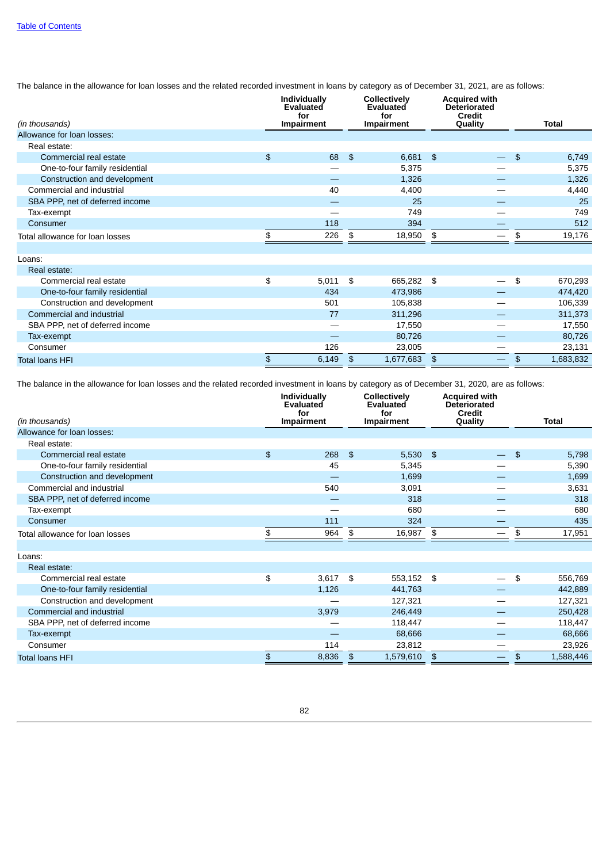The balance in the allowance for loan losses and the related recorded investment in loans by category as of December 31, 2021, are as follows:

|                                 | Individually<br><b>Evaluated</b><br>for |                   | Collectively<br><b>Evaluated</b><br>for |                   |               | <b>Acquired with</b><br><b>Deteriorated</b><br><b>Credit</b> |                 |
|---------------------------------|-----------------------------------------|-------------------|-----------------------------------------|-------------------|---------------|--------------------------------------------------------------|-----------------|
| (in thousands)                  |                                         | <b>Impairment</b> |                                         | <b>Impairment</b> |               | Quality                                                      | <b>Total</b>    |
| Allowance for loan losses:      |                                         |                   |                                         |                   |               |                                                              |                 |
| Real estate:                    |                                         |                   |                                         |                   |               |                                                              |                 |
| Commercial real estate          | $\mathfrak{S}$                          | 68                | $\mathfrak{F}$                          | 6,681             | \$            |                                                              | \$<br>6,749     |
| One-to-four family residential  |                                         |                   |                                         | 5,375             |               |                                                              | 5,375           |
| Construction and development    |                                         |                   |                                         | 1,326             |               |                                                              | 1,326           |
| Commercial and industrial       |                                         | 40                |                                         | 4,400             |               |                                                              | 4,440           |
| SBA PPP, net of deferred income |                                         |                   |                                         | 25                |               |                                                              | 25              |
| Tax-exempt                      |                                         |                   |                                         | 749               |               |                                                              | 749             |
| Consumer                        |                                         | 118               |                                         | 394               |               |                                                              | 512             |
| Total allowance for loan losses | \$                                      | 226               | \$                                      | 18,950            | \$            |                                                              | \$<br>19,176    |
|                                 |                                         |                   |                                         |                   |               |                                                              |                 |
| Loans:                          |                                         |                   |                                         |                   |               |                                                              |                 |
| Real estate:                    |                                         |                   |                                         |                   |               |                                                              |                 |
| Commercial real estate          | \$                                      | 5,011             | \$                                      | 665,282           | \$            |                                                              | \$<br>670,293   |
| One-to-four family residential  |                                         | 434               |                                         | 473,986           |               |                                                              | 474,420         |
| Construction and development    |                                         | 501               |                                         | 105,838           |               |                                                              | 106,339         |
| Commercial and industrial       |                                         | 77                |                                         | 311,296           |               |                                                              | 311,373         |
| SBA PPP, net of deferred income |                                         |                   |                                         | 17,550            |               |                                                              | 17,550          |
| Tax-exempt                      |                                         |                   |                                         | 80,726            |               |                                                              | 80,726          |
| Consumer                        |                                         | 126               |                                         | 23,005            |               |                                                              | 23,131          |
| <b>Total loans HFI</b>          | $\frac{1}{2}$                           | 6,149             | $\frac{4}{5}$                           | 1,677,683         | $\frac{1}{2}$ | $\overline{\phantom{0}}$                                     | \$<br>1,683,832 |

The balance in the allowance for loan losses and the related recorded investment in loans by category as of December 31, 2020, are as follows:

|                                 | <b>Individually</b><br><b>Evaluated</b><br>for |                   |                | Collectively<br>Evaluated<br>for | <b>Acquired with</b><br><b>Deteriorated</b><br><b>Credit</b> |                          |    |              |
|---------------------------------|------------------------------------------------|-------------------|----------------|----------------------------------|--------------------------------------------------------------|--------------------------|----|--------------|
| (in thousands)                  |                                                | <b>Impairment</b> |                | <b>Impairment</b>                |                                                              | Quality                  |    | <b>Total</b> |
| Allowance for loan losses:      |                                                |                   |                |                                  |                                                              |                          |    |              |
| Real estate:                    |                                                |                   |                |                                  |                                                              |                          |    |              |
| Commercial real estate          | \$                                             | 268               | $\mathfrak{F}$ | 5,530                            | \$                                                           | $\overline{\phantom{0}}$ | \$ | 5,798        |
| One-to-four family residential  |                                                | 45                |                | 5,345                            |                                                              |                          |    | 5,390        |
| Construction and development    |                                                |                   |                | 1,699                            |                                                              |                          |    | 1,699        |
| Commercial and industrial       |                                                | 540               |                | 3,091                            |                                                              |                          |    | 3,631        |
| SBA PPP, net of deferred income |                                                |                   |                | 318                              |                                                              |                          |    | 318          |
| Tax-exempt                      |                                                |                   |                | 680                              |                                                              |                          |    | 680          |
| Consumer                        |                                                | 111               |                | 324                              |                                                              |                          |    | 435          |
| Total allowance for loan losses | \$.                                            | 964               | \$             | 16,987                           | \$                                                           |                          | \$ | 17,951       |
|                                 |                                                |                   |                |                                  |                                                              |                          |    |              |
| Loans:                          |                                                |                   |                |                                  |                                                              |                          |    |              |
| Real estate:                    |                                                |                   |                |                                  |                                                              |                          |    |              |
| Commercial real estate          | \$                                             | 3,617             | \$             | 553,152                          | \$                                                           |                          | \$ | 556,769      |
| One-to-four family residential  |                                                | 1,126             |                | 441,763                          |                                                              |                          |    | 442,889      |
| Construction and development    |                                                |                   |                | 127,321                          |                                                              |                          |    | 127,321      |
| Commercial and industrial       |                                                | 3,979             |                | 246,449                          |                                                              |                          |    | 250,428      |
| SBA PPP, net of deferred income |                                                |                   |                | 118,447                          |                                                              |                          |    | 118,447      |
| Tax-exempt                      |                                                | —                 |                | 68,666                           |                                                              |                          |    | 68,666       |
| Consumer                        |                                                | 114               |                | 23,812                           |                                                              |                          |    | 23,926       |
| <b>Total loans HFI</b>          | \$                                             | 8,836             | $\frac{4}{5}$  | 1,579,610                        | $\frac{1}{2}$                                                |                          | \$ | 1,588,446    |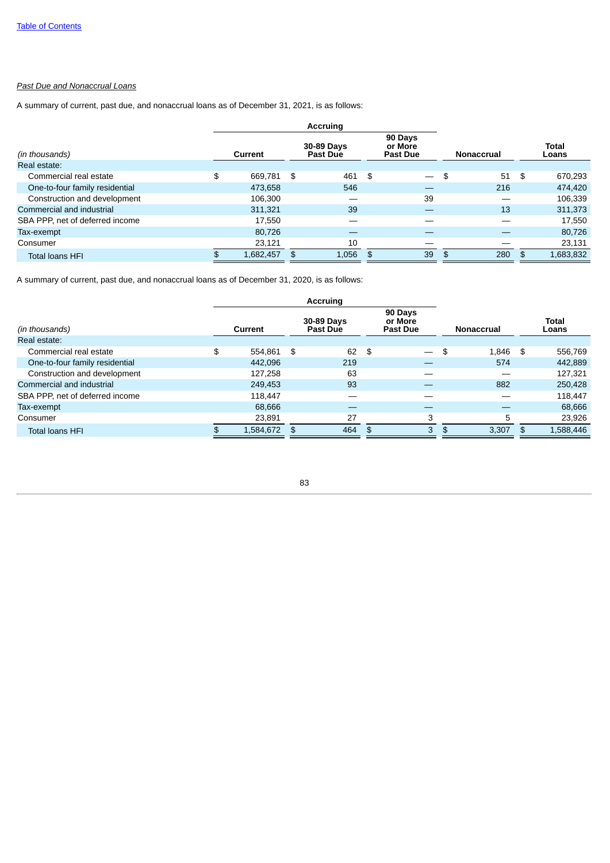# *Past Due and Nonaccrual Loans*

A summary of current, past due, and nonaccrual loans as of December 31, 2021, is as follows:

|                                 |                  | Accruing                      |                                       |                     |                       |
|---------------------------------|------------------|-------------------------------|---------------------------------------|---------------------|-----------------------|
| (in thousands)                  | Current          | 30-89 Days<br><b>Past Due</b> | 90 Days<br>or More<br><b>Past Due</b> | <b>Nonaccrual</b>   | <b>Total</b><br>Loans |
| Real estate:                    |                  |                               |                                       |                     |                       |
| Commercial real estate          | \$<br>669,781 \$ | 461 \$                        |                                       | \$<br>$51 \quad$ \$ | 670,293               |
| One-to-four family residential  | 473,658          | 546                           |                                       | 216                 | 474,420               |
| Construction and development    | 106,300          |                               | 39                                    |                     | 106,339               |
| Commercial and industrial       | 311,321          | 39                            |                                       | 13                  | 311,373               |
| SBA PPP, net of deferred income | 17,550           |                               |                                       |                     | 17,550                |
| Tax-exempt                      | 80,726           |                               |                                       |                     | 80,726                |
| Consumer                        | 23,121           | 10                            |                                       |                     | 23,131                |
| <b>Total loans HFI</b>          | \$<br>1,682,457  | \$<br>1.056                   | \$<br>39                              | \$<br>280           | \$<br>1,683,832       |

A summary of current, past due, and nonaccrual loans as of December 31, 2020, is as follows:

|                                 |         |            |    | Accruing                      |                                       |                          |      |                   |                |                       |
|---------------------------------|---------|------------|----|-------------------------------|---------------------------------------|--------------------------|------|-------------------|----------------|-----------------------|
| (in thousands)                  | Current |            |    | 30-89 Days<br><b>Past Due</b> | 90 Days<br>or More<br><b>Past Due</b> |                          |      | <b>Nonaccrual</b> |                | <b>Total</b><br>Loans |
| Real estate:                    |         |            |    |                               |                                       |                          |      |                   |                |                       |
| Commercial real estate          | \$      | 554.861 \$ |    | 62                            | - \$                                  | $\overline{\phantom{a}}$ | - \$ | $1,846$ \$        |                | 556,769               |
| One-to-four family residential  |         | 442.096    |    | 219                           |                                       |                          |      | 574               |                | 442,889               |
| Construction and development    |         | 127.258    |    | 63                            |                                       |                          |      |                   |                | 127,321               |
| Commercial and industrial       |         | 249.453    |    | 93                            |                                       |                          |      | 882               |                | 250,428               |
| SBA PPP, net of deferred income |         | 118.447    |    |                               |                                       |                          |      |                   |                | 118,447               |
| Tax-exempt                      |         | 68.666     |    |                               |                                       |                          |      |                   |                | 68,666                |
| Consumer                        |         | 23,891     |    | 27                            |                                       | 3                        |      | 5                 |                | 23,926                |
| <b>Total loans HFI</b>          |         | 1,584,672  | \$ | 464                           | \$                                    | 3                        | \$   | 3,307             | $\mathfrak{L}$ | 1,588,446             |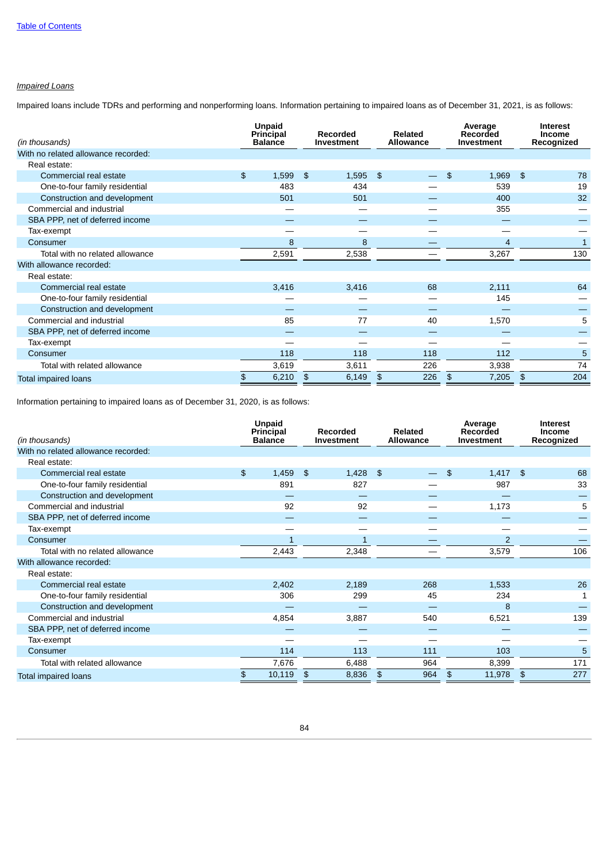# *Impaired Loans*

Impaired loans include TDRs and performing and nonperforming loans. Information pertaining to impaired loans as of December 31, 2021, is as follows:

| (in thousands)                      |                | <b>Unpaid</b><br><b>Principal</b><br><b>Balance</b> |    | Recorded<br><b>Investment</b> | <b>Related</b><br>Allowance |     |    | Average<br>Recorded<br><b>Investment</b> |      | <b>Interest</b><br><b>Income</b><br>Recognized |
|-------------------------------------|----------------|-----------------------------------------------------|----|-------------------------------|-----------------------------|-----|----|------------------------------------------|------|------------------------------------------------|
| With no related allowance recorded: |                |                                                     |    |                               |                             |     |    |                                          |      |                                                |
| Real estate:                        |                |                                                     |    |                               |                             |     |    |                                          |      |                                                |
| Commercial real estate              | $\mathfrak{P}$ | 1,599                                               | \$ | 1,595                         | \$                          |     | \$ | 1,969                                    | - \$ | 78                                             |
| One-to-four family residential      |                | 483                                                 |    | 434                           |                             |     |    | 539                                      |      | 19                                             |
| Construction and development        |                | 501                                                 |    | 501                           |                             |     |    | 400                                      |      | 32                                             |
| Commercial and industrial           |                |                                                     |    |                               |                             |     |    | 355                                      |      |                                                |
| SBA PPP, net of deferred income     |                |                                                     |    |                               |                             |     |    |                                          |      |                                                |
| Tax-exempt                          |                |                                                     |    |                               |                             |     |    |                                          |      |                                                |
| Consumer                            |                | 8                                                   |    | 8                             |                             |     |    | $\overline{4}$                           |      |                                                |
| Total with no related allowance     |                | 2,591                                               |    | 2,538                         |                             |     |    | 3,267                                    |      | 130                                            |
| With allowance recorded:            |                |                                                     |    |                               |                             |     |    |                                          |      |                                                |
| Real estate:                        |                |                                                     |    |                               |                             |     |    |                                          |      |                                                |
| Commercial real estate              |                | 3,416                                               |    | 3,416                         |                             | 68  |    | 2,111                                    |      | 64                                             |
| One-to-four family residential      |                |                                                     |    |                               |                             |     |    | 145                                      |      |                                                |
| Construction and development        |                |                                                     |    |                               |                             | –   |    |                                          |      |                                                |
| Commercial and industrial           |                | 85                                                  |    | 77                            |                             | 40  |    | 1,570                                    |      | 5                                              |
| SBA PPP, net of deferred income     |                |                                                     |    |                               |                             |     |    |                                          |      |                                                |
| Tax-exempt                          |                |                                                     |    |                               |                             |     |    |                                          |      |                                                |
| Consumer                            |                | 118                                                 |    | 118                           |                             | 118 |    | 112                                      |      | 5                                              |
| Total with related allowance        |                | 3,619                                               |    | 3,611                         |                             | 226 |    | 3,938                                    |      | 74                                             |
| <b>Total impaired loans</b>         | \$             | 6,210                                               | \$ | 6,149                         | $\frac{1}{2}$               | 226 | \$ | 7,205                                    | \$   | 204                                            |

Information pertaining to impaired loans as of December 31, 2020, is as follows:

| (in thousands)                      | <b>Unpaid</b><br><b>Principal</b><br><b>Balance</b> |      | Recorded<br>Investment |               | <b>Related</b><br>Allowance | Average<br>Recorded<br><b>Investment</b> |                |    | <b>Interest</b><br>Income<br>Recognized |
|-------------------------------------|-----------------------------------------------------|------|------------------------|---------------|-----------------------------|------------------------------------------|----------------|----|-----------------------------------------|
| With no related allowance recorded: |                                                     |      |                        |               |                             |                                          |                |    |                                         |
| Real estate:                        |                                                     |      |                        |               |                             |                                          |                |    |                                         |
| Commercial real estate              | \$<br>1,459                                         | - \$ | 1,428                  | \$            |                             | $\mathfrak{L}$                           | 1,417          | \$ | 68                                      |
| One-to-four family residential      | 891                                                 |      | 827                    |               |                             |                                          | 987            |    | 33                                      |
| Construction and development        |                                                     |      |                        |               |                             |                                          |                |    |                                         |
| Commercial and industrial           | 92                                                  |      | 92                     |               |                             |                                          | 1,173          |    | 5                                       |
| SBA PPP, net of deferred income     |                                                     |      |                        |               |                             |                                          |                |    |                                         |
| Tax-exempt                          |                                                     |      |                        |               |                             |                                          |                |    |                                         |
| Consumer                            |                                                     |      | 1                      |               |                             |                                          | $\overline{2}$ |    |                                         |
| Total with no related allowance     | 2,443                                               |      | 2,348                  |               |                             |                                          | 3,579          |    | 106                                     |
| With allowance recorded:            |                                                     |      |                        |               |                             |                                          |                |    |                                         |
| Real estate:                        |                                                     |      |                        |               |                             |                                          |                |    |                                         |
| Commercial real estate              | 2,402                                               |      | 2,189                  |               | 268                         |                                          | 1,533          |    | 26                                      |
| One-to-four family residential      | 306                                                 |      | 299                    |               | 45                          |                                          | 234            |    | 1                                       |
| Construction and development        |                                                     |      |                        |               |                             |                                          | 8              |    |                                         |
| Commercial and industrial           | 4,854                                               |      | 3,887                  |               | 540                         |                                          | 6,521          |    | 139                                     |
| SBA PPP, net of deferred income     |                                                     |      |                        |               |                             |                                          |                |    |                                         |
| Tax-exempt                          |                                                     |      |                        |               |                             |                                          |                |    |                                         |
| Consumer                            | 114                                                 |      | 113                    |               | 111                         |                                          | 103            |    | 5                                       |
| Total with related allowance        | 7,676                                               |      | 6,488                  |               | 964                         |                                          | 8,399          |    | 171                                     |
| <b>Total impaired loans</b>         | \$<br>10,119                                        | \$   | 8,836                  | $\frac{3}{2}$ | 964                         | \$                                       | 11,978         | \$ | 277                                     |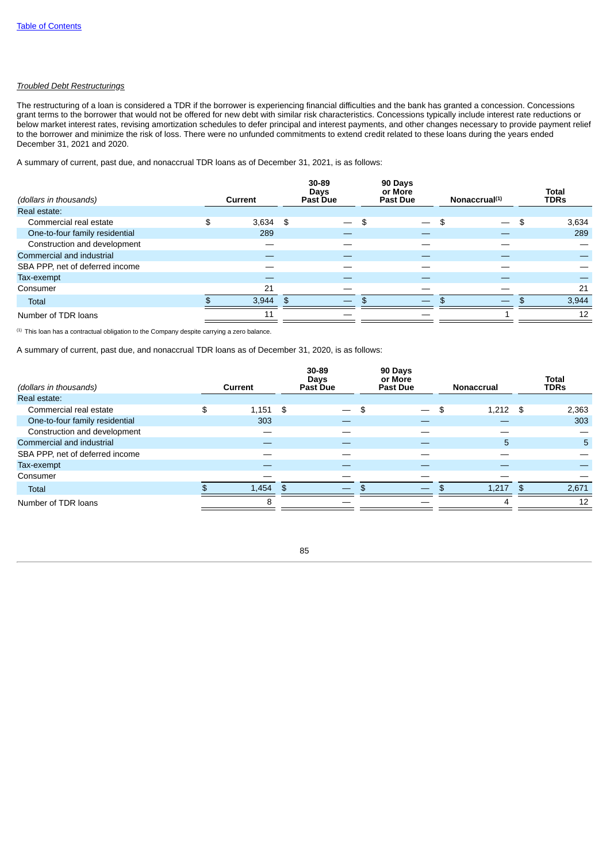## *Troubled Debt Restructurings*

The restructuring of a loan is considered a TDR if the borrower is experiencing financial difficulties and the bank has granted a concession. Concessions grant terms to the borrower that would not be offered for new debt with similar risk characteristics. Concessions typically include interest rate reductions or below market interest rates, revising amortization schedules to defer principal and interest payments, and other changes necessary to provide payment relief to the borrower and minimize the risk of loss. There were no unfunded commitments to extend credit related to these loans during the years ended December 31, 2021 and 2020.

A summary of current, past due, and nonaccrual TDR loans as of December 31, 2021, is as follows:

| (dollars in thousands)          | Current          | 30-89<br>Days<br><b>Past Due</b> | 90 Days<br>or More<br><b>Past Due</b> | Nonaccrual <sup>(1)</sup>      | <b>Total</b><br><b>TDRs</b> |
|---------------------------------|------------------|----------------------------------|---------------------------------------|--------------------------------|-----------------------------|
| Real estate:                    |                  |                                  |                                       |                                |                             |
| Commercial real estate          | \$<br>$3,634$ \$ |                                  | \$                                    | \$<br>$\overline{\phantom{0}}$ | \$<br>3,634                 |
| One-to-four family residential  | 289              |                                  |                                       |                                | 289                         |
| Construction and development    |                  |                                  |                                       |                                |                             |
| Commercial and industrial       |                  |                                  |                                       |                                |                             |
| SBA PPP, net of deferred income |                  |                                  |                                       |                                |                             |
| Tax-exempt                      |                  |                                  |                                       |                                |                             |
| Consumer                        | 21               |                                  |                                       |                                | 21                          |
| Total                           | 3,944            | \$                               | $\overline{\phantom{m}}$              | _                              | 3,944                       |
| Number of TDR loans             | 11               |                                  |                                       |                                | 12                          |

 $<sup>(1)</sup>$  This loan has a contractual obligation to the Company despite carrying a zero balance.</sup>

A summary of current, past due, and nonaccrual TDR loans as of December 31, 2020, is as follows:

| (dollars in thousands)          |    | Current    |  |               |    |             |      | 30-89<br>Days<br><b>Past Due</b> | 90 Days<br>or More<br><b>Past Due</b> | <b>Nonaccrual</b> |  | <b>Total</b><br><b>TDRs</b> |
|---------------------------------|----|------------|--|---------------|----|-------------|------|----------------------------------|---------------------------------------|-------------------|--|-----------------------------|
| Real estate:                    |    |            |  |               |    |             |      |                                  |                                       |                   |  |                             |
| Commercial real estate          | \$ | $1,151$ \$ |  | $\frac{1}{2}$ | \$ | \$<br>1,212 | - \$ | 2,363                            |                                       |                   |  |                             |
| One-to-four family residential  |    | 303        |  |               |    |             |      | 303                              |                                       |                   |  |                             |
| Construction and development    |    |            |  |               |    |             |      |                                  |                                       |                   |  |                             |
| Commercial and industrial       |    | --         |  |               |    | 5           |      | 5                                |                                       |                   |  |                             |
| SBA PPP, net of deferred income |    |            |  |               |    |             |      |                                  |                                       |                   |  |                             |
| Tax-exempt                      |    |            |  |               |    |             |      |                                  |                                       |                   |  |                             |
| Consumer                        |    |            |  |               |    |             |      |                                  |                                       |                   |  |                             |
| Total                           |    | $1,454$ \$ |  |               |    | 1,217       | \$   | 2,671                            |                                       |                   |  |                             |
| Number of TDR loans             |    | 8          |  |               |    | 4           |      | 12                               |                                       |                   |  |                             |
|                                 |    |            |  |               |    |             |      |                                  |                                       |                   |  |                             |

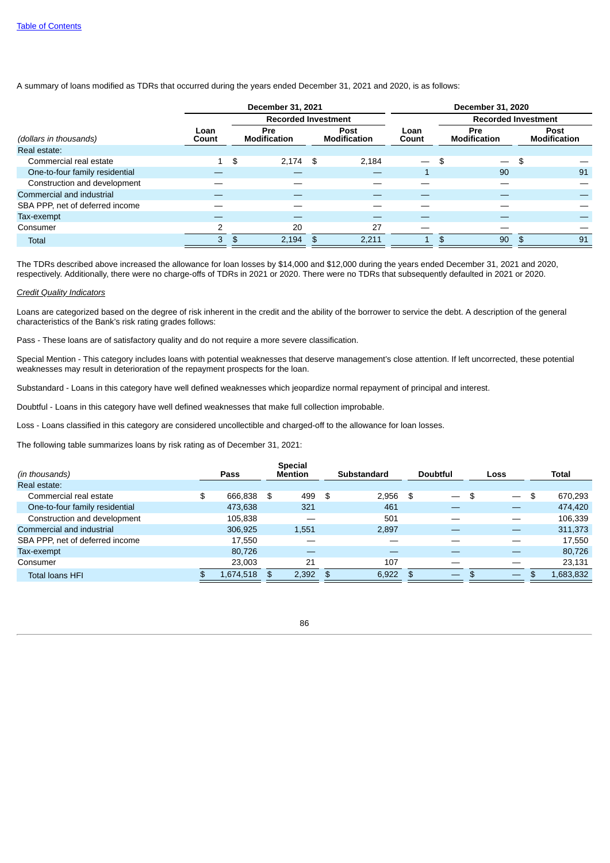A summary of loans modified as TDRs that occurred during the years ended December 31, 2021 and 2020, is as follows:

|                                 |               | December 31, 2021 |                            |  |                             |                            |    | December 31, 2020                 |    |                             |  |  |  |  |  |
|---------------------------------|---------------|-------------------|----------------------------|--|-----------------------------|----------------------------|----|-----------------------------------|----|-----------------------------|--|--|--|--|--|
|                                 |               |                   | <b>Recorded Investment</b> |  |                             | <b>Recorded Investment</b> |    |                                   |    |                             |  |  |  |  |  |
| (dollars in thousands)          | Loan<br>Count |                   | Pre<br><b>Modification</b> |  | Post<br><b>Modification</b> | Loan<br>Count              |    | <b>Pre</b><br><b>Modification</b> |    | Post<br><b>Modification</b> |  |  |  |  |  |
| Real estate:                    |               |                   |                            |  |                             |                            |    |                                   |    |                             |  |  |  |  |  |
| Commercial real estate          |               | \$                | $2.174$ \$                 |  | 2.184                       | $\overline{\phantom{0}}$   | \$ | $\overbrace{\phantom{12333}}$     | \$ |                             |  |  |  |  |  |
| One-to-four family residential  |               |                   |                            |  |                             |                            |    | 90                                |    | 91                          |  |  |  |  |  |
| Construction and development    |               |                   |                            |  |                             |                            |    |                                   |    |                             |  |  |  |  |  |
| Commercial and industrial       |               |                   |                            |  |                             |                            |    |                                   |    |                             |  |  |  |  |  |
| SBA PPP, net of deferred income |               |                   |                            |  |                             |                            |    |                                   |    |                             |  |  |  |  |  |
| Tax-exempt                      |               |                   |                            |  |                             |                            |    |                                   |    |                             |  |  |  |  |  |
| Consumer                        | າ             |                   | 20                         |  | 27                          |                            |    |                                   |    |                             |  |  |  |  |  |
| Total                           | 3             | \$                | $2,194$ \$                 |  | 2.211                       |                            | \$ | 90                                |    | 91                          |  |  |  |  |  |

The TDRs described above increased the allowance for loan losses by \$14,000 and \$12,000 during the years ended December 31, 2021 and 2020, respectively. Additionally, there were no charge-offs of TDRs in 2021 or 2020. There were no TDRs that subsequently defaulted in 2021 or 2020.

### *Credit Quality Indicators*

Loans are categorized based on the degree of risk inherent in the credit and the ability of the borrower to service the debt. A description of the general characteristics of the Bank's risk rating grades follows:

Pass - These loans are of satisfactory quality and do not require a more severe classification.

Special Mention - This category includes loans with potential weaknesses that deserve management's close attention. If left uncorrected, these potential weaknesses may result in deterioration of the repayment prospects for the loan.

Substandard - Loans in this category have well defined weaknesses which jeopardize normal repayment of principal and interest.

Doubtful - Loans in this category have well defined weaknesses that make full collection improbable.

Loss - Loans classified in this category are considered uncollectible and charged-off to the allowance for loan losses.

The following table summarizes loans by risk rating as of December 31, 2021:

| Pass      |             |                                  | Substandard |                                |                 | <b>Loss</b>              |     | Total                    |
|-----------|-------------|----------------------------------|-------------|--------------------------------|-----------------|--------------------------|-----|--------------------------|
|           |             |                                  |             |                                |                 |                          |     |                          |
| \$        | 499         | \$                               | 2.956       | \$<br>$\overline{\phantom{0}}$ | \$              |                          | \$  | 670,293                  |
| 473,638   | 321         |                                  | 461         |                                |                 |                          |     | 474.420                  |
| 105,838   |             |                                  | 501         |                                |                 |                          |     | 106,339                  |
| 306,925   | 1,551       |                                  | 2,897       |                                |                 |                          |     | 311,373                  |
| 17,550    |             |                                  |             |                                |                 |                          |     | 17,550                   |
| 80.726    |             |                                  |             |                                |                 |                          |     | 80.726                   |
| 23.003    | 21          |                                  | 107         |                                |                 |                          |     | 23.131                   |
| 1,674,518 | \$<br>2.392 | \$                               | 6.922       | \$                             |                 | $\overline{\phantom{m}}$ | \$. | 1,683,832                |
|           | 666.838 \$  | <b>Special</b><br><b>Mention</b> |             |                                | <b>Doubtful</b> |                          |     | $\overline{\phantom{0}}$ |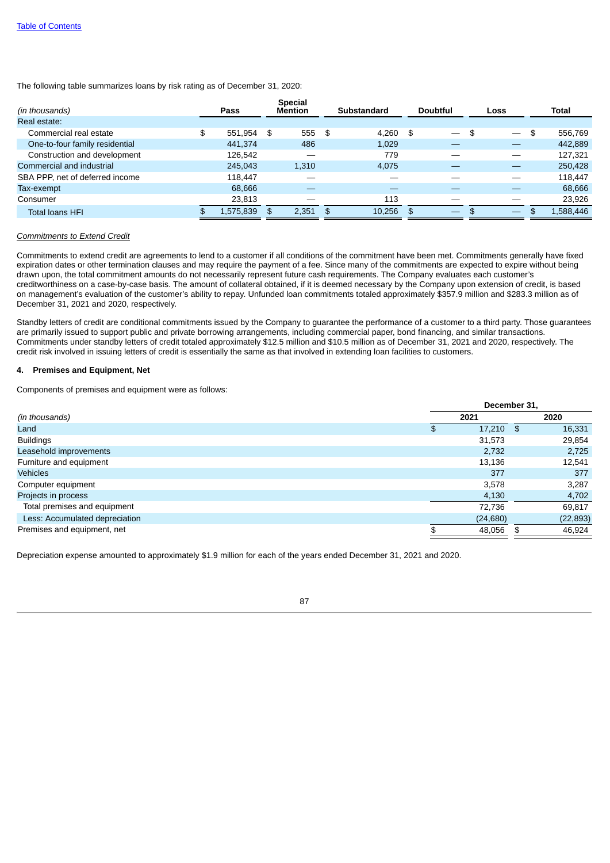The following table summarizes loans by risk rating as of December 31, 2020:

| (in thousands)                  | <b>Pass</b>      | <b>Special</b><br><b>Mention</b> |     | <b>Substandard</b> | <b>Doubtful</b>                | <b>Loss</b>                    | <b>Total</b>  |
|---------------------------------|------------------|----------------------------------|-----|--------------------|--------------------------------|--------------------------------|---------------|
| Real estate:                    |                  |                                  |     |                    |                                |                                |               |
| Commercial real estate          | \$<br>551,954 \$ | 555                              | -\$ | 4,260              | \$<br>$\overline{\phantom{0}}$ | \$<br>$\overline{\phantom{0}}$ | \$<br>556.769 |
| One-to-four family residential  | 441.374          | 486                              |     | 1,029              |                                |                                | 442,889       |
| Construction and development    | 126,542          |                                  |     | 779                |                                |                                | 127,321       |
| Commercial and industrial       | 245.043          | 1.310                            |     | 4.075              |                                |                                | 250,428       |
| SBA PPP, net of deferred income | 118.447          |                                  |     |                    |                                |                                | 118.447       |
| Tax-exempt                      | 68,666           |                                  |     |                    |                                |                                | 68,666        |
| Consumer                        | 23.813           |                                  |     | 113                |                                |                                | 23,926        |
| <b>Total loans HFI</b>          | 1,575,839        | 2,351                            | \$  | 10,256             | \$<br>$\overline{\phantom{m}}$ | $\overline{\phantom{m}}$       | 1,588,446     |

## *Commitments to Extend Credit*

Commitments to extend credit are agreements to lend to a customer if all conditions of the commitment have been met. Commitments generally have fixed expiration dates or other termination clauses and may require the payment of a fee. Since many of the commitments are expected to expire without being drawn upon, the total commitment amounts do not necessarily represent future cash requirements. The Company evaluates each customer's creditworthiness on a case-by-case basis. The amount of collateral obtained, if it is deemed necessary by the Company upon extension of credit, is based on management's evaluation of the customer's ability to repay. Unfunded loan commitments totaled approximately \$357.9 million and \$283.3 million as of December 31, 2021 and 2020, respectively.

Standby letters of credit are conditional commitments issued by the Company to guarantee the performance of a customer to a third party. Those guarantees are primarily issued to support public and private borrowing arrangements, including commercial paper, bond financing, and similar transactions. Commitments under standby letters of credit totaled approximately \$12.5 million and \$10.5 million as of December 31, 2021 and 2020, respectively. The credit risk involved in issuing letters of credit is essentially the same as that involved in extending loan facilities to customers.

## **4. Premises and Equipment, Net**

Components of premises and equipment were as follows:

|                                |      | December 31,  |           |
|--------------------------------|------|---------------|-----------|
| (in thousands)                 | 2021 |               | 2020      |
| Land                           |      | 17,210<br>-\$ | 16,331    |
| <b>Buildings</b>               |      | 31,573        | 29,854    |
| Leasehold improvements         |      | 2,732         | 2,725     |
| Furniture and equipment        |      | 13,136        | 12,541    |
| <b>Vehicles</b>                |      | 377           | 377       |
| Computer equipment             |      | 3,578         | 3,287     |
| Projects in process            |      | 4,130         | 4,702     |
| Total premises and equipment   |      | 72.736        | 69,817    |
| Less: Accumulated depreciation |      | (24, 680)     | (22, 893) |
| Premises and equipment, net    |      | 48,056        | 46,924    |
|                                |      |               |           |

Depreciation expense amounted to approximately \$1.9 million for each of the years ended December 31, 2021 and 2020.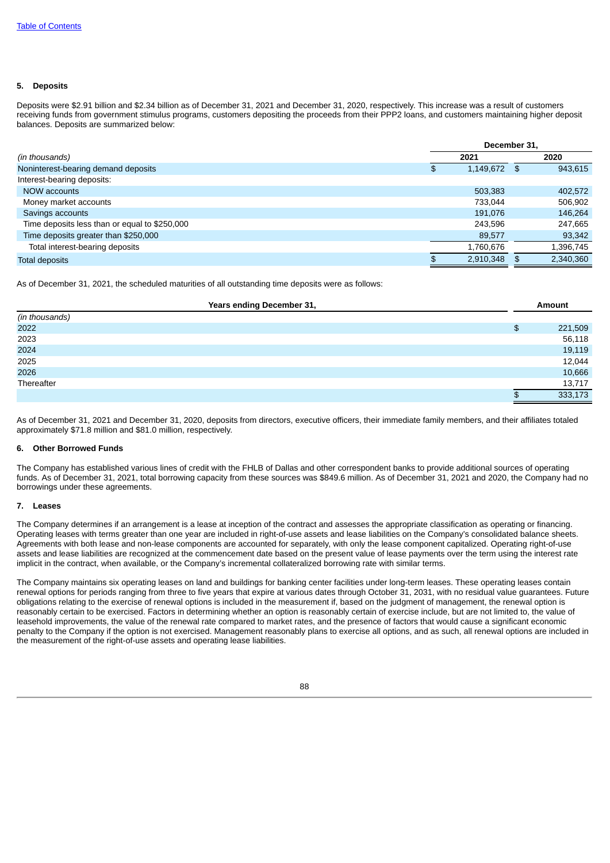## **5. Deposits**

Deposits were \$2.91 billion and \$2.34 billion as of December 31, 2021 and December 31, 2020, respectively. This increase was a result of customers receiving funds from government stimulus programs, customers depositing the proceeds from their PPP2 loans, and customers maintaining higher deposit balances. Deposits are summarized below:

|                                               | December 31.    |      |           |
|-----------------------------------------------|-----------------|------|-----------|
| (in thousands)                                | 2021            |      | 2020      |
| Noninterest-bearing demand deposits           | \$<br>1,149,672 | - \$ | 943,615   |
| Interest-bearing deposits:                    |                 |      |           |
| NOW accounts                                  | 503,383         |      | 402,572   |
| Money market accounts                         | 733.044         |      | 506,902   |
| Savings accounts                              | 191,076         |      | 146,264   |
| Time deposits less than or equal to \$250,000 | 243.596         |      | 247.665   |
| Time deposits greater than \$250,000          | 89,577          |      | 93,342    |
| Total interest-bearing deposits               | 1.760.676       |      | 1,396,745 |
| Total deposits                                | \$<br>2,910,348 | \$.  | 2.340.360 |

As of December 31, 2021, the scheduled maturities of all outstanding time deposits were as follows:

| Years ending December 31, |    |         |  |  |  |  |  |
|---------------------------|----|---------|--|--|--|--|--|
| (in thousands)            |    |         |  |  |  |  |  |
| 2022                      | \$ | 221,509 |  |  |  |  |  |
| 2023                      |    | 56,118  |  |  |  |  |  |
| 2024                      |    | 19,119  |  |  |  |  |  |
| 2025                      |    | 12,044  |  |  |  |  |  |
| 2026                      |    | 10,666  |  |  |  |  |  |
| Thereafter                |    | 13,717  |  |  |  |  |  |
|                           |    | 333,173 |  |  |  |  |  |
|                           |    |         |  |  |  |  |  |

As of December 31, 2021 and December 31, 2020, deposits from directors, executive officers, their immediate family members, and their affiliates totaled approximately \$71.8 million and \$81.0 million, respectively.

### **6. Other Borrowed Funds**

The Company has established various lines of credit with the FHLB of Dallas and other correspondent banks to provide additional sources of operating funds. As of December 31, 2021, total borrowing capacity from these sources was \$849.6 million. As of December 31, 2021 and 2020, the Company had no borrowings under these agreements.

### **7. Leases**

The Company determines if an arrangement is a lease at inception of the contract and assesses the appropriate classification as operating or financing. Operating leases with terms greater than one year are included in right-of-use assets and lease liabilities on the Company's consolidated balance sheets. Agreements with both lease and non-lease components are accounted for separately, with only the lease component capitalized. Operating right-of-use assets and lease liabilities are recognized at the commencement date based on the present value of lease payments over the term using the interest rate implicit in the contract, when available, or the Company's incremental collateralized borrowing rate with similar terms.

The Company maintains six operating leases on land and buildings for banking center facilities under long-term leases. These operating leases contain renewal options for periods ranging from three to five years that expire at various dates through October 31, 2031, with no residual value guarantees. Future obligations relating to the exercise of renewal options is included in the measurement if, based on the judgment of management, the renewal option is reasonably certain to be exercised. Factors in determining whether an option is reasonably certain of exercise include, but are not limited to, the value of leasehold improvements, the value of the renewal rate compared to market rates, and the presence of factors that would cause a significant economic penalty to the Company if the option is not exercised. Management reasonably plans to exercise all options, and as such, all renewal options are included in the measurement of the right-of-use assets and operating lease liabilities.

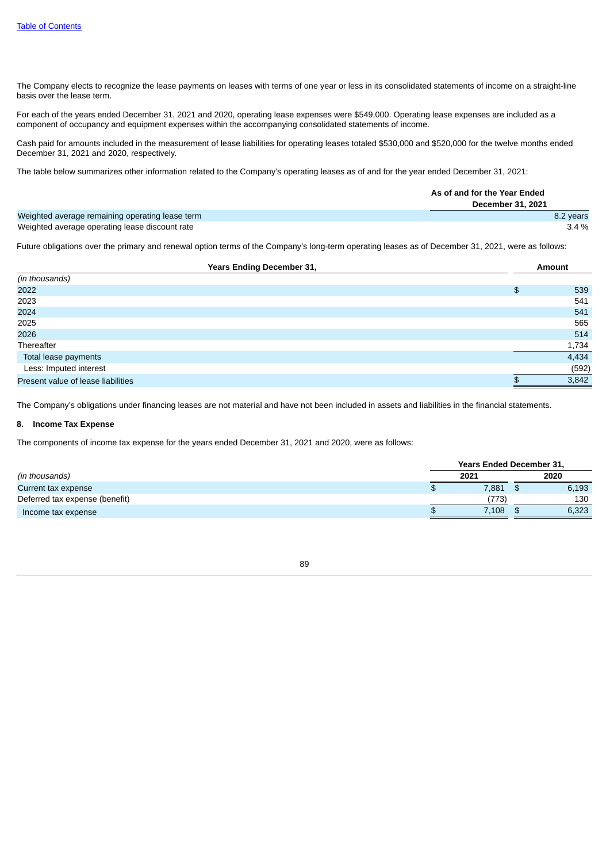The Company elects to recognize the lease payments on leases with terms of one year or less in its consolidated statements of income on a straight-line basis over the lease term.

For each of the years ended December 31, 2021 and 2020, operating lease expenses were \$549,000. Operating lease expenses are included as a component of occupancy and equipment expenses within the accompanying consolidated statements of income.

Cash paid for amounts included in the measurement of lease liabilities for operating leases totaled \$530,000 and \$520,000 for the twelve months ended December 31, 2021 and 2020, respectively.

The table below summarizes other information related to the Company's operating leases as of and for the year ended December 31, 2021:

|                                                 | As of and for the Year Ended |
|-------------------------------------------------|------------------------------|
|                                                 | <b>December 31, 2021</b>     |
| Weighted average remaining operating lease term | 8.2 years                    |
| Weighted average operating lease discount rate  | $3.4\%$                      |

Future obligations over the primary and renewal option terms of the Company's long-term operating leases as of December 31, 2021, were as follows:

| <b>Years Ending December 31,</b>   | Amount    |
|------------------------------------|-----------|
| (in thousands)                     |           |
| 2022                               | \$<br>539 |
| 2023                               | 541       |
| 2024                               | 541       |
| 2025                               | 565       |
| 2026                               | 514       |
| Thereafter                         | 1,734     |
| Total lease payments               | 4,434     |
| Less: Imputed interest             | (592)     |
| Present value of lease liabilities | 3,842     |

The Company's obligations under financing leases are not material and have not been included in assets and liabilities in the financial statements.

## **8. Income Tax Expense**

The components of income tax expense for the years ended December 31, 2021 and 2020, were as follows:

|                                | <b>Years Ended December 31.</b> |  |       |  |
|--------------------------------|---------------------------------|--|-------|--|
| (in thousands)                 | 2021                            |  | 2020  |  |
| Current tax expense            | \$<br>7.881                     |  | 6,193 |  |
| Deferred tax expense (benefit) | (773)                           |  | 130   |  |
| Income tax expense             | 7.108                           |  | 6,323 |  |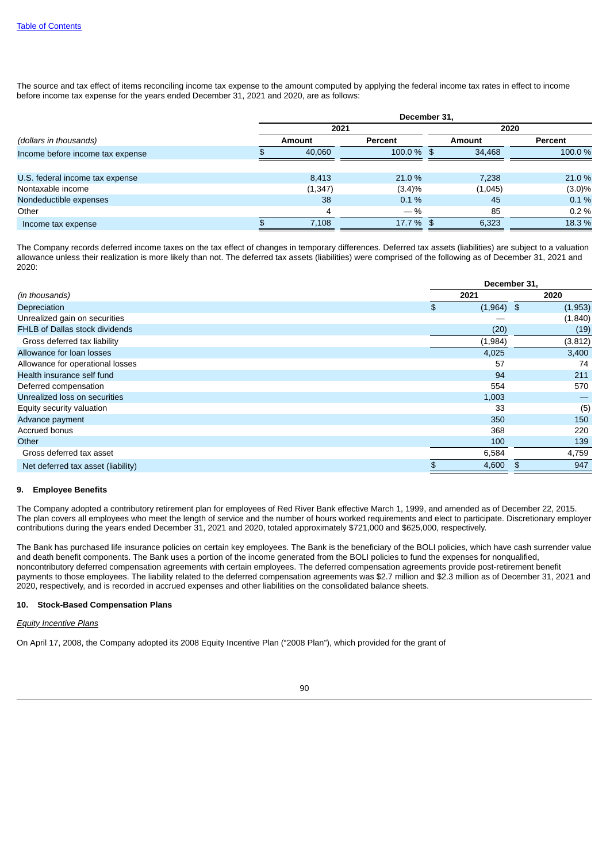The source and tax effect of items reconciling income tax expense to the amount computed by applying the federal income tax rates in effect to income before income tax expense for the years ended December 31, 2021 and 2020, are as follows:

| December 31,                     |  |          |              |         |           |  |
|----------------------------------|--|----------|--------------|---------|-----------|--|
|                                  |  | 2021     |              | 2020    |           |  |
| (dollars in thousands)           |  | Amount   | Percent      | Amount  | Percent   |  |
| Income before income tax expense |  | 40,060   | $100.0\%$ \$ | 34,468  | 100.0%    |  |
|                                  |  |          |              |         |           |  |
| U.S. federal income tax expense  |  | 8,413    | 21.0 %       | 7,238   | 21.0 %    |  |
| Nontaxable income                |  | (1, 347) | (3.4)%       | (1,045) | $(3.0)\%$ |  |
| Nondeductible expenses           |  | 38       | 0.1%         | 45      | 0.1%      |  |
| Other                            |  | 4        | $-$ %        | 85      | $0.2\%$   |  |
| Income tax expense               |  | 7,108    | 17.7 % \$    | 6,323   | 18.3 %    |  |

The Company records deferred income taxes on the tax effect of changes in temporary differences. Deferred tax assets (liabilities) are subject to a valuation allowance unless their realization is more likely than not. The deferred tax assets (liabilities) were comprised of the following as of December 31, 2021 and 2020:

|                                    | December 31,       |                           |  |  |  |
|------------------------------------|--------------------|---------------------------|--|--|--|
| (in thousands)                     | 2021               | 2020                      |  |  |  |
| Depreciation                       | $(1,964)$ \$<br>\$ | (1,953)                   |  |  |  |
| Unrealized gain on securities      |                    | (1,840)                   |  |  |  |
| FHLB of Dallas stock dividends     | (20)               | (19)                      |  |  |  |
| Gross deferred tax liability       | (1,984)            | (3,812)                   |  |  |  |
| Allowance for loan losses          | 4,025              | 3,400                     |  |  |  |
| Allowance for operational losses   | 57                 | 74                        |  |  |  |
| Health insurance self fund         | 94                 | 211                       |  |  |  |
| Deferred compensation              | 554                | 570                       |  |  |  |
| Unrealized loss on securities      | 1,003              |                           |  |  |  |
| Equity security valuation          | 33                 | (5)                       |  |  |  |
| Advance payment                    | 350                | 150                       |  |  |  |
| Accrued bonus                      | 368                | 220                       |  |  |  |
| Other                              | 100                | 139                       |  |  |  |
| Gross deferred tax asset           | 6,584              | 4,759                     |  |  |  |
| Net deferred tax asset (liability) | 4,600              | 947<br>$\mathbf{\hat{z}}$ |  |  |  |

## **9. Employee Benefits**

The Company adopted a contributory retirement plan for employees of Red River Bank effective March 1, 1999, and amended as of December 22, 2015. The plan covers all employees who meet the length of service and the number of hours worked requirements and elect to participate. Discretionary employer contributions during the years ended December 31, 2021 and 2020, totaled approximately \$721,000 and \$625,000, respectively.

The Bank has purchased life insurance policies on certain key employees. The Bank is the beneficiary of the BOLI policies, which have cash surrender value and death benefit components. The Bank uses a portion of the income generated from the BOLI policies to fund the expenses for nonqualified, noncontributory deferred compensation agreements with certain employees. The deferred compensation agreements provide post-retirement benefit payments to those employees. The liability related to the deferred compensation agreements was \$2.7 million and \$2.3 million as of December 31, 2021 and 2020, respectively, and is recorded in accrued expenses and other liabilities on the consolidated balance sheets.

## **10. Stock-Based Compensation Plans**

#### *Equity Incentive Plans*

On April 17, 2008, the Company adopted its 2008 Equity Incentive Plan ("2008 Plan"), which provided for the grant of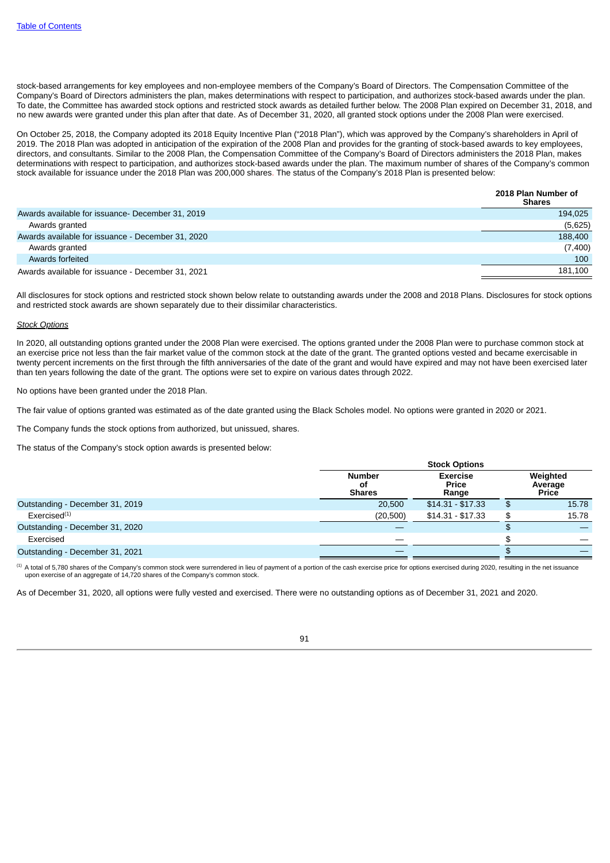stock-based arrangements for key employees and non-employee members of the Company's Board of Directors. The Compensation Committee of the Company's Board of Directors administers the plan, makes determinations with respect to participation, and authorizes stock-based awards under the plan. To date, the Committee has awarded stock options and restricted stock awards as detailed further below. The 2008 Plan expired on December 31, 2018, and no new awards were granted under this plan after that date. As of December 31, 2020, all granted stock options under the 2008 Plan were exercised.

On October 25, 2018, the Company adopted its 2018 Equity Incentive Plan ("2018 Plan"), which was approved by the Company's shareholders in April of 2019. The 2018 Plan was adopted in anticipation of the expiration of the 2008 Plan and provides for the granting of stock-based awards to key employees, directors, and consultants. Similar to the 2008 Plan, the Compensation Committee of the Company's Board of Directors administers the 2018 Plan, makes determinations with respect to participation, and authorizes stock-based awards under the plan. The maximum number of shares of the Company's common stock available for issuance under the 2018 Plan was 200,000 shares. The status of the Company's 2018 Plan is presented below:

#### **2018 Plan Number of Shares**

|                                                   | -----   |
|---------------------------------------------------|---------|
| Awards available for issuance-December 31, 2019   | 194,025 |
| Awards granted                                    | (5,625) |
| Awards available for issuance - December 31, 2020 | 188,400 |
| Awards granted                                    | (7,400) |
| Awards forfeited                                  | 100     |
| Awards available for issuance - December 31, 2021 | 181.100 |

All disclosures for stock options and restricted stock shown below relate to outstanding awards under the 2008 and 2018 Plans. Disclosures for stock options and restricted stock awards are shown separately due to their dissimilar characteristics.

### *Stock Options*

In 2020, all outstanding options granted under the 2008 Plan were exercised. The options granted under the 2008 Plan were to purchase common stock at an exercise price not less than the fair market value of the common stock at the date of the grant. The granted options vested and became exercisable in twenty percent increments on the first through the fifth anniversaries of the date of the grant and would have expired and may not have been exercised later than ten years following the date of the grant. The options were set to expire on various dates through 2022.

No options have been granted under the 2018 Plan.

The fair value of options granted was estimated as of the date granted using the Black Scholes model. No options were granted in 2020 or 2021.

The Company funds the stock options from authorized, but unissued, shares.

The status of the Company's stock option awards is presented below:

|                                 |                                      | <b>Stock Options</b>                     |     |                                     |  |  |  |
|---------------------------------|--------------------------------------|------------------------------------------|-----|-------------------------------------|--|--|--|
|                                 | <b>Number</b><br>ΟĪ<br><b>Shares</b> | <b>Exercise</b><br><b>Price</b><br>Range |     | Weighted<br>Average<br><b>Price</b> |  |  |  |
| Outstanding - December 31, 2019 | 20,500                               | $$14.31 - $17.33$                        | \$  | 15.78                               |  |  |  |
| Exercise d <sup>(1)</sup>       | (20.500)                             | $$14.31 - $17.33$                        | \$  | 15.78                               |  |  |  |
| Outstanding - December 31, 2020 |                                      |                                          |     |                                     |  |  |  |
| Exercised                       |                                      |                                          | \$. |                                     |  |  |  |
| Outstanding - December 31, 2021 |                                      |                                          |     |                                     |  |  |  |

 $^{(1)}$  A total of 5,780 shares of the Company's common stock were surrendered in lieu of payment of a portion of the cash exercise price for options exercised during 2020, resulting in the net issuance upon exercise of an aggregate of 14,720 shares of the Company's common stock.

As of December 31, 2020, all options were fully vested and exercised. There were no outstanding options as of December 31, 2021 and 2020.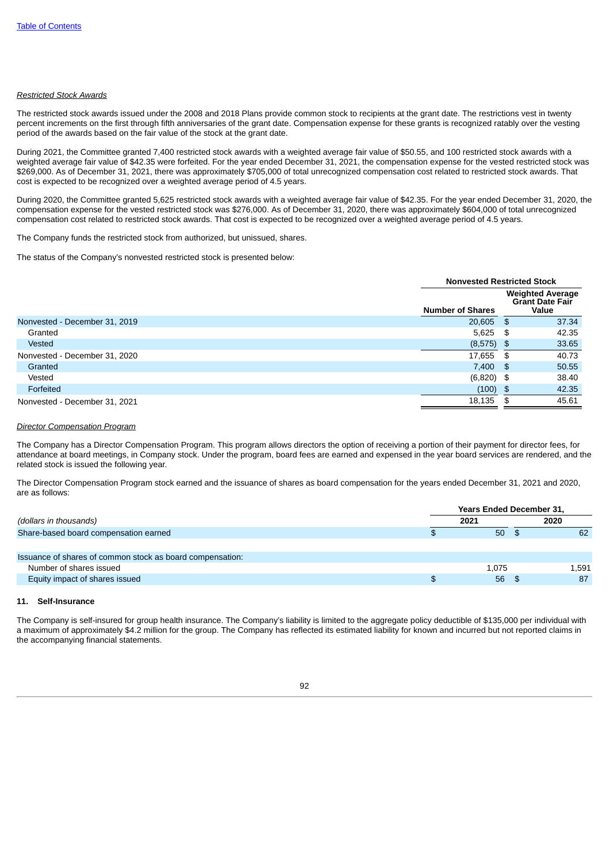## *Restricted Stock Awards*

The restricted stock awards issued under the 2008 and 2018 Plans provide common stock to recipients at the grant date. The restrictions vest in twenty percent increments on the first through fifth anniversaries of the grant date. Compensation expense for these grants is recognized ratably over the vesting period of the awards based on the fair value of the stock at the grant date.

During 2021, the Committee granted 7,400 restricted stock awards with a weighted average fair value of \$50.55, and 100 restricted stock awards with a weighted average fair value of \$42.35 were forfeited. For the year ended December 31, 2021, the compensation expense for the vested restricted stock was \$269,000. As of December 31, 2021, there was approximately \$705,000 of total unrecognized compensation cost related to restricted stock awards. That cost is expected to be recognized over a weighted average period of 4.5 years.

During 2020, the Committee granted 5,625 restricted stock awards with a weighted average fair value of \$42.35. For the year ended December 31, 2020, the compensation expense for the vested restricted stock was \$276,000. As of December 31, 2020, there was approximately \$604,000 of total unrecognized compensation cost related to restricted stock awards. That cost is expected to be recognized over a weighted average period of 4.5 years.

The Company funds the restricted stock from authorized, but unissued, shares.

The status of the Company's nonvested restricted stock is presented below:

|                               | <b>Nonvested Restricted Stock</b> |                                                            |
|-------------------------------|-----------------------------------|------------------------------------------------------------|
|                               | <b>Number of Shares</b>           | <b>Weighted Average</b><br><b>Grant Date Fair</b><br>Value |
| Nonvested - December 31, 2019 | $20,605$ \$                       | 37.34                                                      |
| Granted                       | $5,625$ \$                        | 42.35                                                      |
| Vested                        | $(8,575)$ \$                      | 33.65                                                      |
| Nonvested - December 31, 2020 | 17,655 \$                         | 40.73                                                      |
| Granted                       | $7,400$ \$                        | 50.55                                                      |
| Vested                        | $(6,820)$ \$                      | 38.40                                                      |
| Forfeited                     | $(100)$ \$                        | 42.35                                                      |
| Nonvested - December 31, 2021 | 18,135                            | 45.61<br>- \$                                              |

#### *Director Compensation Program*

The Company has a Director Compensation Program. This program allows directors the option of receiving a portion of their payment for director fees, for attendance at board meetings, in Company stock. Under the program, board fees are earned and expensed in the year board services are rendered, and the related stock is issued the following year.

The Director Compensation Program stock earned and the issuance of shares as board compensation for the years ended December 31, 2021 and 2020, are as follows:

|                                                           |  |                 | <b>Years Ended December 31,</b> |  |
|-----------------------------------------------------------|--|-----------------|---------------------------------|--|
| (dollars in thousands)                                    |  | 2021            | 2020                            |  |
| Share-based board compensation earned                     |  | 50 <sup>5</sup> | 62                              |  |
|                                                           |  |                 |                                 |  |
| Issuance of shares of common stock as board compensation: |  |                 |                                 |  |
| Number of shares issued                                   |  | 1.075           | 1.591                           |  |
| Equity impact of shares issued                            |  | 56 \$           | 87                              |  |
|                                                           |  |                 |                                 |  |

## **11. Self-Insurance**

The Company is self-insured for group health insurance. The Company's liability is limited to the aggregate policy deductible of \$135,000 per individual with a maximum of approximately \$4.2 million for the group. The Company has reflected its estimated liability for known and incurred but not reported claims in the accompanying financial statements.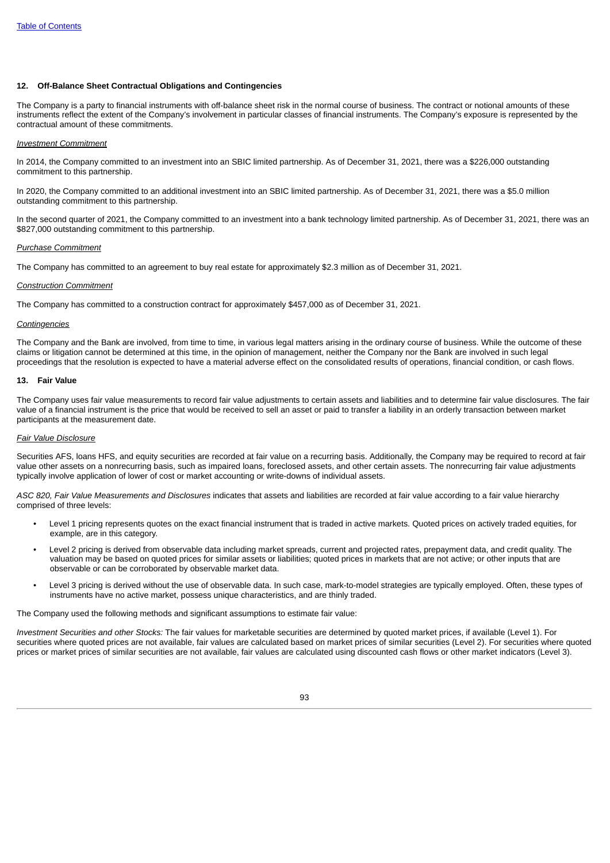## **12. Off-Balance Sheet Contractual Obligations and Contingencies**

The Company is a party to financial instruments with off-balance sheet risk in the normal course of business. The contract or notional amounts of these instruments reflect the extent of the Company's involvement in particular classes of financial instruments. The Company's exposure is represented by the contractual amount of these commitments.

## *Investment Commitment*

In 2014, the Company committed to an investment into an SBIC limited partnership. As of December 31, 2021, there was a \$226,000 outstanding commitment to this partnership.

In 2020, the Company committed to an additional investment into an SBIC limited partnership. As of December 31, 2021, there was a \$5.0 million outstanding commitment to this partnership.

In the second quarter of 2021, the Company committed to an investment into a bank technology limited partnership. As of December 31, 2021, there was an \$827,000 outstanding commitment to this partnership.

### *Purchase Commitment*

The Company has committed to an agreement to buy real estate for approximately \$2.3 million as of December 31, 2021.

### *Construction Commitment*

The Company has committed to a construction contract for approximately \$457,000 as of December 31, 2021.

#### *Contingencies*

The Company and the Bank are involved, from time to time, in various legal matters arising in the ordinary course of business. While the outcome of these claims or litigation cannot be determined at this time, in the opinion of management, neither the Company nor the Bank are involved in such legal proceedings that the resolution is expected to have a material adverse effect on the consolidated results of operations, financial condition, or cash flows.

### **13. Fair Value**

The Company uses fair value measurements to record fair value adjustments to certain assets and liabilities and to determine fair value disclosures. The fair value of a financial instrument is the price that would be received to sell an asset or paid to transfer a liability in an orderly transaction between market participants at the measurement date.

#### *Fair Value Disclosure*

Securities AFS, loans HFS, and equity securities are recorded at fair value on a recurring basis. Additionally, the Company may be required to record at fair value other assets on a nonrecurring basis, such as impaired loans, foreclosed assets, and other certain assets. The nonrecurring fair value adjustments typically involve application of lower of cost or market accounting or write-downs of individual assets.

*ASC 820, Fair Value Measurements and Disclosures* indicates that assets and liabilities are recorded at fair value according to a fair value hierarchy comprised of three levels:

- Level 1 pricing represents quotes on the exact financial instrument that is traded in active markets. Ouoted prices on actively traded equities, for example, are in this category.
- Level 2 pricing is derived from observable data including market spreads, current and projected rates, prepayment data, and credit quality. The valuation may be based on quoted prices for similar assets or liabilities; quoted prices in markets that are not active; or other inputs that are observable or can be corroborated by observable market data.
- Level 3 pricing is derived without the use of observable data. In such case, mark-to-model strategies are typically employed. Often, these types of instruments have no active market, possess unique characteristics, and are thinly traded.

The Company used the following methods and significant assumptions to estimate fair value:

*Investment Securities and other Stocks:* The fair values for marketable securities are determined by quoted market prices, if available (Level 1). For securities where quoted prices are not available, fair values are calculated based on market prices of similar securities (Level 2). For securities where quoted prices or market prices of similar securities are not available, fair values are calculated using discounted cash flows or other market indicators (Level 3).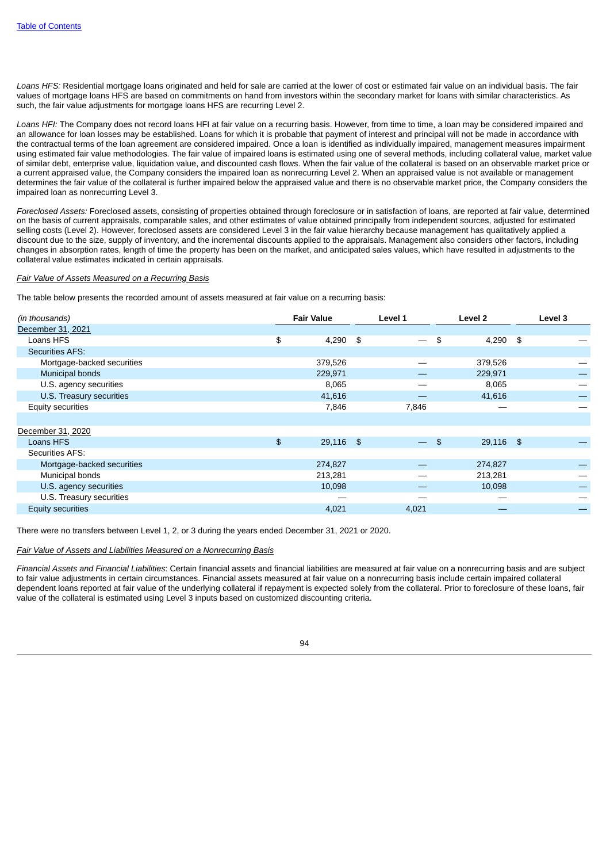*Loans HFS:* Residential mortgage loans originated and held for sale are carried at the lower of cost or estimated fair value on an individual basis. The fair values of mortgage loans HFS are based on commitments on hand from investors within the secondary market for loans with similar characteristics. As such, the fair value adjustments for mortgage loans HFS are recurring Level 2.

Loans HFI: The Company does not record loans HFI at fair value on a recurring basis. However, from time to time, a loan may be considered impaired and an allowance for loan losses may be established. Loans for which it is probable that payment of interest and principal will not be made in accordance with the contractual terms of the loan agreement are considered impaired. Once a loan is identified as individually impaired, management measures impairment using estimated fair value methodologies. The fair value of impaired loans is estimated using one of several methods, including collateral value, market value of similar debt, enterprise value, liquidation value, and discounted cash flows. When the fair value of the collateral is based on an observable market price or a current appraised value, the Company considers the impaired loan as nonrecurring Level 2. When an appraised value is not available or management determines the fair value of the collateral is further impaired below the appraised value and there is no observable market price, the Company considers the impaired loan as nonrecurring Level 3.

*Foreclosed Assets:* Foreclosed assets, consisting of properties obtained through foreclosure or in satisfaction of loans, are reported at fair value, determined on the basis of current appraisals, comparable sales, and other estimates of value obtained principally from independent sources, adjusted for estimated selling costs (Level 2). However, foreclosed assets are considered Level 3 in the fair value hierarchy because management has qualitatively applied a discount due to the size, supply of inventory, and the incremental discounts applied to the appraisals. Management also considers other factors, including changes in absorption rates, length of time the property has been on the market, and anticipated sales values, which have resulted in adjustments to the collateral value estimates indicated in certain appraisals.

### *Fair Value of Assets Measured on a Recurring Basis*

The table below presents the recorded amount of assets measured at fair value on a recurring basis:

| (in thousands)             | <b>Fair Value</b> | Level 1<br>Level 2       |                            |  |  | Level 3 |
|----------------------------|-------------------|--------------------------|----------------------------|--|--|---------|
| December 31, 2021          |                   |                          |                            |  |  |         |
| Loans HFS                  | \$<br>4,290       | - \$                     | $4,290$ \$<br>\$           |  |  |         |
| <b>Securities AFS:</b>     |                   |                          |                            |  |  |         |
| Mortgage-backed securities | 379,526           |                          | 379,526                    |  |  |         |
| <b>Municipal bonds</b>     | 229,971           |                          | 229,971                    |  |  |         |
| U.S. agency securities     | 8,065             |                          | 8,065                      |  |  |         |
| U.S. Treasury securities   | 41,616            |                          | 41,616                     |  |  |         |
| <b>Equity securities</b>   | 7,846             | 7,846                    |                            |  |  |         |
|                            |                   |                          |                            |  |  |         |
| December 31, 2020          |                   |                          |                            |  |  |         |
| Loans HFS                  | \$<br>$29,116$ \$ | $\overline{\phantom{0}}$ | 29,116 \$<br>$\frac{3}{2}$ |  |  |         |
| Securities AFS:            |                   |                          |                            |  |  |         |
| Mortgage-backed securities | 274,827           |                          | 274,827                    |  |  |         |
| Municipal bonds            | 213,281           |                          | 213,281                    |  |  |         |
| U.S. agency securities     | 10,098            |                          | 10,098                     |  |  |         |
| U.S. Treasury securities   |                   |                          |                            |  |  |         |
| Equity securities          | 4,021             | 4,021                    |                            |  |  |         |

There were no transfers between Level 1, 2, or 3 during the years ended December 31, 2021 or 2020.

#### *Fair Value of Assets and Liabilities Measured on a Nonrecurring Basis*

*Financial Assets and Financial Liabilities*: Certain financial assets and financial liabilities are measured at fair value on a nonrecurring basis and are subject to fair value adjustments in certain circumstances. Financial assets measured at fair value on a nonrecurring basis include certain impaired collateral dependent loans reported at fair value of the underlying collateral if repayment is expected solely from the collateral. Prior to foreclosure of these loans, fair value of the collateral is estimated using Level 3 inputs based on customized discounting criteria.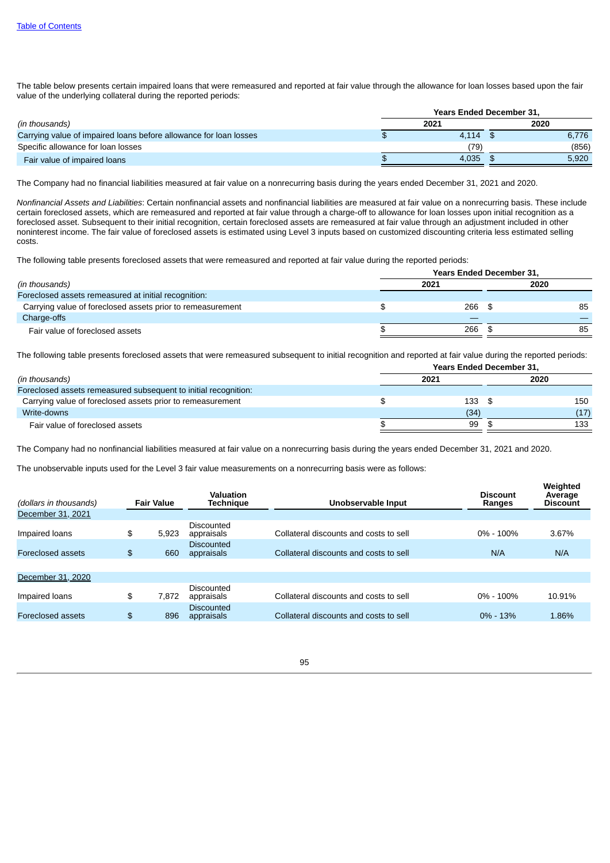The table below presents certain impaired loans that were remeasured and reported at fair value through the allowance for loan losses based upon the fair value of the underlying collateral during the reported periods:

|                                                                   | <b>Years Ended December 31.</b> |            |  |       |  |
|-------------------------------------------------------------------|---------------------------------|------------|--|-------|--|
| (in thousands)                                                    |                                 | 2021       |  | 2020  |  |
| Carrying value of impaired loans before allowance for loan losses |                                 | $4.114$ \$ |  | 6.776 |  |
| Specific allowance for loan losses                                |                                 | (79)       |  | (856) |  |
| Fair value of impaired loans                                      |                                 | 4.035      |  | 5.920 |  |

The Company had no financial liabilities measured at fair value on a nonrecurring basis during the years ended December 31, 2021 and 2020.

*Nonfinancial Assets and Liabilities*: Certain nonfinancial assets and nonfinancial liabilities are measured at fair value on a nonrecurring basis. These include certain foreclosed assets, which are remeasured and reported at fair value through a charge-off to allowance for loan losses upon initial recognition as a foreclosed asset. Subsequent to their initial recognition, certain foreclosed assets are remeasured at fair value through an adjustment included in other noninterest income. The fair value of foreclosed assets is estimated using Level 3 inputs based on customized discounting criteria less estimated selling costs.

The following table presents foreclosed assets that were remeasured and reported at fair value during the reported periods:

|                                                            | <b>Years Ended December 31.</b> |     |      |    |  |
|------------------------------------------------------------|---------------------------------|-----|------|----|--|
| (in thousands)                                             | 2021                            |     | 2020 |    |  |
| Foreclosed assets remeasured at initial recognition:       |                                 |     |      |    |  |
| Carrying value of foreclosed assets prior to remeasurement |                                 | 266 | - 56 | 85 |  |
| Charge-offs                                                |                                 |     |      |    |  |
| Fair value of foreclosed assets                            |                                 | 266 |      | 85 |  |

The following table presents foreclosed assets that were remeasured subsequent to initial recognition and reported at fair value during the reported periods:

|                                                                 | <b>Years Ended December 31,</b> |        |  |      |      |
|-----------------------------------------------------------------|---------------------------------|--------|--|------|------|
| (in thousands)                                                  |                                 | 2021   |  | 2020 |      |
| Foreclosed assets remeasured subsequent to initial recognition: |                                 |        |  |      |      |
| Carrying value of foreclosed assets prior to remeasurement      |                                 | 133 \$ |  |      | 150  |
| Write-downs                                                     |                                 | (34)   |  |      | (17) |
| Fair value of foreclosed assets                                 |                                 | 99     |  |      | 133  |

The Company had no nonfinancial liabilities measured at fair value on a nonrecurring basis during the years ended December 31, 2021 and 2020.

The unobservable inputs used for the Level 3 fair value measurements on a nonrecurring basis were as follows:

| (dollars in thousands) | <b>Fair Value</b> | <b>Valuation</b><br>Techniaue   | Unobservable Input                     | <b>Discount</b><br>Ranges | weighted<br>Average<br><b>Discount</b> |
|------------------------|-------------------|---------------------------------|----------------------------------------|---------------------------|----------------------------------------|
| December 31, 2021      |                   |                                 |                                        |                           |                                        |
| Impaired loans         | \$<br>5,923       | Discounted<br>appraisals        | Collateral discounts and costs to sell | $0\% - 100\%$             | 3.67%                                  |
| Foreclosed assets      | \$<br>660         | <b>Discounted</b><br>appraisals | Collateral discounts and costs to sell | N/A                       | N/A                                    |
|                        |                   |                                 |                                        |                           |                                        |
| December 31, 2020      |                   |                                 |                                        |                           |                                        |
| Impaired loans         | \$<br>7.872       | Discounted<br>appraisals        | Collateral discounts and costs to sell | $0\% - 100\%$             | 10.91%                                 |
| Foreclosed assets      | 896<br>\$         | <b>Discounted</b><br>appraisals | Collateral discounts and costs to sell | $0\% - 13\%$              | 1.86%                                  |

**Weighted**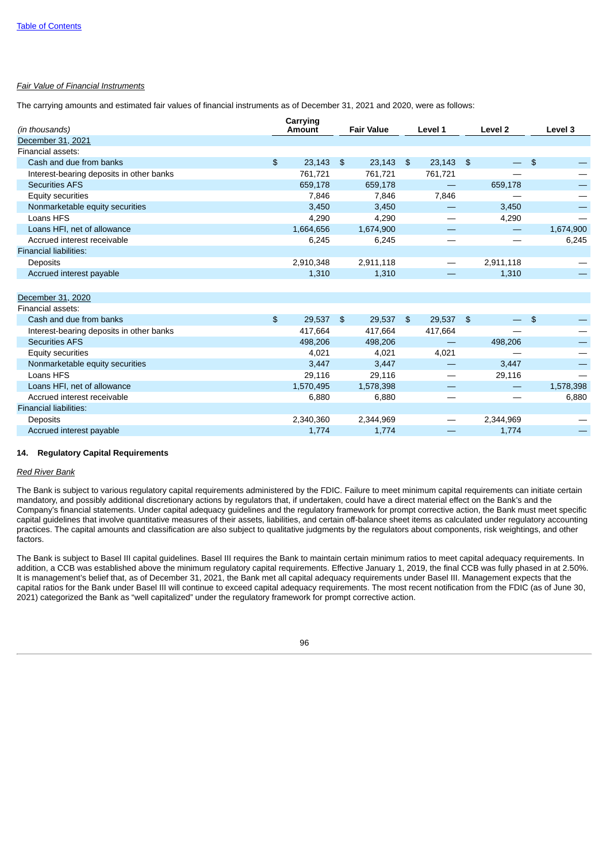## *Fair Value of Financial Instruments*

The carrying amounts and estimated fair values of financial instruments as of December 31, 2021 and 2020, were as follows:

| (in thousands)                           | Carrying<br><b>Amount</b> | <b>Fair Value</b> | Level 1      | Level <sub>2</sub>                                                                                                                                                                                                                                                                                                                                                                                                                                                                                                                                    |                | Level 3   |
|------------------------------------------|---------------------------|-------------------|--------------|-------------------------------------------------------------------------------------------------------------------------------------------------------------------------------------------------------------------------------------------------------------------------------------------------------------------------------------------------------------------------------------------------------------------------------------------------------------------------------------------------------------------------------------------------------|----------------|-----------|
| December 31, 2021                        |                           |                   |              |                                                                                                                                                                                                                                                                                                                                                                                                                                                                                                                                                       |                |           |
| Financial assets:                        |                           |                   |              |                                                                                                                                                                                                                                                                                                                                                                                                                                                                                                                                                       |                |           |
| Cash and due from banks                  | \$<br>23,143              | \$<br>23.143      | \$<br>23,143 | \$<br>$\equiv$                                                                                                                                                                                                                                                                                                                                                                                                                                                                                                                                        | $\mathfrak{L}$ |           |
| Interest-bearing deposits in other banks | 761,721                   | 761,721           | 761,721      |                                                                                                                                                                                                                                                                                                                                                                                                                                                                                                                                                       |                |           |
| <b>Securities AFS</b>                    | 659,178                   | 659,178           |              | 659,178                                                                                                                                                                                                                                                                                                                                                                                                                                                                                                                                               |                |           |
| Equity securities                        | 7,846                     | 7,846             | 7,846        |                                                                                                                                                                                                                                                                                                                                                                                                                                                                                                                                                       |                |           |
| Nonmarketable equity securities          | 3,450                     | 3,450             |              | 3,450                                                                                                                                                                                                                                                                                                                                                                                                                                                                                                                                                 |                |           |
| Loans HFS                                | 4,290                     | 4.290             |              | 4,290                                                                                                                                                                                                                                                                                                                                                                                                                                                                                                                                                 |                |           |
| Loans HFI, net of allowance              | 1,664,656                 | 1,674,900         |              | $\qquad \qquad \overline{\qquad \qquad }% \qquad \qquad \overline{\qquad \qquad }% \qquad \qquad \overline{\qquad \qquad }% \qquad \qquad \overline{\qquad \qquad }% \qquad \qquad \overline{\qquad \qquad }% \qquad \qquad \overline{\qquad \qquad }% \qquad \qquad \overline{\qquad \qquad }% \qquad \qquad \overline{\qquad \qquad }% \qquad \qquad \overline{\qquad \qquad }% \qquad \qquad \overline{\qquad \qquad }% \qquad \qquad \overline{\qquad \qquad }% \qquad \qquad \overline{\qquad \qquad }% \qquad \qquad \overline{\qquad \qquad }$ |                | 1,674,900 |
| Accrued interest receivable              | 6,245                     | 6,245             |              |                                                                                                                                                                                                                                                                                                                                                                                                                                                                                                                                                       |                | 6,245     |
| <b>Financial liabilities:</b>            |                           |                   |              |                                                                                                                                                                                                                                                                                                                                                                                                                                                                                                                                                       |                |           |
| Deposits                                 | 2,910,348                 | 2,911,118         |              | 2,911,118                                                                                                                                                                                                                                                                                                                                                                                                                                                                                                                                             |                |           |
| Accrued interest payable                 | 1,310                     | 1,310             |              | 1,310                                                                                                                                                                                                                                                                                                                                                                                                                                                                                                                                                 |                |           |
|                                          |                           |                   |              |                                                                                                                                                                                                                                                                                                                                                                                                                                                                                                                                                       |                |           |
| December 31, 2020                        |                           |                   |              |                                                                                                                                                                                                                                                                                                                                                                                                                                                                                                                                                       |                |           |
| Financial assets:                        |                           |                   |              |                                                                                                                                                                                                                                                                                                                                                                                                                                                                                                                                                       |                |           |
| Cash and due from banks                  | \$<br>29,537              | \$<br>29,537      | \$<br>29.537 | \$                                                                                                                                                                                                                                                                                                                                                                                                                                                                                                                                                    | $\mathfrak{L}$ |           |
| Interest-bearing deposits in other banks | 417.664                   | 417.664           | 417,664      |                                                                                                                                                                                                                                                                                                                                                                                                                                                                                                                                                       |                |           |
| <b>Securities AFS</b>                    | 498,206                   | 498,206           |              | 498,206                                                                                                                                                                                                                                                                                                                                                                                                                                                                                                                                               |                |           |
| <b>Equity securities</b>                 | 4,021                     | 4,021             | 4,021        |                                                                                                                                                                                                                                                                                                                                                                                                                                                                                                                                                       |                |           |
| Nonmarketable equity securities          | 3,447                     | 3,447             |              | 3,447                                                                                                                                                                                                                                                                                                                                                                                                                                                                                                                                                 |                |           |
| Loans HFS                                | 29,116                    | 29,116            |              | 29,116                                                                                                                                                                                                                                                                                                                                                                                                                                                                                                                                                |                |           |
| Loans HFI, net of allowance              | 1,570,495                 | 1,578,398         |              | $\hspace{0.1mm}-\hspace{0.1mm}$                                                                                                                                                                                                                                                                                                                                                                                                                                                                                                                       |                | 1,578,398 |
| Accrued interest receivable              | 6,880                     | 6,880             |              |                                                                                                                                                                                                                                                                                                                                                                                                                                                                                                                                                       |                | 6,880     |
| <b>Financial liabilities:</b>            |                           |                   |              |                                                                                                                                                                                                                                                                                                                                                                                                                                                                                                                                                       |                |           |
| Deposits                                 | 2,340,360                 | 2,344,969         |              | 2,344,969                                                                                                                                                                                                                                                                                                                                                                                                                                                                                                                                             |                |           |
| Accrued interest payable                 | 1,774                     | 1,774             |              | 1,774                                                                                                                                                                                                                                                                                                                                                                                                                                                                                                                                                 |                |           |

## **14. Regulatory Capital Requirements**

#### *Red River Bank*

The Bank is subject to various regulatory capital requirements administered by the FDIC. Failure to meet minimum capital requirements can initiate certain mandatory, and possibly additional discretionary actions by regulators that, if undertaken, could have a direct material effect on the Bank's and the Company's financial statements. Under capital adequacy guidelines and the regulatory framework for prompt corrective action, the Bank must meet specific capital guidelines that involve quantitative measures of their assets, liabilities, and certain off-balance sheet items as calculated under regulatory accounting practices. The capital amounts and classification are also subject to qualitative judgments by the regulators about components, risk weightings, and other factors.

The Bank is subject to Basel III capital guidelines. Basel III requires the Bank to maintain certain minimum ratios to meet capital adequacy requirements. In addition, a CCB was established above the minimum regulatory capital requirements. Effective January 1, 2019, the final CCB was fully phased in at 2.50%. It is management's belief that, as of December 31, 2021, the Bank met all capital adequacy requirements under Basel III. Management expects that the capital ratios for the Bank under Basel III will continue to exceed capital adequacy requirements. The most recent notification from the FDIC (as of June 30, 2021) categorized the Bank as "well capitalized" under the regulatory framework for prompt corrective action.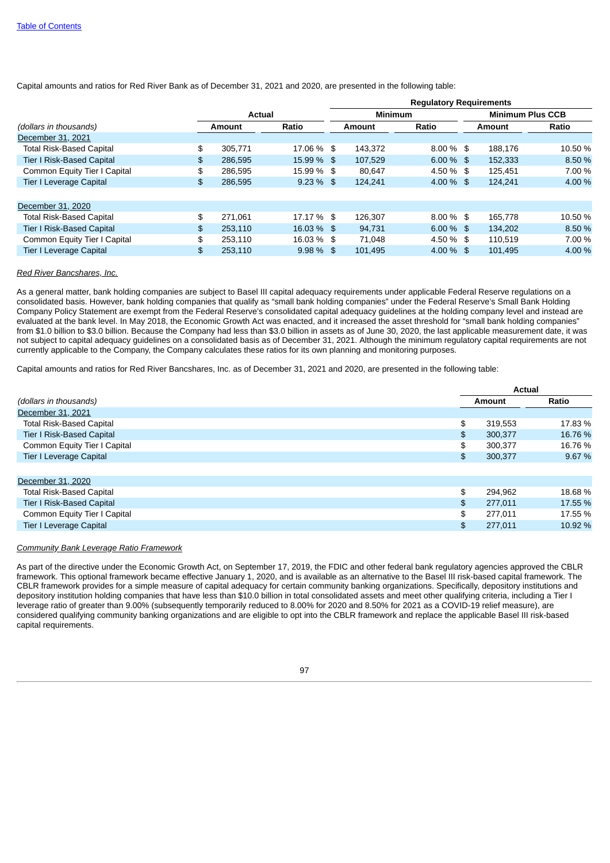Capital amounts and ratios for Red River Bank as of December 31, 2021 and 2020, are presented in the following table:

|                                  |               |         |             |  |         | <b>Regulatory Requirements</b> |  |                         |         |
|----------------------------------|---------------|---------|-------------|--|---------|--------------------------------|--|-------------------------|---------|
|                                  |               | Actual  |             |  |         | <b>Minimum</b>                 |  | <b>Minimum Plus CCB</b> |         |
| (dollars in thousands)           |               | Amount  | Ratio       |  | Amount  | Ratio                          |  | Amount                  | Ratio   |
| December 31, 2021                |               |         |             |  |         |                                |  |                         |         |
| <b>Total Risk-Based Capital</b>  | \$            | 305.771 | 17.06 % \$  |  | 143.372 | $8.00\%$ \$                    |  | 188.176                 | 10.50 % |
| <b>Tier I Risk-Based Capital</b> | \$            | 286.595 | 15.99 % \$  |  | 107.529 | $6.00\%$ \$                    |  | 152.333                 | 8.50 %  |
| Common Equity Tier I Capital     | \$            | 286.595 | 15.99 % \$  |  | 80.647  | 4.50 % \$                      |  | 125.451                 | 7.00 %  |
| <b>Tier I Leverage Capital</b>   | $\frac{1}{2}$ | 286,595 | $9.23\%$ \$ |  | 124.241 | $4.00\%$ \$                    |  | 124.241                 | 4.00 %  |
|                                  |               |         |             |  |         |                                |  |                         |         |
| December 31, 2020                |               |         |             |  |         |                                |  |                         |         |
| <b>Total Risk-Based Capital</b>  | \$            | 271.061 | 17.17 % \$  |  | 126.307 | $8.00\%$ \$                    |  | 165.778                 | 10.50 % |
| <b>Tier I Risk-Based Capital</b> | \$            | 253.110 | 16.03 % \$  |  | 94,731  | $6.00\%$ \$                    |  | 134,202                 | 8.50 %  |
| Common Equity Tier I Capital     | \$            | 253.110 | 16.03 % \$  |  | 71.048  | $4.50\%$ \$                    |  | 110.519                 | 7.00 %  |
| <b>Tier I Leverage Capital</b>   | \$            | 253,110 | $9.98\%$ \$ |  | 101.495 | $4.00\%$ \$                    |  | 101.495                 | 4.00 %  |
|                                  |               |         |             |  |         |                                |  |                         |         |

## *Red River Bancshares, Inc.*

As a general matter, bank holding companies are subject to Basel III capital adequacy requirements under applicable Federal Reserve regulations on a consolidated basis. However, bank holding companies that qualify as "small bank holding companies" under the Federal Reserve's Small Bank Holding Company Policy Statement are exempt from the Federal Reserve's consolidated capital adequacy guidelines at the holding company level and instead are evaluated at the bank level. In May 2018, the Economic Growth Act was enacted, and it increased the asset threshold for "small bank holding companies" from \$1.0 billion to \$3.0 billion. Because the Company had less than \$3.0 billion in assets as of June 30, 2020, the last applicable measurement date, it was not subject to capital adequacy guidelines on a consolidated basis as of December 31, 2021. Although the minimum regulatory capital requirements are not currently applicable to the Company, the Company calculates these ratios for its own planning and monitoring purposes.

Capital amounts and ratios for Red River Bancshares, Inc. as of December 31, 2021 and 2020, are presented in the following table:

|                                 | <b>Actual</b> |         |  |  |  |
|---------------------------------|---------------|---------|--|--|--|
| (dollars in thousands)          | Amount        | Ratio   |  |  |  |
| December 31, 2021               |               |         |  |  |  |
| <b>Total Risk-Based Capital</b> | \$<br>319,553 | 17.83 % |  |  |  |
| Tier I Risk-Based Capital       | \$<br>300.377 | 16.76 % |  |  |  |
| Common Equity Tier I Capital    | \$<br>300.377 | 16.76 % |  |  |  |
| Tier I Leverage Capital         | \$<br>300,377 | 9.67 %  |  |  |  |
|                                 |               |         |  |  |  |
| December 31, 2020               |               |         |  |  |  |
| <b>Total Risk-Based Capital</b> | \$<br>294.962 | 18.68%  |  |  |  |
| Tier I Risk-Based Capital       | \$<br>277.011 | 17.55 % |  |  |  |
| Common Equity Tier I Capital    | \$<br>277.011 | 17.55 % |  |  |  |
| Tier I Leverage Capital         | \$<br>277,011 | 10.92 % |  |  |  |
|                                 |               |         |  |  |  |

### *Community Bank Leverage Ratio Framework*

As part of the directive under the Economic Growth Act, on September 17, 2019, the FDIC and other federal bank regulatory agencies approved the CBLR framework. This optional framework became effective January 1, 2020, and is available as an alternative to the Basel III risk-based capital framework. The CBLR framework provides for a simple measure of capital adequacy for certain community banking organizations. Specifically, depository institutions and depository institution holding companies that have less than \$10.0 billion in total consolidated assets and meet other qualifying criteria, including a Tier I leverage ratio of greater than 9.00% (subsequently temporarily reduced to 8.00% for 2020 and 8.50% for 2021 as a COVID-19 relief measure), are considered qualifying community banking organizations and are eligible to opt into the CBLR framework and replace the applicable Basel III risk-based capital requirements.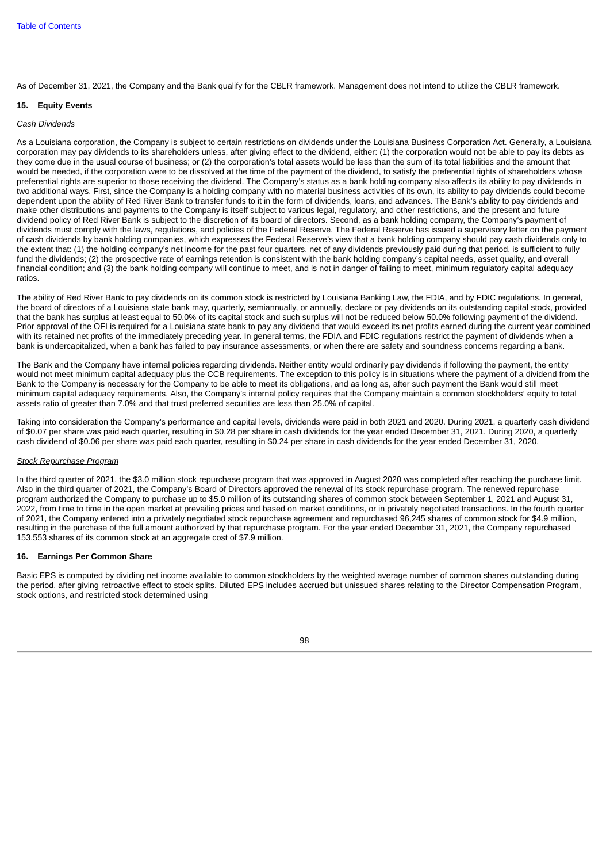As of December 31, 2021, the Company and the Bank qualify for the CBLR framework. Management does not intend to utilize the CBLR framework.

## **15. Equity Events**

### *Cash Dividends*

As a Louisiana corporation, the Company is subject to certain restrictions on dividends under the Louisiana Business Corporation Act. Generally, a Louisiana corporation may pay dividends to its shareholders unless, after giving effect to the dividend, either: (1) the corporation would not be able to pay its debts as they come due in the usual course of business; or (2) the corporation's total assets would be less than the sum of its total liabilities and the amount that would be needed, if the corporation were to be dissolved at the time of the payment of the dividend, to satisfy the preferential rights of shareholders whose preferential rights are superior to those receiving the dividend. The Company's status as a bank holding company also affects its ability to pay dividends in two additional ways. First, since the Company is a holding company with no material business activities of its own, its ability to pay dividends could become dependent upon the ability of Red River Bank to transfer funds to it in the form of dividends, loans, and advances. The Bank's ability to pay dividends and make other distributions and payments to the Company is itself subject to various legal, regulatory, and other restrictions, and the present and future dividend policy of Red River Bank is subject to the discretion of its board of directors. Second, as a bank holding company, the Company's payment of dividends must comply with the laws, regulations, and policies of the Federal Reserve. The Federal Reserve has issued a supervisory letter on the payment of cash dividends by bank holding companies, which expresses the Federal Reserve's view that a bank holding company should pay cash dividends only to the extent that: (1) the holding company's net income for the past four quarters, net of any dividends previously paid during that period, is sufficient to fully fund the dividends; (2) the prospective rate of earnings retention is consistent with the bank holding company's capital needs, asset quality, and overall financial condition; and (3) the bank holding company will continue to meet, and is not in danger of failing to meet, minimum regulatory capital adequacy ratios.

The ability of Red River Bank to pay dividends on its common stock is restricted by Louisiana Banking Law, the FDIA, and by FDIC regulations. In general, the board of directors of a Louisiana state bank may, quarterly, semiannually, or annually, declare or pay dividends on its outstanding capital stock, provided that the bank has surplus at least equal to 50.0% of its capital stock and such surplus will not be reduced below 50.0% following payment of the dividend. Prior approval of the OFI is required for a Louisiana state bank to pay any dividend that would exceed its net profits earned during the current year combined with its retained net profits of the immediately preceding year. In general terms, the FDIA and FDIC regulations restrict the payment of dividends when a bank is undercapitalized, when a bank has failed to pay insurance assessments, or when there are safety and soundness concerns regarding a bank.

The Bank and the Company have internal policies regarding dividends. Neither entity would ordinarily pay dividends if following the payment, the entity would not meet minimum capital adequacy plus the CCB requirements. The exception to this policy is in situations where the payment of a dividend from the Bank to the Company is necessary for the Company to be able to meet its obligations, and as long as, after such payment the Bank would still meet minimum capital adequacy requirements. Also, the Company's internal policy requires that the Company maintain a common stockholders' equity to total assets ratio of greater than 7.0% and that trust preferred securities are less than 25.0% of capital.

Taking into consideration the Company's performance and capital levels, dividends were paid in both 2021 and 2020. During 2021, a quarterly cash dividend of \$0.07 per share was paid each quarter, resulting in \$0.28 per share in cash dividends for the year ended December 31, 2021. During 2020, a quarterly cash dividend of \$0.06 per share was paid each quarter, resulting in \$0.24 per share in cash dividends for the year ended December 31, 2020.

### *Stock Repurchase Program*

In the third quarter of 2021, the \$3.0 million stock repurchase program that was approved in August 2020 was completed after reaching the purchase limit. Also in the third quarter of 2021, the Company's Board of Directors approved the renewal of its stock repurchase program. The renewed repurchase program authorized the Company to purchase up to \$5.0 million of its outstanding shares of common stock between September 1, 2021 and August 31, 2022, from time to time in the open market at prevailing prices and based on market conditions, or in privately negotiated transactions. In the fourth quarter of 2021, the Company entered into a privately negotiated stock repurchase agreement and repurchased 96,245 shares of common stock for \$4.9 million, resulting in the purchase of the full amount authorized by that repurchase program. For the year ended December 31, 2021, the Company repurchased 153,553 shares of its common stock at an aggregate cost of \$7.9 million.

### **16. Earnings Per Common Share**

Basic EPS is computed by dividing net income available to common stockholders by the weighted average number of common shares outstanding during the period, after giving retroactive effect to stock splits. Diluted EPS includes accrued but unissued shares relating to the Director Compensation Program, stock options, and restricted stock determined using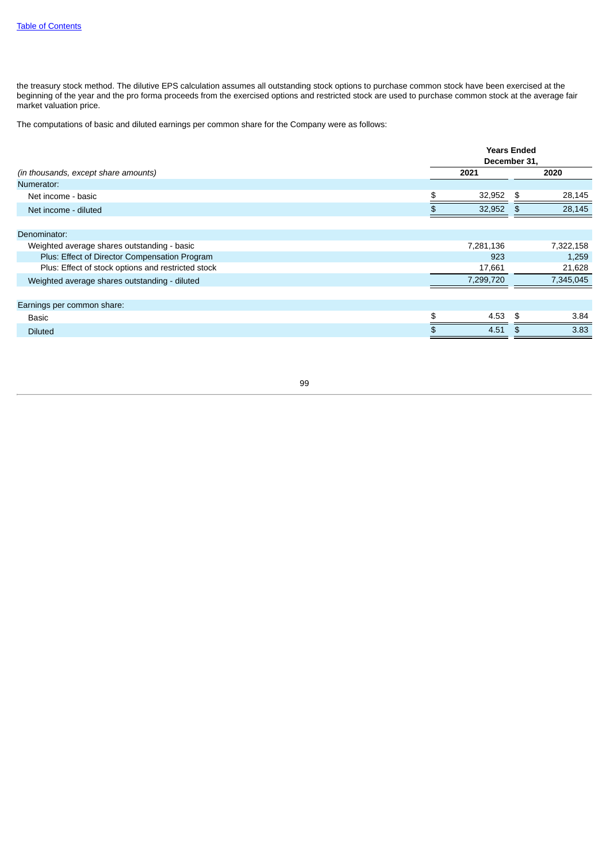the treasury stock method. The dilutive EPS calculation assumes all outstanding stock options to purchase common stock have been exercised at the beginning of the year and the pro forma proceeds from the exercised options and restricted stock are used to purchase common stock at the average fair market valuation price.

The computations of basic and diluted earnings per common share for the Company were as follows:

|                                                    | <b>Years Ended</b><br>December 31, |           |    |           |  |  |
|----------------------------------------------------|------------------------------------|-----------|----|-----------|--|--|
| (in thousands, except share amounts)               |                                    | 2021      |    | 2020      |  |  |
| Numerator:                                         |                                    |           |    |           |  |  |
| Net income - basic                                 | \$                                 | 32,952    | \$ | 28,145    |  |  |
| Net income - diluted                               |                                    | 32,952    | \$ | 28,145    |  |  |
|                                                    |                                    |           |    |           |  |  |
| Denominator:                                       |                                    |           |    |           |  |  |
| Weighted average shares outstanding - basic        |                                    | 7,281,136 |    | 7,322,158 |  |  |
| Plus: Effect of Director Compensation Program      |                                    | 923       |    | 1,259     |  |  |
| Plus: Effect of stock options and restricted stock |                                    | 17,661    |    | 21,628    |  |  |
| Weighted average shares outstanding - diluted      |                                    | 7,299,720 |    | 7,345,045 |  |  |
|                                                    |                                    |           |    |           |  |  |
| Earnings per common share:                         |                                    |           |    |           |  |  |
| Basic                                              | \$                                 | 4.53      | \$ | 3.84      |  |  |
| <b>Diluted</b>                                     | £.                                 | 4.51      | \$ | 3.83      |  |  |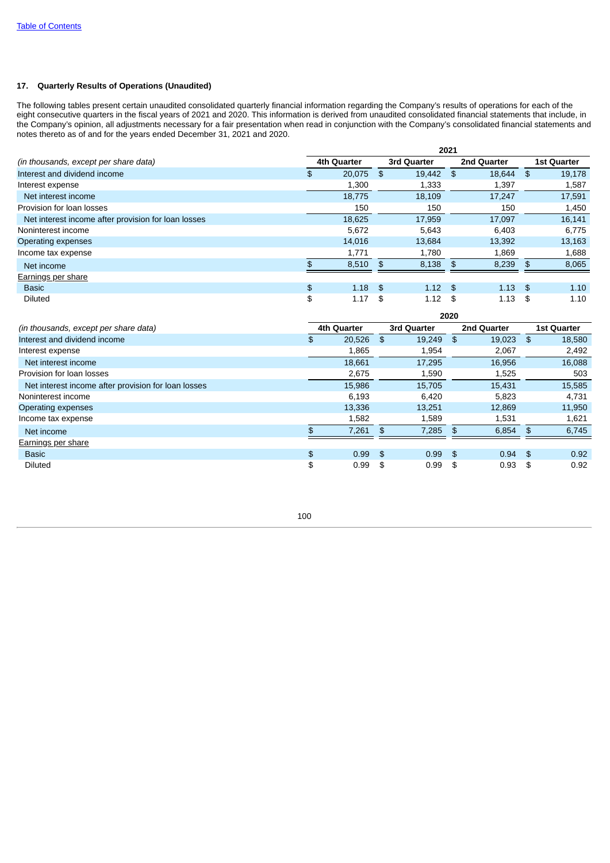# **17. Quarterly Results of Operations (Unaudited)**

The following tables present certain unaudited consolidated quarterly financial information regarding the Company's results of operations for each of the eight consecutive quarters in the fiscal years of 2021 and 2020. This information is derived from unaudited consolidated financial statements that include, in the Company's opinion, all adjustments necessary for a fair presentation when read in conjunction with the Company's consolidated financial statements and notes thereto as of and for the years ended December 31, 2021 and 2020.

|                                                     | 2021         |             |           |    |             |    |                    |  |  |  |
|-----------------------------------------------------|--------------|-------------|-----------|----|-------------|----|--------------------|--|--|--|
| (in thousands, except per share data)               | 4th Ouarter  | 3rd Ouarter |           |    | 2nd Ouarter |    | <b>1st Ouarter</b> |  |  |  |
| Interest and dividend income                        | \$<br>20,075 | \$.         | 19,442    | \$ | 18,644      | \$ | 19,178             |  |  |  |
| Interest expense                                    | 1,300        |             | 1,333     |    | 1,397       |    | 1,587              |  |  |  |
| Net interest income                                 | 18,775       |             | 18,109    |    | 17,247      |    | 17,591             |  |  |  |
| Provision for loan losses                           | 150          |             | 150       |    | 150         |    | 1,450              |  |  |  |
| Net interest income after provision for loan losses | 18,625       |             | 17,959    |    | 17,097      |    | 16,141             |  |  |  |
| Noninterest income                                  | 5.672        |             | 5.643     |    | 6.403       |    | 6,775              |  |  |  |
| Operating expenses                                  | 14,016       |             | 13.684    |    | 13,392      |    | 13,163             |  |  |  |
| Income tax expense                                  | 1,771        |             | 1,780     |    | 1,869       |    | 1,688              |  |  |  |
| Net income                                          | 8,510        | \$          | 8,138     | \$ | 8,239       | \$ | 8,065              |  |  |  |
| Earnings per share                                  |              |             |           |    |             |    |                    |  |  |  |
| <b>Basic</b>                                        | \$<br>1.18   | - \$        | $1.12$ \$ |    | $1.13$ \$   |    | 1.10               |  |  |  |
| Diluted                                             | \$<br>1.17   | \$          | 1.12      | \$ | 1.13        | \$ | 1.10               |  |  |  |

|                                                     | 2020          |             |    |             |    |             |      |                    |
|-----------------------------------------------------|---------------|-------------|----|-------------|----|-------------|------|--------------------|
| (in thousands, except per share data)               |               | 4th Ouarter |    | 3rd Ouarter |    | 2nd Ouarter |      | <b>1st Ouarter</b> |
| Interest and dividend income                        | \$            | 20.526      | \$ | 19,249      | \$ | 19,023      | -\$  | 18,580             |
| Interest expense                                    |               | 1,865       |    | 1,954       |    | 2,067       |      | 2,492              |
| Net interest income                                 |               | 18.661      |    | 17.295      |    | 16.956      |      | 16.088             |
| Provision for loan losses                           |               | 2,675       |    | 1,590       |    | 1,525       |      | 503                |
| Net interest income after provision for loan losses |               | 15.986      |    | 15,705      |    | 15,431      |      | 15,585             |
| Noninterest income                                  |               | 6.193       |    | 6.420       |    | 5.823       |      | 4,731              |
| Operating expenses                                  |               | 13.336      |    | 13,251      |    | 12,869      |      | 11,950             |
| Income tax expense                                  |               | 1,582       |    | 1,589       |    | 1,531       |      | 1,621              |
| Net income                                          |               | 7,261       | \$ | 7,285       | \$ | 6,854       | \$   | 6,745              |
| <b>Earnings per share</b>                           |               |             |    |             |    |             |      |                    |
| <b>Basic</b>                                        | $\frac{2}{3}$ | 0.99        | \$ | 0.99        | \$ | 0.94        | - \$ | 0.92               |
| Diluted                                             | \$            | 0.99        | \$ | 0.99        | \$ | 0.93        | \$   | 0.92               |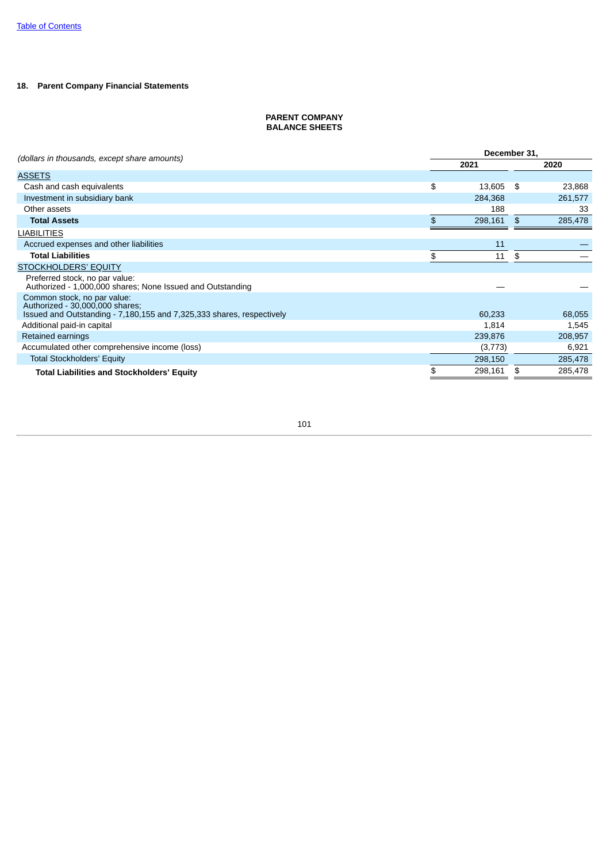## **18. Parent Company Financial Statements**

#### **PARENT COMPANY BALANCE SHEETS**

| (dollars in thousands, except share amounts)                                                 | December 31, |         |     |         |  |  |  |
|----------------------------------------------------------------------------------------------|--------------|---------|-----|---------|--|--|--|
|                                                                                              |              | 2021    |     | 2020    |  |  |  |
| <b>ASSETS</b>                                                                                |              |         |     |         |  |  |  |
| Cash and cash equivalents                                                                    | \$           | 13,605  | \$  | 23,868  |  |  |  |
| Investment in subsidiary bank                                                                |              | 284,368 |     | 261,577 |  |  |  |
| Other assets                                                                                 |              | 188     |     | 33      |  |  |  |
| <b>Total Assets</b>                                                                          | \$           | 298,161 | \$  | 285,478 |  |  |  |
| <b>LIABILITIES</b>                                                                           |              |         |     |         |  |  |  |
| Accrued expenses and other liabilities                                                       |              | 11      |     |         |  |  |  |
| <b>Total Liabilities</b>                                                                     | \$           | 11      | \$  |         |  |  |  |
| STOCKHOLDERS' EQUITY                                                                         |              |         |     |         |  |  |  |
| Preferred stock, no par value:<br>Authorized - 1,000,000 shares; None Issued and Outstanding |              |         |     |         |  |  |  |
| Common stock, no par value:<br>Authorized - 30,000,000 shares;                               |              |         |     |         |  |  |  |
| Issued and Outstanding - 7,180,155 and 7,325,333 shares, respectively                        |              | 60,233  |     | 68,055  |  |  |  |
| Additional paid-in capital                                                                   |              | 1,814   |     | 1,545   |  |  |  |
| Retained earnings                                                                            |              | 239,876 |     | 208,957 |  |  |  |
| Accumulated other comprehensive income (loss)                                                |              | (3,773) |     | 6,921   |  |  |  |
| <b>Total Stockholders' Equity</b>                                                            |              | 298,150 |     | 285,478 |  |  |  |
| <b>Total Liabilities and Stockholders' Equity</b>                                            | \$           | 298,161 | \$. | 285,478 |  |  |  |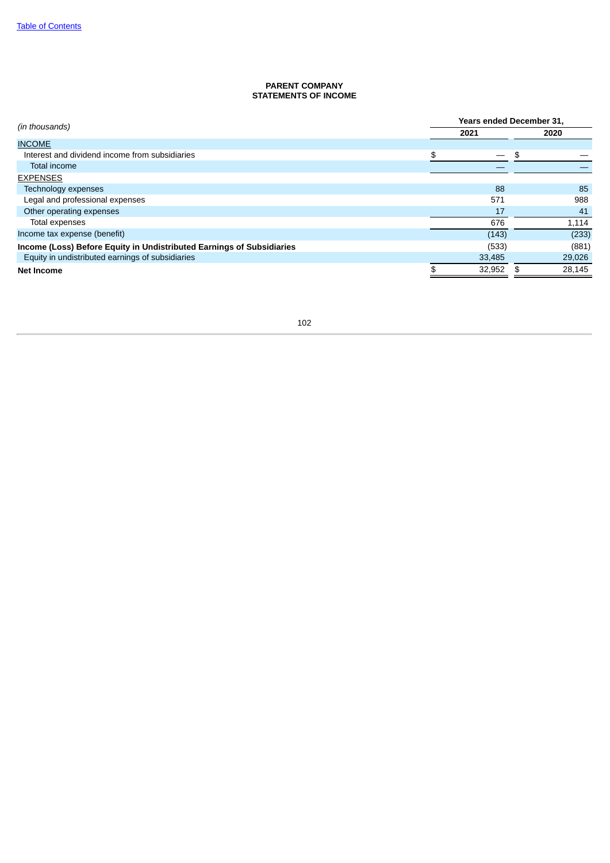### **PARENT COMPANY STATEMENTS OF INCOME**

| (in thousands)                                                        |    | <b>Years ended December 31.</b> |      |        |  |  |  |  |
|-----------------------------------------------------------------------|----|---------------------------------|------|--------|--|--|--|--|
|                                                                       |    | 2021                            | 2020 |        |  |  |  |  |
| <b>INCOME</b>                                                         |    |                                 |      |        |  |  |  |  |
| Interest and dividend income from subsidiaries                        | \$ | $\overline{\phantom{0}}$        | \$   |        |  |  |  |  |
| Total income                                                          |    |                                 |      |        |  |  |  |  |
| <b>EXPENSES</b>                                                       |    |                                 |      |        |  |  |  |  |
| Technology expenses                                                   |    | 88                              |      | 85     |  |  |  |  |
| Legal and professional expenses                                       |    | 571                             |      | 988    |  |  |  |  |
| Other operating expenses                                              |    | 17                              |      | 41     |  |  |  |  |
| Total expenses                                                        |    | 676                             |      | 1,114  |  |  |  |  |
| Income tax expense (benefit)                                          |    | (143)                           |      | (233)  |  |  |  |  |
| Income (Loss) Before Equity in Undistributed Earnings of Subsidiaries |    | (533)                           |      | (881)  |  |  |  |  |
| Equity in undistributed earnings of subsidiaries                      |    | 33,485                          |      | 29,026 |  |  |  |  |
| <b>Net Income</b>                                                     |    | 32,952                          |      | 28,145 |  |  |  |  |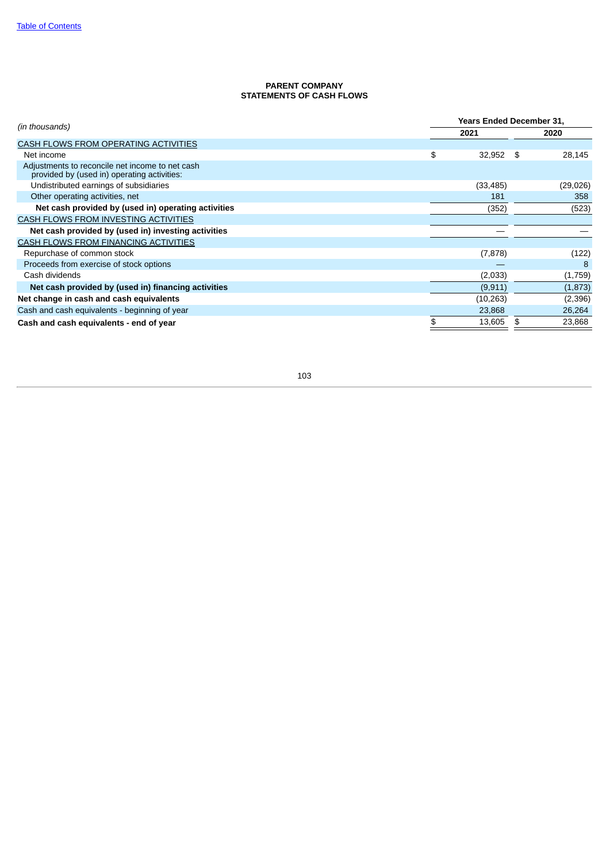## **PARENT COMPANY STATEMENTS OF CASH FLOWS**

| (in thousands)                                                                                 | <b>Years Ended December 31.</b> |              |  |  |  |  |
|------------------------------------------------------------------------------------------------|---------------------------------|--------------|--|--|--|--|
|                                                                                                | 2021                            | 2020         |  |  |  |  |
| CASH FLOWS FROM OPERATING ACTIVITIES                                                           |                                 |              |  |  |  |  |
| Net income                                                                                     | \$<br>32,952                    | 28,145<br>\$ |  |  |  |  |
| Adjustments to reconcile net income to net cash<br>provided by (used in) operating activities: |                                 |              |  |  |  |  |
| Undistributed earnings of subsidiaries                                                         | (33, 485)                       | (29, 026)    |  |  |  |  |
| Other operating activities, net                                                                | 181                             | 358          |  |  |  |  |
| Net cash provided by (used in) operating activities                                            | (352)                           | (523)        |  |  |  |  |
| CASH FLOWS FROM INVESTING ACTIVITIES                                                           |                                 |              |  |  |  |  |
| Net cash provided by (used in) investing activities                                            |                                 |              |  |  |  |  |
| CASH FLOWS FROM FINANCING ACTIVITIES                                                           |                                 |              |  |  |  |  |
| Repurchase of common stock                                                                     | (7, 878)                        | (122)        |  |  |  |  |
| Proceeds from exercise of stock options                                                        |                                 | 8            |  |  |  |  |
| Cash dividends                                                                                 | (2,033)                         | (1,759)      |  |  |  |  |
| Net cash provided by (used in) financing activities                                            | (9, 911)                        | (1, 873)     |  |  |  |  |
| Net change in cash and cash equivalents                                                        | (10, 263)                       | (2,396)      |  |  |  |  |
| Cash and cash equivalents - beginning of year                                                  | 23,868                          | 26,264       |  |  |  |  |
| Cash and cash equivalents - end of year                                                        | 13,605                          | 23,868<br>£. |  |  |  |  |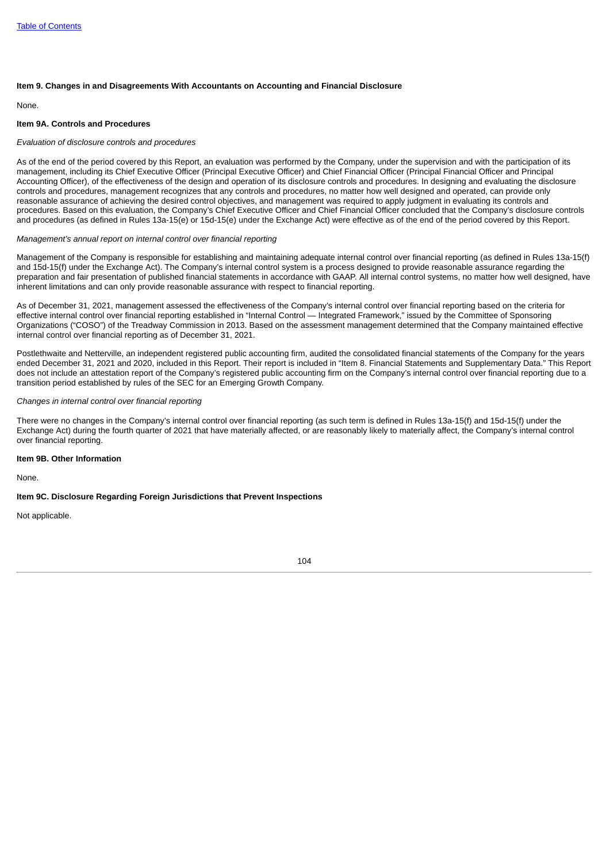## **Item 9. Changes in and Disagreements With Accountants on Accounting and Financial Disclosure**

None.

## **Item 9A. Controls and Procedures**

## *Evaluation of disclosure controls and procedures*

As of the end of the period covered by this Report, an evaluation was performed by the Company, under the supervision and with the participation of its management, including its Chief Executive Officer (Principal Executive Officer) and Chief Financial Officer (Principal Financial Officer and Principal Accounting Officer), of the effectiveness of the design and operation of its disclosure controls and procedures. In designing and evaluating the disclosure controls and procedures, management recognizes that any controls and procedures, no matter how well designed and operated, can provide only reasonable assurance of achieving the desired control objectives, and management was required to apply judgment in evaluating its controls and procedures. Based on this evaluation, the Company's Chief Executive Officer and Chief Financial Officer concluded that the Company's disclosure controls and procedures (as defined in Rules 13a-15(e) or 15d-15(e) under the Exchange Act) were effective as of the end of the period covered by this Report.

### *Management's annual report on internal control over financial reporting*

Management of the Company is responsible for establishing and maintaining adequate internal control over financial reporting (as defined in Rules 13a-15(f) and 15d-15(f) under the Exchange Act). The Company's internal control system is a process designed to provide reasonable assurance regarding the preparation and fair presentation of published financial statements in accordance with GAAP. All internal control systems, no matter how well designed, have inherent limitations and can only provide reasonable assurance with respect to financial reporting.

As of December 31, 2021, management assessed the effectiveness of the Company's internal control over financial reporting based on the criteria for effective internal control over financial reporting established in "Internal Control — Integrated Framework," issued by the Committee of Sponsoring Organizations ("COSO") of the Treadway Commission in 2013. Based on the assessment management determined that the Company maintained effective internal control over financial reporting as of December 31, 2021.

Postlethwaite and Netterville, an independent registered public accounting firm, audited the consolidated financial statements of the Company for the years ended December 31, 2021 and 2020, included in this Report. Their report is included in "Item 8. Financial Statements and Supplementary Data." This Report does not include an attestation report of the Company's registered public accounting firm on the Company's internal control over financial reporting due to a transition period established by rules of the SEC for an Emerging Growth Company.

### *Changes in internal control over financial reporting*

There were no changes in the Company's internal control over financial reporting (as such term is defined in Rules 13a-15(f) and 15d-15(f) under the Exchange Act) during the fourth quarter of 2021 that have materially affected, or are reasonably likely to materially affect, the Company's internal control over financial reporting.

## **Item 9B. Other Information**

None.

## **Item 9C. Disclosure Regarding Foreign Jurisdictions that Prevent Inspections**

Not applicable.

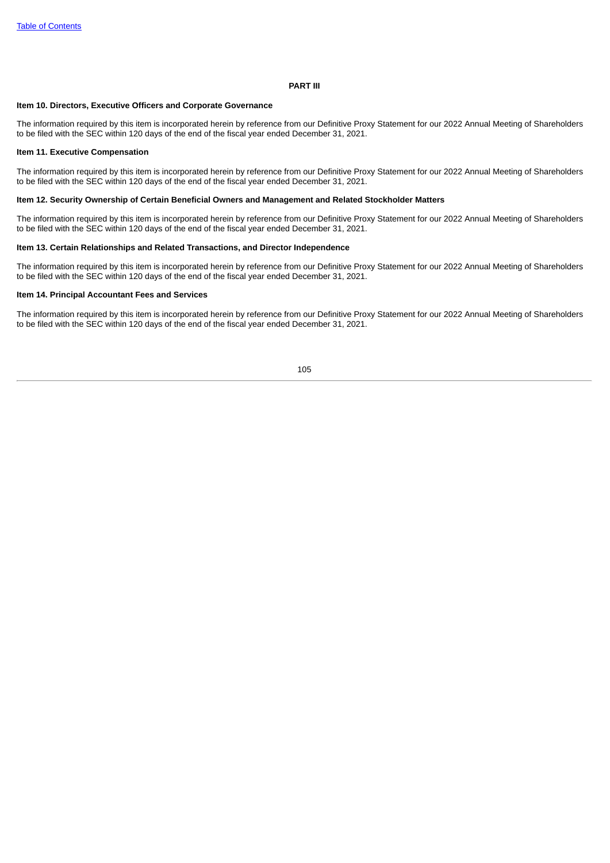## **PART III**

## **Item 10. Directors, Executive Officers and Corporate Governance**

The information required by this item is incorporated herein by reference from our Definitive Proxy Statement for our 2022 Annual Meeting of Shareholders to be filed with the SEC within 120 days of the end of the fiscal year ended December 31, 2021.

## **Item 11. Executive Compensation**

The information required by this item is incorporated herein by reference from our Definitive Proxy Statement for our 2022 Annual Meeting of Shareholders to be filed with the SEC within 120 days of the end of the fiscal year ended December 31, 2021.

#### **Item 12. Security Ownership of Certain Beneficial Owners and Management and Related Stockholder Matters**

The information required by this item is incorporated herein by reference from our Definitive Proxy Statement for our 2022 Annual Meeting of Shareholders to be filed with the SEC within 120 days of the end of the fiscal year ended December 31, 2021.

## **Item 13. Certain Relationships and Related Transactions, and Director Independence**

The information required by this item is incorporated herein by reference from our Definitive Proxy Statement for our 2022 Annual Meeting of Shareholders to be filed with the SEC within 120 days of the end of the fiscal year ended December 31, 2021.

### **Item 14. Principal Accountant Fees and Services**

The information required by this item is incorporated herein by reference from our Definitive Proxy Statement for our 2022 Annual Meeting of Shareholders to be filed with the SEC within 120 days of the end of the fiscal year ended December 31, 2021.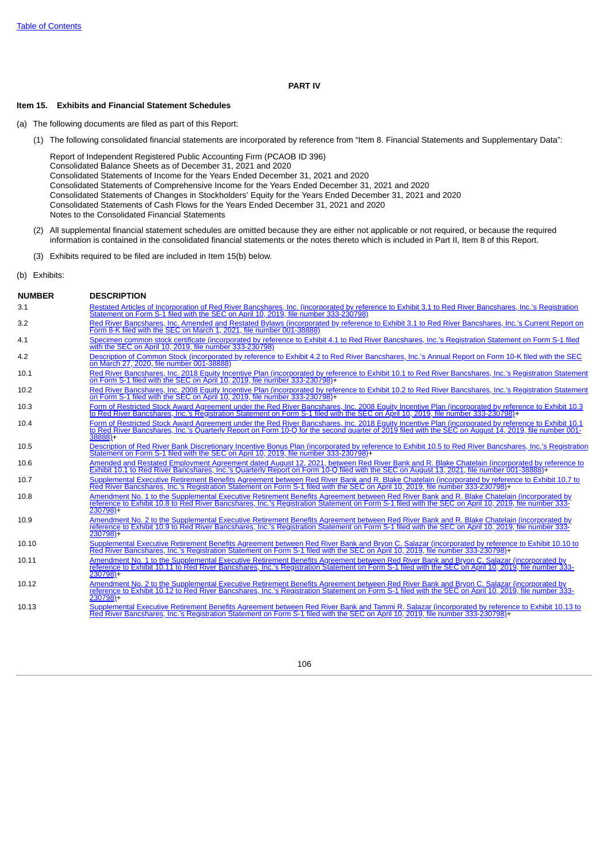## **PART IV**

## **Item 15. Exhibits and Financial Statement Schedules**

(a) The following documents are filed as part of this Report:

- (1) The following consolidated financial statements are incorporated by reference from "Item 8. Financial Statements and Supplementary Data":
	- Report of Independent Registered Public Accounting Firm (PCAOB ID 396) Consolidated Balance Sheets as of December 31, 2021 and 2020 Consolidated Statements of Income for the Years Ended December 31, 2021 and 2020 Consolidated Statements of Comprehensive Income for the Years Ended December 31, 2021 and 2020 Consolidated Statements of Changes in Stockholders' Equity for the Years Ended December 31, 2021 and 2020 Consolidated Statements of Cash Flows for the Years Ended December 31, 2021 and 2020 Notes to the Consolidated Financial Statements
	- (2) All supplemental financial statement schedules are omitted because they are either not applicable or not required, or because the required information is contained in the consolidated financial statements or the notes thereto which is included in Part II, Item 8 of this Report.
	- (3) Exhibits required to be filed are included in Item 15(b) below.

## (b) Exhibits:

| <b>NUMBER</b> | <b>DESCRIPTION</b> |
|---------------|--------------------|
|               |                    |

| <b>IVOIVIDER</b> | DLJUNIF I IVIV                                                                                                                                                                                                                                                                                                          |
|------------------|-------------------------------------------------------------------------------------------------------------------------------------------------------------------------------------------------------------------------------------------------------------------------------------------------------------------------|
| 3.1              | Restated Articles of Incorporation of Red River Bancshares, Inc. (incorporated by reference to Exhibit 3.1 to Red River Bancshares, Inc.'s Registration<br>Statement on Form S-1 filed with the SEC on April 10, 2019, file number 333-230798)                                                                          |
| 3.2              | Red River Bancshares, Inc. Amended and Restated Bylaws (incorporated by reference to Exhibit 3.1 to Red River Bancshares, Inc.'s Current Report on<br>Form 8-K filed with the SEC on March 1, 2021, file number 001-38888)                                                                                              |
| 4.1              | Specimen common stock certificate (incorporated by reference to Exhibit 4.1 to Red River Bancshares, Inc.'s Registration Statement on Form S-1 filed<br>with the SEC on April 10, 2019, file number 333-230798)                                                                                                         |
| 4.2              | Description of Common Stock (incorporated by reference to Exhibit 4.2 to Red River Bancshares, Inc.'s Annual Report on Form 10-K filed with the SEC<br>on March 27, 2020, file number 001-38888)                                                                                                                        |
| 10.1             | Red River Bancshares, Inc. 2018 Equity Incentive Plan (incorporated by reference to Exhibit 10.1 to Red River Bancshares, Inc.'s Registration Statement<br>on Form S-1 filed with the SEC on April 10, 2019, file number 333-230798)+                                                                                   |
| 10.2             | Red River Bancshares, Inc. 2008 Equity Incentive Plan (incorporated by reference to Exhibit 10.2 to Red River Bancshares, Inc.'s Registration Statement<br>on Form S-1 filed with the SEC on April 10, 2019, file number 333-230798)+                                                                                   |
| 10.3             | Form of Restricted Stock Award Agreement under the Red River Bancshares, Inc. 2008 Equity Incentive Plan (incorporated by reference to Exhibit 10.3<br>to Red River Bancshares, Inc.'s Registration Statement on Form S-1 filed with the SEC on April 10, 2019, file number 333-230798)+                                |
| 10.4             | Form of Restricted Stock Award Agreement under the Red River Bancshares, Inc. 2018 Equity Incentive Plan (incorporated by reference to Exhibit 10.1<br>to Red River Bancshares, Inc.'s Ouarterly Report on Form 10-O for the second quarter of 2019 filed with the SEC on August 14, 2019, file number 001-<br>$38888+$ |
| 10.5             | Description of Red River Bank Discretionary Incentive Bonus Plan (incorporated by reference to Exhibit 10.5 to Red River Bancshares, Inc.'s Registration<br>Statement on Form S-1 filed with the SEC on April 10, 2019, file number 333-230798)+                                                                        |
| 10.6             | Amended and Restated Employment Agreement dated August 12, 2021, between Red River Bank and R. Blake Chatelain (incorporated by reference to<br>Exhibit 10.1 to Red River Bancshares, Inc.'s Quarterly Report on Form 10-Q filed with the SEC on August 13, 2021, file number 001-38888)+                               |
| 10.7             | Supplemental Executive Retirement Benefits Agreement between Red River Bank and R. Blake Chatelain (incorporated by reference to Exhibit 10.7 to<br>Red River Bancshares, Inc.'s Registration Statement on Form S-1 filed with the SEC on April 10, 2019, file number 333-230798)+                                      |
| 10.8             | Amendment No. 1 to the Supplemental Executive Retirement Benefits Agreement between Red River Bank and R. Blake Chatelain (incorporated by<br>reference to Exhibit 10.8 to Red River Bancshares, Inc.'s Registration Statement on Form S-1 filed with the SEC on April 10, 2019, file number 333-<br>$230798+$          |
| 10.9             | Amendment No. 2 to the Supplemental Executive Retirement Benefits Agreement between Red River Bank and R. Blake Chatelain (incorporated by<br>reference to Exhibit 10.9 to Red River Bancshares, Inc.'s Registration Statement on Form S-1 filed with the SEC on April 10, 2019, file number 333-<br>$230798+$          |
| 10.10            | Supplemental Executive Retirement Benefits Agreement between Red River Bank and Bryon C. Salazar (incorporated by reference to Exhibit 10.10 to<br>Red River Bancshares, Inc.'s Registration Statement on Form S-1 filed with the SEC on April 10, 2019, file number 333-230798)+                                       |
| 10.11            | Amendment No. 1 to the Supplemental Executive Retirement Benefits Agreement between Red River Bank and Bryon C. Salazar (incorporated by<br>reference to Exhibit 10.11 to Red River Bancshares, Inc.'s Registration Statement on Form S-1 filed with the SEC on April 10, 2019, file number 333-<br>$230798+$           |
| 10.12            | Amendment No. 2 to the Supplemental Executive Retirement Benefits Agreement between Red River Bank and Bryon C. Salazar (incorporated by<br>reference to Exhibit 10.12 to Red River Bancshares, Inc.'s Registration Statement on Form S-1 filed with the SEC on April 10, 2019, file number 333-<br>$230798+$           |
| 10.13            | Supplemental Executive Retirement Benefits Agreement between Red River Bank and Tammi R. Salazar (incorporated by reference to Exhibit 10.13 to<br>Red River Bancshares, Inc.'s Registration Statement on Form S-1 filed with the SEC on April 10, 2019, file number 333-230798)+                                       |

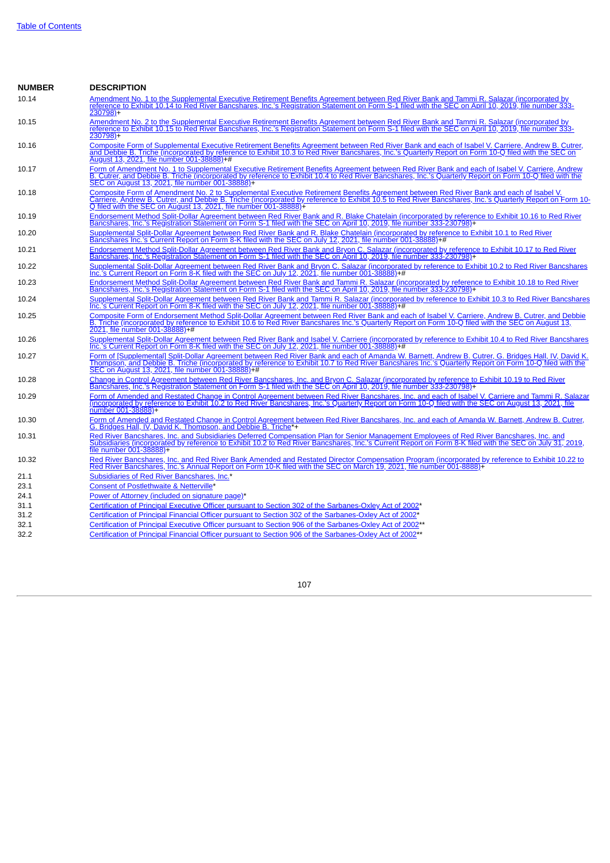| <b>NUMBER</b> | <b>DESCRIPTION</b>                                                                                                                                                                                                                                                                                                                                                     |
|---------------|------------------------------------------------------------------------------------------------------------------------------------------------------------------------------------------------------------------------------------------------------------------------------------------------------------------------------------------------------------------------|
| 10.14         | Amendment No. 1 to the Supplemental Executive Retirement Benefits Agreement between Red River Bank and Tammi R. Salazar (incorporated by<br>reference to Exhibit 10.14 to Red River Bancshares, Inc.'s Registration Statement on Form S-1 filed with the SEC on April 10, 2019, file number 333<br>230798)+                                                            |
| 10.15         | Amendment No. 2 to the Supplemental Executive Retirement Benefits Agreement between Red River Bank and Tammi R. Salazar (incorporated by<br>reference to Exhibit 10.15 to Red River Bancshares, Inc.'s Registration Statement on Form S-1 filed with the SEC on April 10, 2019, file number 333<br>230798)+                                                            |
| 10.16         | Composite Form of Supplemental Executive Retirement Benefits Agreement between Red River Bank and each of Isabel V. Carriere, Andrew B. Cutrer,<br>and Debbie B. Triche (incorporated by reference to Exhibit 10.3 to Red River Bancshares, Inc.'s Quarterly Report on Form 10-O filed with the SEC on<br>August 13, 2021, file number 001-38888)+#                    |
| 10.17         | Form of Amendment No. 1 to Supplemental Executive Retirement Benefits Agreement between Red River Bank and each of Isabel V. Carriere, Andrew<br>B. Cutrer, and Debbie B. Triche (incorporated by reference to Exhibit 10.4 to Red River Bancshares, Inc.'s Quarterly Report on Form 10-O filed with the<br>SEC on August 13, 2021, file number 001-38888)+            |
| 10.18         | Composite Form of Amendment No. 2 to Supplemental Executive Retirement Benefits Agreement between Red River Bank and each of Isabel V.<br>Carrière, Andrew B. Cutrer, and Debbie B. Triche (incorporated by reference to Exhibit 10.5 to Red River Bancshares, Inc.'s Quarterly Report on Form 10-<br>O filed with the SEC on August 13, 2021, file number 001-38888)+ |
| 10.19         | Endorsement Method Split-Dollar Agreement between Red River Bank and R. Blake Chatelain (incorporated by reference to Exhibit 10.16 to Red River<br>Bancshares, Inc.'s Registration Statement on Form S-1 filed with the SEC on April 10, 2019, file number 333-230798)+                                                                                               |
| 10.20         | Supplemental Split-Dollar Agreement between Red River Bank and R. Blake Chatelain (incorporated by reference to Exhibit 10.1 to Red River<br>Bancshares Inc.'s Current Report on Form 8-K filed with the SEC on July 12, 2021, file number 001-38888)+#                                                                                                                |
| 10.21         | Endorsement Method Split-Dollar Agreement between Red River Bank and Bryon C. Salazar (incorporated by reference to Exhibit 10.17 to Red River<br>Bancshares, Inc.'s Registration Statement on Form S-1 filed with the SEC on April 10, 2019, file number 333-230798)+                                                                                                 |
| 10.22         | Supplemental Split-Dollar Agreement between Red River Bank and Bryon C. Salazar (incorporated by reference to Exhibit 10.2 to Red River Bancshares<br>lnc.'s Current Report on Form 8-K filed with the SEC on July 12, 2021. file number 001-38888)+#                                                                                                                  |
| 10.23         | Endorsement Method Split-Dollar Agreement between Red River Bank and Tammi R. Salazar (incorporated by reference to Exhibit 10.18 to Red River<br>Bancshares, Inc.'s Registration Statement on Form S-1 filed with the SEC on April 10, 2019, file number 333-230798)+                                                                                                 |
| 10.24         | Supplemental Split-Dollar Agreement between Red River Bank and Tammi R. Salazar (incorporated by reference to Exhibit 10.3 to Red River Bancshares<br>$inc$ , s Current Report on Form 8-K filed with the SEC on July 12, 2021, file number 001-388888)+#                                                                                                              |
| 10.25         | Composite Form of Endorsement Method Split-Dollar Agreement between Red River Bank and each of Isabel V. Carriere, Andrew B. Cutrer, and Debbie<br>B. Triche (incorporated by reference to Exhibit 10.6 to Red River Bancshares Inc.'s Quarterly Report on Form 10-Q filed with the SEC on August 13,<br>2021. file number 001-38888)+#                                |
| 10.26         | Supplemental Split-Dollar Agreement between Red River Bank and Isabel V. Carriere (incorporated by reference to Exhibit 10.4 to Red River Bancshares<br>Inc.'s Current Report on Form 8-K filed with the SEC on July 12, 2021, file number 001-38888)+#                                                                                                                |
| 10.27         | Form of ISupplementall Split-Dollar Agreement between Red River Bank and each of Amanda W. Barnett, Andrew B. Cutrer, G. Bridges Hall, IV. David K.<br>Thompson, and Debbie B. Triche (incorporated by reference to Exhibit 10.7 to Red River Bancshares Inc.'s Quarterly Report on Form 10-Q filed with the<br>SEC on August 13, 2021, file number 001-38888)+#       |
| 10.28         | Change in Control Agreement between Red River Bancshares, Inc. and Bryon C. Salazar (incorporated by reference to Exhibit 10.19 to Red River<br>Bancshares, Inc.'s Registration Statement on Form S-1 filed with the SEC on April 10, 2019, file number 333-230798)+                                                                                                   |
| 10.29         | Form of Amended and Restated Change in Control Agreement between Red River Bancshares, Inc. and each of Isabel V. Carriere and Tammi R. Salazar<br>(incorporated by reference to Exhibit 10.2 to Red River Bancshares, Inc.'s Quarterly Report on Form 10-O filed with the SEC on August 13, 2021, file<br>number 001-38888)+                                          |
| 10.30         | Form of Amended and Restated Change in Control Agreement between Red River Bancshares, Inc. and each of Amanda W. Barnett, Andrew B. Cutrer,<br>G. Bridges Hall, IV, David K. Thompson, and Debbie B. Triche*+                                                                                                                                                         |
| 10.31         | Red River Bancshares, Inc. and Subsidiaries Deferred Compensation Plan for Senior Management Employees of Red River Bancshares, Inc. and<br>Subsidiaries (incorporated by reference to Exhibit 10.2 to Red River Bancshares, Inc.'s Current Report on Form 8-K filed with the SEC on July 31, 2019,<br>file number 001-38888)+                                         |
| 10.32         | Red River Bancshares, Inc. and Red River Bank Amended and Restated Director Compensation Program (incorporated by reference to Exhibit 10.22 to<br>Red River Bancshares, Inc.'s Annual Report on Form 10-K filed with the SEC on March 19, 2021, file number 001-8888)+                                                                                                |
| 21.1          | Subsidiaries of Red River Bancshares, Inc.*                                                                                                                                                                                                                                                                                                                            |
| 23.1          | Consent of Postlethwaite & Netterville*                                                                                                                                                                                                                                                                                                                                |
| 24.1          | Power of Attorney (included on signature page)*                                                                                                                                                                                                                                                                                                                        |
| 31.1          | Certification of Principal Executive Officer pursuant to Section 302 of the Sarbanes-Oxley Act of 2002*                                                                                                                                                                                                                                                                |
| 31.2          | Certification of Principal Financial Officer pursuant to Section 302 of the Sarbanes-Oxley Act of 2002*                                                                                                                                                                                                                                                                |
| 32.1          | Certification of Principal Executive Officer pursuant to Section 906 of the Sarbanes-Oxley Act of 2002**                                                                                                                                                                                                                                                               |
| 32.2          | Certification of Principal Financial Officer pursuant to Section 906 of the Sarbanes-Oxley Act of 2002**                                                                                                                                                                                                                                                               |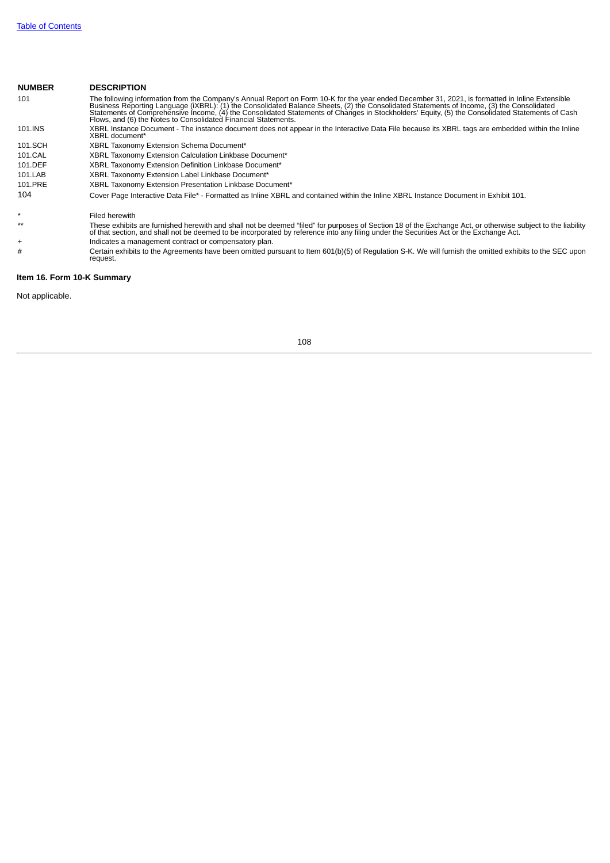| <b>NUMBER</b> | <b>DESCRIPTION</b>                                                                                                                                                                                                                                                                                                                                                                                                                                                                                                |
|---------------|-------------------------------------------------------------------------------------------------------------------------------------------------------------------------------------------------------------------------------------------------------------------------------------------------------------------------------------------------------------------------------------------------------------------------------------------------------------------------------------------------------------------|
| 101           | The following information from the Company's Annual Report on Form 10-K for the year ended December 31, 2021, is formatted in Inline Extensible<br>Business Reporting Language (iXBRL): (1) the Consolidated Balance Sheets, (2) the Consolidated Statements of Income, (3) the Consolidated<br>Statements of Comprehensive Income, (4) the Consolidated Statements of Changes in Stockholders' Equity, (5) the Consolidated Statements of Cash<br>Flows, and (6) the Notes to Consolidated Financial Statements. |
| 101.INS       | XBRL Instance Document - The instance document does not appear in the Interactive Data File because its XBRL tags are embedded within the Inline<br>XBRL document*                                                                                                                                                                                                                                                                                                                                                |
| 101.SCH       | XBRL Taxonomy Extension Schema Document*                                                                                                                                                                                                                                                                                                                                                                                                                                                                          |
| 101.CAL       | XBRL Taxonomy Extension Calculation Linkbase Document*                                                                                                                                                                                                                                                                                                                                                                                                                                                            |
| 101.DEF       | XBRL Taxonomy Extension Definition Linkbase Document*                                                                                                                                                                                                                                                                                                                                                                                                                                                             |
| 101.LAB       | XBRL Taxonomy Extension Label Linkbase Document*                                                                                                                                                                                                                                                                                                                                                                                                                                                                  |
| 101.PRE       | XBRL Taxonomy Extension Presentation Linkbase Document*                                                                                                                                                                                                                                                                                                                                                                                                                                                           |
| 104           | Cover Page Interactive Data File* - Formatted as Inline XBRL and contained within the Inline XBRL Instance Document in Exhibit 101.                                                                                                                                                                                                                                                                                                                                                                               |
| $\star$       | Filed herewith                                                                                                                                                                                                                                                                                                                                                                                                                                                                                                    |
| $**$          | These exhibits are furnished herewith and shall not be deemed "filed" for purposes of Section 18 of the Exchange Act, or otherwise subject to the liability<br>of that section, and shall not be deemed to be incorporated by reference into any filing under the Securities Act or the Exchange Act.                                                                                                                                                                                                             |
| $^{+}$        | Indicates a management contract or compensatory plan.                                                                                                                                                                                                                                                                                                                                                                                                                                                             |
| #             | Certain exhibits to the Agreements have been omitted pursuant to Item 601(b)(5) of Regulation S-K. We will furnish the omitted exhibits to the SEC upon<br>request.                                                                                                                                                                                                                                                                                                                                               |

# **Item 16. Form 10-K Summary**

<span id="page-107-0"></span>Not applicable.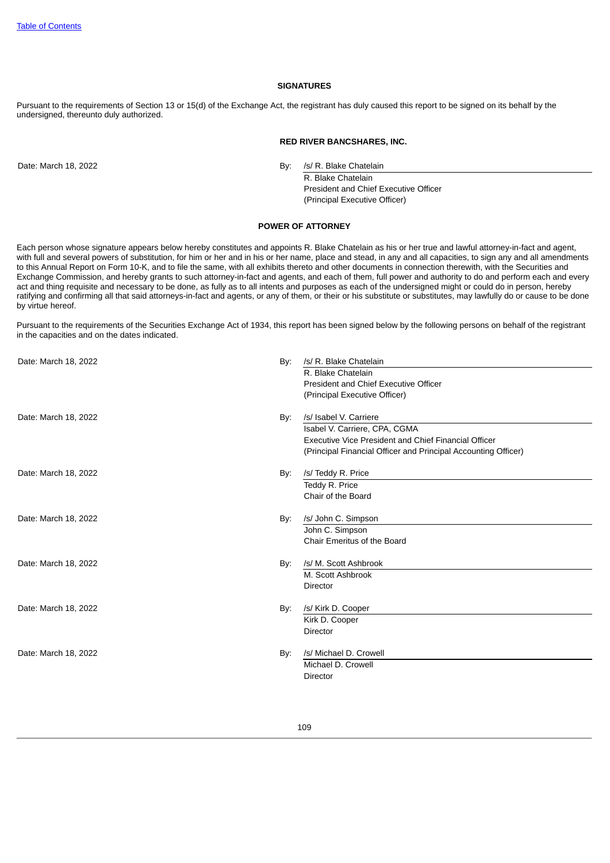#### **SIGNATURES**

Pursuant to the requirements of Section 13 or 15(d) of the Exchange Act, the registrant has duly caused this report to be signed on its behalf by the undersigned, thereunto duly authorized.

#### **RED RIVER BANCSHARES, INC.**

Date: March 18, 2022 **By:** /s/ R. Blake Chatelain

R. Blake Chatelain President and Chief Executive Officer (Principal Executive Officer)

### **POWER OF ATTORNEY**

Each person whose signature appears below hereby constitutes and appoints R. Blake Chatelain as his or her true and lawful attorney-in-fact and agent, with full and several powers of substitution, for him or her and in his or her name, place and stead, in any and all capacities, to sign any and all amendments to this Annual Report on Form 10-K, and to file the same, with all exhibits thereto and other documents in connection therewith, with the Securities and Exchange Commission, and hereby grants to such attorney-in-fact and agents, and each of them, full power and authority to do and perform each and every act and thing requisite and necessary to be done, as fully as to all intents and purposes as each of the undersigned might or could do in person, hereby ratifying and confirming all that said attorneys-in-fact and agents, or any of them, or their or his substitute or substitutes, may lawfully do or cause to be done by virtue hereof.

Pursuant to the requirements of the Securities Exchange Act of 1934, this report has been signed below by the following persons on behalf of the registrant in the capacities and on the dates indicated.

| Date: March 18, 2022        | /s/ R. Blake Chatelain<br>By:                                  |
|-----------------------------|----------------------------------------------------------------|
|                             | R. Blake Chatelain                                             |
|                             | President and Chief Executive Officer                          |
|                             | (Principal Executive Officer)                                  |
| Date: March 18, 2022        | /s/ Isabel V. Carriere<br>By:                                  |
|                             | Isabel V. Carriere, CPA, CGMA                                  |
|                             | Executive Vice President and Chief Financial Officer           |
|                             | (Principal Financial Officer and Principal Accounting Officer) |
| Date: March 18, 2022        | /s/ Teddy R. Price<br>By:                                      |
|                             | Teddy R. Price                                                 |
|                             | Chair of the Board                                             |
| Date: March 18, 2022        | /s/ John C. Simpson<br>By:                                     |
|                             | John C. Simpson                                                |
|                             | Chair Emeritus of the Board                                    |
| Date: March 18, 2022<br>Bv: | /s/ M. Scott Ashbrook                                          |
|                             | M. Scott Ashbrook                                              |
|                             | <b>Director</b>                                                |
| Date: March 18, 2022<br>By: | /s/ Kirk D. Cooper                                             |
|                             | Kirk D. Cooper                                                 |
|                             | Director                                                       |
| Date: March 18, 2022        | /s/ Michael D. Crowell<br>By:                                  |
|                             | Michael D. Crowell                                             |
|                             | Director                                                       |
|                             |                                                                |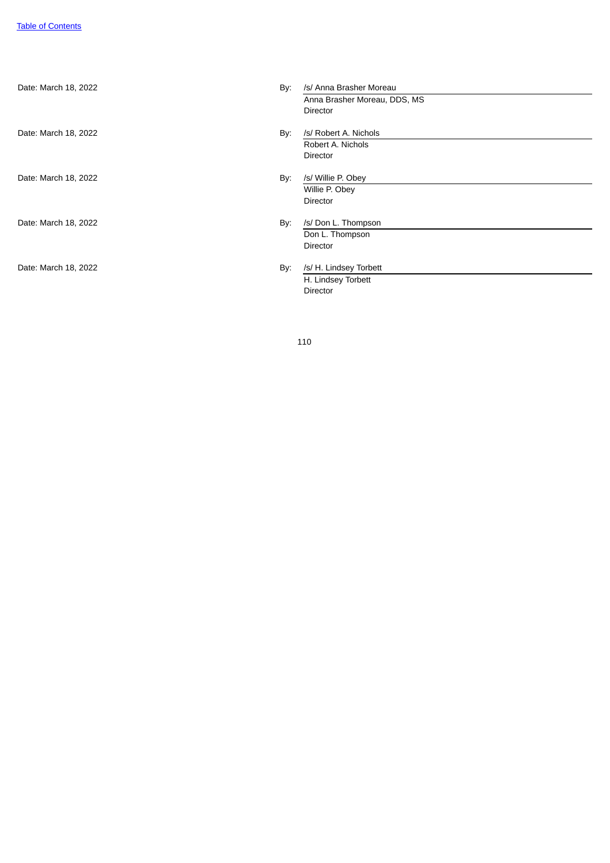| Date: March 18, 2022 | By: | /s/ Anna Brasher Moreau      |
|----------------------|-----|------------------------------|
|                      |     | Anna Brasher Moreau, DDS, MS |
|                      |     | Director                     |
|                      |     |                              |
| Date: March 18, 2022 | By: | /s/ Robert A. Nichols        |
|                      |     | Robert A. Nichols            |
|                      |     | Director                     |
|                      |     |                              |
| Date: March 18, 2022 | By: | /s/ Willie P. Obey           |
|                      |     | Willie P. Obey               |
|                      |     | Director                     |
|                      |     |                              |
| Date: March 18, 2022 | By: | /s/ Don L. Thompson          |
|                      |     | Don L. Thompson              |
|                      |     | <b>Director</b>              |
|                      |     |                              |
| Date: March 18, 2022 | By: | /s/ H. Lindsey Torbett       |
|                      |     | H. Lindsey Torbett           |
|                      |     | <b>Director</b>              |
|                      |     |                              |

## 110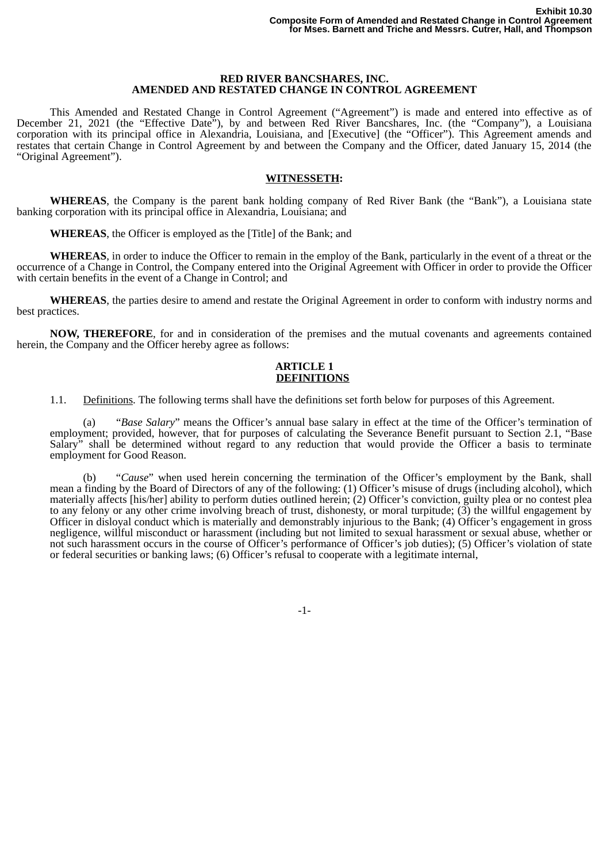### **RED RIVER BANCSHARES, INC. AMENDED AND RESTATED CHANGE IN CONTROL AGREEMENT**

This Amended and Restated Change in Control Agreement ("Agreement") is made and entered into effective as of December 21, 2021 (the "Effective Date"), by and between Red River Bancshares, Inc. (the "Company"), a Louisiana corporation with its principal office in Alexandria, Louisiana, and [Executive] (the "Officer"). This Agreement amends and restates that certain Change in Control Agreement by and between the Company and the Officer, dated January 15, 2014 (the "Original Agreement").

### **WITNESSETH:**

**WHEREAS**, the Company is the parent bank holding company of Red River Bank (the "Bank"), a Louisiana state banking corporation with its principal office in Alexandria, Louisiana; and

**WHEREAS**, the Officer is employed as the [Title] of the Bank; and

**WHEREAS**, in order to induce the Officer to remain in the employ of the Bank, particularly in the event of a threat or the occurrence of a Change in Control, the Company entered into the Original Agreement with Officer in order to provide the Officer with certain benefits in the event of a Change in Control; and

**WHEREAS**, the parties desire to amend and restate the Original Agreement in order to conform with industry norms and best practices.

**NOW, THEREFORE**, for and in consideration of the premises and the mutual covenants and agreements contained herein, the Company and the Officer hereby agree as follows:

### **ARTICLE 1 DEFINITIONS**

1.1. Definitions. The following terms shall have the definitions set forth below for purposes of this Agreement.

(a) "*Base Salary*" means the Officer's annual base salary in effect at the time of the Officer's termination of employment; provided, however, that for purposes of calculating the Severance Benefit pursuant to Section 2.1, "Base Salary" shall be determined without regard to any reduction that would provide the Officer a basis to terminate employment for Good Reason.

(b) "*Cause*" when used herein concerning the termination of the Officer's employment by the Bank, shall mean a finding by the Board of Directors of any of the following: (1) Officer's misuse of drugs (including alcohol), which materially affects [his/her] ability to perform duties outlined herein; (2) Officer's conviction, guilty plea or no contest plea to any felony or any other crime involving breach of trust, dishonesty, or moral turpitude; (3) the willful engagement by Officer in disloyal conduct which is materially and demonstrably injurious to the Bank; (4) Officer's engagement in gross negligence, willful misconduct or harassment (including but not limited to sexual harassment or sexual abuse, whether or not such harassment occurs in the course of Officer's performance of Officer's job duties); (5) Officer's violation of state or federal securities or banking laws; (6) Officer's refusal to cooperate with a legitimate internal,

-1-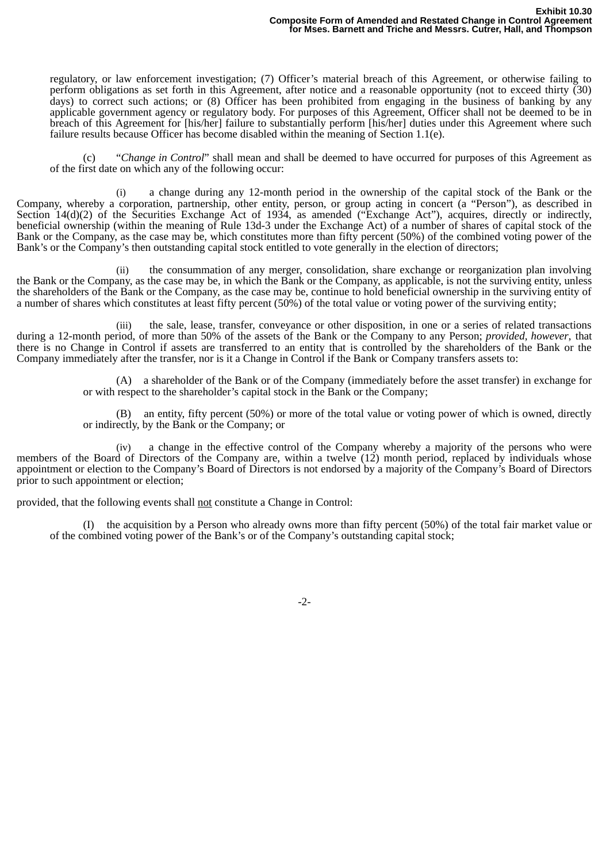regulatory, or law enforcement investigation; (7) Officer's material breach of this Agreement, or otherwise failing to perform obligations as set forth in this Agreement, after notice and a reasonable opportunity (not to exceed thirty (30) days) to correct such actions; or (8) Officer has been prohibited from engaging in the business of banking by any applicable government agency or regulatory body. For purposes of this Agreement, Officer shall not be deemed to be in breach of this Agreement for [his/her] failure to substantially perform [his/her] duties under this Agreement where such failure results because Officer has become disabled within the meaning of Section 1.1(e).

(c) "*Change in Control*" shall mean and shall be deemed to have occurred for purposes of this Agreement as of the first date on which any of the following occur:

(i) a change during any 12-month period in the ownership of the capital stock of the Bank or the Company, whereby a corporation, partnership, other entity, person, or group acting in concert (a "Person"), as described in Section 14(d)(2) of the Securities Exchange Act of 1934, as amended ("Exchange Act"), acquires, directly or indirectly, beneficial ownership (within the meaning of Rule 13d-3 under the Exchange Act) of a number of shares of capital stock of the Bank or the Company, as the case may be, which constitutes more than fifty percent (50%) of the combined voting power of the Bank's or the Company's then outstanding capital stock entitled to vote generally in the election of directors;

(ii) the consummation of any merger, consolidation, share exchange or reorganization plan involving the Bank or the Company, as the case may be, in which the Bank or the Company, as applicable, is not the surviving entity, unless the shareholders of the Bank or the Company, as the case may be, continue to hold beneficial ownership in the surviving entity of a number of shares which constitutes at least fifty percent (50%) of the total value or voting power of the surviving entity;

(iii) the sale, lease, transfer, conveyance or other disposition, in one or a series of related transactions during a 12-month period, of more than 50% of the assets of the Bank or the Company to any Person; *provided, however*, that there is no Change in Control if assets are transferred to an entity that is controlled by the shareholders of the Bank or the Company immediately after the transfer, nor is it a Change in Control if the Bank or Company transfers assets to:

> (A) a shareholder of the Bank or of the Company (immediately before the asset transfer) in exchange for or with respect to the shareholder's capital stock in the Bank or the Company;

> (B) an entity, fifty percent (50%) or more of the total value or voting power of which is owned, directly or indirectly, by the Bank or the Company; or

(iv) a change in the effective control of the Company whereby a majority of the persons who were members of the Board of Directors of the Company are, within a twelve (12) month period, replaced by individuals whose appointment or election to the Company's Board of Directors is not endorsed by a majority of the Company's Board of Directors prior to such appointment or election;

provided, that the following events shall not constitute a Change in Control:

the acquisition by a Person who already owns more than fifty percent (50%) of the total fair market value or of the combined voting power of the Bank's or of the Company's outstanding capital stock;

-2-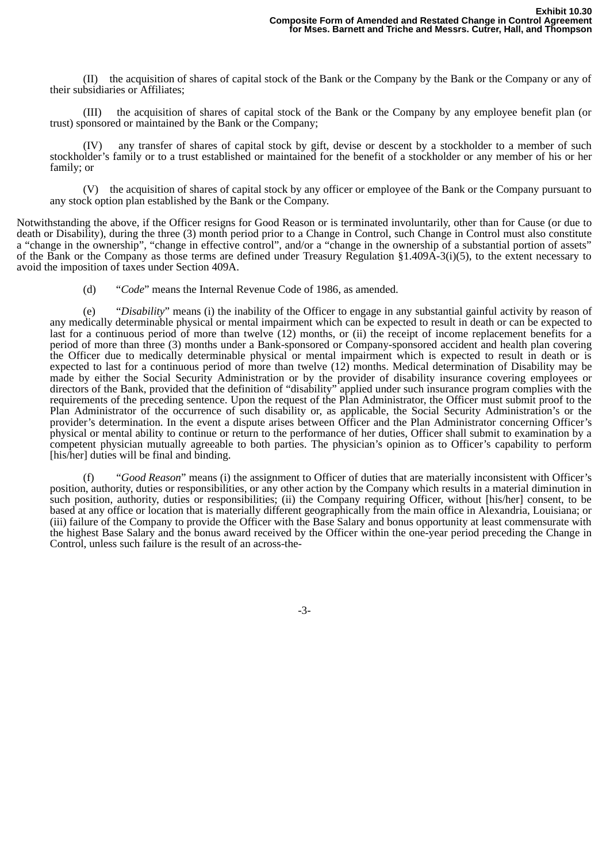(II) the acquisition of shares of capital stock of the Bank or the Company by the Bank or the Company or any of their subsidiaries or Affiliates;

(III) the acquisition of shares of capital stock of the Bank or the Company by any employee benefit plan (or trust) sponsored or maintained by the Bank or the Company;

any transfer of shares of capital stock by gift, devise or descent by a stockholder to a member of such stockholder's family or to a trust established or maintained for the benefit of a stockholder or any member of his or her family; or

(V) the acquisition of shares of capital stock by any officer or employee of the Bank or the Company pursuant to any stock option plan established by the Bank or the Company.

Notwithstanding the above, if the Officer resigns for Good Reason or is terminated involuntarily, other than for Cause (or due to death or Disability), during the three (3) month period prior to a Change in Control, such Change in Control must also constitute a "change in the ownership", "change in effective control", and/or a "change in the ownership of a substantial portion of assets" of the Bank or the Company as those terms are defined under Treasury Regulation §1.409A-3(i)(5), to the extent necessary to avoid the imposition of taxes under Section 409A.

(d) "*Code*" means the Internal Revenue Code of 1986, as amended.

(e) "*Disability*" means (i) the inability of the Officer to engage in any substantial gainful activity by reason of any medically determinable physical or mental impairment which can be expected to result in death or can be expected to last for a continuous period of more than twelve (12) months, or (ii) the receipt of income replacement benefits for a period of more than three (3) months under a Bank-sponsored or Company-sponsored accident and health plan covering the Officer due to medically determinable physical or mental impairment which is expected to result in death or is expected to last for a continuous period of more than twelve (12) months. Medical determination of Disability may be made by either the Social Security Administration or by the provider of disability insurance covering employees or directors of the Bank, provided that the definition of "disability" applied under such insurance program complies with the requirements of the preceding sentence. Upon the request of the Plan Administrator, the Officer must submit proof to the Plan Administrator of the occurrence of such disability or, as applicable, the Social Security Administration's or the provider's determination. In the event a dispute arises between Officer and the Plan Administrator concerning Officer's physical or mental ability to continue or return to the performance of her duties, Officer shall submit to examination by a competent physician mutually agreeable to both parties. The physician's opinion as to Officer's capability to perform [his/her] duties will be final and binding.

(f) "*Good Reason*" means (i) the assignment to Officer of duties that are materially inconsistent with Officer's position, authority, duties or responsibilities, or any other action by the Company which results in a material diminution in such position, authority, duties or responsibilities; (ii) the Company requiring Officer, without [his/her] consent, to be based at any office or location that is materially different geographically from the main office in Alexandria, Louisiana; or (iii) failure of the Company to provide the Officer with the Base Salary and bonus opportunity at least commensurate with the highest Base Salary and the bonus award received by the Officer within the one-year period preceding the Change in Control, unless such failure is the result of an across-the-

-3-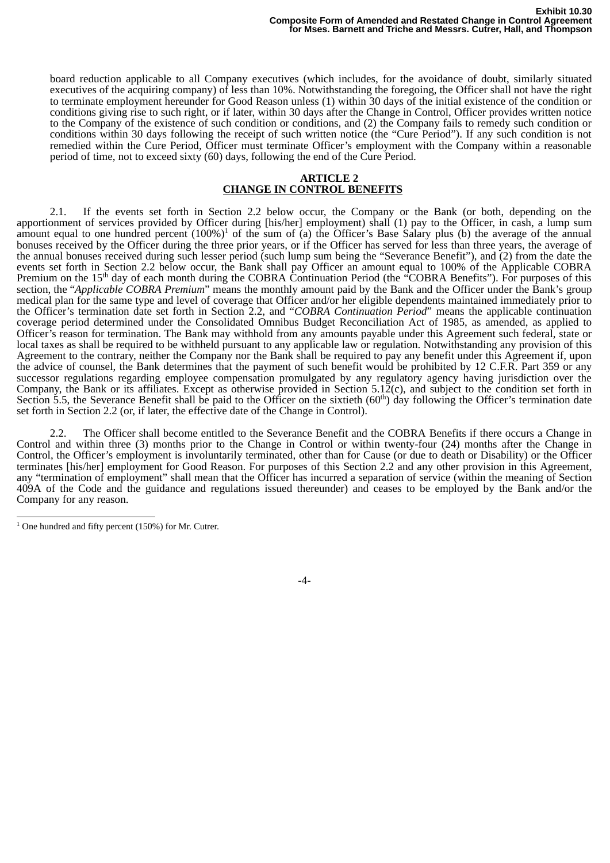board reduction applicable to all Company executives (which includes, for the avoidance of doubt, similarly situated executives of the acquiring company) of less than 10%. Notwithstanding the foregoing, the Officer shall not have the right to terminate employment hereunder for Good Reason unless (1) within 30 days of the initial existence of the condition or conditions giving rise to such right, or if later, within 30 days after the Change in Control, Officer provides written notice to the Company of the existence of such condition or conditions, and (2) the Company fails to remedy such condition or conditions within 30 days following the receipt of such written notice (the "Cure Period"). If any such condition is not remedied within the Cure Period, Officer must terminate Officer's employment with the Company within a reasonable period of time, not to exceed sixty (60) days, following the end of the Cure Period.

## **ARTICLE 2 CHANGE IN CONTROL BENEFITS**

2.1. If the events set forth in Section 2.2 below occur, the Company or the Bank (or both, depending on the apportionment of services provided by Officer during [his/her] employment) shall (1) pay to the Officer, in cash, a lump sum amount equal to one hundred percent  $(100\%)^1$  of the sum of (a) the Officer's Base Salary plus (b) the average of the annual bonuses received by the Officer during the three prior years, or if the Officer has served for less than three years, the average of the annual bonuses received during such lesser period (such lump sum being the "Severance Benefit"), and (2) from the date the events set forth in Section 2.2 below occur, the Bank shall pay Officer an amount equal to 100% of the Applicable COBRA Premium on the 15<sup>th</sup> day of each month during the COBRA Continuation Period (the "COBRA Benefits"). For purposes of this section, the "*Applicable COBRA Premium*" means the monthly amount paid by the Bank and the Officer under the Bank's group medical plan for the same type and level of coverage that Officer and/or her eligible dependents maintained immediately prior to the Officer's termination date set forth in Section 2.2, and "*COBRA Continuation Period*" means the applicable continuation coverage period determined under the Consolidated Omnibus Budget Reconciliation Act of 1985, as amended, as applied to Officer's reason for termination. The Bank may withhold from any amounts payable under this Agreement such federal, state or local taxes as shall be required to be withheld pursuant to any applicable law or regulation. Notwithstanding any provision of this Agreement to the contrary, neither the Company nor the Bank shall be required to pay any benefit under this Agreement if, upon the advice of counsel, the Bank determines that the payment of such benefit would be prohibited by 12 C.F.R. Part 359 or any successor regulations regarding employee compensation promulgated by any regulatory agency having jurisdiction over the Company, the Bank or its affiliates. Except as otherwise provided in Section 5.12(c), and subject to the condition set forth in Section 5.5, the Severance Benefit shall be paid to the Officer on the sixtieth  $(60<sup>th</sup>)$  day following the Officer's termination date set forth in Section 2.2 (or, if later, the effective date of the Change in Control).

2.2. The Officer shall become entitled to the Severance Benefit and the COBRA Benefits if there occurs a Change in Control and within three (3) months prior to the Change in Control or within twenty-four (24) months after the Change in Control, the Officer's employment is involuntarily terminated, other than for Cause (or due to death or Disability) or the Officer terminates [his/her] employment for Good Reason. For purposes of this Section 2.2 and any other provision in this Agreement, any "termination of employment" shall mean that the Officer has incurred a separation of service (within the meaning of Section 409A of the Code and the guidance and regulations issued thereunder) and ceases to be employed by the Bank and/or the Company for any reason.

-4-

 $1$  One hundred and fifty percent (150%) for Mr. Cutrer.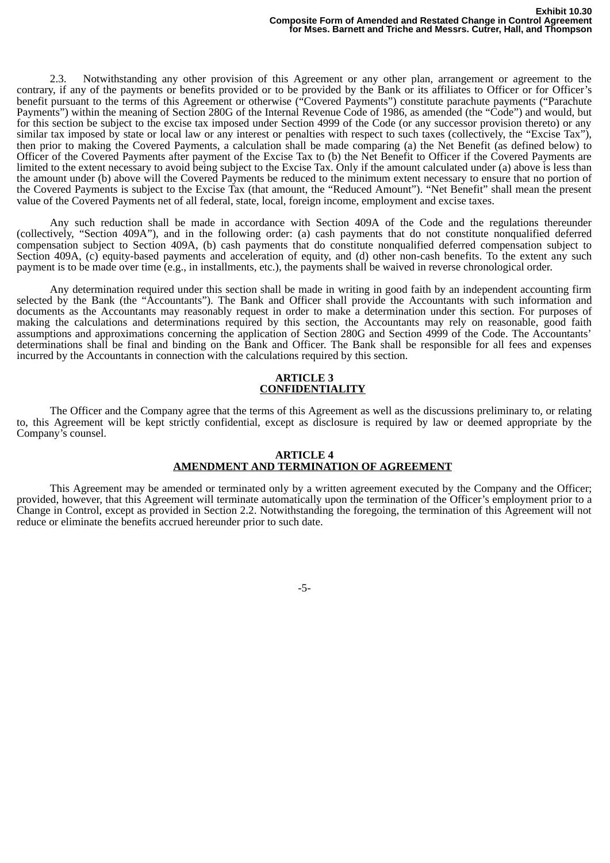2.3. Notwithstanding any other provision of this Agreement or any other plan, arrangement or agreement to the contrary, if any of the payments or benefits provided or to be provided by the Bank or its affiliates to Officer or for Officer's benefit pursuant to the terms of this Agreement or otherwise ("Covered Payments") constitute parachute payments ("Parachute Payments") within the meaning of Section 280G of the Internal Revenue Code of 1986, as amended (the "Code") and would, but for this section be subject to the excise tax imposed under Section 4999 of the Code (or any successor provision thereto) or any similar tax imposed by state or local law or any interest or penalties with respect to such taxes (collectively, the "Excise Tax"), then prior to making the Covered Payments, a calculation shall be made comparing (a) the Net Benefit (as defined below) to Officer of the Covered Payments after payment of the Excise Tax to (b) the Net Benefit to Officer if the Covered Payments are limited to the extent necessary to avoid being subject to the Excise Tax. Only if the amount calculated under (a) above is less than the amount under (b) above will the Covered Payments be reduced to the minimum extent necessary to ensure that no portion of the Covered Payments is subject to the Excise Tax (that amount, the "Reduced Amount"). "Net Benefit" shall mean the present value of the Covered Payments net of all federal, state, local, foreign income, employment and excise taxes.

Any such reduction shall be made in accordance with Section 409A of the Code and the regulations thereunder (collectively, "Section 409A"), and in the following order: (a) cash payments that do not constitute nonqualified deferred compensation subject to Section 409A, (b) cash payments that do constitute nonqualified deferred compensation subject to Section 409A, (c) equity-based payments and acceleration of equity, and (d) other non-cash benefits. To the extent any such payment is to be made over time (e.g., in installments, etc.), the payments shall be waived in reverse chronological order.

Any determination required under this section shall be made in writing in good faith by an independent accounting firm selected by the Bank (the "Accountants"). The Bank and Officer shall provide the Accountants with such information and documents as the Accountants may reasonably request in order to make a determination under this section. For purposes of making the calculations and determinations required by this section, the Accountants may rely on reasonable, good faith assumptions and approximations concerning the application of Section 280G and Section 4999 of the Code. The Accountants' determinations shall be final and binding on the Bank and Officer. The Bank shall be responsible for all fees and expenses incurred by the Accountants in connection with the calculations required by this section.

## **ARTICLE 3 CONFIDENTIALITY**

The Officer and the Company agree that the terms of this Agreement as well as the discussions preliminary to, or relating to, this Agreement will be kept strictly confidential, except as disclosure is required by law or deemed appropriate by the Company's counsel.

## **ARTICLE 4 AMENDMENT AND TERMINATION OF AGREEMENT**

This Agreement may be amended or terminated only by a written agreement executed by the Company and the Officer; provided, however, that this Agreement will terminate automatically upon the termination of the Officer's employment prior to a Change in Control, except as provided in Section 2.2. Notwithstanding the foregoing, the termination of this Agreement will not reduce or eliminate the benefits accrued hereunder prior to such date.

-5-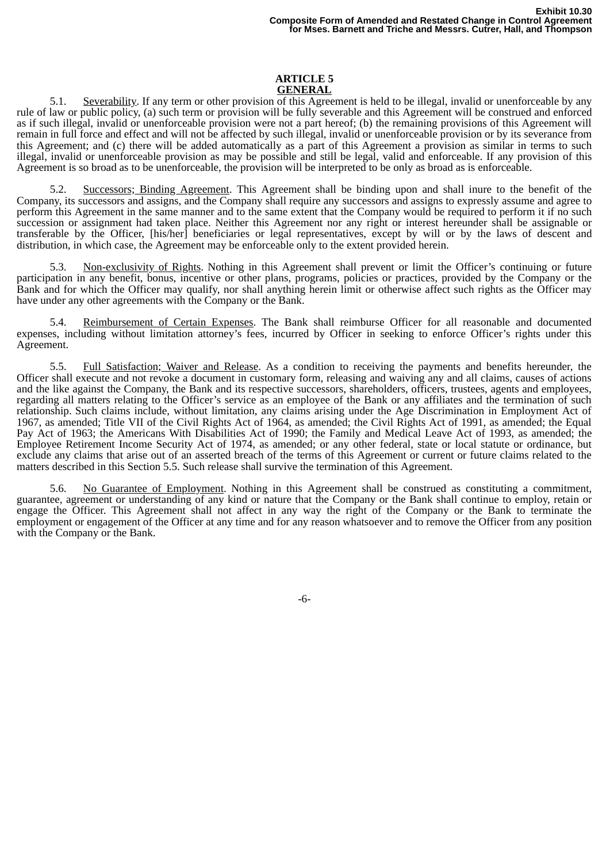#### **ARTICLE 5 GENERAL**

5.1. Severability. If any term or other provision of this Agreement is held to be illegal, invalid or unenforceable by any rule of law or public policy, (a) such term or provision will be fully severable and this Agreement will be construed and enforced as if such illegal, invalid or unenforceable provision were not a part hereof; (b) the remaining provisions of this Agreement will remain in full force and effect and will not be affected by such illegal, invalid or unenforceable provision or by its severance from this Agreement; and (c) there will be added automatically as a part of this Agreement a provision as similar in terms to such illegal, invalid or unenforceable provision as may be possible and still be legal, valid and enforceable. If any provision of this Agreement is so broad as to be unenforceable, the provision will be interpreted to be only as broad as is enforceable.

5.2. Successors; Binding Agreement. This Agreement shall be binding upon and shall inure to the benefit of the Company, its successors and assigns, and the Company shall require any successors and assigns to expressly assume and agree to perform this Agreement in the same manner and to the same extent that the Company would be required to perform it if no such succession or assignment had taken place. Neither this Agreement nor any right or interest hereunder shall be assignable or transferable by the Officer, [his/her] beneficiaries or legal representatives, except by will or by the laws of descent and distribution, in which case, the Agreement may be enforceable only to the extent provided herein.

5.3. Non-exclusivity of Rights. Nothing in this Agreement shall prevent or limit the Officer's continuing or future participation in any benefit, bonus, incentive or other plans, programs, policies or practices, provided by the Company or the Bank and for which the Officer may qualify, nor shall anything herein limit or otherwise affect such rights as the Officer may have under any other agreements with the Company or the Bank.

5.4. Reimbursement of Certain Expenses. The Bank shall reimburse Officer for all reasonable and documented expenses, including without limitation attorney's fees, incurred by Officer in seeking to enforce Officer's rights under this Agreement.

5.5. Full Satisfaction; Waiver and Release. As a condition to receiving the payments and benefits hereunder, the Officer shall execute and not revoke a document in customary form, releasing and waiving any and all claims, causes of actions and the like against the Company, the Bank and its respective successors, shareholders, officers, trustees, agents and employees, regarding all matters relating to the Officer's service as an employee of the Bank or any affiliates and the termination of such relationship. Such claims include, without limitation, any claims arising under the Age Discrimination in Employment Act of 1967, as amended; Title VII of the Civil Rights Act of 1964, as amended; the Civil Rights Act of 1991, as amended; the Equal Pay Act of 1963; the Americans With Disabilities Act of 1990; the Family and Medical Leave Act of 1993, as amended; the Employee Retirement Income Security Act of 1974, as amended; or any other federal, state or local statute or ordinance, but exclude any claims that arise out of an asserted breach of the terms of this Agreement or current or future claims related to the matters described in this Section 5.5. Such release shall survive the termination of this Agreement.

5.6. No Guarantee of Employment. Nothing in this Agreement shall be construed as constituting a commitment, guarantee, agreement or understanding of any kind or nature that the Company or the Bank shall continue to employ, retain or engage the Officer. This Agreement shall not affect in any way the right of the Company or the Bank to terminate the employment or engagement of the Officer at any time and for any reason whatsoever and to remove the Officer from any position with the Company or the Bank.

-6-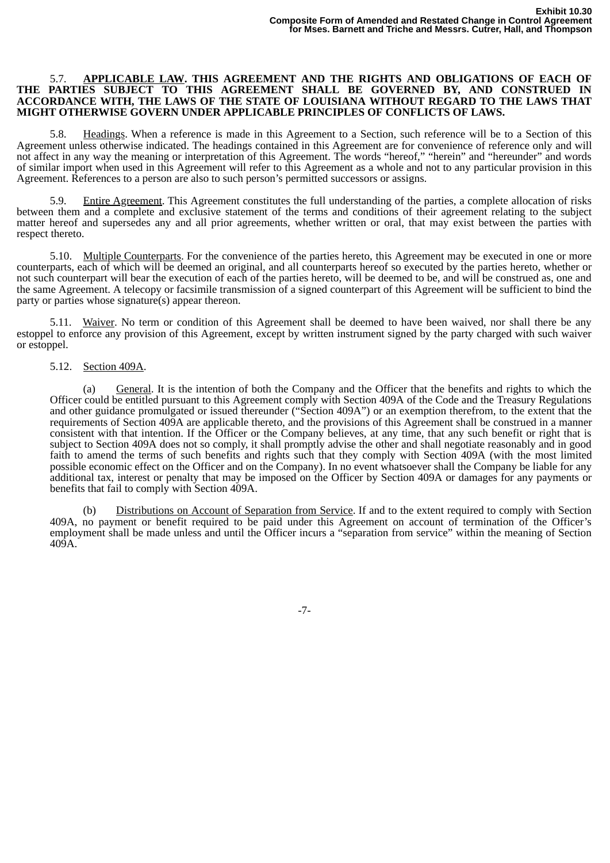#### 5.7. **APPLICABLE LAW. THIS AGREEMENT AND THE RIGHTS AND OBLIGATIONS OF EACH OF THE PARTIES SUBJECT TO THIS AGREEMENT SHALL BE GOVERNED BY, AND CONSTRUED IN ACCORDANCE WITH, THE LAWS OF THE STATE OF LOUISIANA WITHOUT REGARD TO THE LAWS THAT MIGHT OTHERWISE GOVERN UNDER APPLICABLE PRINCIPLES OF CONFLICTS OF LAWS.**

5.8. Headings. When a reference is made in this Agreement to a Section, such reference will be to a Section of this Agreement unless otherwise indicated. The headings contained in this Agreement are for convenience of reference only and will not affect in any way the meaning or interpretation of this Agreement. The words "hereof," "herein" and "hereunder" and words of similar import when used in this Agreement will refer to this Agreement as a whole and not to any particular provision in this Agreement. References to a person are also to such person's permitted successors or assigns.

5.9. Entire Agreement. This Agreement constitutes the full understanding of the parties, a complete allocation of risks between them and a complete and exclusive statement of the terms and conditions of their agreement relating to the subject matter hereof and supersedes any and all prior agreements, whether written or oral, that may exist between the parties with respect thereto.

5.10. Multiple Counterparts. For the convenience of the parties hereto, this Agreement may be executed in one or more counterparts, each of which will be deemed an original, and all counterparts hereof so executed by the parties hereto, whether or not such counterpart will bear the execution of each of the parties hereto, will be deemed to be, and will be construed as, one and the same Agreement. A telecopy or facsimile transmission of a signed counterpart of this Agreement will be sufficient to bind the party or parties whose signature(s) appear thereon.

5.11. Waiver. No term or condition of this Agreement shall be deemed to have been waived, nor shall there be any estoppel to enforce any provision of this Agreement, except by written instrument signed by the party charged with such waiver or estoppel.

## 5.12. Section 409A.

(a) General. It is the intention of both the Company and the Officer that the benefits and rights to which the Officer could be entitled pursuant to this Agreement comply with Section 409A of the Code and the Treasury Regulations and other guidance promulgated or issued thereunder ("Section 409A") or an exemption therefrom, to the extent that the requirements of Section 409A are applicable thereto, and the provisions of this Agreement shall be construed in a manner consistent with that intention. If the Officer or the Company believes, at any time, that any such benefit or right that is subject to Section 409A does not so comply, it shall promptly advise the other and shall negotiate reasonably and in good faith to amend the terms of such benefits and rights such that they comply with Section 409A (with the most limited possible economic effect on the Officer and on the Company). In no event whatsoever shall the Company be liable for any additional tax, interest or penalty that may be imposed on the Officer by Section 409A or damages for any payments or benefits that fail to comply with Section 409A.

(b) Distributions on Account of Separation from Service. If and to the extent required to comply with Section 409A, no payment or benefit required to be paid under this Agreement on account of termination of the Officer's employment shall be made unless and until the Officer incurs a "separation from service" within the meaning of Section 409A.

-7-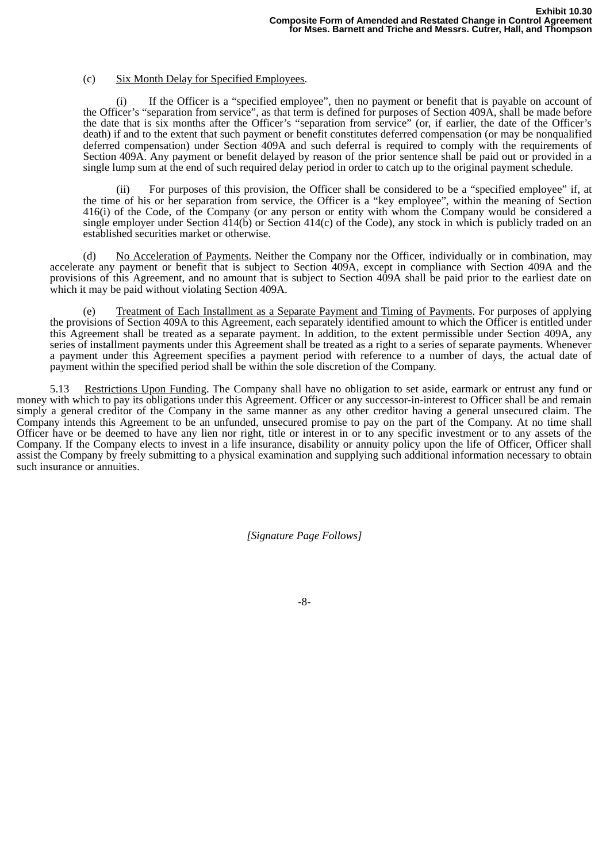## (c) Six Month Delay for Specified Employees.

(i) If the Officer is a "specified employee", then no payment or benefit that is payable on account of the Officer's "separation from service", as that term is defined for purposes of Section 409A, shall be made before the date that is six months after the Officer's "separation from service" (or, if earlier, the date of the Officer's death) if and to the extent that such payment or benefit constitutes deferred compensation (or may be nonqualified deferred compensation) under Section 409A and such deferral is required to comply with the requirements of Section 409A. Any payment or benefit delayed by reason of the prior sentence shall be paid out or provided in a single lump sum at the end of such required delay period in order to catch up to the original payment schedule.

(ii) For purposes of this provision, the Officer shall be considered to be a "specified employee" if, at the time of his or her separation from service, the Officer is a "key employee", within the meaning of Section 416(i) of the Code, of the Company (or any person or entity with whom the Company would be considered a single employer under Section  $414(b)$  or Section  $414(c)$  of the Code), any stock in which is publicly traded on an established securities market or otherwise.

(d) No Acceleration of Payments. Neither the Company nor the Officer, individually or in combination, may accelerate any payment or benefit that is subject to Section 409A, except in compliance with Section 409A and the provisions of this Agreement, and no amount that is subject to Section 409A shall be paid prior to the earliest date on which it may be paid without violating Section 409A.

(e) Treatment of Each Installment as a Separate Payment and Timing of Payments. For purposes of applying the provisions of Section 409A to this Agreement, each separately identified amount to which the Officer is entitled under this Agreement shall be treated as a separate payment. In addition, to the extent permissible under Section 409A, any series of installment payments under this Agreement shall be treated as a right to a series of separate payments. Whenever a payment under this Agreement specifies a payment period with reference to a number of days, the actual date of payment within the specified period shall be within the sole discretion of the Company.

5.13 Restrictions Upon Funding. The Company shall have no obligation to set aside, earmark or entrust any fund or money with which to pay its obligations under this Agreement. Officer or any successor-in-interest to Officer shall be and remain simply a general creditor of the Company in the same manner as any other creditor having a general unsecured claim. The Company intends this Agreement to be an unfunded, unsecured promise to pay on the part of the Company. At no time shall Officer have or be deemed to have any lien nor right, title or interest in or to any specific investment or to any assets of the Company. If the Company elects to invest in a life insurance, disability or annuity policy upon the life of Officer, Officer shall assist the Company by freely submitting to a physical examination and supplying such additional information necessary to obtain such insurance or annuities.

*[Signature Page Follows]*

-8-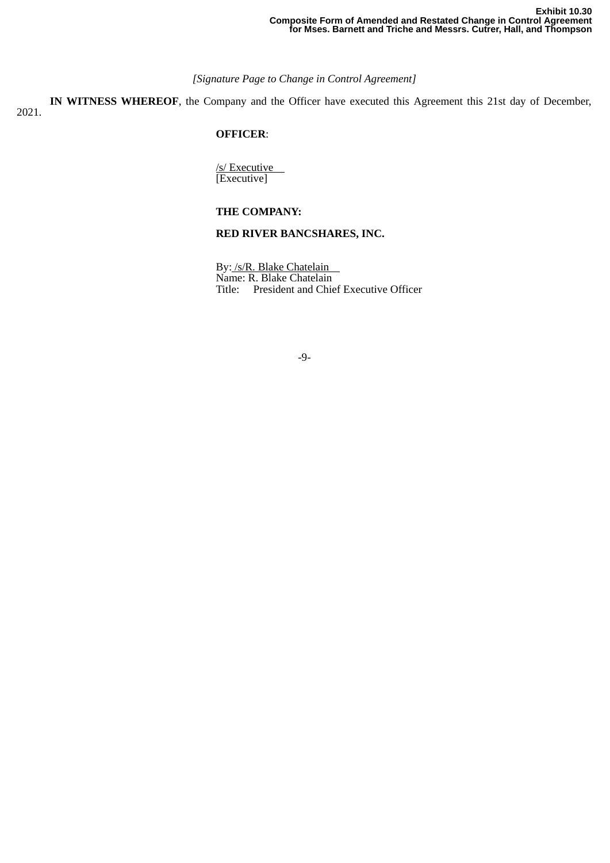# *[Signature Page to Change in Control Agreement]*

**IN WITNESS WHEREOF**, the Company and the Officer have executed this Agreement this 21st day of December, 2021.

# **OFFICER**:

/s/ Executive [Executive]

# **THE COMPANY:**

# **RED RIVER BANCSHARES, INC.**

By: /s/R. Blake Chatelain Name: R. Blake Chatelain Title: President and Chief Executive Officer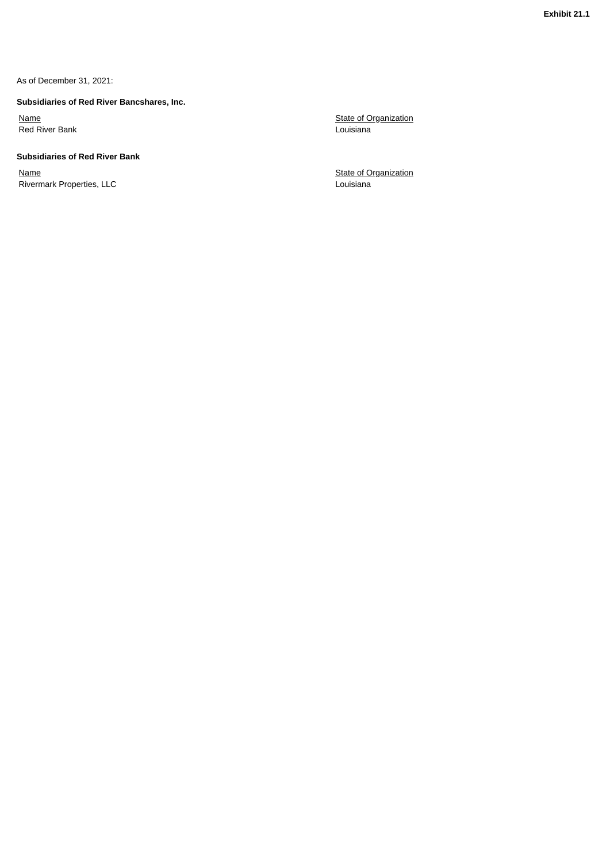As of December 31, 2021:

## **Subsidiaries of Red River Bancshares, Inc.**

Name<br>Red River Bank

### **Subsidiaries of Red River Bank**

Name State of Organization Rivermark Properties, LLC **CONTEX 1999** Louisiana

State of Organization<br>Louisiana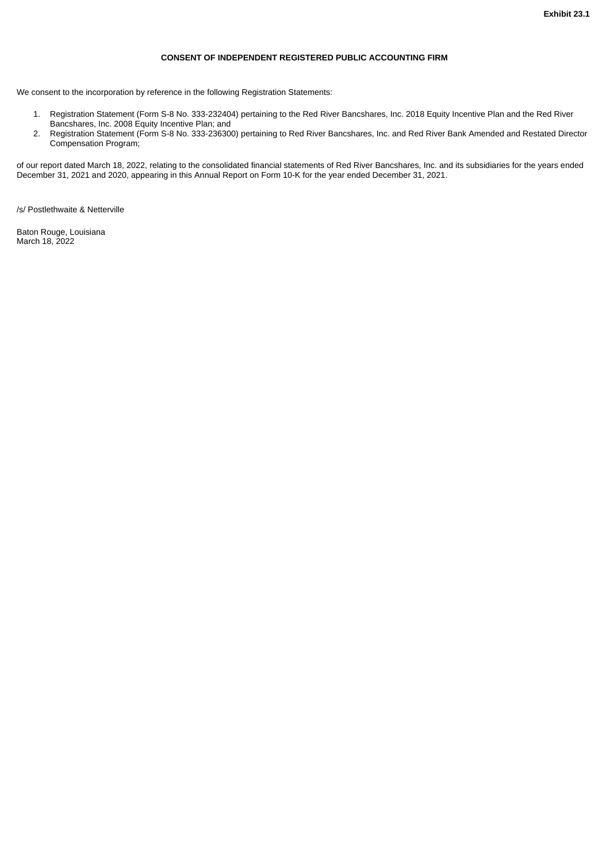#### **CONSENT OF INDEPENDENT REGISTERED PUBLIC ACCOUNTING FIRM**

We consent to the incorporation by reference in the following Registration Statements:

- 1. Registration Statement (Form S-8 No. 333-232404) pertaining to the Red River Bancshares, Inc. 2018 Equity Incentive Plan and the Red River Bancshares, Inc. 2008 Equity Incentive Plan; and
- 2. Registration Statement (Form S-8 No. 333-236300) pertaining to Red River Bancshares, Inc. and Red River Bank Amended and Restated Director Compensation Program;

of our report dated March 18, 2022, relating to the consolidated financial statements of Red River Bancshares, Inc. and its subsidiaries for the years ended December 31, 2021 and 2020, appearing in this Annual Report on Form 10-K for the year ended December 31, 2021.

/s/ Postlethwaite & Netterville

Baton Rouge, Louisiana March 18, 2022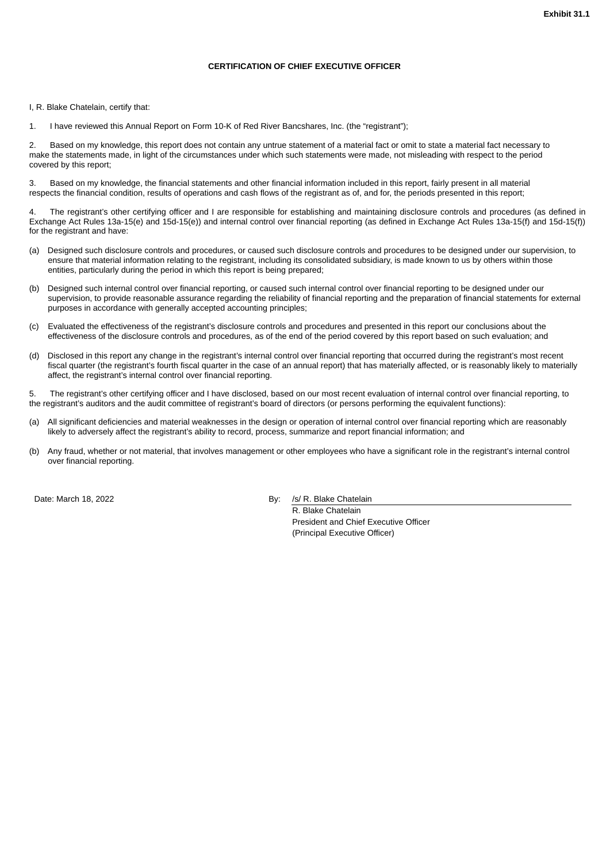#### **CERTIFICATION OF CHIEF EXECUTIVE OFFICER**

I, R. Blake Chatelain, certify that:

1. I have reviewed this Annual Report on Form 10-K of Red River Bancshares, Inc. (the "registrant");

2. Based on my knowledge, this report does not contain any untrue statement of a material fact or omit to state a material fact necessary to make the statements made, in light of the circumstances under which such statements were made, not misleading with respect to the period covered by this report;

Based on my knowledge, the financial statements and other financial information included in this report, fairly present in all material respects the financial condition, results of operations and cash flows of the registrant as of, and for, the periods presented in this report;

4. The registrant's other certifying officer and I are responsible for establishing and maintaining disclosure controls and procedures (as defined in Exchange Act Rules 13a-15(e) and 15d-15(e)) and internal control over financial reporting (as defined in Exchange Act Rules 13a-15(f) and 15d-15(f)) for the registrant and have:

- (a) Designed such disclosure controls and procedures, or caused such disclosure controls and procedures to be designed under our supervision, to ensure that material information relating to the registrant, including its consolidated subsidiary, is made known to us by others within those entities, particularly during the period in which this report is being prepared;
- (b) Designed such internal control over financial reporting, or caused such internal control over financial reporting to be designed under our supervision, to provide reasonable assurance regarding the reliability of financial reporting and the preparation of financial statements for external purposes in accordance with generally accepted accounting principles;
- (c) Evaluated the effectiveness of the registrant's disclosure controls and procedures and presented in this report our conclusions about the effectiveness of the disclosure controls and procedures, as of the end of the period covered by this report based on such evaluation; and
- (d) Disclosed in this report any change in the registrant's internal control over financial reporting that occurred during the registrant's most recent fiscal quarter (the registrant's fourth fiscal quarter in the case of an annual report) that has materially affected, or is reasonably likely to materially affect, the registrant's internal control over financial reporting.

5. The registrant's other certifying officer and I have disclosed, based on our most recent evaluation of internal control over financial reporting, to the registrant's auditors and the audit committee of registrant's board of directors (or persons performing the equivalent functions):

- (a) All significant deficiencies and material weaknesses in the design or operation of internal control over financial reporting which are reasonably likely to adversely affect the registrant's ability to record, process, summarize and report financial information; and
- (b) Any fraud, whether or not material, that involves management or other employees who have a significant role in the registrant's internal control over financial reporting.

Date: March 18, 2022 **By:** *Isl R. Blake Chatelain* 

R. Blake Chatelain President and Chief Executive Officer (Principal Executive Officer)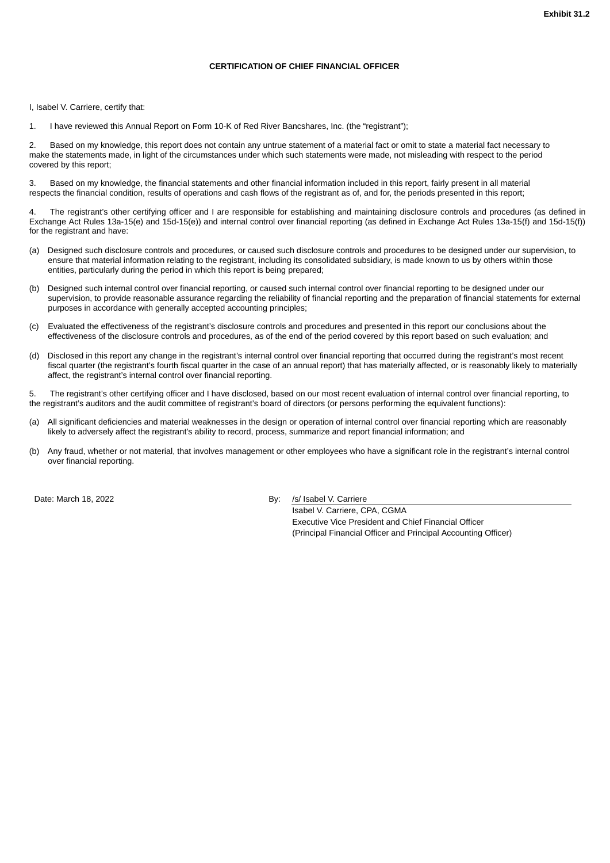#### **CERTIFICATION OF CHIEF FINANCIAL OFFICER**

I, Isabel V. Carriere, certify that:

1. I have reviewed this Annual Report on Form 10-K of Red River Bancshares, Inc. (the "registrant");

2. Based on my knowledge, this report does not contain any untrue statement of a material fact or omit to state a material fact necessary to make the statements made, in light of the circumstances under which such statements were made, not misleading with respect to the period covered by this report;

Based on my knowledge, the financial statements and other financial information included in this report, fairly present in all material respects the financial condition, results of operations and cash flows of the registrant as of, and for, the periods presented in this report;

4. The registrant's other certifying officer and I are responsible for establishing and maintaining disclosure controls and procedures (as defined in Exchange Act Rules 13a-15(e) and 15d-15(e)) and internal control over financial reporting (as defined in Exchange Act Rules 13a-15(f) and 15d-15(f)) for the registrant and have:

- (a) Designed such disclosure controls and procedures, or caused such disclosure controls and procedures to be designed under our supervision, to ensure that material information relating to the registrant, including its consolidated subsidiary, is made known to us by others within those entities, particularly during the period in which this report is being prepared;
- (b) Designed such internal control over financial reporting, or caused such internal control over financial reporting to be designed under our supervision, to provide reasonable assurance regarding the reliability of financial reporting and the preparation of financial statements for external purposes in accordance with generally accepted accounting principles;
- (c) Evaluated the effectiveness of the registrant's disclosure controls and procedures and presented in this report our conclusions about the effectiveness of the disclosure controls and procedures, as of the end of the period covered by this report based on such evaluation; and
- (d) Disclosed in this report any change in the registrant's internal control over financial reporting that occurred during the registrant's most recent fiscal quarter (the registrant's fourth fiscal quarter in the case of an annual report) that has materially affected, or is reasonably likely to materially affect, the registrant's internal control over financial reporting.

5. The registrant's other certifying officer and I have disclosed, based on our most recent evaluation of internal control over financial reporting, to the registrant's auditors and the audit committee of registrant's board of directors (or persons performing the equivalent functions):

- (a) All significant deficiencies and material weaknesses in the design or operation of internal control over financial reporting which are reasonably likely to adversely affect the registrant's ability to record, process, summarize and report financial information; and
- (b) Any fraud, whether or not material, that involves management or other employees who have a significant role in the registrant's internal control over financial reporting.

Date: March 18, 2022 **By:** /s/ Isabel V. Carriere

Isabel V. Carriere, CPA, CGMA Executive Vice President and Chief Financial Officer (Principal Financial Officer and Principal Accounting Officer)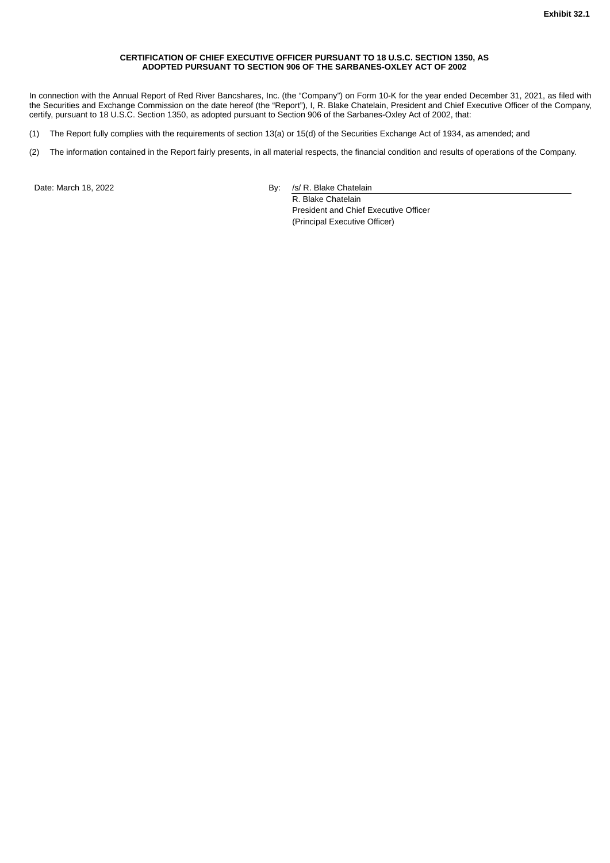#### **CERTIFICATION OF CHIEF EXECUTIVE OFFICER PURSUANT TO 18 U.S.C. SECTION 1350, AS ADOPTED PURSUANT TO SECTION 906 OF THE SARBANES-OXLEY ACT OF 2002**

In connection with the Annual Report of Red River Bancshares, Inc. (the "Company") on Form 10-K for the year ended December 31, 2021, as filed with the Securities and Exchange Commission on the date hereof (the "Report"), I, R. Blake Chatelain, President and Chief Executive Officer of the Company, certify, pursuant to 18 U.S.C. Section 1350, as adopted pursuant to Section 906 of the Sarbanes-Oxley Act of 2002, that:

(1) The Report fully complies with the requirements of section 13(a) or 15(d) of the Securities Exchange Act of 1934, as amended; and

(2) The information contained in the Report fairly presents, in all material respects, the financial condition and results of operations of the Company.

Date: March 18, 2022 **By:** /s/ R. Blake Chatelain

R. Blake Chatelain President and Chief Executive Officer (Principal Executive Officer)